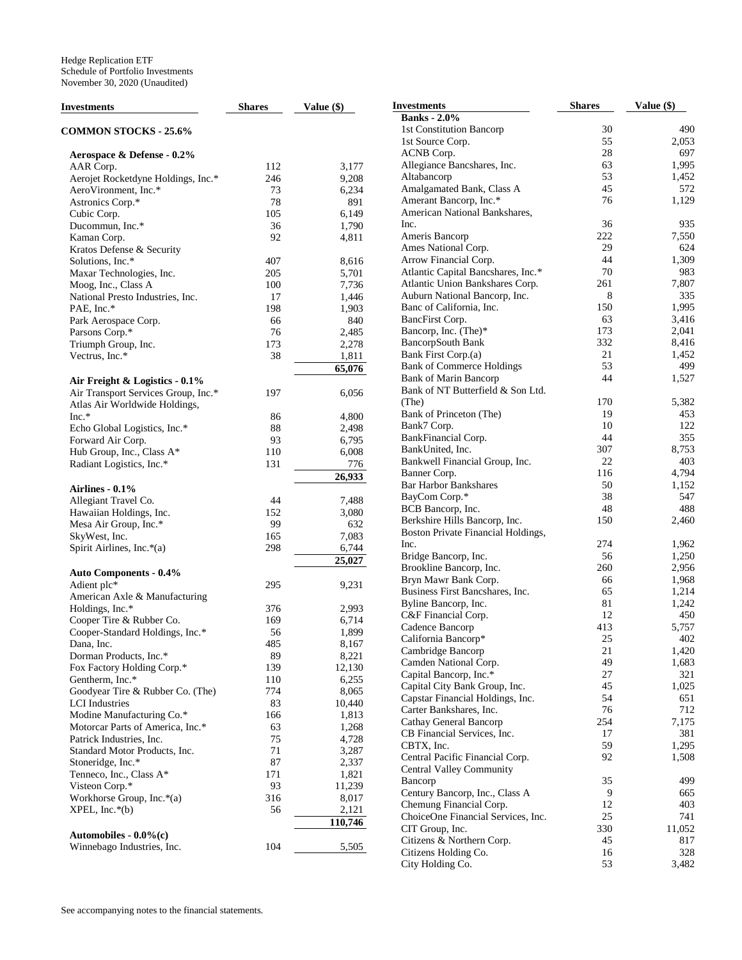| <b>Investments</b>                  | <b>Shares</b> | Value (\$) | <b>Investments</b>                    | <b>Shares</b> | Value (\$)   |
|-------------------------------------|---------------|------------|---------------------------------------|---------------|--------------|
|                                     |               |            | <b>Banks</b> - 2.0%                   |               |              |
| <b>COMMON STOCKS - 25.6%</b>        |               |            | 1st Constitution Bancorp              | 30            | 490          |
|                                     |               |            | 1st Source Corp.                      | 55            | 2,053        |
| Aerospace & Defense - 0.2%          |               |            | ACNB Corp.                            | 28            | 697          |
| AAR Corp.                           | 112           | 3,177      | Allegiance Bancshares, Inc.           | 63            | 1,995        |
| Aerojet Rocketdyne Holdings, Inc.*  | 246           | 9,208      | Altabancorp                           | 53            | 1,452        |
| AeroVironment, Inc.*                | 73            | 6,234      | Amalgamated Bank, Class A             | 45            | 572          |
|                                     | 78            | 891        | Amerant Bancorp, Inc.*                | 76            | 1,129        |
| Astronics Corp.*                    | 105           |            | American National Bankshares,         |               |              |
| Cubic Corp.                         |               | 6,149      | Inc.                                  | 36            | 935          |
| Ducommun, Inc.*                     | 36            | 1,790      |                                       | 222           |              |
| Kaman Corp.                         | 92            | 4,811      | Ameris Bancorp<br>Ames National Corp. | 29            | 7,550<br>624 |
| Kratos Defense & Security           |               |            |                                       |               |              |
| Solutions, Inc.*                    | 407           | 8,616      | Arrow Financial Corp.                 | 44            | 1,309        |
| Maxar Technologies, Inc.            | 205           | 5,701      | Atlantic Capital Bancshares, Inc.*    | 70            | 983          |
| Moog, Inc., Class A                 | 100           | 7,736      | Atlantic Union Bankshares Corp.       | 261           | 7,807        |
| National Presto Industries, Inc.    | 17            | 1,446      | Auburn National Bancorp, Inc.         | 8             | 335          |
| PAE, Inc.*                          | 198           | 1,903      | Banc of California, Inc.              | 150           | 1,995        |
| Park Aerospace Corp.                | 66            | 840        | BancFirst Corp.                       | 63            | 3,416        |
| Parsons Corp.*                      | 76            | 2,485      | Bancorp, Inc. (The)*                  | 173           | 2,041        |
| Triumph Group, Inc.                 | 173           | 2,278      | BancorpSouth Bank                     | 332           | 8,416        |
| Vectrus, Inc.*                      | 38            | 1,811      | Bank First Corp.(a)                   | 21            | 1,452        |
|                                     |               | 65,076     | <b>Bank of Commerce Holdings</b>      | 53            | 499          |
| Air Freight & Logistics - 0.1%      |               |            | <b>Bank of Marin Bancorp</b>          | 44            | 1,527        |
| Air Transport Services Group, Inc.* | 197           | 6,056      | Bank of NT Butterfield & Son Ltd.     |               |              |
| Atlas Air Worldwide Holdings,       |               |            | (The)                                 | 170           | 5,382        |
| Inc.*                               | 86            | 4,800      | Bank of Princeton (The)               | 19            | 453          |
| Echo Global Logistics, Inc.*        | 88            | 2,498      | Bank7 Corp.                           | 10            | 122          |
| Forward Air Corp.                   | 93            | 6,795      | BankFinancial Corp.                   | 44            | 355          |
| Hub Group, Inc., Class A*           | 110           | 6,008      | BankUnited, Inc.                      | 307           | 8,753        |
|                                     | 131           | 776        | Bankwell Financial Group, Inc.        | 22            | 403          |
| Radiant Logistics, Inc.*            |               |            | Banner Corp.                          | 116           | 4,794        |
|                                     |               | 26,933     | <b>Bar Harbor Bankshares</b>          | 50            | 1,152        |
| Airlines - 0.1%                     |               |            | BayCom Corp.*                         | 38            | 547          |
| Allegiant Travel Co.                | 44            | 7,488      | BCB Bancorp, Inc.                     | 48            | 488          |
| Hawaiian Holdings, Inc.             | 152           | 3,080      | Berkshire Hills Bancorp, Inc.         | 150           | 2,460        |
| Mesa Air Group, Inc.*               | 99            | 632        |                                       |               |              |
| SkyWest, Inc.                       | 165           | 7,083      | Boston Private Financial Holdings,    |               |              |
| Spirit Airlines, Inc.*(a)           | 298           | 6,744      | Inc.                                  | 274           | 1,962        |
|                                     |               | 25,027     | Bridge Bancorp, Inc.                  | 56            | 1,250        |
| <b>Auto Components - 0.4%</b>       |               |            | Brookline Bancorp, Inc.               | 260           | 2,956        |
| Adient plc*                         | 295           | 9,231      | Bryn Mawr Bank Corp.                  | 66            | 1,968        |
| American Axle & Manufacturing       |               |            | Business First Bancshares, Inc.       | 65            | 1,214        |
| Holdings, Inc.*                     | 376           | 2,993      | Byline Bancorp, Inc.                  | 81            | 1,242        |
| Cooper Tire & Rubber Co.            | 169           | 6,714      | C&F Financial Corp.                   | 12            | 450          |
| Cooper-Standard Holdings, Inc.*     | 56            | 1,899      | Cadence Bancorp                       | 413           | 5,757        |
| Dana, Inc.                          | 485           | 8,167      | California Bancorp*                   | 25            | 402          |
| Dorman Products, Inc.*              | 89            | 8,221      | Cambridge Bancorp                     | 21            | 1,420        |
| Fox Factory Holding Corp.*          | 139           | 12,130     | Camden National Corp.                 | 49            | 1,683        |
| Gentherm, Inc.*                     | 110           | 6,255      | Capital Bancorp, Inc.*                | $27\,$        | 321          |
|                                     | 774           | 8,065      | Capital City Bank Group, Inc.         | 45            | 1,025        |
| Goodyear Tire & Rubber Co. (The)    |               |            | Capstar Financial Holdings, Inc.      | 54            | 651          |
| <b>LCI</b> Industries               | 83            | 10,440     | Carter Bankshares, Inc.               | 76            | 712          |
| Modine Manufacturing Co.*           | 166           | 1,813      | Cathay General Bancorp                | 254           | 7,175        |
| Motorcar Parts of America, Inc.*    | 63            | 1,268      | CB Financial Services, Inc.           | 17            | 381          |
| Patrick Industries, Inc.            | 75            | 4,728      | CBTX, Inc.                            | 59            | 1,295        |
| Standard Motor Products, Inc.       | 71            | 3,287      | Central Pacific Financial Corp.       | 92            | 1,508        |
| Stoneridge, Inc.*                   | 87            | 2,337      | <b>Central Valley Community</b>       |               |              |
| Tenneco, Inc., Class A*             | 171           | 1,821      | Bancorp                               | 35            | 499          |
| Visteon Corp.*                      | 93            | 11,239     | Century Bancorp, Inc., Class A        | 9             | 665          |
| Workhorse Group, Inc.*(a)           | 316           | 8,017      |                                       |               | 403          |
| $XPEL, Inc.*(b)$                    | 56            | 2,121      | Chemung Financial Corp.               | 12            |              |
|                                     |               | 110,746    | ChoiceOne Financial Services, Inc.    | 25            | 741          |
| Automobiles - $0.0\%$ (c)           |               |            | CIT Group, Inc.                       | 330           | 11,052       |
| Winnebago Industries, Inc.          | 104           | 5,505      | Citizens & Northern Corp.             | 45            | 817          |
|                                     |               |            | Citizens Holding Co.                  | 16            | 328          |
|                                     |               |            | City Holding Co.                      | 53            | 3,482        |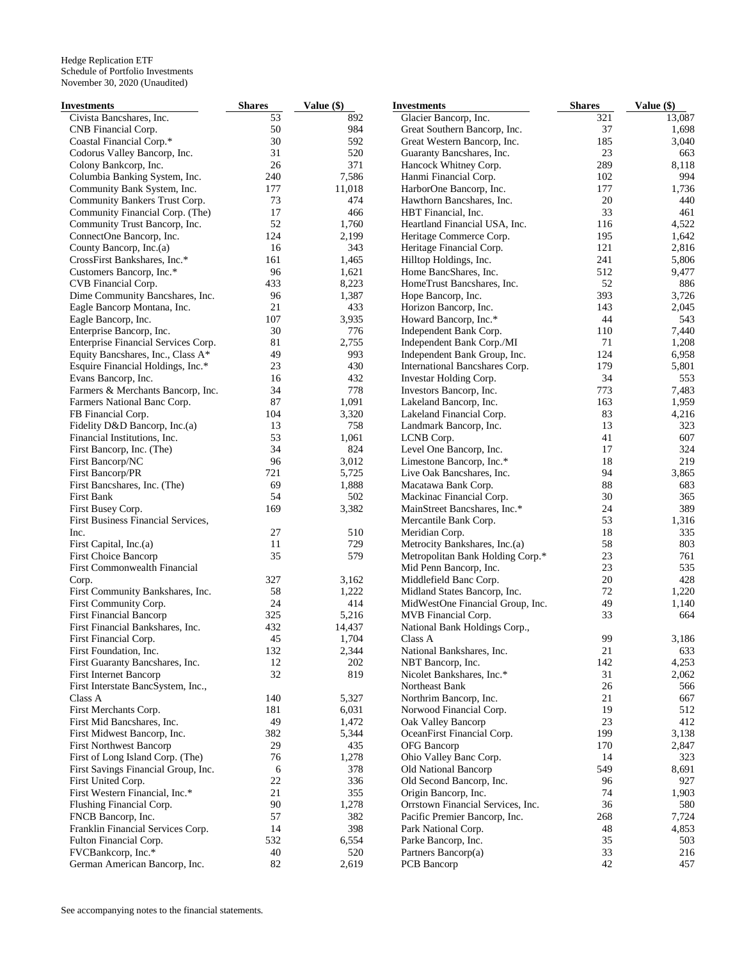| Investments                         | <b>Shares</b> | Value (\$) | <b>Investments</b>                | <b>Shares</b> | Value (\$) |
|-------------------------------------|---------------|------------|-----------------------------------|---------------|------------|
| Civista Bancshares, Inc.            | 53            | 892        | Glacier Bancorp, Inc.             | 321           | 13,087     |
| CNB Financial Corp.                 | 50            | 984        | Great Southern Bancorp, Inc.      | 37            | 1,698      |
| Coastal Financial Corp.*            | 30            | 592        | Great Western Bancorp, Inc.       | 185           | 3,040      |
| Codorus Valley Bancorp, Inc.        | 31            | 520        | Guaranty Bancshares, Inc.         | 23            | 663        |
| Colony Bankcorp, Inc.               | 26            | 371        | Hancock Whitney Corp.             | 289           | 8,118      |
| Columbia Banking System, Inc.       | 240           | 7,586      | Hanmi Financial Corp.             | 102           | 994        |
| Community Bank System, Inc.         | 177           | 11,018     | HarborOne Bancorp, Inc.           | 177           | 1,736      |
| Community Bankers Trust Corp.       | 73            | 474        | Hawthorn Bancshares, Inc.         | 20            | 440        |
| Community Financial Corp. (The)     | 17            | 466        | HBT Financial, Inc.               | 33            | 461        |
| Community Trust Bancorp, Inc.       | 52            | 1,760      | Heartland Financial USA, Inc.     | 116           | 4,522      |
| ConnectOne Bancorp, Inc.            | 124           | 2,199      | Heritage Commerce Corp.           | 195           | 1,642      |
|                                     | 16            |            |                                   | 121           |            |
| County Bancorp, Inc.(a)             |               | 343        | Heritage Financial Corp.          |               | 2,816      |
| CrossFirst Bankshares, Inc.*        | 161           | 1,465      | Hilltop Holdings, Inc.            | 241           | 5,806      |
| Customers Bancorp, Inc.*            | 96            | 1,621      | Home BancShares, Inc.             | 512           | 9,477      |
| CVB Financial Corp.                 | 433           | 8,223      | HomeTrust Bancshares, Inc.        | 52            | 886        |
| Dime Community Bancshares, Inc.     | 96            | 1,387      | Hope Bancorp, Inc.                | 393           | 3,726      |
| Eagle Bancorp Montana, Inc.         | 21            | 433        | Horizon Bancorp, Inc.             | 143           | 2,045      |
| Eagle Bancorp, Inc.                 | 107           | 3,935      | Howard Bancorp, Inc.*             | 44            | 543        |
| Enterprise Bancorp, Inc.            | 30            | 776        | Independent Bank Corp.            | 110           | 7,440      |
| Enterprise Financial Services Corp. | 81            | 2,755      | Independent Bank Corp./MI         | 71            | 1,208      |
| Equity Bancshares, Inc., Class A*   | 49            | 993        | Independent Bank Group, Inc.      | 124           | 6,958      |
| Esquire Financial Holdings, Inc.*   | 23            | 430        | International Bancshares Corp.    | 179           | 5,801      |
| Evans Bancorp, Inc.                 | 16            | 432        | Investar Holding Corp.            | 34            | 553        |
| Farmers & Merchants Bancorp, Inc.   | 34            | 778        | Investors Bancorp, Inc.           | 773           | 7,483      |
| Farmers National Banc Corp.         | 87            | 1,091      | Lakeland Bancorp, Inc.            | 163           | 1,959      |
| FB Financial Corp.                  | 104           | 3,320      | Lakeland Financial Corp.          | 83            | 4,216      |
| Fidelity D&D Bancorp, Inc.(a)       | 13            | 758        | Landmark Bancorp, Inc.            | 13            | 323        |
| Financial Institutions, Inc.        | 53            | 1,061      | LCNB Corp.                        | 41            | 607        |
| First Bancorp, Inc. (The)           | 34            | 824        | Level One Bancorp, Inc.           | 17            | 324        |
| First Bancorp/NC                    | 96            | 3,012      | Limestone Bancorp, Inc.*          | 18            | 219        |
|                                     | 721           |            | Live Oak Bancshares, Inc.         | 94            | 3,865      |
| First Bancorp/PR                    |               | 5,725      |                                   |               |            |
| First Bancshares, Inc. (The)        | 69            | 1,888      | Macatawa Bank Corp.               | 88            | 683        |
| First Bank                          | 54            | 502        | Mackinac Financial Corp.          | 30            | 365        |
| First Busey Corp.                   | 169           | 3,382      | MainStreet Bancshares, Inc.*      | 24            | 389        |
| First Business Financial Services,  |               |            | Mercantile Bank Corp.             | 53            | 1,316      |
| Inc.                                | 27            | 510        | Meridian Corp.                    | 18            | 335        |
| First Capital, Inc.(a)              | 11            | 729        | Metrocity Bankshares, Inc.(a)     | 58            | 803        |
| <b>First Choice Bancorp</b>         | 35            | 579        | Metropolitan Bank Holding Corp.*  | 23            | 761        |
| First Commonwealth Financial        |               |            | Mid Penn Bancorp, Inc.            | 23            | 535        |
| Corp.                               | 327           | 3,162      | Middlefield Banc Corp.            | 20            | 428        |
| First Community Bankshares, Inc.    | 58            | 1,222      | Midland States Bancorp, Inc.      | 72            | 1,220      |
| First Community Corp.               | 24            | 414        | MidWestOne Financial Group, Inc.  | 49            | 1,140      |
| <b>First Financial Bancorp</b>      | 325           | 5,216      | MVB Financial Corp.               | 33            | 664        |
| First Financial Bankshares, Inc.    | 432           | 14,437     | National Bank Holdings Corp.,     |               |            |
| First Financial Corp.               | 45            | 1,704      | Class A                           | 99            | 3,186      |
| First Foundation, Inc.              | 132           | 2,344      | National Bankshares, Inc.         | 21            | 633        |
| First Guaranty Bancshares, Inc.     | 12            | 202        | NBT Bancorp, Inc.                 | 142           | 4,253      |
| First Internet Bancorp              | 32            | 819        | Nicolet Bankshares, Inc.*         | 31            | 2,062      |
| First Interstate BancSystem, Inc.,  |               |            | Northeast Bank                    | 26            | 566        |
| Class A                             | 140           | 5,327      | Northrim Bancorp, Inc.            | 21            | 667        |
| First Merchants Corp.               | 181           | 6,031      | Norwood Financial Corp.           | 19            | 512        |
| First Mid Bancshares, Inc.          | 49            | 1,472      | Oak Valley Bancorp                | 23            | 412        |
|                                     |               |            |                                   | 199           |            |
| First Midwest Bancorp, Inc.         | 382           | 5,344      | OceanFirst Financial Corp.        |               | 3,138      |
| <b>First Northwest Bancorp</b>      | 29            | 435        | <b>OFG</b> Bancorp                | 170           | 2,847      |
| First of Long Island Corp. (The)    | 76            | 1,278      | Ohio Valley Banc Corp.            | 14            | 323        |
| First Savings Financial Group, Inc. | 6             | 378        | Old National Bancorp              | 549           | 8,691      |
| First United Corp.                  | 22            | 336        | Old Second Bancorp, Inc.          | 96            | 927        |
| First Western Financial, Inc.*      | 21            | 355        | Origin Bancorp, Inc.              | 74            | 1,903      |
| Flushing Financial Corp.            | 90            | 1,278      | Orrstown Financial Services, Inc. | 36            | 580        |
| FNCB Bancorp, Inc.                  | 57            | 382        | Pacific Premier Bancorp, Inc.     | 268           | 7,724      |
| Franklin Financial Services Corp.   | 14            | 398        | Park National Corp.               | 48            | 4,853      |
| Fulton Financial Corp.              | 532           | 6,554      | Parke Bancorp, Inc.               | 35            | 503        |
| FVCBankcorp, Inc.*                  | 40            | 520        | Partners Bancorp(a)               | 33            | 216        |
| German American Bancorp, Inc.       | 82            | 2,619      | PCB Bancorp                       | 42            | 457        |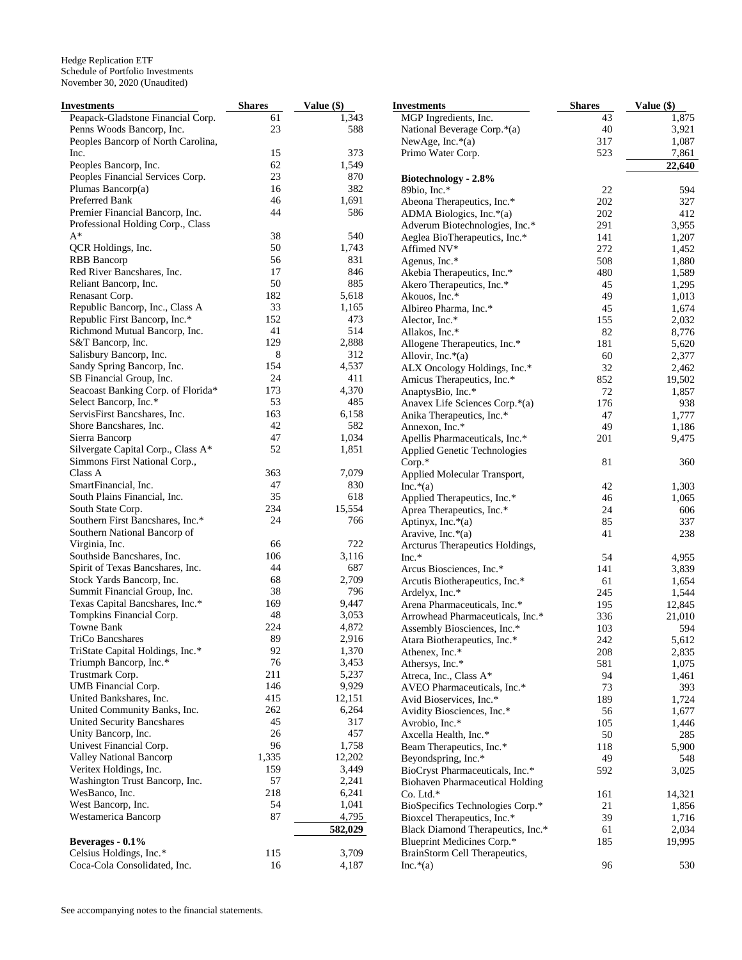| Investments                        | <b>Shares</b> | Value (\$)           | <b>Investments</b>                     | <b>Shares</b> | Value (\$) |
|------------------------------------|---------------|----------------------|----------------------------------------|---------------|------------|
| Peapack-Gladstone Financial Corp.  | 61            | 1,343                | MGP Ingredients, Inc.                  | 43            | 1,875      |
| Penns Woods Bancorp, Inc.          | 23            | 588                  | National Beverage Corp.*(a)            | 40            | 3,921      |
| Peoples Bancorp of North Carolina, |               |                      | NewAge, Inc. $*(a)$                    | 317           | 1,087      |
| Inc.                               | 15            | 373                  | Primo Water Corp.                      | 523           | 7,861      |
| Peoples Bancorp, Inc.              | 62            | 1,549                |                                        |               | 22,640     |
| Peoples Financial Services Corp.   | 23            | 870                  | Biotechnology - 2.8%                   |               |            |
| Plumas Bancorp(a)                  | 16            | 382                  | 89bio, Inc.*                           | 22            | 594        |
| Preferred Bank                     | 46            | 1,691                | Abeona Therapeutics, Inc.*             | 202           | 327        |
| Premier Financial Bancorp, Inc.    | 44            | 586                  | ADMA Biologics, Inc. $*(a)$            | 202           | 412        |
| Professional Holding Corp., Class  |               |                      | Adverum Biotechnologies, Inc.*         | 291           | 3,955      |
| $A^*$                              | 38            | 540                  | Aeglea BioTherapeutics, Inc.*          | 141           | 1,207      |
| QCR Holdings, Inc.                 | 50            | 1,743                |                                        |               |            |
|                                    | 56            | 831                  | Affimed NV*                            | 272           | 1,452      |
| <b>RBB</b> Bancorp                 |               |                      | Agenus, Inc.*                          | 508           | 1,880      |
| Red River Bancshares, Inc.         | 17            | 846                  | Akebia Therapeutics, Inc.*             | 480           | 1,589      |
| Reliant Bancorp, Inc.              | 50            | 885                  | Akero Therapeutics, Inc.*              | 45            | 1,295      |
| Renasant Corp.                     | 182           | 5,618                | Akouos, Inc.*                          | 49            | 1,013      |
| Republic Bancorp, Inc., Class A    | 33            | 1,165                | Albireo Pharma, Inc.*                  | 45            | 1,674      |
| Republic First Bancorp, Inc.*      | 152           | 473                  | Alector, Inc.*                         | 155           | 2,032      |
| Richmond Mutual Bancorp, Inc.      | 41            | 514                  | Allakos, Inc.*                         | 82            | 8,776      |
| S&T Bancorp, Inc.                  | 129           | 2,888                | Allogene Therapeutics, Inc.*           | 181           | 5,620      |
| Salisbury Bancorp, Inc.            | 8             | 312                  | Allovir, Inc. $*(a)$                   | 60            | 2,377      |
| Sandy Spring Bancorp, Inc.         | 154           | 4,537                | ALX Oncology Holdings, Inc.*           | 32            | 2,462      |
| SB Financial Group, Inc.           | 24            | 411                  | Amicus Therapeutics, Inc.*             | 852           | 19,502     |
| Seacoast Banking Corp. of Florida* | 173           | 4,370                | AnaptysBio, Inc.*                      | 72            | 1,857      |
| Select Bancorp, Inc.*              | 53            | 485                  | Anavex Life Sciences Corp.*(a)         | 176           | 938        |
| ServisFirst Bancshares, Inc.       | 163           | 6,158                | Anika Therapeutics, Inc.*              | 47            | 1,777      |
| Shore Bancshares, Inc.             | 42            | 582                  | Annexon, Inc.*                         | 49            | 1,186      |
| Sierra Bancorp                     | 47            | 1,034                |                                        | 201           | 9,475      |
| Silvergate Capital Corp., Class A* | 52            | 1,851                | Apellis Pharmaceuticals, Inc.*         |               |            |
| Simmons First National Corp.,      |               |                      | <b>Applied Genetic Technologies</b>    |               |            |
| Class A                            | 363           | 7,079                | Corp.*                                 | 81            | 360        |
|                                    |               |                      | Applied Molecular Transport,           |               |            |
| SmartFinancial, Inc.               | 47            | 830                  | $Inc.*(a)$                             | 42            | 1,303      |
| South Plains Financial, Inc.       | 35            | 618                  | Applied Therapeutics, Inc.*            | 46            | 1,065      |
| South State Corp.                  | 234           | 15,554               | Aprea Therapeutics, Inc.*              | 24            | 606        |
| Southern First Bancshares, Inc.*   | 24            | 766                  | Aptinyx, Inc.*(a)                      | 85            | 337        |
| Southern National Bancorp of       |               |                      | Aravive, Inc. $*(a)$                   | 41            | 238        |
| Virginia, Inc.                     | 66            | 722                  | Arcturus Therapeutics Holdings,        |               |            |
| Southside Bancshares, Inc.         | 106           | 3,116                | $Inc.*$                                | 54            | 4,955      |
| Spirit of Texas Bancshares, Inc.   | 44            | 687                  | Arcus Biosciences, Inc.*               | 141           | 3,839      |
| Stock Yards Bancorp, Inc.          | 68            | 2,709                | Arcutis Biotherapeutics, Inc.*         | 61            | 1,654      |
| Summit Financial Group, Inc.       | 38            | 796                  | Ardelyx, Inc.*                         | 245           | 1,544      |
| Texas Capital Bancshares, Inc.*    | 169           | 9,447                | Arena Pharmaceuticals, Inc.*           | 195           | 12,845     |
| Tompkins Financial Corp.           | 48            | 3,053                | Arrowhead Pharmaceuticals, Inc.*       | 336           | 21,010     |
| <b>Towne Bank</b>                  | 224           | 4,872                | Assembly Biosciences, Inc.*            | 103           | 594        |
| <b>TriCo Bancshares</b>            | 89            | 2,916                | Atara Biotherapeutics, Inc.*           | 242           | 5,612      |
| TriState Capital Holdings, Inc.*   | 92            | 1,370                | Athenex, Inc.*                         | 208           | 2,835      |
| Triumph Bancorp, Inc.*             | 76            | 3,453                | Athersys, Inc.*                        | 581           | 1,075      |
| Trustmark Corp.                    | 211           | 5,237                | Atreca, Inc., Class A*                 | 94            | 1,461      |
| UMB Financial Corp.                | 146           | 9,929                | AVEO Pharmaceuticals, Inc.*            | 73            | 393        |
| United Bankshares, Inc.            | 415           | 12,151               | Avid Bioservices, Inc.*                | 189           |            |
| United Community Banks, Inc.       | 262           | 6,264                |                                        | 56            | 1,724      |
|                                    | 45            | 317                  | Avidity Biosciences, Inc.*             |               | 1,677      |
| United Security Bancshares         |               |                      | Avrobio, Inc.*                         | 105           | 1,446      |
| Unity Bancorp, Inc.                | 26            | 457                  | Axcella Health, Inc.*                  | 50            | 285        |
| Univest Financial Corp.            | 96            | 1,758                | Beam Therapeutics, Inc.*               | 118           | 5,900      |
| Valley National Bancorp            | 1,335         | 12,202               | Beyondspring, Inc.*                    | 49            | 548        |
| Veritex Holdings, Inc.             | 159           | 3,449                | BioCryst Pharmaceuticals, Inc.*        | 592           | 3,025      |
| Washington Trust Bancorp, Inc.     | 57            | 2,241                | <b>Biohaven Pharmaceutical Holding</b> |               |            |
| WesBanco, Inc.                     | 218           | 6,241                | Co. Ltd.*                              | 161           | 14,321     |
| West Bancorp, Inc.                 | 54            | 1,041                | BioSpecifics Technologies Corp.*       | 21            | 1,856      |
| Westamerica Bancorp                | 87            | 4,795                | Bioxcel Therapeutics, Inc.*            | 39            | 1,716      |
|                                    |               | $\overline{582,029}$ | Black Diamond Therapeutics, Inc.*      | 61            | 2,034      |
| Beverages - 0.1%                   |               |                      | Blueprint Medicines Corp.*             | 185           | 19,995     |
| Celsius Holdings, Inc.*            | 115           | 3,709                | BrainStorm Cell Therapeutics,          |               |            |
| Coca-Cola Consolidated, Inc.       | 16            | 4,187                | $Inc.*(a)$                             | 96            | 530        |
|                                    |               |                      |                                        |               |            |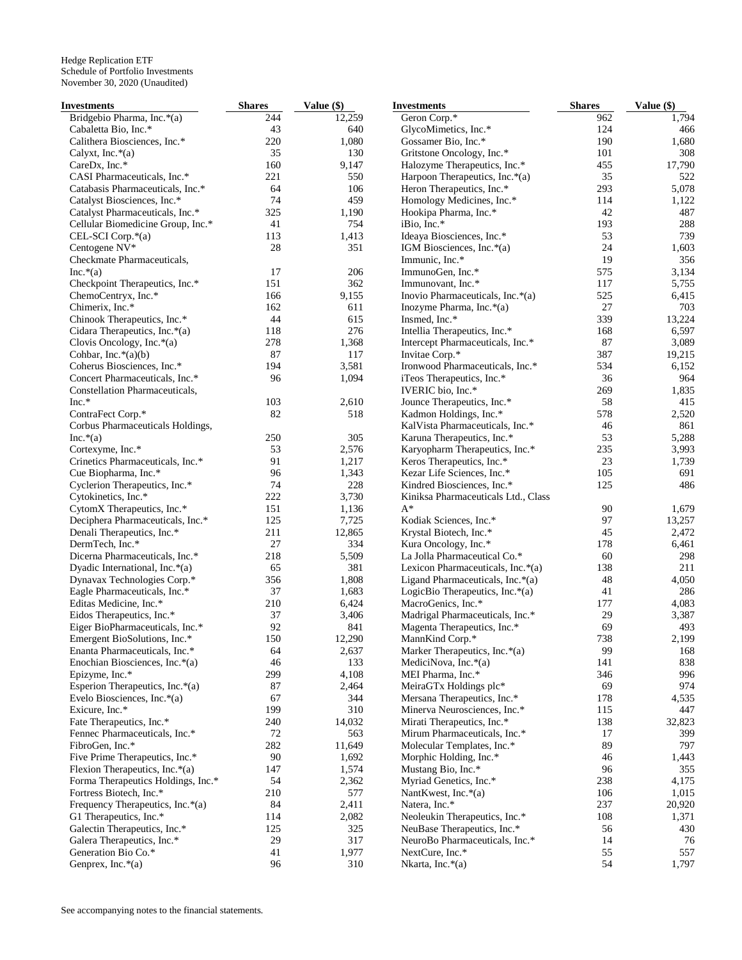| Investments                        | <b>Shares</b> | Value (\$) | <b>Investments</b>                  | <b>Shares</b> | Value (\$) |
|------------------------------------|---------------|------------|-------------------------------------|---------------|------------|
| Bridgebio Pharma, Inc.*(a)         | 244           | 12,259     | Geron Corp.*                        | 962           | 1,794      |
| Cabaletta Bio, Inc.*               | 43            | 640        | GlycoMimetics, Inc.*                | 124           | 466        |
| Calithera Biosciences, Inc.*       | 220           | 1,080      | Gossamer Bio, Inc.*                 | 190           | 1,680      |
| Calyxt, Inc. $*(a)$                | 35            | 130        | Gritstone Oncology, Inc.*           | 101           | 308        |
| CareDx, Inc.*                      | 160           | 9,147      | Halozyme Therapeutics, Inc.*        | 455           | 17,790     |
| CASI Pharmaceuticals, Inc.*        | 221           | 550        | Harpoon Therapeutics, Inc.*(a)      | 35            | 522        |
| Catabasis Pharmaceuticals, Inc.*   | 64            | 106        | Heron Therapeutics, Inc.*           | 293           | 5,078      |
| Catalyst Biosciences, Inc.*        | 74            | 459        | Homology Medicines, Inc.*           | 114           | 1,122      |
| Catalyst Pharmaceuticals, Inc.*    | 325           | 1,190      | Hookipa Pharma, Inc.*               | 42            | 487        |
| Cellular Biomedicine Group, Inc.*  | 41            | 754        | iBio, Inc.*                         | 193           | 288        |
| CEL-SCI Corp.*(a)                  | 113           | 1,413      | Ideaya Biosciences, Inc.*           | 53            | 739        |
| Centogene NV*                      | 28            | 351        | IGM Biosciences, Inc. $*(a)$        | 24            | 1,603      |
| Checkmate Pharmaceuticals,         |               |            | Immunic, Inc.*                      | 19            | 356        |
| Inc.*(a)                           | 17            | 206        | ImmunoGen, Inc.*                    | 575           | 3,134      |
| Checkpoint Therapeutics, Inc.*     | 151           | 362        | Immunovant, Inc.*                   | 117           | 5,755      |
|                                    |               |            | Inovio Pharmaceuticals, Inc.*(a)    |               |            |
| ChemoCentryx, Inc.*                | 166           | 9,155      |                                     | 525           | 6,415      |
| Chimerix, Inc.*                    | 162           | 611        | Inozyme Pharma, Inc.*(a)            | $27\,$        | 703        |
| Chinook Therapeutics, Inc.*        | 44            | 615        | Insmed, Inc.*                       | 339           | 13,224     |
| Cidara Therapeutics, Inc.*(a)      | 118           | 276        | Intellia Therapeutics, Inc.*        | 168           | 6,597      |
| Clovis Oncology, Inc. $*(a)$       | 278           | 1,368      | Intercept Pharmaceuticals, Inc.*    | 87            | 3,089      |
| Cohbar, Inc.*(a)(b)                | 87            | 117        | Invitae Corp.*                      | 387           | 19,215     |
| Coherus Biosciences, Inc.*         | 194           | 3,581      | Ironwood Pharmaceuticals, Inc.*     | 534           | 6,152      |
| Concert Pharmaceuticals, Inc.*     | 96            | 1,094      | iTeos Therapeutics, Inc.*           | 36            | 964        |
| Constellation Pharmaceuticals,     |               |            | IVERIC bio, Inc.*                   | 269           | 1,835      |
| $Inc.*$                            | 103           | 2,610      | Jounce Therapeutics, Inc.*          | 58            | 415        |
| ContraFect Corp.*                  | 82            | 518        | Kadmon Holdings, Inc.*              | 578           | 2,520      |
| Corbus Pharmaceuticals Holdings,   |               |            | KalVista Pharmaceuticals, Inc.*     | 46            | 861        |
| $Inc.*(a)$                         | 250           | 305        | Karuna Therapeutics, Inc.*          | 53            | 5,288      |
| Cortexyme, Inc.*                   | 53            | 2,576      | Karyopharm Therapeutics, Inc.*      | 235           | 3,993      |
| Crinetics Pharmaceuticals, Inc.*   | 91            | 1,217      | Keros Therapeutics, Inc.*           | 23            | 1,739      |
| Cue Biopharma, Inc.*               | 96            | 1,343      | Kezar Life Sciences, Inc.*          | 105           | 691        |
| Cyclerion Therapeutics, Inc.*      | 74            | 228        | Kindred Biosciences, Inc.*          | 125           | 486        |
| Cytokinetics, Inc.*                | 222           | 3,730      | Kiniksa Pharmaceuticals Ltd., Class |               |            |
| CytomX Therapeutics, Inc.*         | 151           | 1,136      | $A^*$                               | 90            | 1,679      |
| Deciphera Pharmaceuticals, Inc.*   | 125           | 7,725      | Kodiak Sciences, Inc.*              | 97            | 13,257     |
| Denali Therapeutics, Inc.*         | 211           | 12,865     | Krystal Biotech, Inc.*              | 45            | 2,472      |
| DermTech, Inc.*                    | 27            | 334        | Kura Oncology, Inc.*                | 178           | 6,461      |
| Dicerna Pharmaceuticals, Inc.*     | 218           | 5,509      | La Jolla Pharmaceutical Co.*        | 60            | 298        |
|                                    |               |            |                                     |               |            |
| Dyadic International, Inc.*(a)     | 65            | 381        | Lexicon Pharmaceuticals, Inc.*(a)   | 138           | 211        |
| Dynavax Technologies Corp.*        | 356           | 1,808      | Ligand Pharmaceuticals, Inc.*(a)    | 48            | 4,050      |
| Eagle Pharmaceuticals, Inc.*       | 37            | 1,683      | LogicBio Therapeutics, Inc. $*(a)$  | 41            | 286        |
| Editas Medicine, Inc.*             | 210           | 6,424      | MacroGenics, Inc.*                  | 177           | 4,083      |
| Eidos Therapeutics, Inc.*          | 37            | 3,406      | Madrigal Pharmaceuticals, Inc.*     | 29            | 3,387      |
| Eiger BioPharmaceuticals, Inc.*    | 92            | 841        | Magenta Therapeutics, Inc.*         | 69            | 493        |
| Emergent BioSolutions, Inc.*       | 150           | 12,290     | MannKind Corp.*                     | 738           | 2,199      |
| Enanta Pharmaceuticals, Inc.*      | 64            | 2,637      | Marker Therapeutics, Inc.*(a)       | 99            | 168        |
| Enochian Biosciences, Inc.*(a)     | 46            | 133        | MediciNova, Inc. $*(a)$             | 141           | 838        |
| Epizyme, Inc.*                     | 299           | 4,108      | MEI Pharma, Inc.*                   | 346           | 996        |
| Esperion Therapeutics, Inc.*(a)    | 87            | 2,464      | MeiraGTx Holdings plc*              | 69            | 974        |
| Evelo Biosciences, Inc.*(a)        | 67            | 344        | Mersana Therapeutics, Inc.*         | 178           | 4,535      |
| Exicure, Inc.*                     | 199           | 310        | Minerva Neurosciences, Inc.*        | 115           | 447        |
| Fate Therapeutics, Inc.*           | 240           | 14,032     | Mirati Therapeutics, Inc.*          | 138           | 32,823     |
| Fennec Pharmaceuticals, Inc.*      | 72            | 563        | Mirum Pharmaceuticals, Inc.*        | 17            | 399        |
| FibroGen, Inc.*                    | 282           | 11,649     | Molecular Templates, Inc.*          | 89            | 797        |
| Five Prime Therapeutics, Inc.*     | 90            | 1,692      | Morphic Holding, Inc.*              | 46            | 1,443      |
| Flexion Therapeutics, Inc.*(a)     | 147           | 1,574      | Mustang Bio, Inc.*                  | 96            | 355        |
| Forma Therapeutics Holdings, Inc.* | 54            | 2,362      | Myriad Genetics, Inc.*              | 238           | 4,175      |
| Fortress Biotech, Inc.*            | 210           | 577        | NantKwest, Inc.*(a)                 | 106           | 1,015      |
| Frequency Therapeutics, Inc.*(a)   | 84            | 2,411      | Natera, Inc.*                       | 237           | 20,920     |
|                                    |               |            |                                     | 108           |            |
| G1 Therapeutics, Inc.*             | 114           | 2,082      | Neoleukin Therapeutics, Inc.*       |               | 1,371      |
| Galectin Therapeutics, Inc.*       | 125           | 325        | NeuBase Therapeutics, Inc.*         | 56            | 430        |
| Galera Therapeutics, Inc.*         | 29            | 317        | NeuroBo Pharmaceuticals, Inc.*      | 14            | 76         |
| Generation Bio Co.*                | 41            | 1,977      | NextCure, Inc.*                     | 55            | 557        |
| Genprex, Inc.*(a)                  | 96            | 310        | Nkarta, Inc.*(a)                    | 54            | 1,797      |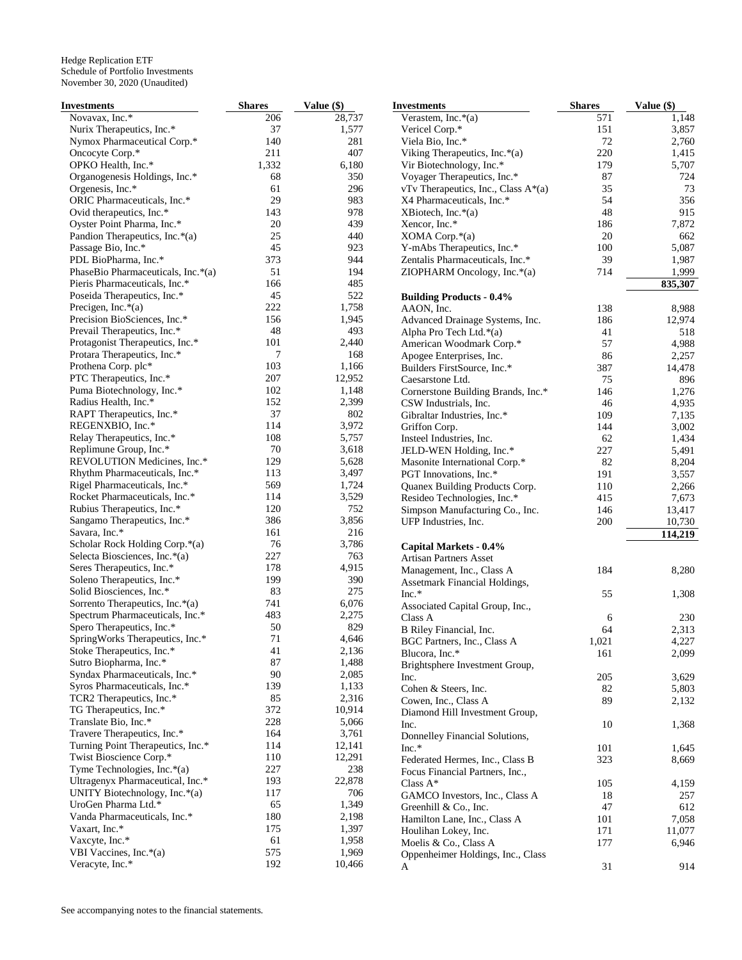| <b>Investments</b>                 | <b>Shares</b> | Value (\$) | <b>Investments</b>                  | <b>Shares</b> | Value (\$) |
|------------------------------------|---------------|------------|-------------------------------------|---------------|------------|
| Novavax, Inc.*                     | 206           | 28,737     | Verastem, Inc. $*(a)$               | 571           | 1,148      |
| Nurix Therapeutics, Inc.*          | 37            | 1,577      | Vericel Corp.*                      | 151           | 3,857      |
| Nymox Pharmaceutical Corp.*        | 140           | 281        | Viela Bio, Inc.*                    | 72            | 2,760      |
| Oncocyte Corp.*                    | 211           | 407        | Viking Therapeutics, Inc.*(a)       | 220           | 1,415      |
| OPKO Health, Inc.*                 | 1,332         | 6,180      | Vir Biotechnology, Inc.*            | 179           | 5,707      |
| Organogenesis Holdings, Inc.*      | 68            | 350        | Voyager Therapeutics, Inc.*         | 87            | 724        |
| Orgenesis, Inc.*                   | 61            | 296        | vTv Therapeutics, Inc., Class A*(a) | 35            | 73         |
| ORIC Pharmaceuticals, Inc.*        | 29            | 983        | X4 Pharmaceuticals, Inc.*           | 54            | 356        |
| Ovid therapeutics, Inc.*           | 143           | 978        | XBiotech, Inc. $*(a)$               | 48            | 915        |
| Oyster Point Pharma, Inc.*         | 20            | 439        | Xencor, Inc.*                       | 186           | 7,872      |
| Pandion Therapeutics, Inc.*(a)     | 25            | 440        | XOMA Corp.*(a)                      | 20            | 662        |
| Passage Bio, Inc.*                 | 45            | 923        | Y-mAbs Therapeutics, Inc.*          | 100           | 5,087      |
| PDL BioPharma, Inc.*               | 373           | 944        | Zentalis Pharmaceuticals, Inc.*     | 39            | 1,987      |
| PhaseBio Pharmaceuticals, Inc.*(a) | 51            | 194        | ZIOPHARM Oncology, Inc. $*(a)$      | 714           | 1,999      |
|                                    | 166           | 485        |                                     |               |            |
| Pieris Pharmaceuticals, Inc.*      |               |            |                                     |               | 835,307    |
| Poseida Therapeutics, Inc.*        | 45            | 522        | <b>Building Products - 0.4%</b>     |               |            |
| Precigen, Inc. $*(a)$              | 222           | 1,758      | AAON, Inc.                          | 138           | 8,988      |
| Precision BioSciences, Inc.*       | 156           | 1,945      | Advanced Drainage Systems, Inc.     | 186           | 12,974     |
| Prevail Therapeutics, Inc.*        | 48            | 493        | Alpha Pro Tech Ltd.*(a)             | 41            | 518        |
| Protagonist Therapeutics, Inc.*    | 101           | 2,440      | American Woodmark Corp.*            | 57            | 4,988      |
| Protara Therapeutics, Inc.*        | 7             | 168        | Apogee Enterprises, Inc.            | 86            | 2,257      |
| Prothena Corp. plc*                | 103           | 1,166      | Builders FirstSource, Inc.*         | 387           | 14,478     |
| PTC Therapeutics, Inc.*            | 207           | 12,952     | Caesarstone Ltd.                    | 75            | 896        |
| Puma Biotechnology, Inc.*          | 102           | 1,148      | Cornerstone Building Brands, Inc.*  | 146           | 1,276      |
| Radius Health, Inc.*               | 152           | 2,399      | CSW Industrials, Inc.               | 46            | 4,935      |
| RAPT Therapeutics, Inc.*           | 37            | 802        | Gibraltar Industries, Inc.*         | 109           | 7,135      |
| REGENXBIO, Inc.*                   | 114           | 3,972      | Griffon Corp.                       | 144           | 3,002      |
| Relay Therapeutics, Inc.*          | 108           | 5,757      | Insteel Industries, Inc.            | 62            | 1,434      |
| Replimune Group, Inc.*             | 70            | 3,618      | JELD-WEN Holding, Inc.*             | 227           | 5,491      |
| REVOLUTION Medicines, Inc.*        | 129           | 5,628      | Masonite International Corp.*       | 82            | 8,204      |
| Rhythm Pharmaceuticals, Inc.*      | 113           | 3,497      | PGT Innovations, Inc.*              | 191           | 3,557      |
| Rigel Pharmaceuticals, Inc.*       | 569           | 1,724      | Quanex Building Products Corp.      | 110           | 2,266      |
| Rocket Pharmaceuticals, Inc.*      | 114           | 3,529      | Resideo Technologies, Inc.*         | 415           | 7,673      |
| Rubius Therapeutics, Inc.*         | 120           | 752        |                                     |               |            |
|                                    | 386           |            | Simpson Manufacturing Co., Inc.     | 146           | 13,417     |
| Sangamo Therapeutics, Inc.*        |               | 3,856      | UFP Industries, Inc.                | 200           | 10,730     |
| Savara, Inc.*                      | 161           | 216        |                                     |               | 114,219    |
| Scholar Rock Holding Corp.*(a)     | 76            | 3,786      | Capital Markets - 0.4%              |               |            |
| Selecta Biosciences, Inc.*(a)      | 227           | 763        | <b>Artisan Partners Asset</b>       |               |            |
| Seres Therapeutics, Inc.*          | 178           | 4,915      | Management, Inc., Class A           | 184           | 8,280      |
| Soleno Therapeutics, Inc.*         | 199           | 390        | Assetmark Financial Holdings,       |               |            |
| Solid Biosciences, Inc.*           | 83            | 275        | Inc.*                               | 55            | 1,308      |
| Sorrento Therapeutics, Inc.*(a)    | 741           | 6,076      | Associated Capital Group, Inc.,     |               |            |
| Spectrum Pharmaceuticals, Inc.*    | 483           | 2,275      | Class A                             | 6             | 230        |
| Spero Therapeutics, Inc.*          | 50            | 829        | B Riley Financial, Inc.             | 64            | 2,313      |
| SpringWorks Therapeutics, Inc.*    | 71            | 4,646      | BGC Partners, Inc., Class A         | 1,021         | 4,227      |
| Stoke Therapeutics, Inc.*          | 41            | 2,136      | Blucora, Inc.*                      | 161           | 2,099      |
| Sutro Biopharma, Inc.*             | 87            | 1,488      | Brightsphere Investment Group,      |               |            |
| Syndax Pharmaceuticals, Inc.*      | 90            | 2,085      | Inc.                                | 205           | 3,629      |
| Syros Pharmaceuticals, Inc.*       | 139           | 1,133      | Cohen & Steers, Inc.                | 82            | 5,803      |
| TCR2 Therapeutics, Inc.*           | 85            | 2,316      | Cowen, Inc., Class A                | 89            | 2,132      |
| TG Therapeutics, Inc.*             | 372           | 10,914     | Diamond Hill Investment Group,      |               |            |
| Translate Bio, Inc.*               | 228           | 5,066      |                                     |               |            |
| Travere Therapeutics, Inc.*        | 164           | 3,761      | Inc.                                | 10            | 1,368      |
| Turning Point Therapeutics, Inc.*  | 114           | 12,141     | Donnelley Financial Solutions,      |               |            |
| Twist Bioscience Corp.*            | 110           | 12,291     | Inc.*                               | 101           | 1,645      |
| Tyme Technologies, Inc.*(a)        | 227           | 238        | Federated Hermes, Inc., Class B     | 323           | 8,669      |
|                                    |               |            | Focus Financial Partners, Inc.,     |               |            |
| Ultragenyx Pharmaceutical, Inc.*   | 193           | 22,878     | Class $A^*$                         | 105           | 4,159      |
| UNITY Biotechnology, Inc.*(a)      | 117           | 706        | GAMCO Investors, Inc., Class A      | 18            | 257        |
| UroGen Pharma Ltd.*                | 65            | 1,349      | Greenhill & Co., Inc.               | 47            | 612        |
| Vanda Pharmaceuticals, Inc.*       | 180           | 2,198      | Hamilton Lane, Inc., Class A        | 101           | 7,058      |
| Vaxart, Inc.*                      | 175           | 1,397      | Houlihan Lokey, Inc.                | 171           | 11,077     |
| Vaxcyte, Inc.*                     | 61            | 1,958      | Moelis & Co., Class A               | 177           | 6,946      |
| VBI Vaccines, Inc.*(a)             | 575           | 1,969      | Oppenheimer Holdings, Inc., Class   |               |            |
| Veracyte, Inc.*                    | 192           | 10,466     | A                                   | $31\,$        | 914        |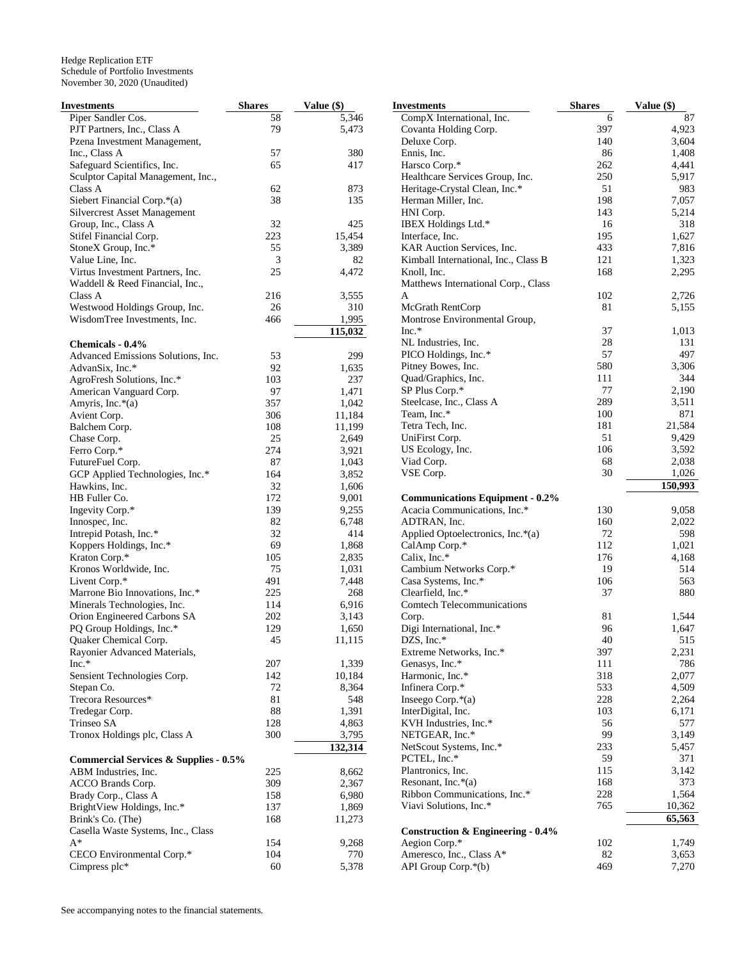| Investments                                      | <b>Shares</b> | Value (\$)         | <b>Investments</b>                           | <b>Shares</b> | Value (\$) |
|--------------------------------------------------|---------------|--------------------|----------------------------------------------|---------------|------------|
| Piper Sandler Cos.                               | 58            | $\overline{5,346}$ | CompX International, Inc.                    | 6             | 87         |
| PJT Partners, Inc., Class A                      | 79            | 5,473              | Covanta Holding Corp.                        | 397           | 4,923      |
| Pzena Investment Management,                     |               |                    | Deluxe Corp.                                 | 140           | 3,604      |
| Inc., Class A                                    | 57            | 380                | Ennis, Inc.                                  | 86            | 1,408      |
| Safeguard Scientifics, Inc.                      | 65            | 417                | Harsco Corp.*                                | 262           | 4,441      |
| Sculptor Capital Management, Inc.,               |               |                    | Healthcare Services Group, Inc.              | 250           | 5,917      |
| Class A                                          | 62            | 873                | Heritage-Crystal Clean, Inc.*                | 51            | 983        |
| Siebert Financial Corp.*(a)                      | 38            | 135                | Herman Miller, Inc.                          | 198           | 7,057      |
| <b>Silvercrest Asset Management</b>              |               |                    | HNI Corp.                                    | 143           | 5,214      |
| Group, Inc., Class A                             | 32            | 425                | IBEX Holdings Ltd.*                          | 16            | 318        |
| Stifel Financial Corp.                           | 223           | 15,454             | Interface, Inc.                              | 195           | 1,627      |
| StoneX Group, Inc.*                              | 55            | 3,389              | KAR Auction Services, Inc.                   | 433           | 7,816      |
| Value Line, Inc.                                 | 3             | 82                 | Kimball International, Inc., Class B         | 121           | 1,323      |
| Virtus Investment Partners, Inc.                 | 25            | 4,472              | Knoll, Inc.                                  | 168           | 2,295      |
| Waddell & Reed Financial, Inc.,                  |               |                    | Matthews International Corp., Class          |               |            |
|                                                  |               |                    |                                              |               |            |
| Class A                                          | 216           | 3,555              | A                                            | 102           | 2,726      |
| Westwood Holdings Group, Inc.                    | 26            | 310                | McGrath RentCorp                             | 81            | 5,155      |
| WisdomTree Investments, Inc.                     | 466           | 1,995              | Montrose Environmental Group,                |               |            |
|                                                  |               | 115,032            | $Inc.*$                                      | 37            | 1,013      |
| Chemicals - 0.4%                                 |               |                    | NL Industries, Inc.                          | 28            | 131        |
| Advanced Emissions Solutions, Inc.               | 53            | 299                | PICO Holdings, Inc.*                         | 57            | 497        |
| AdvanSix, Inc.*                                  | 92            | 1,635              | Pitney Bowes, Inc.                           | 580           | 3,306      |
| AgroFresh Solutions, Inc.*                       | 103           | 237                | Quad/Graphics, Inc.                          | 111           | 344        |
| American Vanguard Corp.                          | 97            | 1,471              | SP Plus Corp.*                               | 77            | 2,190      |
| Amyris, Inc.*(a)                                 | 357           | 1,042              | Steelcase, Inc., Class A                     | 289           | 3,511      |
| Avient Corp.                                     | 306           | 11,184             | Team, Inc.*                                  | 100           | 871        |
| Balchem Corp.                                    | 108           | 11,199             | Tetra Tech, Inc.                             | 181           | 21,584     |
| Chase Corp.                                      | 25            | 2,649              | UniFirst Corp.                               | 51            | 9,429      |
| Ferro Corp.*                                     | 274           | 3,921              | US Ecology, Inc.                             | 106           | 3,592      |
| FutureFuel Corp.                                 | 87            | 1,043              | Viad Corp.                                   | 68            | 2,038      |
| GCP Applied Technologies, Inc.*                  | 164           | 3,852              | VSE Corp.                                    | 30            | 1,026      |
| Hawkins, Inc.                                    | 32            | 1,606              |                                              |               | 150,993    |
| HB Fuller Co.                                    | 172           | 9,001              | <b>Communications Equipment - 0.2%</b>       |               |            |
| Ingevity Corp.*                                  | 139           | 9,255              | Acacia Communications, Inc.*                 | 130           | 9,058      |
| Innospec, Inc.                                   | 82            | 6,748              | ADTRAN, Inc.                                 | 160           | 2,022      |
| Intrepid Potash, Inc.*                           | 32            | 414                | Applied Optoelectronics, Inc.*(a)            | 72            | 598        |
|                                                  | 69            |                    |                                              |               |            |
| Koppers Holdings, Inc.*                          |               | 1,868              | CalAmp Corp.*                                | 112           | 1,021      |
| Kraton Corp.*                                    | 105           | 2,835              | Calix, Inc.*                                 | 176           | 4,168      |
| Kronos Worldwide, Inc.                           | 75            | 1,031              | Cambium Networks Corp.*                      | 19            | 514        |
| Livent Corp.*                                    | 491           | 7,448              | Casa Systems, Inc.*                          | 106           | 563        |
| Marrone Bio Innovations, Inc.*                   | 225           | 268                | Clearfield, Inc.*                            | 37            | 880        |
| Minerals Technologies, Inc.                      | 114           | 6,916              | <b>Comtech Telecommunications</b>            |               |            |
| Orion Engineered Carbons SA                      | 202           | 3,143              | Corp.                                        | 81            | 1,544      |
| PQ Group Holdings, Inc.*                         | 129           | 1,650              | Digi International, Inc.*                    | 96            | 1,647      |
| Quaker Chemical Corp.                            | 45            | 11,115             | DZS, Inc.*                                   | 40            | 515        |
| Rayonier Advanced Materials,                     |               |                    | Extreme Networks, Inc.*                      | 397           | 2,231      |
| $Inc.*$                                          | 207           | 1,339              | Genasys, Inc.*                               | 111           | 786        |
| Sensient Technologies Corp.                      | 142           | 10,184             | Harmonic, Inc.*                              | 318           | 2,077      |
| Stepan Co.                                       | 72            | 8,364              | Infinera Corp.*                              | 533           | 4,509      |
| Trecora Resources*                               | 81            | 548                | Inseego Corp. $*(a)$                         | 228           | 2,264      |
| Tredegar Corp.                                   | 88            | 1,391              | InterDigital, Inc.                           | 103           | 6,171      |
| Trinseo SA                                       | 128           | 4,863              | KVH Industries, Inc.*                        | 56            | 577        |
| Tronox Holdings plc, Class A                     | 300           | 3,795              | NETGEAR, Inc.*                               | 99            | 3,149      |
|                                                  |               | 132,314            | NetScout Systems, Inc.*                      | 233           | 5,457      |
|                                                  |               |                    | PCTEL, Inc.*                                 | 59            | 371        |
| <b>Commercial Services &amp; Supplies - 0.5%</b> |               |                    | Plantronics, Inc.                            | 115           | 3,142      |
| ABM Industries, Inc.                             | 225           | 8,662              | Resonant, Inc. $*(a)$                        | 168           | 373        |
| ACCO Brands Corp.                                | 309           | 2,367              |                                              |               |            |
| Brady Corp., Class A                             | 158           | 6,980              | Ribbon Communications, Inc.*                 | 228           | 1,564      |
| BrightView Holdings, Inc.*                       | 137           | 1,869              | Viavi Solutions, Inc.*                       | 765           | 10,362     |
| Brink's Co. (The)                                | 168           | 11,273             |                                              |               | 65,563     |
| Casella Waste Systems, Inc., Class               |               |                    | <b>Construction &amp; Engineering - 0.4%</b> |               |            |
| $A^*$                                            | 154           | 9,268              | Aegion Corp.*                                | 102           | 1,749      |
| CECO Environmental Corp.*                        | 104           | 770                | Ameresco, Inc., Class A*                     | 82            | 3,653      |
| Cimpress plc*                                    | 60            | 5,378              | API Group Corp.*(b)                          | 469           | 7,270      |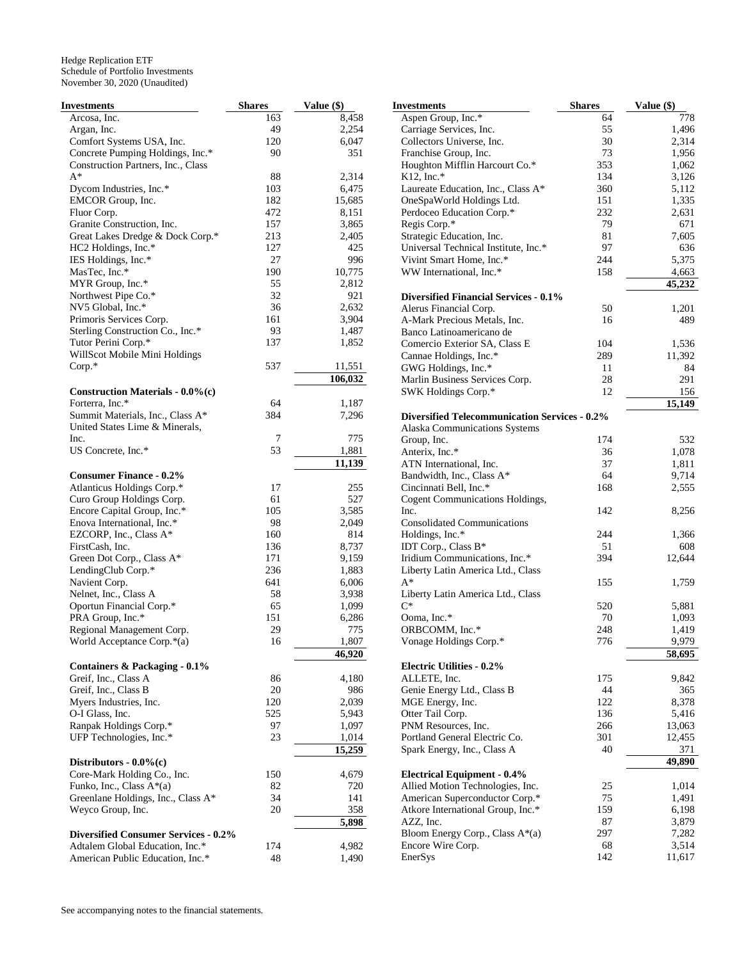| Investments                                                            | <b>Shares</b> | Value (\$) |
|------------------------------------------------------------------------|---------------|------------|
| Arcosa, Inc.                                                           | 163           | 8,458      |
| Argan, Inc.                                                            | 49            | 2,254      |
| Comfort Systems USA, Inc.                                              | 120           | 6,047      |
| Concrete Pumping Holdings, Inc.*<br>Construction Partners, Inc., Class | 90            | 351        |
| $A^*$                                                                  |               | 2,314      |
|                                                                        | 88<br>103     |            |
| Dycom Industries, Inc.*                                                |               | 6,475      |
| EMCOR Group, Inc.                                                      | 182           | 15,685     |
| Fluor Corp.                                                            | 472           | 8,151      |
| Granite Construction, Inc.                                             | 157           | 3,865      |
| Great Lakes Dredge & Dock Corp.*                                       | 213           | 2,405      |
| HC2 Holdings, Inc.*                                                    | 127           | 425        |
| IES Holdings, Inc.*                                                    | 27            | 996        |
| MasTec, Inc.*                                                          | 190           | 10,775     |
| MYR Group, Inc.*                                                       | 55            | 2,812      |
| Northwest Pipe Co.*                                                    | 32            | 921        |
| NV5 Global, Inc.*                                                      | 36            | 2,632      |
| Primoris Services Corp.                                                | 161           | 3,904      |
| Sterling Construction Co., Inc.*                                       | 93            | 1,487      |
| Tutor Perini Corp.*                                                    | 137           | 1,852      |
| WillScot Mobile Mini Holdings                                          |               |            |
| $Corp.*$                                                               | 537           | 11,551     |
|                                                                        |               | 106,032    |
| Construction Materials - 0.0%(c)                                       |               |            |
| Forterra, Inc.*                                                        | 64            | 1,187      |
| Summit Materials, Inc., Class A*                                       | 384           | 7,296      |
| United States Lime & Minerals,                                         |               |            |
| Inc.                                                                   | 7             | 775        |
| US Concrete, Inc.*                                                     | 53            | 1,881      |
|                                                                        |               | 11,139     |
| <b>Consumer Finance - 0.2%</b>                                         |               |            |
| Atlanticus Holdings Corp.*                                             | 17            | 255        |
| Curo Group Holdings Corp.                                              | 61            | 527        |
| Encore Capital Group, Inc.*                                            | 105           | 3,585      |
| Enova International, Inc.*                                             | 98            | 2,049      |
| EZCORP, Inc., Class A*                                                 | 160           | 814        |
| FirstCash, Inc.                                                        | 136           | 8,737      |
| Green Dot Corp., Class A*                                              | 171           | 9,159      |
| LendingClub Corp.*                                                     | 236           | 1,883      |
| Navient Corp.                                                          | 641           | 6,006      |
| Nelnet, Inc., Class A                                                  | 58            | 3,938      |
| Oportun Financial Corp.*                                               | 65            | 1,099      |
| PRA Group, Inc.*                                                       | 151           | 6,286      |
| Regional Management Corp.                                              | 29            | 775        |
| World Acceptance Corp.*(a)                                             | 16            | 1.807      |
|                                                                        |               | 46,920     |
| Containers & Packaging - 0.1%                                          |               |            |
| Greif, Inc., Class A                                                   | 86            | 4,180      |
| Greif, Inc., Class B                                                   | 20            | 986        |
| Myers Industries, Inc.                                                 | 120           | 2,039      |
| O-I Glass, Inc.                                                        | 525           | 5,943      |
| Ranpak Holdings Corp.*                                                 | 97            | 1,097      |
| UFP Technologies, Inc.*                                                | 23            | 1,014      |
|                                                                        |               | 15,259     |
| Distributors - $0.0\%$ (c)                                             |               |            |
| Core-Mark Holding Co., Inc.                                            | 150           | 4,679      |
|                                                                        |               | 720        |
| Funko, Inc., Class A*(a)                                               | 82            |            |
| Greenlane Holdings, Inc., Class A*                                     | 34            | 141        |
| Weyco Group, Inc.                                                      | 20            | 358        |
|                                                                        |               | 5,898      |
| <b>Diversified Consumer Services - 0.2%</b>                            |               |            |
| Adtalem Global Education, Inc.*                                        | 174           | 4,982      |
| American Public Education, Inc.*                                       | 48            | 1,490      |

| Investments                                                      | <b>Shares</b> | Value (\$)     |
|------------------------------------------------------------------|---------------|----------------|
| Aspen Group, Inc.*                                               | 64            | 778            |
| Carriage Services, Inc.                                          | 55            | 1,496          |
| Collectors Universe, Inc.                                        | 30            | 2,314          |
| Franchise Group, Inc.                                            | 73            | 1,956          |
| Houghton Mifflin Harcourt Co.*                                   | 353           | 1,062          |
| K12, Inc.*                                                       | 134           | 3,126          |
| Laureate Education, Inc., Class A*                               | 360           | 5,112          |
| OneSpaWorld Holdings Ltd.                                        | 151           | 1,335          |
| Perdoceo Education Corp.*                                        | 232           | 2,631          |
| Regis Corp.*                                                     | 79            | 671            |
| Strategic Education, Inc.                                        | 81            | 7,605          |
| Universal Technical Institute, Inc.*<br>Vivint Smart Home, Inc.* | 97<br>244     | 636<br>5,375   |
| WW International, Inc.*                                          | 158           | 4,663          |
|                                                                  |               | 45,232         |
| <b>Diversified Financial Services - 0.1%</b>                     |               |                |
| Alerus Financial Corp.                                           | 50            | 1,201          |
| A-Mark Precious Metals, Inc.                                     | 16            | 489            |
| Banco Latinoamericano de                                         |               |                |
| Comercio Exterior SA, Class E                                    | 104           | 1,536          |
| Cannae Holdings, Inc.*                                           | 289           | 11,392         |
| GWG Holdings, Inc.*                                              | 11            | 84             |
| Marlin Business Services Corp.                                   | 28            | 291            |
| SWK Holdings Corp.*                                              | 12            | 156            |
|                                                                  |               | 15,149         |
| <b>Diversified Telecommunication Services - 0.2%</b>             |               |                |
| Alaska Communications Systems                                    |               |                |
| Group, Inc.                                                      | 174           | 532            |
| Anterix, Inc.*                                                   | 36            | 1,078          |
| ATN International, Inc.                                          | 37            | 1,811          |
| Bandwidth, Inc., Class A*                                        | 64            | 9,714          |
| Cincinnati Bell, Inc.*                                           | 168           | 2,555          |
| <b>Cogent Communications Holdings,</b>                           |               |                |
| Inc.                                                             | 142           | 8,256          |
| <b>Consolidated Communications</b>                               | 244           |                |
| Holdings, Inc.*<br>IDT Corp., Class B*                           | 51            | 1,366<br>608   |
| Iridium Communications, Inc.*                                    | 394           | 12,644         |
| Liberty Latin America Ltd., Class                                |               |                |
| $A^*$                                                            | 155           | 1,759          |
| Liberty Latin America Ltd., Class                                |               |                |
| $C^*$                                                            | 520           | 5,881          |
| Ooma, Inc.*                                                      | 70            | 1,093          |
| ORBCOMM, Inc.*                                                   | 248           | 1,419          |
| Vonage Holdings Corp.*                                           | 776           | 9,979          |
|                                                                  |               | 58,695         |
| <b>Electric Utilities - 0.2%</b>                                 |               |                |
| ALLETE, Inc.                                                     | 175           | 9,842          |
| Genie Energy Ltd., Class B                                       | 44            | 365            |
| MGE Energy, Inc.                                                 | 122           | 8,378          |
| Otter Tail Corp.                                                 | 136           | 5,416          |
| PNM Resources, Inc.                                              | 266           | 13,063         |
| Portland General Electric Co.                                    | 301           | 12,455         |
| Spark Energy, Inc., Class A                                      | 40            | 371            |
|                                                                  |               | 49,890         |
| <b>Electrical Equipment - 0.4%</b>                               |               |                |
| Allied Motion Technologies, Inc.                                 | 25            | 1,014          |
| American Superconductor Corp.*                                   | 75<br>159     | 1,491          |
| Atkore International Group, Inc.*<br>AZZ, Inc.                   | 87            | 6,198          |
| Bloom Energy Corp., Class A*(a)                                  | 297           | 3,879<br>7,282 |
| Encore Wire Corp.                                                | 68            | 3,514          |
| EnerSys                                                          | 142           | 11,617         |
|                                                                  |               |                |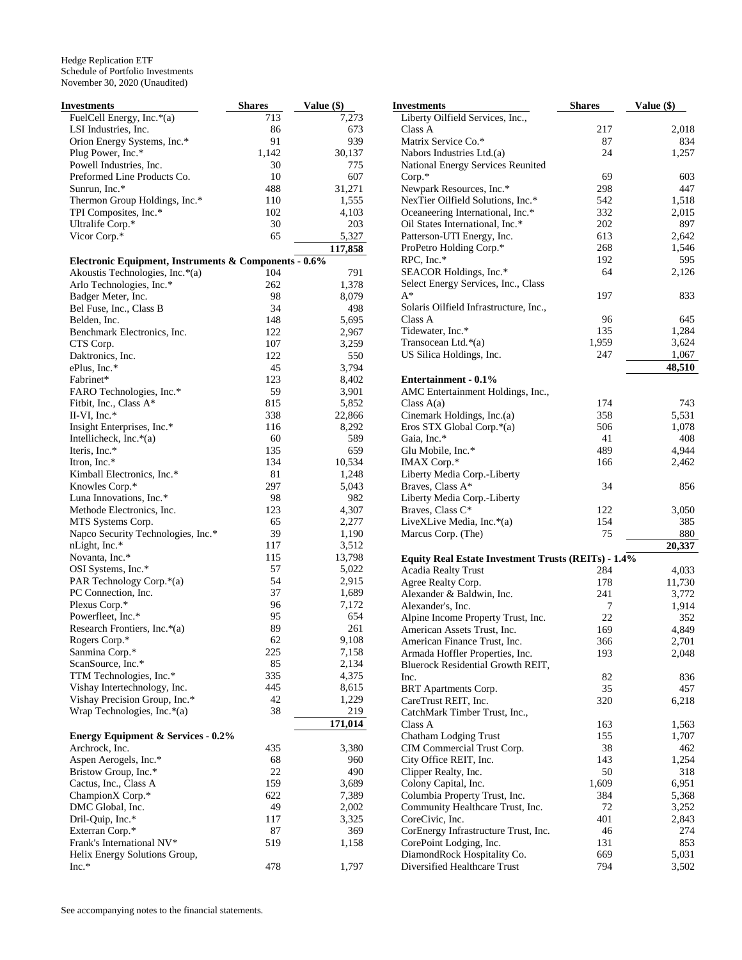| Investments                                           | <b>Shares</b> | Value (\$)     |
|-------------------------------------------------------|---------------|----------------|
| FuelCell Energy, Inc.*(a)                             | 713           | 7,273          |
| LSI Industries, Inc.                                  | 86            | 673            |
| Orion Energy Systems, Inc.*                           | 91            | 939            |
| Plug Power, Inc.*                                     | 1,142         | 30,137         |
| Powell Industries, Inc.                               | 30            | 775            |
| Preformed Line Products Co.                           | 10            | 607            |
| Sunrun, Inc.*                                         | 488           | 31,271         |
| Thermon Group Holdings, Inc.*                         | 110           | 1,555          |
| TPI Composites, Inc.*                                 | 102           | 4,103          |
| Ultralife Corp.*                                      | 30            | 203            |
| Vicor Corp.*                                          | 65            | 5,327          |
|                                                       |               | 117,858        |
| Electronic Equipment, Instruments & Components - 0.6% |               |                |
| Akoustis Technologies, Inc.*(a)                       | 104           | 791            |
| Arlo Technologies, Inc.*                              | 262           | 1,378          |
| Badger Meter, Inc.                                    | 98            | 8,079          |
| Bel Fuse, Inc., Class B                               | 34            | 498            |
| Belden, Inc.                                          | 148<br>122    | 5,695          |
| Benchmark Electronics, Inc.                           | 107           | 2,967<br>3,259 |
| CTS Corp.<br>Daktronics, Inc.                         | 122           | 550            |
| ePlus, Inc.*                                          | 45            | 3,794          |
| Fabrinet*                                             | 123           | 8,402          |
| FARO Technologies, Inc.*                              | 59            | 3,901          |
| Fitbit, Inc., Class A*                                | 815           | 5,852          |
| II-VI, Inc. $*$                                       | 338           | 22,866         |
| Insight Enterprises, Inc.*                            | 116           | 8,292          |
| Intellicheck, Inc. $*(a)$                             | 60            | 589            |
| Iteris, Inc.*                                         | 135           | 659            |
| Itron, Inc.*                                          | 134           | 10,534         |
| Kimball Electronics, Inc.*                            | 81            | 1,248          |
| Knowles Corp.*                                        | 297           | 5,043          |
| Luna Innovations, Inc.*                               | 98            | 982            |
| Methode Electronics, Inc.                             | 123           | 4,307          |
| MTS Systems Corp.                                     | 65            | 2,277          |
| Napco Security Technologies, Inc.*                    | 39            | 1,190          |
| nLight, Inc.*                                         | 117           | 3,512          |
| Novanta, Inc.*                                        | 115           | 13,798         |
| OSI Systems, Inc.*                                    | 57            | 5,022          |
| PAR Technology Corp.*(a)                              | 54            | 2,915          |
| PC Connection, Inc.                                   | 37            | 1,689          |
| Plexus Corp.*                                         | 96            | 7,172          |
| Powerfleet, Inc.*                                     | 95            | 654            |
| Research Frontiers, Inc.*(a)                          | 89            | 261            |
| Rogers Corp.*                                         | 62            | 9,108          |
| Sanmina Corp.*                                        | 225           | 7,158          |
| ScanSource, Inc.*                                     | 85            | 2,134          |
| TTM Technologies, Inc.*                               | 335           | 4,375          |
| Vishay Intertechnology, Inc.                          | 445           | 8,615          |
| Vishay Precision Group, Inc.*                         | 42            | 1,229          |
| Wrap Technologies, Inc. $*(a)$                        | 38            | 219            |
|                                                       |               | 171,014        |
| <b>Energy Equipment &amp; Services - 0.2%</b>         |               |                |
| Archrock, Inc.                                        | 435           | 3,380          |
| Aspen Aerogels, Inc.*                                 | 68            | 960            |
| Bristow Group, Inc.*                                  | 22            | 490            |
| Cactus, Inc., Class A                                 | 159           | 3,689          |
| ChampionX Corp.*                                      | 622           | 7,389          |
| DMC Global, Inc.                                      | 49            | 2,002          |
| Dril-Quip, Inc.*                                      | 117           | 3,325          |
| Exterran Corp.*                                       | 87            | 369            |
| Frank's International NV*                             | 519           | 1,158          |
| Helix Energy Solutions Group,                         |               |                |
| $Inc.*$                                               | 478           | 1,797          |

| <b>Investments</b>                                  | <b>Shares</b> | Value (\$) |
|-----------------------------------------------------|---------------|------------|
| Liberty Oilfield Services, Inc.,                    |               |            |
| Class A                                             | 217           | 2,018      |
| Matrix Service Co.*                                 | 87            | 834        |
| Nabors Industries Ltd.(a)                           | 24            | 1,257      |
| National Energy Services Reunited                   |               |            |
| Corp.*                                              | 69            | 603        |
| Newpark Resources, Inc.*                            | 298           | 447        |
| NexTier Oilfield Solutions, Inc.*                   | 542           | 1,518      |
| Oceaneering International, Inc.*                    | 332           | 2,015      |
| Oil States International, Inc.*                     | 202           | 897        |
| Patterson-UTI Energy, Inc.                          | 613           | 2,642      |
| ProPetro Holding Corp.*                             | 268           | 1,546      |
| RPC, Inc.*                                          | 192           | 595        |
| SEACOR Holdings, Inc.*                              | 64            | 2,126      |
| Select Energy Services, Inc., Class                 |               |            |
| $A^*$                                               | 197           | 833        |
| Solaris Oilfield Infrastructure, Inc.,              |               |            |
| Class A                                             | 96            | 645        |
| Tidewater, Inc.*                                    | 135           | 1,284      |
| Transocean Ltd.*(a)                                 | 1,959         | 3,624      |
| US Silica Holdings, Inc.                            | 247           | 1,067      |
|                                                     |               | 48,510     |
| Entertainment - 0.1%                                |               |            |
| AMC Entertainment Holdings, Inc.,                   |               |            |
| Class $A(a)$                                        | 174           | 743        |
| Cinemark Holdings, Inc.(a)                          | 358           | 5,531      |
| Eros STX Global Corp.*(a)                           | 506           | 1,078      |
| Gaia, Inc.*                                         | 41            | 408        |
| Glu Mobile, Inc.*                                   | 489           | 4,944      |
| IMAX Corp.*                                         | 166           | 2,462      |
| Liberty Media Corp.-Liberty                         |               |            |
| Braves, Class A*                                    | 34            | 856        |
| Liberty Media Corp.-Liberty                         |               |            |
| Braves, Class C*                                    | 122           | 3,050      |
| LiveXLive Media, Inc.*(a)<br>Marcus Corp. (The)     | 154<br>75     | 385<br>880 |
|                                                     |               | 20,337     |
| Equity Real Estate Investment Trusts (REITs) - 1.4% |               |            |
| <b>Acadia Realty Trust</b>                          | 284           | 4,033      |
| Agree Realty Corp.                                  | 178           | 11,730     |
| Alexander & Baldwin, Inc.                           | 241           | 3,772      |
| Alexander's, Inc.                                   | 7             | 1,914      |
| Alpine Income Property Trust, Inc.                  | 22            | 352        |
| American Assets Trust, Inc.                         | 169           | 4,849      |
| American Finance Trust, Inc.                        | 366           | 2,701      |
| Armada Hoffler Properties, Inc.                     | 193           | 2,048      |
| Bluerock Residential Growth REIT,                   |               |            |
| Inc.                                                | 82            | 836        |
| BRT Apartments Corp.                                | 35            | 457        |
| CareTrust REIT, Inc.                                | 320           | 6,218      |
| CatchMark Timber Trust, Inc.,                       |               |            |
| Class A                                             | 163           | 1,563      |
| Chatham Lodging Trust                               | 155           | 1,707      |
| CIM Commercial Trust Corp.                          | 38            | 462        |
| City Office REIT, Inc.                              | 143           | 1,254      |
| Clipper Realty, Inc.                                | 50            | 318        |
| Colony Capital, Inc.                                | 1,609         | 6,951      |
| Columbia Property Trust, Inc.                       | 384           | 5,368      |
| Community Healthcare Trust, Inc.                    | 72            | 3,252      |
| CoreCivic, Inc.                                     | 401           | 2,843      |
| CorEnergy Infrastructure Trust, Inc.                | 46            | 274        |
| CorePoint Lodging, Inc.                             | 131           | 853        |
| DiamondRock Hospitality Co.                         | 669           | 5,031      |
| Diversified Healthcare Trust                        | 794           | 3,502      |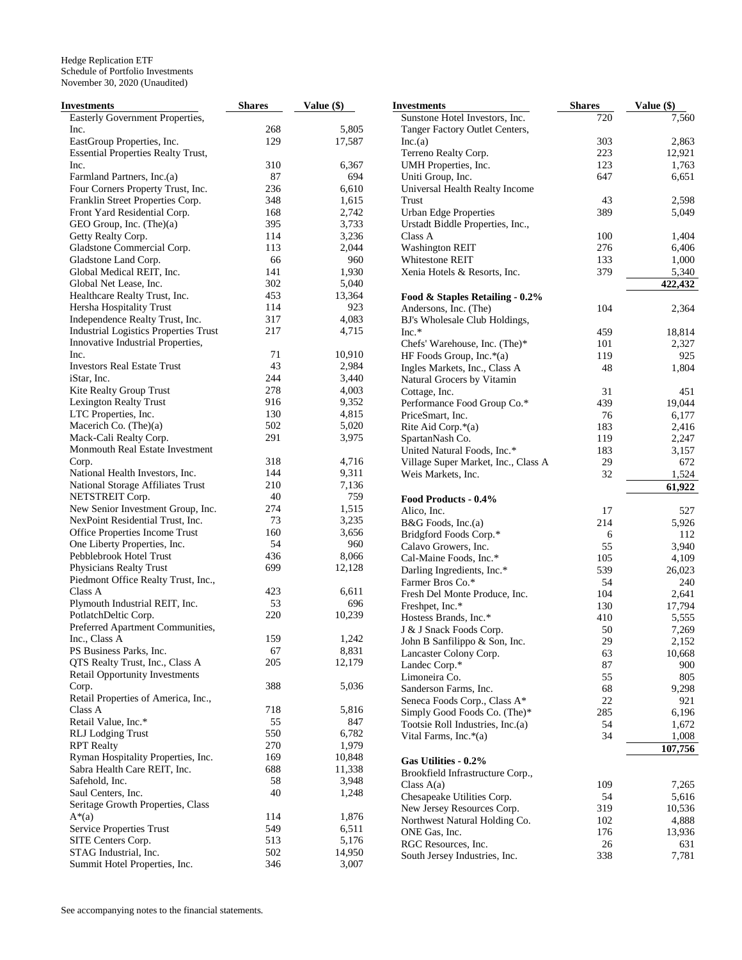| <b>Investments</b>                           | <b>Shares</b> | Value $(\$)$ | <b>Investments</b>                             | <b>Shares</b> | Value (\$) |
|----------------------------------------------|---------------|--------------|------------------------------------------------|---------------|------------|
| Easterly Government Properties,              |               |              | Sunstone Hotel Investors, Inc.                 | 720           | 7,560      |
| Inc.                                         | 268           | 5,805        | Tanger Factory Outlet Centers,                 |               |            |
| EastGroup Properties, Inc.                   | 129           | 17,587       | Inc.(a)                                        | 303           | 2,863      |
| <b>Essential Properties Realty Trust,</b>    |               |              | Terreno Realty Corp.                           | 223           | 12,921     |
| Inc.                                         | 310           | 6,367        | UMH Properties, Inc.                           | 123           | 1,763      |
| Farmland Partners, Inc.(a)                   | 87            | 694          | Uniti Group, Inc.                              | 647           | 6,651      |
| Four Corners Property Trust, Inc.            | 236           | 6,610        | Universal Health Realty Income                 |               |            |
| Franklin Street Properties Corp.             | 348           | 1,615        | Trust                                          | 43            | 2,598      |
| Front Yard Residential Corp.                 | 168           | 2,742        | <b>Urban Edge Properties</b>                   | 389           | 5,049      |
| GEO Group, Inc. (The)(a)                     | 395           | 3,733        | Urstadt Biddle Properties, Inc.,               |               |            |
| Getty Realty Corp.                           | 114           | 3,236        | Class A                                        | 100           | 1,404      |
| Gladstone Commercial Corp.                   | 113           | 2,044        | <b>Washington REIT</b>                         | 276           | 6,406      |
| Gladstone Land Corp.                         | 66            | 960          | Whitestone REIT                                | 133           | 1,000      |
| Global Medical REIT, Inc.                    | 141           | 1,930        | Xenia Hotels & Resorts, Inc.                   | 379           | 5,340      |
| Global Net Lease, Inc.                       | 302           | 5,040        |                                                |               |            |
|                                              | 453           | 13,364       |                                                |               | 422,432    |
| Healthcare Realty Trust, Inc.                |               |              | Food & Staples Retailing - 0.2%                |               |            |
| Hersha Hospitality Trust                     | 114           | 923          | Andersons, Inc. (The)                          | 104           | 2,364      |
| Independence Realty Trust, Inc.              | 317           | 4,083        | BJ's Wholesale Club Holdings,                  |               |            |
| <b>Industrial Logistics Properties Trust</b> | 217           | 4,715        | $Inc.*$                                        | 459           | 18,814     |
| Innovative Industrial Properties,            |               |              | Chefs' Warehouse, Inc. (The)*                  | 101           | 2,327      |
| Inc.                                         | 71            | 10,910       | HF Foods Group, Inc.*(a)                       | 119           | 925        |
| <b>Investors Real Estate Trust</b>           | 43            | 2,984        | Ingles Markets, Inc., Class A                  | 48            | 1,804      |
| iStar, Inc.                                  | 244           | 3,440        | Natural Grocers by Vitamin                     |               |            |
| Kite Realty Group Trust                      | 278           | 4,003        | Cottage, Inc.                                  | 31            | 451        |
| Lexington Realty Trust                       | 916           | 9,352        | Performance Food Group Co.*                    | 439           | 19,044     |
| LTC Properties, Inc.                         | 130           | 4,815        | PriceSmart, Inc.                               | 76            | 6,177      |
| Macerich Co. (The)(a)                        | 502           | 5,020        | Rite Aid Corp.*(a)                             | 183           | 2,416      |
| Mack-Cali Realty Corp.                       | 291           | 3,975        | SpartanNash Co.                                | 119           | 2,247      |
| Monmouth Real Estate Investment              |               |              | United Natural Foods, Inc.*                    | 183           | 3,157      |
| Corp.                                        | 318           | 4,716        | Village Super Market, Inc., Class A            | 29            | 672        |
| National Health Investors, Inc.              | 144           | 9,311        | Weis Markets, Inc.                             | 32            | 1,524      |
| National Storage Affiliates Trust            | 210           | 7,136        |                                                |               | 61,922     |
| NETSTREIT Corp.                              | 40            | 759          | Food Products - 0.4%                           |               |            |
| New Senior Investment Group, Inc.            | 274           | 1,515        | Alico, Inc.                                    | 17            | 527        |
| NexPoint Residential Trust, Inc.             | 73            | 3,235        | B&G Foods, Inc.(a)                             | 214           | 5,926      |
| Office Properties Income Trust               | 160           | 3,656        | Bridgford Foods Corp.*                         | 6             | 112        |
| One Liberty Properties, Inc.                 | 54            | 960          | Calavo Growers, Inc.                           | 55            | 3,940      |
| Pebblebrook Hotel Trust                      | 436           | 8,066        | Cal-Maine Foods, Inc.*                         | 105           | 4,109      |
| Physicians Realty Trust                      | 699           | 12,128       |                                                | 539           |            |
| Piedmont Office Realty Trust, Inc.,          |               |              | Darling Ingredients, Inc.*<br>Farmer Bros Co.* |               | 26,023     |
| Class A                                      | 423           | 6,611        |                                                | 54            | 240        |
| Plymouth Industrial REIT, Inc.               | 53            | 696          | Fresh Del Monte Produce, Inc.                  | 104           | 2,641      |
|                                              | 220           |              | Freshpet, Inc.*                                | 130           | 17,794     |
| PotlatchDeltic Corp.                         |               | 10,239       | Hostess Brands, Inc.*                          | 410           | 5,555      |
| Preferred Apartment Communities,             |               |              | J & J Snack Foods Corp.                        | 50            | 7,269      |
| Inc., Class A                                | 159           | 1,242        | John B Sanfilippo & Son, Inc.                  | 29            | 2,152      |
| PS Business Parks, Inc.                      | 67            | 8,831        | Lancaster Colony Corp.                         | 63            | 10,668     |
| QTS Realty Trust, Inc., Class A              | 205           | 12,179       | Landec Corp.*                                  | 87            | 900        |
| <b>Retail Opportunity Investments</b>        |               |              | Limoneira Co.                                  | 55            | 805        |
| Corp.                                        | 388           | 5,036        | Sanderson Farms, Inc.                          | 68            | 9,298      |
| Retail Properties of America, Inc.,          |               |              | Seneca Foods Corp., Class A*                   | 22            | 921        |
| Class A                                      | 718           | 5,816        | Simply Good Foods Co. (The)*                   | 285           | 6,196      |
| Retail Value, Inc.*                          | 55            | 847          | Tootsie Roll Industries, Inc.(a)               | 54            | 1,672      |
| <b>RLJ</b> Lodging Trust                     | 550           | 6,782        | Vital Farms, Inc.*(a)                          | 34            | 1,008      |
| <b>RPT</b> Realty                            | 270           | 1,979        |                                                |               | 107,756    |
| Ryman Hospitality Properties, Inc.           | 169           | 10,848       | Gas Utilities - 0.2%                           |               |            |
| Sabra Health Care REIT, Inc.                 | 688           | 11,338       | Brookfield Infrastructure Corp.,               |               |            |
| Safehold, Inc.                               | 58            | 3,948        | Class $A(a)$                                   | 109           | 7,265      |
| Saul Centers, Inc.                           | 40            | 1,248        | Chesapeake Utilities Corp.                     | 54            | 5,616      |
| Seritage Growth Properties, Class            |               |              | New Jersey Resources Corp.                     | 319           | 10,536     |
| $A^*(a)$                                     | 114           | 1,876        |                                                |               |            |
| Service Properties Trust                     | 549           | 6,511        | Northwest Natural Holding Co.                  | 102           | 4,888      |
| SITE Centers Corp.                           | 513           | 5,176        | ONE Gas, Inc.                                  | 176           | 13,936     |
| STAG Industrial, Inc.                        | 502           | 14,950       | RGC Resources, Inc.                            | 26            | 631        |
| Summit Hotel Properties, Inc.                | 346           | 3,007        | South Jersey Industries, Inc.                  | 338           | 7,781      |
|                                              |               |              |                                                |               |            |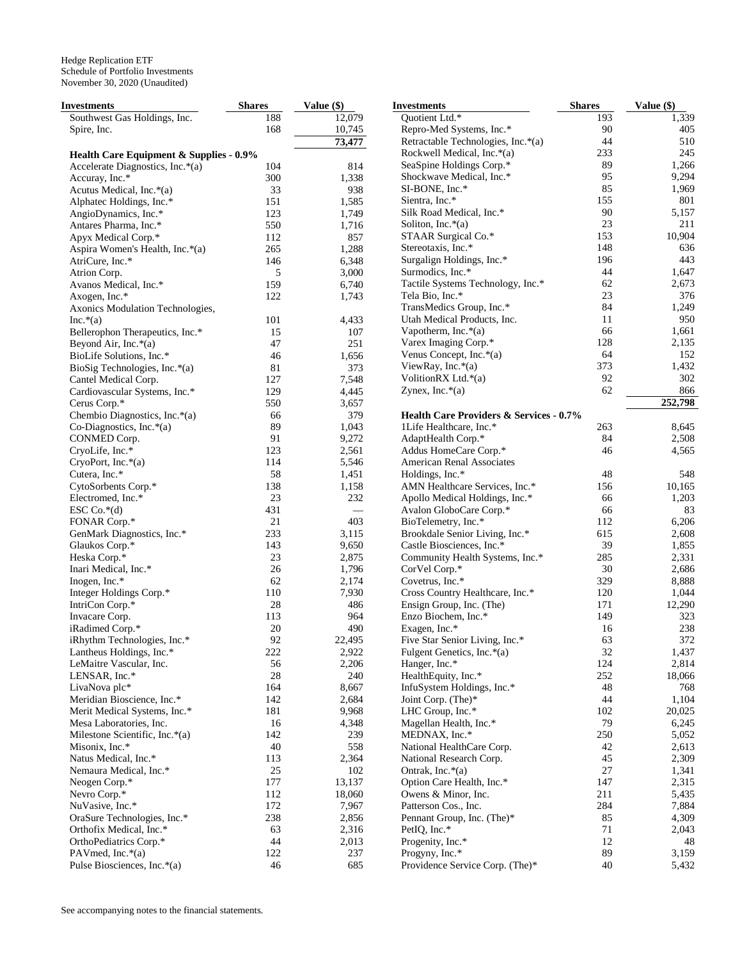| Investments                                            | <b>Shares</b> | Value (\$)     | <b>Investments</b>                                 | <b>Shares</b> | Value (\$)     |
|--------------------------------------------------------|---------------|----------------|----------------------------------------------------|---------------|----------------|
| Southwest Gas Holdings, Inc.                           | 188           | 12,079         | Quotient Ltd.*                                     | 193           | 1,339          |
| Spire, Inc.                                            | 168           | 10,745         | Repro-Med Systems, Inc.*                           | 90            | 405            |
|                                                        |               | 73,477         | Retractable Technologies, Inc.*(a)                 | 44            | 510            |
| Health Care Equipment & Supplies - 0.9%                |               |                | Rockwell Medical, Inc.*(a)                         | 233           | 245            |
| Accelerate Diagnostics, Inc.*(a)                       | 104           | 814            | SeaSpine Holdings Corp.*                           | 89            | 1,266          |
| Accuray, Inc.*                                         | 300           | 1,338          | Shockwave Medical, Inc.*                           | 95            | 9,294          |
| Acutus Medical, Inc.*(a)                               | 33            | 938            | SI-BONE, Inc.*                                     | 85            | 1,969          |
| Alphatec Holdings, Inc.*                               | 151           | 1,585          | Sientra, Inc.*                                     | 155           | 801            |
| AngioDynamics, Inc.*                                   | 123           | 1,749          | Silk Road Medical, Inc.*                           | 90            | 5,157          |
| Antares Pharma, Inc.*                                  | 550           | 1,716          | Soliton, Inc. $*(a)$                               | 23            | 211            |
| Apyx Medical Corp.*                                    | 112           | 857            | STAAR Surgical Co.*                                | 153           | 10,904         |
| Aspira Women's Health, Inc.*(a)                        | 265           | 1,288          | Stereotaxis, Inc.*                                 | 148           | 636            |
| AtriCure, Inc.*                                        | 146           | 6,348          | Surgalign Holdings, Inc.*                          | 196           | 443            |
| Atrion Corp.                                           | 5             | 3,000          | Surmodics, Inc.*                                   | 44            | 1,647          |
| Avanos Medical, Inc.*                                  | 159           | 6,740          | Tactile Systems Technology, Inc.*                  | 62            | 2,673          |
| Axogen, Inc.*                                          | 122           | 1,743          | Tela Bio, Inc.*                                    | 23            | 376            |
| Axonics Modulation Technologies,                       |               |                | TransMedics Group, Inc.*                           | 84            | 1,249          |
| $Inc.*(a)$                                             | 101           | 4,433          | Utah Medical Products, Inc.                        | 11            | 950            |
| Bellerophon Therapeutics, Inc.*                        | 15            | 107            | Vapotherm, Inc. $*(a)$                             | 66            | 1,661          |
| Beyond Air, Inc. $*(a)$                                | 47            | 251            | Varex Imaging Corp.*                               | 128           | 2,135          |
| BioLife Solutions, Inc.*                               | 46            | 1,656          | Venus Concept, Inc.*(a)                            | 64            | 152            |
| BioSig Technologies, Inc.*(a)                          | 81            | 373            | ViewRay, Inc.*(a)                                  | 373           | 1,432          |
| Cantel Medical Corp.                                   | 127           | 7,548          | VolitionRX Ltd.*(a)                                | 92            | 302            |
| Cardiovascular Systems, Inc.*                          | 129           | 4,445          | Zynex, Inc. $*(a)$                                 | 62            | 866            |
| Cerus Corp.*                                           | 550           | 3,657          |                                                    |               | 252,798        |
| Chembio Diagnostics, Inc.*(a)                          | 66            | 379            | <b>Health Care Providers &amp; Services - 0.7%</b> |               |                |
| Co-Diagnostics, Inc. $*(a)$                            | 89            | 1,043          | 1Life Healthcare, Inc.*                            | 263           | 8,645          |
| CONMED Corp.                                           | 91            | 9,272          | AdaptHealth Corp.*                                 | 84            | 2,508          |
| CryoLife, Inc.*                                        | 123           | 2,561          | Addus HomeCare Corp.*                              | 46            | 4,565          |
| CryoPort, Inc.*(a)                                     | 114           | 5,546          | American Renal Associates                          |               |                |
| Cutera, Inc.*                                          | 58            | 1,451          | Holdings, Inc.*                                    | 48            | 548            |
| CytoSorbents Corp.*                                    | 138           | 1,158          | AMN Healthcare Services, Inc.*                     | 156           | 10,165         |
| Electromed, Inc.*                                      | 23            | 232            | Apollo Medical Holdings, Inc.*                     | 66            | 1,203          |
| ESC $Co.*(d)$                                          | 431           |                | Avalon GloboCare Corp.*                            | 66            | 83             |
| FONAR Corp.*                                           | 21            | 403            | BioTelemetry, Inc.*                                | 112           | 6,206          |
| GenMark Diagnostics, Inc.*                             | 233           | 3,115          | Brookdale Senior Living, Inc.*                     | 615           | 2,608          |
| Glaukos Corp.*                                         | 143           | 9,650          | Castle Biosciences, Inc.*                          | 39            | 1,855          |
| Heska Corp.*                                           | 23            | 2,875          | Community Health Systems, Inc.*                    | 285           | 2,331          |
| Inari Medical, Inc.*                                   | 26            | 1,796          | CorVel Corp.*                                      | 30            | 2,686          |
| Inogen, Inc.*                                          | 62            | 2,174          | Covetrus, Inc.*                                    | 329           | 8,888          |
| Integer Holdings Corp.*                                | 110           | 7,930          | Cross Country Healthcare, Inc.*                    | 120           | 1,044          |
| IntriCon Corp.*                                        | 28            | 486            | Ensign Group, Inc. (The)                           | 171           | 12,290         |
| Invacare Corp.                                         | 113           | 964            | Enzo Biochem, Inc.*                                | 149           | 323            |
| iRadimed Corp.*                                        | 20            | 490            | Exagen, Inc.*                                      | 16            | 238            |
| iRhythm Technologies, Inc.*                            | 92            | 22,495         | Five Star Senior Living, Inc.*                     | 63            | 372            |
| Lantheus Holdings, Inc.*                               | 222           | 2,922          | Fulgent Genetics, Inc.*(a)                         | 32            | 1,437          |
| LeMaitre Vascular, Inc.                                | 56            | 2,206          | Hanger, Inc.*                                      | 124           | 2,814          |
| LENSAR, Inc.*                                          | 28            | 240            | HealthEquity, Inc.*                                | 252           | 18,066         |
| LivaNova plc*                                          | 164           | 8,667          | InfuSystem Holdings, Inc.*                         | 48            | 768            |
| Meridian Bioscience, Inc.*                             | 142           | 2,684          | Joint Corp. (The)*                                 | 44            | 1,104          |
| Merit Medical Systems, Inc.*                           | 181           | 9,968          | LHC Group, Inc.*                                   | 102           | 20,025         |
| Mesa Laboratories, Inc.                                | 16            | 4,348          | Magellan Health, Inc.*                             | 79            | 6,245          |
| Milestone Scientific, Inc.*(a)                         | 142           | 239            | MEDNAX, Inc.*                                      | 250           | 5,052          |
| Misonix, Inc.*                                         | 40<br>113     | 558            | National HealthCare Corp.                          | 42<br>45      | 2,613          |
| Natus Medical, Inc.*<br>Nemaura Medical, Inc.*         | $25\,$        | 2,364          | National Research Corp.                            | $27\,$        | 2,309          |
|                                                        |               | 102            | Ontrak, Inc. $*(a)$                                |               | 1,341          |
| Neogen Corp.*<br>Nevro Corp.*                          | 177           | 13,137         | Option Care Health, Inc.*<br>Owens & Minor, Inc.   | 147<br>211    | 2,315          |
| NuVasive, Inc.*                                        | 112           | 18,060         | Patterson Cos., Inc.                               | 284           | 5,435          |
|                                                        | 172           | 7,967          |                                                    | 85            | 7,884          |
| OraSure Technologies, Inc.*<br>Orthofix Medical, Inc.* | 238<br>63     | 2,856<br>2,316 | Pennant Group, Inc. (The)*<br>PetIQ, Inc.*         | 71            | 4,309<br>2,043 |
| OrthoPediatrics Corp.*                                 | 44            | 2,013          | Progenity, Inc.*                                   | 12            | 48             |
| PAVmed, Inc.*(a)                                       | 122           | 237            | Progyny, Inc.*                                     | 89            | 3,159          |
| Pulse Biosciences, Inc.*(a)                            | 46            | 685            | Providence Service Corp. (The)*                    | 40            | 5,432          |
|                                                        |               |                |                                                    |               |                |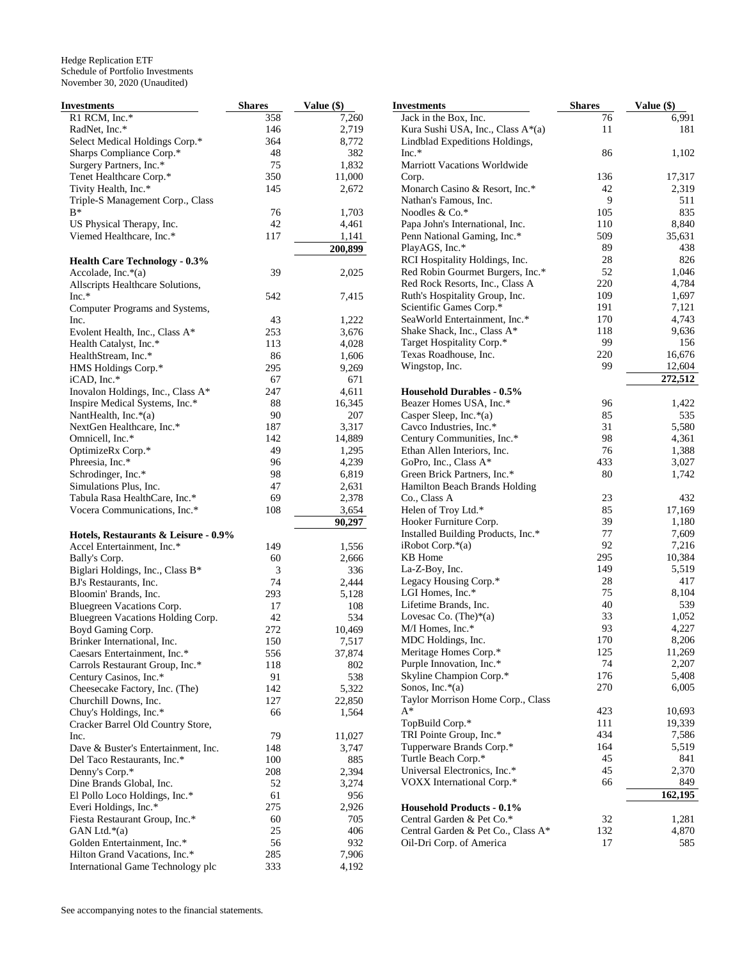| Investments                                    | <b>Shares</b> | Value (\$) | <b>Investments</b>                 | <b>Shares</b> | Value (\$) |
|------------------------------------------------|---------------|------------|------------------------------------|---------------|------------|
| R1 RCM, Inc.*                                  | 358           | 7,260      | Jack in the Box, Inc.              | 76            | 6,991      |
| RadNet, Inc.*                                  | 146           | 2,719      | Kura Sushi USA, Inc., Class A*(a)  | 11            | 181        |
| Select Medical Holdings Corp.*                 | 364           | 8,772      | Lindblad Expeditions Holdings,     |               |            |
| Sharps Compliance Corp.*                       | 48            | 382        | $Inc.*$                            | 86            | 1,102      |
| Surgery Partners, Inc.*                        | 75            | 1,832      | Marriott Vacations Worldwide       |               |            |
| Tenet Healthcare Corp.*                        | 350           | 11,000     | Corp.                              | 136           | 17,317     |
| Tivity Health, Inc.*                           | 145           | 2,672      | Monarch Casino & Resort, Inc.*     | 42            | 2,319      |
| Triple-S Management Corp., Class               |               |            | Nathan's Famous, Inc.              | 9             | 511        |
| B*                                             | 76            | 1,703      | Noodles & Co.*                     | 105           | 835        |
| US Physical Therapy, Inc.                      | 42            | 4,461      | Papa John's International, Inc.    | 110           | 8,840      |
| Viemed Healthcare, Inc.*                       | 117           | 1,141      | Penn National Gaming, Inc.*        | 509           | 35,631     |
|                                                |               | 200,899    | PlayAGS, Inc.*                     | 89            | 438        |
| <b>Health Care Technology - 0.3%</b>           |               |            | RCI Hospitality Holdings, Inc.     | 28            | 826        |
| Accolade, Inc. $*(a)$                          | 39            | 2,025      | Red Robin Gourmet Burgers, Inc.*   | 52            | 1,046      |
| Allscripts Healthcare Solutions,               |               |            | Red Rock Resorts, Inc., Class A    | 220           | 4,784      |
| $Inc.*$                                        | 542           | 7,415      | Ruth's Hospitality Group, Inc.     | 109           | 1,697      |
| Computer Programs and Systems,                 |               |            | Scientific Games Corp.*            | 191           | 7,121      |
| Inc.                                           | 43            | 1,222      | SeaWorld Entertainment, Inc.*      | 170           | 4,743      |
| Evolent Health, Inc., Class A*                 | 253           | 3,676      | Shake Shack, Inc., Class A*        | 118           | 9,636      |
| Health Catalyst, Inc.*                         | 113           | 4,028      | Target Hospitality Corp.*          | 99            | 156        |
|                                                | 86            | 1,606      | Texas Roadhouse, Inc.              | 220           | 16,676     |
| HealthStream, Inc.*                            |               |            | Wingstop, Inc.                     | 99            | 12,604     |
| HMS Holdings Corp.*                            | 295           | 9,269      |                                    |               |            |
| iCAD, Inc.*                                    | 67            | 671        |                                    |               | 272,512    |
| Inovalon Holdings, Inc., Class A*              | 247           | 4,611      | <b>Household Durables - 0.5%</b>   |               |            |
| Inspire Medical Systems, Inc.*                 | 88            | 16,345     | Beazer Homes USA, Inc.*            | 96            | 1,422      |
| NantHealth, Inc. $*(a)$                        | 90            | 207        | Casper Sleep, Inc.*(a)             | 85            | 535        |
| NextGen Healthcare, Inc.*                      | 187           | 3,317      | Cavco Industries, Inc.*            | 31            | 5,580      |
| Omnicell, Inc.*                                | 142           | 14,889     | Century Communities, Inc.*         | 98            | 4,361      |
| OptimizeRx Corp.*                              | 49            | 1,295      | Ethan Allen Interiors, Inc.        | 76            | 1,388      |
| Phreesia, Inc.*                                | 96            | 4,239      | GoPro, Inc., Class A*              | 433           | 3,027      |
| Schrodinger, Inc.*                             | 98            | 6,819      | Green Brick Partners, Inc.*        | 80            | 1,742      |
| Simulations Plus, Inc.                         | 47            | 2,631      | Hamilton Beach Brands Holding      |               |            |
| Tabula Rasa HealthCare, Inc.*                  | 69            | 2,378      | Co., Class A                       | 23            | 432        |
| Vocera Communications, Inc.*                   | 108           | 3,654      | Helen of Troy Ltd.*                | 85            | 17,169     |
|                                                |               | 90,297     | Hooker Furniture Corp.             | 39            | 1,180      |
| Hotels, Restaurants & Leisure - 0.9%           |               |            | Installed Building Products, Inc.* | 77            | 7,609      |
| Accel Entertainment, Inc.*                     | 149           | 1,556      | $i$ Robot Corp. $*(a)$             | 92            | 7,216      |
| Bally's Corp.                                  | 60            | 2,666      | <b>KB</b> Home                     | 295           | 10,384     |
| Biglari Holdings, Inc., Class B*               | 3             | 336        | La-Z-Boy, Inc.                     | 149           | 5,519      |
| BJ's Restaurants, Inc.                         | 74            | 2,444      | Legacy Housing Corp.*              | 28            | 417        |
| Bloomin' Brands, Inc.                          | 293           | 5,128      | LGI Homes, Inc.*                   | 75            | 8,104      |
| Bluegreen Vacations Corp.                      | 17            | 108        | Lifetime Brands, Inc.              | 40            | 539        |
| Bluegreen Vacations Holding Corp.              | 42            | 534        | Lovesac Co. $(The)*(a)$            | 33            | 1,052      |
| Boyd Gaming Corp.                              | 272           | 10,469     | M/I Homes, Inc.*                   | 93            | 4,227      |
| Brinker International, Inc.                    | 150           | 7,517      | MDC Holdings, Inc.                 | 170           | 8,206      |
| Caesars Entertainment, Inc.*                   | 556           | 37,874     | Meritage Homes Corp.*              | 125           | 11,269     |
| Carrols Restaurant Group, Inc.*                | 118           | 802        | Purple Innovation, Inc.*           | 74            | 2,207      |
| Century Casinos, Inc.*                         | 91            | 538        | Skyline Champion Corp.*            | 176           | 5,408      |
| Cheesecake Factory, Inc. (The)                 | 142           | 5,322      | Sonos, Inc. $*(a)$                 | 270           | 6,005      |
| Churchill Downs, Inc.                          | 127           | 22,850     | Taylor Morrison Home Corp., Class  |               |            |
| Chuy's Holdings, Inc.*                         | 66            | 1,564      | $A^*$                              | 423           | 10,693     |
| Cracker Barrel Old Country Store,              |               |            | TopBuild Corp.*                    | 111           | 19,339     |
| Inc.                                           | 79            | 11,027     | TRI Pointe Group, Inc.*            | 434           | 7,586      |
| Dave & Buster's Entertainment, Inc.            | 148           | 3,747      | Tupperware Brands Corp.*           | 164           | 5,519      |
| Del Taco Restaurants, Inc.*                    | 100           | 885        | Turtle Beach Corp.*                | 45            | 841        |
| Denny's Corp.*                                 | 208           | 2,394      | Universal Electronics, Inc.*       | 45            | 2,370      |
| Dine Brands Global, Inc.                       | 52            | 3,274      | VOXX International Corp.*          | 66            | 849        |
| El Pollo Loco Holdings, Inc.*                  | 61            | 956        |                                    |               | 162,195    |
| Everi Holdings, Inc.*                          | 275           | 2,926      | <b>Household Products - 0.1%</b>   |               |            |
| Fiesta Restaurant Group, Inc.*                 | 60            | 705        | Central Garden & Pet Co.*          | 32            | 1,281      |
|                                                | 25            | 406        |                                    | 132           |            |
| GAN Ltd. $*(a)$<br>Golden Entertainment, Inc.* | 56            |            | Central Garden & Pet Co., Class A* | 17            | 4,870      |
| Hilton Grand Vacations, Inc.*                  |               | 932        | Oil-Dri Corp. of America           |               | 585        |
|                                                | 285           | 7,906      |                                    |               |            |
| International Game Technology plc              | 333           | 4,192      |                                    |               |            |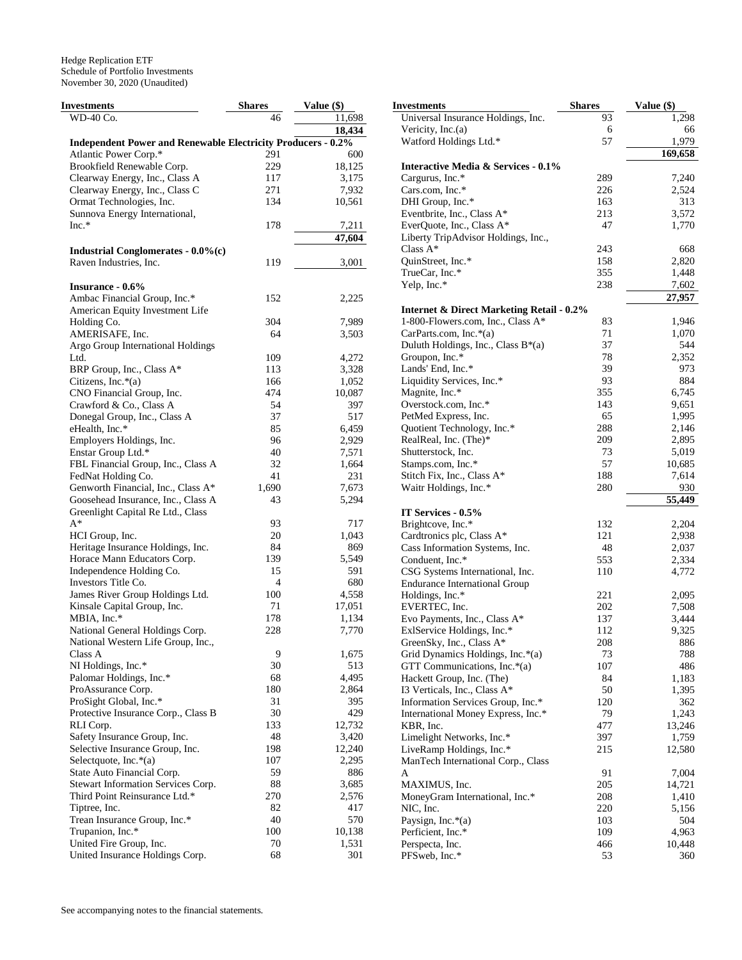| <b>Investments</b>                                                  | <b>Shares</b> | Value (\$) | <b>Investments</b>             |
|---------------------------------------------------------------------|---------------|------------|--------------------------------|
| WD-40 Co.                                                           | 46            | 11,698     | Universal Insurance I          |
|                                                                     |               | 18,434     | Vericity, Inc.(a)              |
| <b>Independent Power and Renewable Electricity Producers - 0.2%</b> |               |            | Watford Holdings Ltd           |
| Atlantic Power Corp.*                                               | 291           | 600        |                                |
| Brookfield Renewable Corp.                                          | 229           | 18,125     | <b>Interactive Media &amp;</b> |
| Clearway Energy, Inc., Class A                                      | 117           | 3,175      | Cargurus, Inc.*                |
| Clearway Energy, Inc., Class C                                      | 271           | 7,932      | Cars.com, Inc.*                |
| Ormat Technologies, Inc.                                            | 134           | 10,561     | DHI Group, Inc.*               |
| Sunnova Energy International,                                       |               |            | Eventbrite, Inc., Class        |
| Inc.*                                                               | 178           | 7,211      | EverQuote, Inc., Clas.         |
|                                                                     |               | 47,604     | Liberty TripAdvisor I          |
|                                                                     |               |            | Class $A^*$                    |
| Industrial Conglomerates - 0.0%(c)                                  |               |            |                                |
| Raven Industries, Inc.                                              | 119           | 3,001      | QuinStreet, Inc.*              |
|                                                                     |               |            | TrueCar, Inc.*                 |
| Insurance - 0.6%                                                    |               |            | Yelp, Inc.*                    |
| Ambac Financial Group, Inc.*                                        | 152           | 2,225      |                                |
| American Equity Investment Life                                     |               |            | <b>Internet &amp; Direct M</b> |
| Holding Co.                                                         | 304           | 7,989      | 1-800-Flowers.com, I           |
| AMERISAFE, Inc.                                                     | 64            | 3,503      | CarParts.com, Inc.*(a          |
| Argo Group International Holdings                                   |               |            | Duluth Holdings, Inc.          |
| Ltd.                                                                | 109           | 4,272      | Groupon, Inc.*                 |
| BRP Group, Inc., Class A*                                           | 113           | 3,328      | Lands' End, Inc.*              |
| Citizens, Inc.*(a)                                                  | 166           | 1,052      | Liquidity Services, In         |
| CNO Financial Group, Inc.                                           | 474           | 10,087     | Magnite, Inc.*                 |
| Crawford & Co., Class A                                             | 54            | 397        | Overstock.com, Inc.*           |
| Donegal Group, Inc., Class A                                        | 37            | 517        | PetMed Express, Inc.           |
| eHealth, Inc.*                                                      | 85            | 6,459      | Quotient Technology,           |
|                                                                     |               |            | RealReal, Inc. (The)*          |
| Employers Holdings, Inc.                                            | 96            | 2,929      |                                |
| Enstar Group Ltd.*                                                  | 40            | 7,571      | Shutterstock, Inc.             |
| FBL Financial Group, Inc., Class A                                  | 32            | 1,664      | Stamps.com, Inc.*              |
| FedNat Holding Co.                                                  | 41            | 231        | Stitch Fix, Inc., Class        |
| Genworth Financial, Inc., Class A*                                  | 1,690         | 7,673      | Waitr Holdings, Inc.*          |
| Goosehead Insurance, Inc., Class A                                  | 43            | 5,294      |                                |
| Greenlight Capital Re Ltd., Class                                   |               |            | IT Services - 0.5%             |
| $A^*$                                                               | 93            | 717        | Brightcove, Inc.*              |
| HCI Group, Inc.                                                     | 20            | 1,043      | Cardtronics plc, Class         |
| Heritage Insurance Holdings, Inc.                                   | 84            | 869        | Cass Information Syst          |
| Horace Mann Educators Corp.                                         | 139           | 5,549      | Conduent, Inc.*                |
| Independence Holding Co.                                            | 15            | 591        | CSG Systems Internat           |
| Investors Title Co.                                                 | 4             | 680        | <b>Endurance Internation</b>   |
| James River Group Holdings Ltd.                                     | 100           | 4,558      | Holdings, Inc.*                |
| Kinsale Capital Group, Inc.                                         | 71            | 17,051     | EVERTEC, Inc.                  |
| MBIA, Inc.*                                                         | 178           | 1,134      | Evo Payments, Inc., C          |
| National General Holdings Corp.                                     | 228           | 7,770      | ExlService Holdings,           |
| National Western Life Group, Inc.,                                  |               |            | GreenSky, Inc., Class          |
| Class A                                                             | 9             | 1,675      |                                |
|                                                                     | 30            |            | Grid Dynamics Holdi            |
| NI Holdings, Inc.*                                                  |               | 513        | <b>GTT</b> Communication       |
| Palomar Holdings, Inc.*                                             | 68            | 4,495      | Hackett Group, Inc. (          |
| ProAssurance Corp.                                                  | 180           | 2,864      | 13 Verticals, Inc., Class      |
| ProSight Global, Inc.*                                              | 31            | 395        | <b>Information Services</b>    |
| Protective Insurance Corp., Class B                                 | 30            | 429        | <b>International Money I</b>   |
| RLI Corp.                                                           | 133           | 12,732     | KBR, Inc.                      |
| Safety Insurance Group, Inc.                                        | 48            | 3,420      | Limelight Networks,            |
| Selective Insurance Group, Inc.                                     | 198           | 12,240     | LiveRamp Holdings,             |
| Selectquote, Inc. $*(a)$                                            | 107           | 2,295      | ManTech Internationa           |
| State Auto Financial Corp.                                          | 59            | 886        | A                              |
| Stewart Information Services Corp.                                  | 88            | 3,685      | MAXIMUS, Inc.                  |
| Third Point Reinsurance Ltd.*                                       | 270           | 2,576      | MoneyGram Internati            |
| Tiptree, Inc.                                                       | 82            | 417        | NIC, Inc.                      |
| Trean Insurance Group, Inc.*                                        | 40            | 570        | Paysign, Inc. $*(a)$           |
| Trupanion, Inc.*                                                    | 100           | 10,138     |                                |
|                                                                     |               |            | Perficient, Inc.*              |
| United Fire Group, Inc.                                             | 70            | 1,531      | Perspecta, Inc.                |
| United Insurance Holdings Corp.                                     | 68            | 301        | PFSweb, Inc.*                  |

| <b>Investments</b>                                                                        | <b>Shares</b> | Value (\$) |
|-------------------------------------------------------------------------------------------|---------------|------------|
| Universal Insurance Holdings, Inc.                                                        | 93            | 1,298      |
| Vericity, $Inc.(a)$                                                                       | 6             | 66         |
| Watford Holdings Ltd.*                                                                    | 57            | 1,979      |
|                                                                                           |               | 169,658    |
| Interactive Media & Services - 0.1%                                                       |               |            |
| Cargurus, Inc.*                                                                           | 289           | 7,240      |
| Cars.com, Inc.*                                                                           | 226           | 2,524      |
| DHI Group, Inc.*                                                                          | 163           | 313        |
| Eventbrite, Inc., Class A*                                                                | 213           | 3,572      |
| EverQuote, Inc., Class A*                                                                 | 47            | 1,770      |
| Liberty TripAdvisor Holdings, Inc.,                                                       |               |            |
| Class $A^*$                                                                               | 243           | 668        |
| QuinStreet, Inc.*                                                                         | 158           | 2,820      |
| TrueCar, Inc.*                                                                            | 355           | 1,448      |
| Yelp, Inc.*                                                                               | 238           | 7,602      |
|                                                                                           |               | 27,957     |
| <b>Internet &amp; Direct Marketing Retail - 0.2%</b><br>1-800-Flowers.com, Inc., Class A* | 83            | 1,946      |
| CarParts.com, Inc.*(a)                                                                    | 71            | 1,070      |
| Duluth Holdings, Inc., Class B*(a)                                                        | 37            | 544        |
|                                                                                           | 78            |            |
| Groupon, Inc.*<br>Lands' End, Inc.*                                                       | 39            | 2,352      |
|                                                                                           |               | 973        |
| Liquidity Services, Inc.*                                                                 | 93            | 884        |
| Magnite, Inc.*                                                                            | 355           | 6,745      |
| Overstock.com, Inc.*                                                                      | 143           | 9,651      |
| PetMed Express, Inc.                                                                      | 65            | 1,995      |
| Quotient Technology, Inc.*                                                                | 288           | 2,146      |
| RealReal, Inc. (The)*                                                                     | 209           | 2,895      |
| Shutterstock, Inc.                                                                        | 73            | 5,019      |
| Stamps.com, Inc.*                                                                         | 57            | 10,685     |
| Stitch Fix, Inc., Class A*                                                                | 188           | 7,614      |
| Waitr Holdings, Inc.*                                                                     | 280           | 930        |
| IT Services - 0.5%                                                                        |               | 55,449     |
| Brightcove, Inc.*                                                                         | 132           | 2,204      |
| Cardtronics plc, Class A*                                                                 | 121           | 2,938      |
| Cass Information Systems, Inc.                                                            | 48            | 2,037      |
| Conduent, Inc.*                                                                           | 553           | 2,334      |
| CSG Systems International, Inc.                                                           | 110           | 4,772      |
| <b>Endurance International Group</b>                                                      |               |            |
| Holdings, Inc.*                                                                           | 221           | 2,095      |
| EVERTEC, Inc.                                                                             | 202           | 7,508      |
| Evo Payments, Inc., Class A*                                                              | 137           | 3,444      |
| ExlService Holdings, Inc.*                                                                | 112           | 9,325      |
| GreenSky, Inc., Class A*                                                                  | 208           | 886        |
| Grid Dynamics Holdings, Inc.*(a)                                                          | 73            | 788        |
| GTT Communications, Inc.*(a)                                                              | 107           | 486        |
| Hackett Group, Inc. (The)                                                                 | 84            | 1,183      |
| 13 Verticals, Inc., Class A*                                                              | 50            | 1,395      |
| Information Services Group, Inc.*                                                         | 120           | 362        |
|                                                                                           |               | 1,243      |
| International Money Express, Inc.*<br>KBR, Inc.                                           | 79            |            |
|                                                                                           | 477           | 13,246     |
| Limelight Networks, Inc.*                                                                 | 397           | 1,759      |
| LiveRamp Holdings, Inc.*                                                                  | 215           | 12,580     |
| ManTech International Corp., Class                                                        |               |            |
| A                                                                                         | 91            | 7,004      |
| MAXIMUS, Inc.                                                                             | 205           | 14,721     |
| MoneyGram International, Inc.*                                                            | 208           | 1,410      |
| NIC, Inc.                                                                                 | 220           | 5,156      |
| Paysign, Inc.*(a)                                                                         | 103           | 504        |
| Perficient, Inc.*                                                                         | 109           | 4,963      |
| Perspecta, Inc.                                                                           | 466           | 10,448     |
| PFSweb, Inc.*                                                                             | 53            | 360        |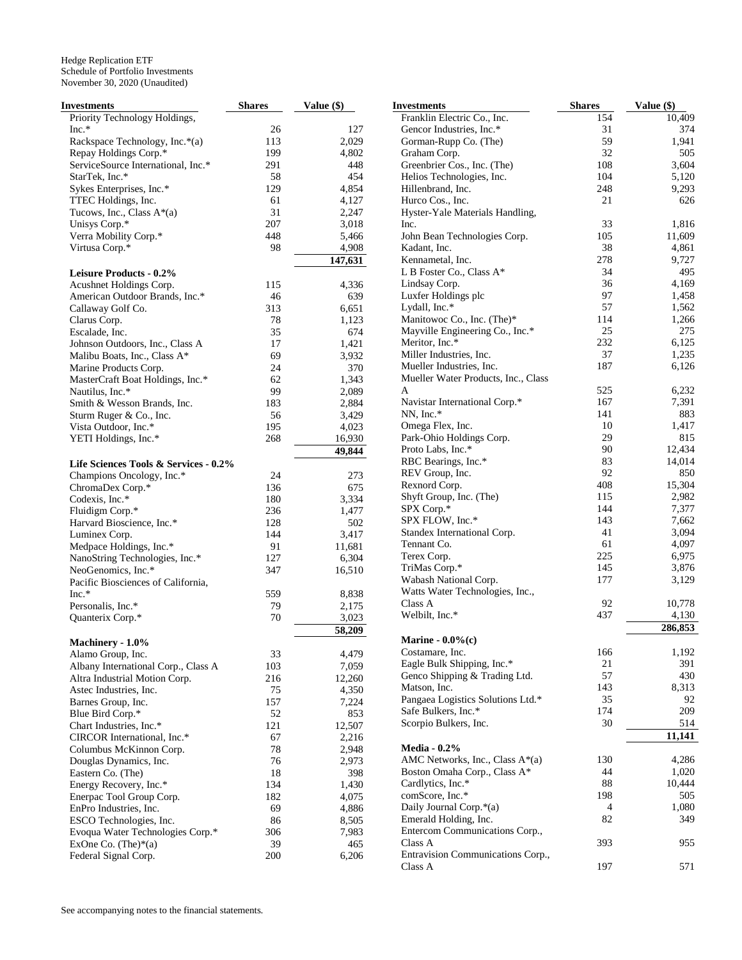| <b>Investments</b>                    | <b>Shares</b> | Value (\$) | <b>Investments</b>                  | <b>Shares</b> | Value (\$) |
|---------------------------------------|---------------|------------|-------------------------------------|---------------|------------|
| Priority Technology Holdings,         |               |            | Franklin Electric Co., Inc.         | 154           | 10,409     |
| $Inc.*$                               | 26            | 127        | Gencor Industries, Inc.*            | 31            | 374        |
| Rackspace Technology, Inc.*(a)        | 113           | 2,029      | Gorman-Rupp Co. (The)               | 59            | 1,941      |
| Repay Holdings Corp.*                 | 199           | 4,802      | Graham Corp.                        | 32            | 505        |
| ServiceSource International, Inc.*    | 291           | 448        | Greenbrier Cos., Inc. (The)         | 108           | 3,604      |
| StarTek, Inc.*                        | 58            | 454        | Helios Technologies, Inc.           | 104           | 5,120      |
| Sykes Enterprises, Inc.*              | 129           | 4,854      | Hillenbrand, Inc.                   | 248           | 9,293      |
| TTEC Holdings, Inc.                   | 61            | 4,127      | Hurco Cos., Inc.                    | 21            | 626        |
| Tucows, Inc., Class A*(a)             | 31            | 2,247      | Hyster-Yale Materials Handling,     |               |            |
| Unisys Corp.*                         | 207           | 3,018      | Inc.                                | 33            | 1,816      |
| Verra Mobility Corp.*                 | 448           | 5,466      | John Bean Technologies Corp.        | 105           | 11,609     |
| Virtusa Corp.*                        | 98            | 4,908      | Kadant, Inc.                        | 38            | 4,861      |
|                                       |               |            | Kennametal, Inc.                    | 278           | 9,727      |
|                                       |               | 147,631    |                                     |               | 495        |
| <b>Leisure Products - 0.2%</b>        |               |            | L B Foster Co., Class A*            | 34            |            |
| Acushnet Holdings Corp.               | 115           | 4,336      | Lindsay Corp.                       | 36            | 4,169      |
| American Outdoor Brands, Inc.*        | 46            | 639        | Luxfer Holdings plc                 | 97            | 1,458      |
| Callaway Golf Co.                     | 313           | 6,651      | Lydall, Inc.*                       | 57            | 1,562      |
| Clarus Corp.                          | 78            | 1,123      | Manitowoc Co., Inc. (The)*          | 114           | 1,266      |
| Escalade, Inc.                        | 35            | 674        | Mayville Engineering Co., Inc.*     | 25            | 275        |
| Johnson Outdoors, Inc., Class A       | 17            | 1,421      | Meritor, Inc.*                      | 232           | 6,125      |
| Malibu Boats, Inc., Class A*          | 69            | 3,932      | Miller Industries, Inc.             | 37            | 1,235      |
| Marine Products Corp.                 | 24            | 370        | Mueller Industries, Inc.            | 187           | 6,126      |
| MasterCraft Boat Holdings, Inc.*      | 62            | 1,343      | Mueller Water Products, Inc., Class |               |            |
| Nautilus, Inc.*                       | 99            | 2,089      | A                                   | 525           | 6,232      |
| Smith & Wesson Brands, Inc.           | 183           | 2,884      | Navistar International Corp.*       | 167           | 7,391      |
| Sturm Ruger & Co., Inc.               | 56            | 3,429      | $NN$ , Inc.*                        | 141           | 883        |
| Vista Outdoor, Inc.*                  | 195           | 4,023      | Omega Flex, Inc.                    | 10            | 1,417      |
| YETI Holdings, Inc.*                  | 268           | 16,930     | Park-Ohio Holdings Corp.            | 29            | 815        |
|                                       |               | 49,844     | Proto Labs, Inc.*                   | 90            | 12,434     |
| Life Sciences Tools & Services - 0.2% |               |            | RBC Bearings, Inc.*                 | 83            | 14,014     |
|                                       | 24            | 273        | REV Group, Inc.                     | 92            | 850        |
| Champions Oncology, Inc.*             |               | 675        | Rexnord Corp.                       | 408           | 15,304     |
| ChromaDex Corp.*                      | 136           |            | Shyft Group, Inc. (The)             | 115           | 2,982      |
| Codexis, Inc.*                        | 180           | 3,334      | SPX Corp.*                          | 144           | 7,377      |
| Fluidigm Corp.*                       | 236           | 1,477      |                                     | 143           | 7,662      |
| Harvard Bioscience, Inc.*             | 128           | 502        | SPX FLOW, Inc.*                     |               |            |
| Luminex Corp.                         | 144           | 3,417      | Standex International Corp.         | 41            | 3,094      |
| Medpace Holdings, Inc.*               | 91            | 11,681     | Tennant Co.                         | 61            | 4,097      |
| NanoString Technologies, Inc.*        | 127           | 6,304      | Terex Corp.                         | 225           | 6,975      |
| NeoGenomics, Inc.*                    | 347           | 16,510     | TriMas Corp.*                       | 145           | 3,876      |
| Pacific Biosciences of California,    |               |            | Wabash National Corp.               | 177           | 3,129      |
| Inc.*                                 | 559           | 8,838      | Watts Water Technologies, Inc.,     |               |            |
| Personalis, Inc.*                     | 79            | 2,175      | Class A                             | 92            | 10,778     |
| Quanterix Corp.*                      | 70            | 3,023      | Welbilt, Inc.*                      | 437           | 4,130      |
|                                       |               | 58,209     |                                     |               | 286,853    |
| Machinery - 1.0%                      |               |            | Marine - $0.0\%$ (c)                |               |            |
| Alamo Group, Inc.                     | 33            | 4,479      | Costamare, Inc.                     | 166           | 1,192      |
| Albany International Corp., Class A   | 103           | 7,059      | Eagle Bulk Shipping, Inc.*          | 21            | 391        |
| Altra Industrial Motion Corp.         | 216           | 12,260     | Genco Shipping & Trading Ltd.       | 57            | 430        |
| Astec Industries, Inc.                | 75            | 4,350      | Matson, Inc.                        | 143           | 8,313      |
| Barnes Group, Inc.                    | 157           | 7,224      | Pangaea Logistics Solutions Ltd.*   | 35            | 92         |
|                                       | 52            |            | Safe Bulkers, Inc.*                 | 174           | 209        |
| Blue Bird Corp.*                      |               | 853        | Scorpio Bulkers, Inc.               | 30            | 514        |
| Chart Industries, Inc.*               | 121           | 12,507     |                                     |               | 11,141     |
| CIRCOR International, Inc.*           | 67            | 2,216      |                                     |               |            |
| Columbus McKinnon Corp.               | 78            | 2,948      | <b>Media - 0.2%</b>                 |               |            |
| Douglas Dynamics, Inc.                | 76            | 2,973      | AMC Networks, Inc., Class A*(a)     | 130           | 4,286      |
| Eastern Co. (The)                     | 18            | 398        | Boston Omaha Corp., Class A*        | 44            | 1,020      |
| Energy Recovery, Inc.*                | 134           | 1,430      | Cardlytics, Inc.*                   | 88            | 10,444     |
| Enerpac Tool Group Corp.              | 182           | 4,075      | comScore, Inc.*                     | 198           | 505        |
| EnPro Industries, Inc.                | 69            | 4,886      | Daily Journal Corp.*(a)             | 4             | 1,080      |
| ESCO Technologies, Inc.               | 86            | 8,505      | Emerald Holding, Inc.               | 82            | 349        |
| Evoqua Water Technologies Corp.*      | 306           | 7,983      | Entercom Communications Corp.,      |               |            |
| ExOne Co. $(The)*(a)$                 | 39            | 465        | Class A                             | 393           | 955        |
| Federal Signal Corp.                  | 200           | 6,206      | Entravision Communications Corp.,   |               |            |
|                                       |               |            | Class A                             | 197           | 571        |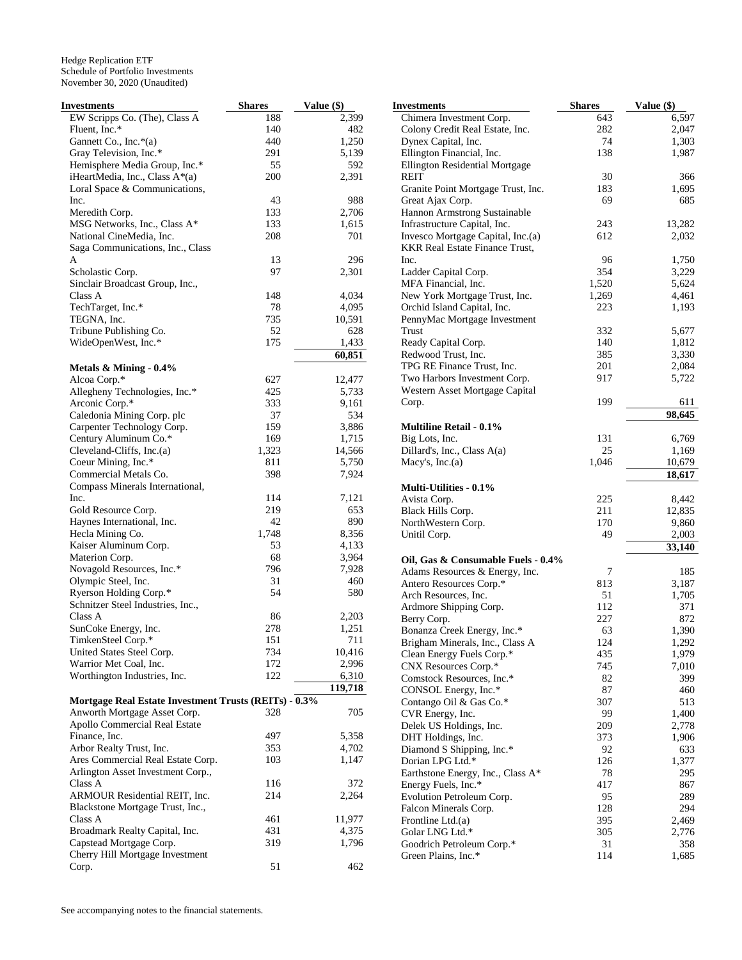| Investments                                           | <b>Shares</b> | Value (\$) |
|-------------------------------------------------------|---------------|------------|
| EW Scripps Co. (The), Class A                         | 188           | 2,399      |
| Fluent, Inc.*                                         | 140           | 482        |
| Gannett Co., Inc.*(a)                                 | 440           | 1,250      |
| Gray Television, Inc.*                                | 291           | 5,139      |
| Hemisphere Media Group, Inc.*                         | 55            | 592        |
| iHeartMedia, Inc., Class A*(a)                        | 200           | 2,391      |
| Loral Space & Communications,                         |               |            |
| Inc.                                                  | 43            | 988        |
| Meredith Corp.                                        | 133           | 2,706      |
| MSG Networks, Inc., Class A*                          | 133           | 1,615      |
| National CineMedia, Inc.                              | 208           | 701        |
| Saga Communications, Inc., Class                      |               |            |
| A                                                     | 13            | 296        |
| Scholastic Corp.                                      | 97            | 2,301      |
| Sinclair Broadcast Group, Inc.,                       |               |            |
| Class A                                               | 148           | 4,034      |
| TechTarget, Inc.*                                     | 78            | 4,095      |
| TEGNA, Inc.                                           | 735           | 10,591     |
| Tribune Publishing Co.                                | 52            | 628        |
| WideOpenWest, Inc.*                                   | 175           | 1,433      |
|                                                       |               | 60,851     |
| Metals & Mining - 0.4%                                |               |            |
| Alcoa Corp.*                                          | 627           | 12,477     |
| Allegheny Technologies, Inc.*                         | 425           | 5,733      |
| Arconic Corp.*                                        | 333           | 9,161      |
| Caledonia Mining Corp. plc                            | 37            | 534        |
| Carpenter Technology Corp.                            | 159           | 3,886      |
| Century Aluminum Co.*                                 | 169           | 1,715      |
| Cleveland-Cliffs, Inc.(a)                             | 1,323         | 14,566     |
| Coeur Mining, Inc.*                                   | 811           | 5,750      |
| Commercial Metals Co.                                 | 398           | 7,924      |
| Compass Minerals International,<br>Inc.               | 114           | 7,121      |
| Gold Resource Corp.                                   | 219           | 653        |
| Haynes International, Inc.                            | 42            | 890        |
| Hecla Mining Co.                                      | 1,748         | 8,356      |
| Kaiser Aluminum Corp.                                 | 53            | 4,133      |
| Materion Corp.                                        | 68            | 3,964      |
| Novagold Resources, Inc.*                             | 796           | 7,928      |
| Olympic Steel, Inc.                                   | 31            | 460        |
| Ryerson Holding Corp.*                                | 54            | 580        |
| Schnitzer Steel Industries, Inc.,                     |               |            |
| Class A                                               | 86            | 2,203      |
| SunCoke Energy, Inc.                                  | 278           | 1,251      |
| TimkenSteel Corp.*                                    | 151           | 711        |
| United States Steel Corp.                             | 734           | 10,416     |
| Warrior Met Coal, Inc.                                | 172           | 2,996      |
| Worthington Industries, Inc.                          | 122           | 6,310      |
|                                                       |               | 119,718    |
| Mortgage Real Estate Investment Trusts (REITs) - 0.3% |               |            |
| Anworth Mortgage Asset Corp.                          | 328           | 705        |
| Apollo Commercial Real Estate                         |               |            |
| Finance, Inc.                                         | 497           | 5,358      |
| Arbor Realty Trust, Inc.                              | 353           | 4,702      |
| Ares Commercial Real Estate Corp.                     | 103           | 1,147      |
| Arlington Asset Investment Corp.,                     |               |            |
| Class A                                               | 116           | 372        |
| ARMOUR Residential REIT, Inc.                         | 214           | 2,264      |
| Blackstone Mortgage Trust, Inc.,                      |               |            |
| Class A                                               | 461           | 11,977     |
| Broadmark Realty Capital, Inc.                        | 431           | 4,375      |
| Capstead Mortgage Corp.                               | 319           | 1,796      |
| Cherry Hill Mortgage Investment                       |               |            |
| Corp.                                                 | 51            | 462        |

| Investments                           | <b>Shares</b> | Value (\$) |
|---------------------------------------|---------------|------------|
| Chimera Investment Corp.              | 643           | 6,597      |
| Colony Credit Real Estate, Inc.       | 282           | 2,047      |
| Dynex Capital, Inc.                   | 74            | 1,303      |
| Ellington Financial, Inc.             | 138           | 1,987      |
| Ellington Residential Mortgage        |               |            |
| REIT                                  | 30            | 366        |
| Granite Point Mortgage Trust, Inc.    | 183           | 1,695      |
| Great Ajax Corp.                      | 69            | 685        |
| Hannon Armstrong Sustainable          |               |            |
| Infrastructure Capital, Inc.          | 243           | 13,282     |
| Invesco Mortgage Capital, Inc.(a)     | 612           | 2,032      |
| <b>KKR Real Estate Finance Trust,</b> |               |            |
| Inc.                                  | 96            | 1,750      |
| Ladder Capital Corp.                  | 354           | 3,229      |
| MFA Financial, Inc.                   | 1,520         | 5,624      |
| New York Mortgage Trust, Inc.         | 1,269         | 4,461      |
| Orchid Island Capital, Inc.           | 223           | 1,193      |
| PennyMac Mortgage Investment          |               |            |
| Trust                                 | 332           | 5,677      |
| Ready Capital Corp.                   | 140           | 1,812      |
| Redwood Trust, Inc.                   | 385           | 3,330      |
| TPG RE Finance Trust, Inc.            | 201           | 2,084      |
| Two Harbors Investment Corp.          | 917           | 5,722      |
| Western Asset Mortgage Capital        |               |            |
| Corp.                                 | 199           | 611        |
|                                       |               | 98,645     |
| <b>Multiline Retail - 0.1%</b>        |               |            |
| Big Lots, Inc.                        | 131           | 6,769      |
| Dillard's, Inc., Class A(a)           | 25            | 1,169      |
| Macy's, $Inc.(a)$                     | 1,046         | 10,679     |
|                                       |               | 18,617     |
| <b>Multi-Utilities - 0.1%</b>         |               |            |
| Avista Corp.                          | 225           | 8,442      |
| Black Hills Corp.                     | 211           | 12,835     |
| NorthWestern Corp.                    | 170           | 9,860      |
| Unitil Corp.                          | 49            | 2,003      |
|                                       |               | 33,140     |
| Oil, Gas & Consumable Fuels - 0.4%    |               |            |
| Adams Resources & Energy, Inc.        | 7             | 185        |
| Antero Resources Corp.*               | 813           | 3,187      |
| Arch Resources, Inc.                  | 51            | 1,705      |
| Ardmore Shipping Corp.                | 112           | 371        |
| Berry Corp.                           | 227           | 872        |
| Bonanza Creek Energy, Inc.*           | 63            | 1,390      |
| Brigham Minerals, Inc., Class A       | 124           | 1,292      |
| Clean Energy Fuels Corp.*             | 435           | 1,979      |
| CNX Resources Corp.*                  | 745           | 7,010      |
| Comstock Resources, Inc.*             | 82            | 399        |
| CONSOL Energy, Inc.*                  | 87            | 460        |
| Contango Oil & Gas Co.*               | 307           | 513        |
| CVR Energy, Inc.                      | 99            | 1,400      |
| Delek US Holdings, Inc.               | 209           | 2,778      |
| DHT Holdings, Inc.                    | 373           | 1,906      |
| Diamond S Shipping, Inc.*             | 92            | 633        |
| Dorian LPG Ltd.*                      | 126           | 1,377      |
| Earthstone Energy, Inc., Class A*     | 78            | 295        |
| Energy Fuels, Inc.*                   | 417           | 867        |
| Evolution Petroleum Corp.             | 95            | 289        |
| Falcon Minerals Corp.                 | 128           | 294        |
| Frontline Ltd.(a)                     | 395           | 2,469      |
| Golar LNG Ltd.*                       | 305           | 2,776      |
| Goodrich Petroleum Corp.*             | 31            | 358        |
| Green Plains, Inc.*                   | 114           | 1,685      |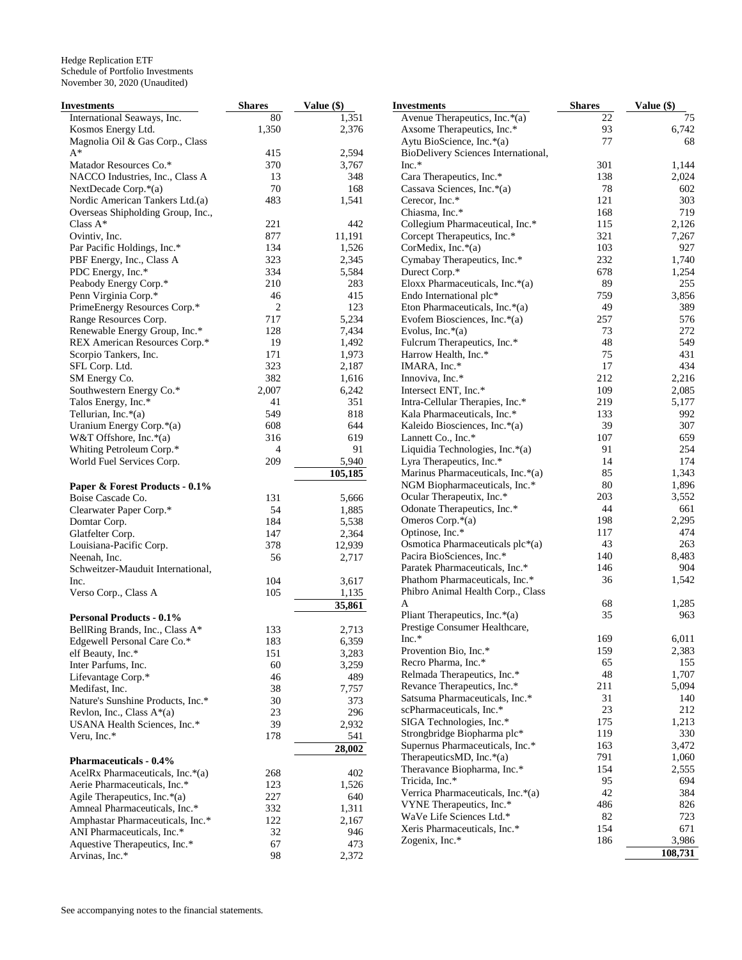| Investments                       | <b>Shares</b>  | Value (\$) | <b>Investments</b>                  | <b>Shares</b> | Value (\$) |
|-----------------------------------|----------------|------------|-------------------------------------|---------------|------------|
| International Seaways, Inc.       | 80             | 1,351      | Avenue Therapeutics, Inc.*(a)       | 22            | 75         |
| Kosmos Energy Ltd.                | 1,350          | 2,376      | Axsome Therapeutics, Inc.*          | 93            | 6,742      |
| Magnolia Oil & Gas Corp., Class   |                |            | Aytu BioScience, Inc.*(a)           | 77            | 68         |
| $A^*$                             | 415            | 2,594      | BioDelivery Sciences International, |               |            |
| Matador Resources Co.*            | 370            | 3,767      | Inc.*                               | 301           | 1,144      |
| NACCO Industries, Inc., Class A   | 13             | 348        | Cara Therapeutics, Inc.*            | 138           | 2,024      |
| NextDecade Corp.*(a)              | 70             | 168        | Cassava Sciences, Inc.*(a)          | 78            | 602        |
| Nordic American Tankers Ltd.(a)   | 483            | 1,541      | Cerecor, Inc.*                      | 121           | 303        |
| Overseas Shipholding Group, Inc., |                |            | Chiasma, Inc.*                      | 168           | 719        |
| Class $A^*$                       | 221            | 442        |                                     | 115           | 2,126      |
| Ovintiv, Inc.                     | 877            |            | Collegium Pharmaceutical, Inc.*     | 321           |            |
|                                   |                | 11,191     | Corcept Therapeutics, Inc.*         |               | 7,267      |
| Par Pacific Holdings, Inc.*       | 134            | 1,526      | CorMedix, Inc.*(a)                  | 103           | 927        |
| PBF Energy, Inc., Class A         | 323            | 2,345      | Cymabay Therapeutics, Inc.*         | 232           | 1,740      |
| PDC Energy, Inc.*                 | 334            | 5,584      | Durect Corp.*                       | 678           | 1,254      |
| Peabody Energy Corp.*             | 210            | 283        | Eloxx Pharmaceuticals, Inc.*(a)     | 89            | 255        |
| Penn Virginia Corp.*              | 46             | 415        | Endo International plc*             | 759           | 3,856      |
| PrimeEnergy Resources Corp.*      | $\overline{2}$ | 123        | Eton Pharmaceuticals, Inc.*(a)      | 49            | 389        |
| Range Resources Corp.             | 717            | 5,234      | Evofem Biosciences, Inc.*(a)        | 257           | 576        |
| Renewable Energy Group, Inc.*     | 128            | 7,434      | Evolus, Inc. $*(a)$                 | 73            | 272        |
| REX American Resources Corp.*     | 19             | 1,492      | Fulcrum Therapeutics, Inc.*         | 48            | 549        |
| Scorpio Tankers, Inc.             | 171            | 1,973      | Harrow Health, Inc.*                | 75            | 431        |
| SFL Corp. Ltd.                    | 323            | 2,187      | IMARA, Inc.*                        | 17            | 434        |
| SM Energy Co.                     | 382            | 1,616      | Innoviva, Inc.*                     | 212           | 2,216      |
| Southwestern Energy Co.*          | 2,007          | 6,242      | Intersect ENT, Inc.*                | 109           | 2,085      |
| Talos Energy, Inc.*               | 41             | 351        | Intra-Cellular Therapies, Inc.*     | 219           | 5,177      |
| Tellurian, Inc.*(a)               | 549            | 818        | Kala Pharmaceuticals, Inc.*         | 133           | 992        |
|                                   |                |            | Kaleido Biosciences, Inc.*(a)       | 39            | 307        |
| Uranium Energy Corp.*(a)          | 608            | 644        |                                     |               |            |
| W&T Offshore, Inc. $*(a)$         | 316            | 619        | Lannett Co., Inc.*                  | 107           | 659        |
| Whiting Petroleum Corp.*          | $\overline{4}$ | 91         | Liquidia Technologies, Inc.*(a)     | 91            | 254        |
| World Fuel Services Corp.         | 209            | 5,940      | Lyra Therapeutics, Inc.*            | 14            | 174        |
|                                   |                | 105,185    | Marinus Pharmaceuticals, Inc.*(a)   | 85            | 1,343      |
| Paper & Forest Products - 0.1%    |                |            | NGM Biopharmaceuticals, Inc.*       | 80            | 1,896      |
| Boise Cascade Co.                 | 131            | 5,666      | Ocular Therapeutix, Inc.*           | 203           | 3,552      |
| Clearwater Paper Corp.*           | 54             | 1,885      | Odonate Therapeutics, Inc.*         | 44            | 661        |
| Domtar Corp.                      | 184            | 5,538      | Omeros Corp.*(a)                    | 198           | 2,295      |
| Glatfelter Corp.                  | 147            | 2,364      | Optinose, Inc.*                     | 117           | 474        |
| Louisiana-Pacific Corp.           | 378            | 12,939     | Osmotica Pharmaceuticals plc*(a)    | 43            | 263        |
| Neenah, Inc.                      | 56             | 2,717      | Pacira BioSciences, Inc.*           | 140           | 8,483      |
| Schweitzer-Mauduit International, |                |            | Paratek Pharmaceuticals, Inc.*      | 146           | 904        |
| Inc.                              | 104            | 3,617      | Phathom Pharmaceuticals, Inc.*      | 36            | 1,542      |
| Verso Corp., Class A              | 105            | 1,135      | Phibro Animal Health Corp., Class   |               |            |
|                                   |                |            | A                                   | 68            | 1,285      |
|                                   |                | 35,861     | Pliant Therapeutics, Inc.*(a)       | 35            | 963        |
| <b>Personal Products - 0.1%</b>   |                |            | Prestige Consumer Healthcare,       |               |            |
| BellRing Brands, Inc., Class A*   | 133            | 2,713      |                                     |               |            |
| Edgewell Personal Care Co.*       | 183            | 6,359      | Inc.*                               | 169           | 6,011      |
| elf Beauty, Inc.*                 | 151            | 3,283      | Provention Bio, Inc.*               | 159           | 2,383      |
| Inter Parfums, Inc.               | 60             | 3,259      | Recro Pharma, Inc.*                 | 65            | 155        |
| Lifevantage Corp.*                | 46             | 489        | Relmada Therapeutics, Inc.*         | 48            | 1,707      |
| Medifast, Inc.                    | 38             | 7,757      | Revance Therapeutics, Inc.*         | 211           | 5,094      |
| Nature's Sunshine Products, Inc.* | 30             | 373        | Satsuma Pharmaceuticals, Inc.*      | 31            | 140        |
| Revlon, Inc., Class $A^*(a)$      | 23             | 296        | scPharmaceuticals, Inc.*            | 23            | 212        |
| USANA Health Sciences, Inc.*      | 39             | 2,932      | SIGA Technologies, Inc.*            | 175           | 1,213      |
| Veru, Inc.*                       | 178            | 541        | Strongbridge Biopharma plc*         | 119           | 330        |
|                                   |                | 28,002     | Supernus Pharmaceuticals, Inc.*     | 163           | 3,472      |
| <b>Pharmaceuticals - 0.4%</b>     |                |            | TherapeuticsMD, Inc. $*(a)$         | 791           | 1,060      |
| AcelRx Pharmaceuticals, Inc.*(a)  |                |            | Theravance Biopharma, Inc.*         | 154           | 2,555      |
|                                   | 268            | 402        | Tricida, Inc.*                      | 95            | 694        |
| Aerie Pharmaceuticals, Inc.*      | 123            | 1,526      | Verrica Pharmaceuticals, Inc.*(a)   | 42            | 384        |
| Agile Therapeutics, Inc.*(a)      | 227            | 640        | VYNE Therapeutics, Inc.*            | 486           | 826        |
| Amneal Pharmaceuticals, Inc.*     | 332            | 1,311      | WaVe Life Sciences Ltd.*            | 82            | 723        |
| Amphastar Pharmaceuticals, Inc.*  | 122            | 2,167      | Xeris Pharmaceuticals, Inc.*        | 154           | 671        |
| ANI Pharmaceuticals, Inc.*        | 32             | 946        |                                     |               |            |
| Aquestive Therapeutics, Inc.*     | 67             | 473        | Zogenix, Inc.*                      | 186           | 3,986      |
| Arvinas, Inc.*                    | 98             | 2,372      |                                     |               | 108,731    |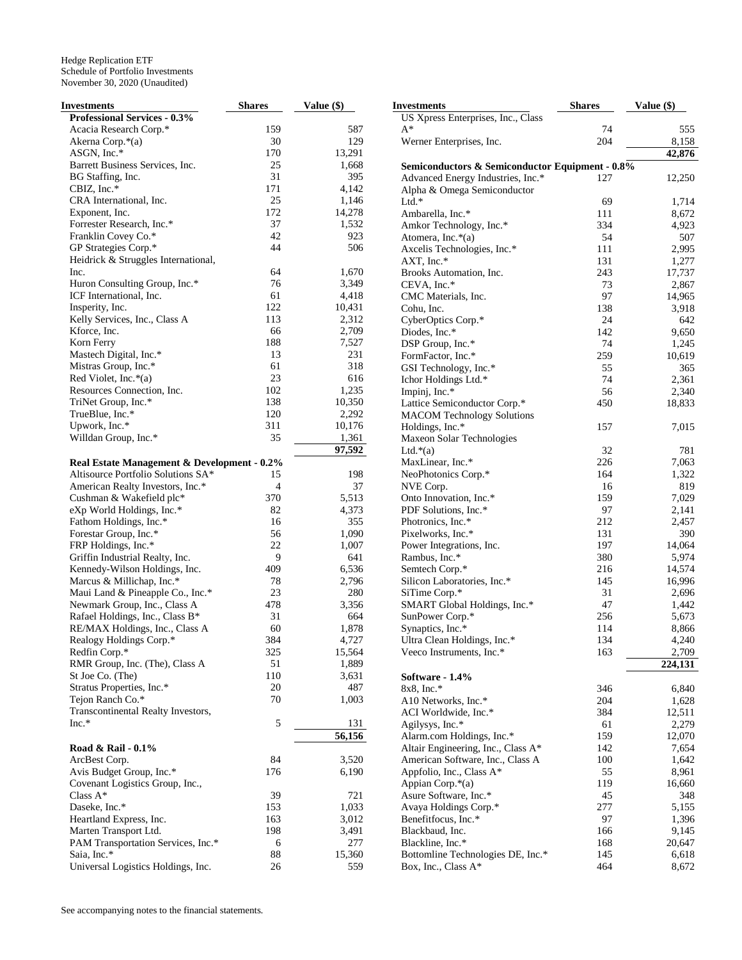| Investments                                 | <b>Shares</b> | Value (\$) |
|---------------------------------------------|---------------|------------|
| <b>Professional Services - 0.3%</b>         |               |            |
| Acacia Research Corp.*                      | 159           | 587        |
| Akerna Corp.*(a)                            | 30            | 129        |
| ASGN, Inc.*                                 | 170           | 13,291     |
| Barrett Business Services, Inc.             | 25            | 1,668      |
| BG Staffing, Inc.                           | 31            | 395        |
| CBIZ, Inc.*                                 | 171           | 4,142      |
| CRA International, Inc.                     | 25            | 1,146      |
| Exponent, Inc.                              | 172           | 14,278     |
| Forrester Research, Inc.*                   | 37            | 1,532      |
| Franklin Covey Co.*                         | 42            | 923        |
| GP Strategies Corp.*                        | 44            | 506        |
| Heidrick & Struggles International,         |               |            |
| Inc.                                        | 64            | 1,670      |
|                                             |               |            |
| Huron Consulting Group, Inc.*               | 76            | 3,349      |
| ICF International, Inc.                     | 61            | 4,418      |
| Insperity, Inc.                             | 122           | 10,431     |
| Kelly Services, Inc., Class A               | 113           | 2,312      |
| Kforce, Inc.                                | 66            | 2,709      |
| Korn Ferry                                  | 188           | 7,527      |
| Mastech Digital, Inc.*                      | 13            | 231        |
| Mistras Group, Inc.*                        | 61            | 318        |
| Red Violet, Inc.*(a)                        | 23            | 616        |
| Resources Connection, Inc.                  | 102           | 1,235      |
| TriNet Group, Inc.*                         | 138           | 10,350     |
| TrueBlue, Inc.*                             | 120           | 2,292      |
| Upwork, Inc.*                               | 311           | 10,176     |
| Willdan Group, Inc.*                        | 35            | 1,361      |
|                                             |               |            |
|                                             |               | 97,592     |
| Real Estate Management & Development - 0.2% |               |            |
| Altisource Portfolio Solutions SA*          | 15            | 198        |
| American Realty Investors, Inc.*            | 4             | 37         |
| Cushman & Wakefield plc*                    | 370           | 5,513      |
| eXp World Holdings, Inc.*                   | 82            | 4,373      |
| Fathom Holdings, Inc.*                      | 16            | 355        |
| Forestar Group, Inc.*                       | 56            | 1,090      |
| FRP Holdings, Inc.*                         | 22            | 1,007      |
| Griffin Industrial Realty, Inc.             | 9             | 641        |
| Kennedy-Wilson Holdings, Inc.               | 409           | 6,536      |
| Marcus & Millichap, Inc.*                   | 78            | 2,796      |
| Maui Land & Pineapple Co., Inc.*            | 23            | 280        |
| Newmark Group, Inc., Class A                | 478           | 3,356      |
| Rafael Holdings, Inc., Class B*             | 31            | 664        |
| RE/MAX Holdings, Inc., Class A              | 60            | 1,878      |
|                                             | 384           | 4,727      |
| Realogy Holdings Corp.*                     |               | 15,564     |
| Redfin Corp.*                               | 325           |            |
| RMR Group, Inc. (The), Class A              | 51            | 1,889      |
| St Joe Co. (The)                            | 110           | 3,631      |
| Stratus Properties, Inc.*                   | 20            | 487        |
| Tejon Ranch Co.*                            | 70            | 1,003      |
| Transcontinental Realty Investors,          |               |            |
| $Inc.*$                                     | 5             | 131        |
|                                             |               | 56,156     |
| Road & Rail - 0.1%                          |               |            |
| ArcBest Corp.                               | 84            | 3,520      |
| Avis Budget Group, Inc.*                    | 176           | 6,190      |
| Covenant Logistics Group, Inc.,             |               |            |
| Class A*                                    | 39            | 721        |
| Daseke, Inc.*                               | 153           | 1,033      |
| Heartland Express, Inc.                     | 163           | 3,012      |
| Marten Transport Ltd.                       | 198           | 3,491      |
|                                             |               |            |
| PAM Transportation Services, Inc.*          | 6             | 277        |
| Saia, Inc.*                                 | 88            | 15,360     |
| Universal Logistics Holdings, Inc.          | 26            | 559        |

| Investments                                     | <b>Shares</b> | Value (\$)      |
|-------------------------------------------------|---------------|-----------------|
| US Xpress Enterprises, Inc., Class              |               |                 |
| A*                                              | 74            | 555             |
| Werner Enterprises, Inc.                        | 204           | 8,158           |
|                                                 |               | 42,876          |
| Semiconductors & Semiconductor Equipment - 0.8% |               |                 |
| Advanced Energy Industries, Inc.*               | 127           | 12,250          |
| Alpha & Omega Semiconductor                     |               |                 |
| $Ltd.*$                                         | 69            | 1,714           |
| Ambarella, Inc.*                                | 111           | 8,672           |
| Amkor Technology, Inc.*                         | 334           | 4,923           |
| Atomera, Inc.*(a)                               | 54<br>111     | 507<br>2,995    |
| Axcelis Technologies, Inc.*<br>AXT, Inc.*       | 131           | 1,277           |
| Brooks Automation, Inc.                         | 243           | 17,737          |
| CEVA, Inc.*                                     | 73            | 2,867           |
| CMC Materials, Inc.                             | 97            | 14,965          |
| Cohu, Inc.                                      | 138           | 3,918           |
| CyberOptics Corp.*                              | 24            | 642             |
| Diodes, Inc.*                                   | 142           | 9,650           |
| DSP Group, Inc.*                                | 74            | 1,245           |
| FormFactor, Inc.*                               | 259           | 10,619          |
| GSI Technology, Inc.*                           | 55            | 365             |
| Ichor Holdings Ltd.*                            | 74            | 2,361           |
| Impinj, Inc.*                                   | 56            | 2,340           |
| Lattice Semiconductor Corp.*                    | 450           | 18,833          |
| <b>MACOM Technology Solutions</b>               |               |                 |
| Holdings, Inc.*                                 | 157           | 7,015           |
| Maxeon Solar Technologies                       |               |                 |
| Ltd. $*(a)$                                     | 32            | 781             |
| MaxLinear, Inc.*                                | 226           | 7,063           |
| NeoPhotonics Corp.*                             | 164<br>16     | 1,322<br>819    |
| NVE Corp.<br>Onto Innovation, Inc.*             | 159           | 7,029           |
| PDF Solutions, Inc.*                            | 97            | 2,141           |
| Photronics, Inc.*                               | 212           | 2,457           |
| Pixelworks, Inc.*                               | 131           | 390             |
| Power Integrations, Inc.                        | 197           | 14,064          |
| Rambus, Inc.*                                   | 380           | 5,974           |
| Semtech Corp.*                                  | 216           | 14,574          |
| Silicon Laboratories, Inc.*                     | 145           | 16,996          |
| SiTime Corp.*                                   | 31            | 2,696           |
| SMART Global Holdings, Inc.*                    | 47            | 1,442           |
| SunPower Corp.*                                 | 256           | 5,673           |
| Synaptics, Inc.*                                | 114           | 8,866           |
| Ultra Clean Holdings, Inc.*                     | 134           | 4,240           |
| Veeco Instruments, Inc.*                        | 163           | 2,709           |
|                                                 |               | 224,131         |
| Software - 1.4%                                 |               |                 |
| 8x8, Inc.*                                      | 346           | 6,840           |
| A10 Networks, Inc.*                             | 204           | 1,628<br>12,511 |
| ACI Worldwide, Inc.*                            | 384<br>61     | 2,279           |
| Agilysys, Inc.*<br>Alarm.com Holdings, Inc.*    | 159           | 12,070          |
| Altair Engineering, Inc., Class A*              | 142           | 7,654           |
| American Software, Inc., Class A                | 100           | 1,642           |
| Appfolio, Inc., Class A*                        | 55            | 8,961           |
| Appian Corp.*(a)                                | 119           | 16,660          |
| Asure Software, Inc.*                           | 45            | 348             |
| Avaya Holdings Corp.*                           | 277           | 5,155           |
| Benefitfocus, Inc.*                             | 97            | 1,396           |
| Blackbaud, Inc.                                 | 166           | 9,145           |
| Blackline, Inc.*                                | 168           | 20,647          |
| Bottomline Technologies DE, Inc.*               | 145           | 6,618           |
| Box, Inc., Class A*                             | 464           | 8,672           |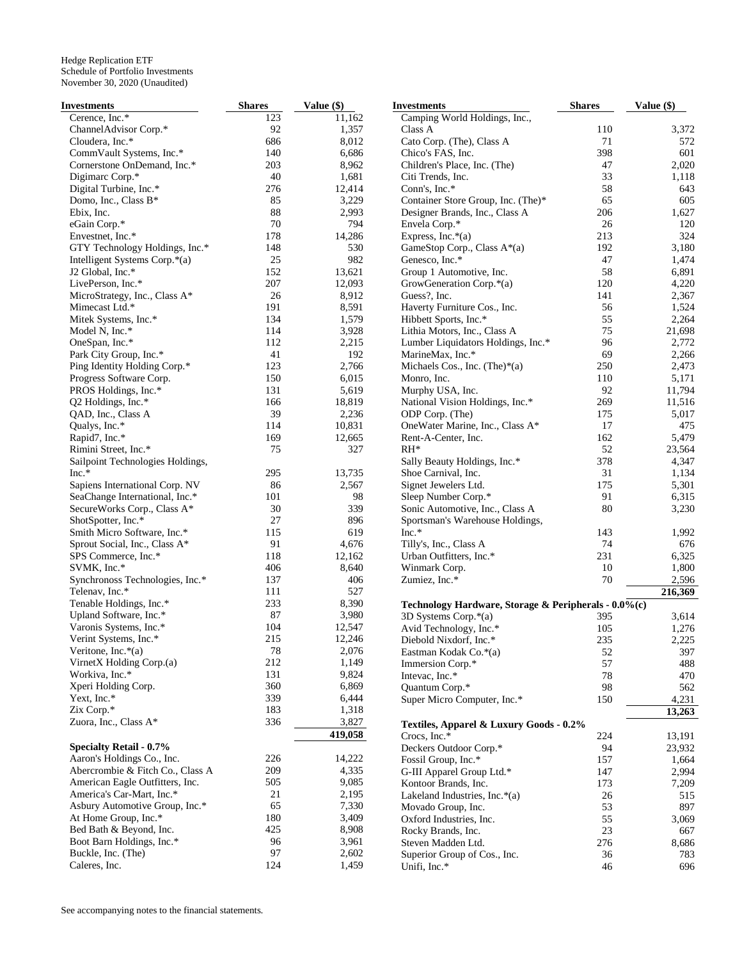| Investments                      | <b>Shares</b> | Value (\$) | <b>Investments</b>                                   | <b>Shares</b> | Value (\$) |
|----------------------------------|---------------|------------|------------------------------------------------------|---------------|------------|
| Cerence, Inc.*                   | 123           | 11,162     | Camping World Holdings, Inc.,                        |               |            |
| ChannelAdvisor Corp.*            | 92            | 1,357      | Class A                                              | 110           | 3,372      |
| Cloudera, Inc.*                  | 686           | 8,012      | Cato Corp. (The), Class A                            | 71            | 572        |
| CommVault Systems, Inc.*         | 140           | 6,686      | Chico's FAS, Inc.                                    | 398           | 601        |
| Cornerstone OnDemand, Inc.*      | 203           | 8,962      | Children's Place, Inc. (The)                         | 47            | 2,020      |
| Digimarc Corp.*                  | 40            | 1,681      | Citi Trends, Inc.                                    | 33            | 1,118      |
| Digital Turbine, Inc.*           | 276           | 12,414     | Conn's, Inc.*                                        | 58            | 643        |
| Domo, Inc., Class B*             | 85            | 3,229      | Container Store Group, Inc. (The)*                   | 65            | 605        |
| Ebix, Inc.                       | 88            | 2,993      | Designer Brands, Inc., Class A                       | 206           | 1,627      |
| eGain Corp.*                     | 70            | 794        | Envela Corp.*                                        | 26            | 120        |
| Envestnet, Inc.*                 | 178           |            |                                                      | 213           | 324        |
|                                  |               | 14,286     | Express, Inc. $*(a)$                                 |               |            |
| GTY Technology Holdings, Inc.*   | 148           | 530        | GameStop Corp., Class A*(a)                          | 192           | 3,180      |
| Intelligent Systems Corp.*(a)    | 25            | 982        | Genesco, Inc.*                                       | 47            | 1,474      |
| J2 Global, Inc.*                 | 152           | 13,621     | Group 1 Automotive, Inc.                             | 58            | 6,891      |
| LivePerson, Inc.*                | 207           | 12,093     | GrowGeneration Corp.*(a)                             | 120           | 4,220      |
| MicroStrategy, Inc., Class A*    | 26            | 8,912      | Guess?, Inc.                                         | 141           | 2,367      |
| Mimecast Ltd.*                   | 191           | 8,591      | Haverty Furniture Cos., Inc.                         | 56            | 1,524      |
| Mitek Systems, Inc.*             | 134           | 1,579      | Hibbett Sports, Inc.*                                | 55            | 2,264      |
| Model N, Inc.*                   | 114           | 3,928      | Lithia Motors, Inc., Class A                         | 75            | 21,698     |
| OneSpan, Inc.*                   | 112           | 2,215      | Lumber Liquidators Holdings, Inc.*                   | 96            | 2,772      |
| Park City Group, Inc.*           | 41            | 192        | MarineMax, Inc.*                                     | 69            | 2,266      |
| Ping Identity Holding Corp.*     | 123           | 2,766      | Michaels Cos., Inc. (The) $*(a)$                     | 250           | 2,473      |
| Progress Software Corp.          | 150           | 6,015      | Monro, Inc.                                          | 110           | 5,171      |
| PROS Holdings, Inc.*             | 131           | 5,619      | Murphy USA, Inc.                                     | 92            | 11,794     |
| Q2 Holdings, Inc.*               | 166           | 18,819     | National Vision Holdings, Inc.*                      | 269           | 11,516     |
| QAD, Inc., Class A               | 39            | 2,236      | ODP Corp. (The)                                      | 175           | 5,017      |
| Qualys, Inc.*                    | 114           | 10,831     | OneWater Marine, Inc., Class A*                      | 17            | 475        |
| Rapid7, Inc.*                    | 169           | 12,665     | Rent-A-Center, Inc.                                  | 162           | 5,479      |
| Rimini Street, Inc.*             | 75            | 327        | $RH^*$                                               | 52            | 23,564     |
| Sailpoint Technologies Holdings, |               |            | Sally Beauty Holdings, Inc.*                         | 378           | 4,347      |
| $Inc.*$                          | 295           | 13,735     | Shoe Carnival, Inc.                                  | 31            | 1,134      |
|                                  |               |            |                                                      |               |            |
| Sapiens International Corp. NV   | 86            | 2,567      | Signet Jewelers Ltd.                                 | 175<br>91     | 5,301      |
| SeaChange International, Inc.*   | 101           | 98         | Sleep Number Corp.*                                  |               | 6,315      |
| SecureWorks Corp., Class A*      | 30            | 339        | Sonic Automotive, Inc., Class A                      | 80            | 3,230      |
| ShotSpotter, Inc.*               | 27            | 896        | Sportsman's Warehouse Holdings,                      |               |            |
| Smith Micro Software, Inc.*      | 115           | 619        | Inc.*                                                | 143           | 1,992      |
| Sprout Social, Inc., Class A*    | 91            | 4,676      | Tilly's, Inc., Class A                               | 74            | 676        |
| SPS Commerce, Inc.*              | 118           | 12,162     | Urban Outfitters, Inc.*                              | 231           | 6,325      |
| SVMK, Inc.*                      | 406           | 8,640      | Winmark Corp.                                        | 10            | 1,800      |
| Synchronoss Technologies, Inc.*  | 137           | 406        | Zumiez, Inc.*                                        | 70            | 2,596      |
| Telenav, Inc.*                   | 111           | 527        |                                                      |               | 216,369    |
| Tenable Holdings, Inc.*          | 233           | 8,390      | Technology Hardware, Storage & Peripherals - 0.0%(c) |               |            |
| Upland Software, Inc.*           | 87            | 3,980      | 3D Systems Corp.*(a)                                 | 395           | 3,614      |
| Varonis Systems, Inc.*           | 104           | 12,547     | Avid Technology, Inc.*                               | 105           | 1,276      |
| Verint Systems, Inc.*            | 215           | 12,246     | Diebold Nixdorf, Inc.*                               | 235           | 2,225      |
| Veritone, Inc. $*(a)$            | 78            | 2,076      | Eastman Kodak Co.*(a)                                | 52            | 397        |
| VirnetX Holding Corp.(a)         | 212           | 1,149      | Immersion Corp.*                                     | 57            | 488        |
| Workiva, Inc.*                   | 131           | 9,824      | Intevac, Inc.*                                       | 78            | 470        |
| Xperi Holding Corp.              | 360           | 6,869      | Quantum Corp.*                                       | 98            | 562        |
| Yext, Inc.*                      | 339           | 6,444      | Super Micro Computer, Inc.*                          | 150           | 4,231      |
| Zix Corp.*                       | 183           | 1,318      |                                                      |               |            |
| Zuora, Inc., Class A*            | 336           | 3,827      |                                                      |               | 13,263     |
|                                  |               |            | Textiles, Apparel & Luxury Goods - 0.2%              |               |            |
|                                  |               | 419,058    | Crocs, Inc.*                                         | 224           | 13,191     |
| <b>Specialty Retail - 0.7%</b>   |               |            | Deckers Outdoor Corp.*                               | 94            | 23,932     |
| Aaron's Holdings Co., Inc.       | 226           | 14,222     | Fossil Group, Inc.*                                  | 157           | 1,664      |
| Abercrombie & Fitch Co., Class A | 209           | 4,335      | G-III Apparel Group Ltd.*                            | 147           | 2,994      |
| American Eagle Outfitters, Inc.  | 505           | 9,085      | Kontoor Brands, Inc.                                 | 173           | 7,209      |
| America's Car-Mart, Inc.*        | 21            | 2,195      | Lakeland Industries, Inc. $*(a)$                     | 26            | 515        |
| Asbury Automotive Group, Inc.*   | 65            | 7,330      | Movado Group, Inc.                                   | 53            | 897        |
| At Home Group, Inc.*             | 180           | 3,409      | Oxford Industries, Inc.                              | 55            | 3,069      |
| Bed Bath & Beyond, Inc.          | 425           | 8,908      | Rocky Brands, Inc.                                   | 23            | 667        |
| Boot Barn Holdings, Inc.*        | 96            | 3,961      | Steven Madden Ltd.                                   | 276           | 8,686      |
| Buckle, Inc. (The)               | 97            | 2,602      | Superior Group of Cos., Inc.                         | 36            | 783        |
| Caleres, Inc.                    | 124           | 1,459      | Unifi, Inc.*                                         | 46            | 696        |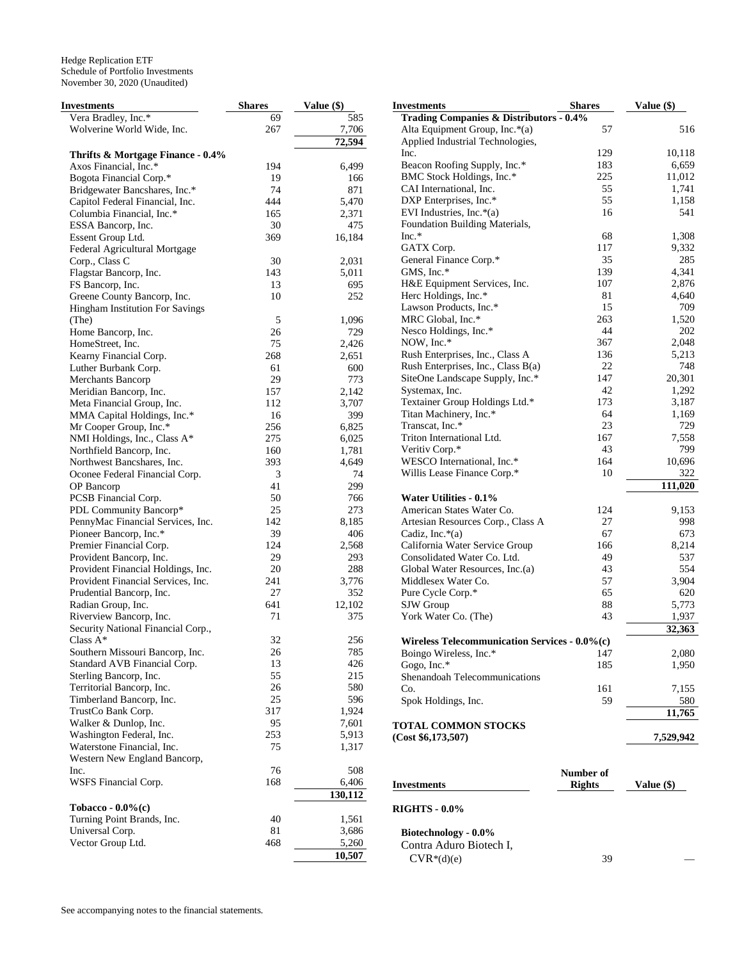| Investments                        | <b>Shares</b> | Value (\$) | <b>Investments</b>                            | <b>Shares</b> | Value (\$) |
|------------------------------------|---------------|------------|-----------------------------------------------|---------------|------------|
| Vera Bradley, Inc.*                | 69            | 585        | Trading Companies & Distributors - 0.4%       |               |            |
| Wolverine World Wide, Inc.         | 267           | 7,706      | Alta Equipment Group, Inc.*(a)                | 57            | 516        |
|                                    |               | 72,594     | Applied Industrial Technologies,              |               |            |
| Thrifts & Mortgage Finance - 0.4%  |               |            | Inc.                                          | 129           | 10,118     |
| Axos Financial, Inc.*              | 194           | 6,499      | Beacon Roofing Supply, Inc.*                  | 183           | 6,659      |
| Bogota Financial Corp.*            | 19            | 166        | BMC Stock Holdings, Inc.*                     | 225           | 11,012     |
| Bridgewater Bancshares, Inc.*      | 74            | 871        | CAI International, Inc.                       | 55            | 1,741      |
|                                    | 444           | 5,470      | DXP Enterprises, Inc.*                        | 55            | 1,158      |
| Capitol Federal Financial, Inc.    |               |            | EVI Industries, Inc. $*(a)$                   | 16            | 541        |
| Columbia Financial, Inc.*          | 165           | 2,371      | Foundation Building Materials,                |               |            |
| ESSA Bancorp, Inc.                 | 30            | 475        | $Inc.*$                                       | 68            | 1,308      |
| Essent Group Ltd.                  | 369           | 16,184     |                                               |               |            |
| Federal Agricultural Mortgage      |               |            | GATX Corp.                                    | 117           | 9,332      |
| Corp., Class C                     | 30            | 2,031      | General Finance Corp.*                        | 35            | 285        |
| Flagstar Bancorp, Inc.             | 143           | 5,011      | GMS, Inc.*                                    | 139           | 4,341      |
| FS Bancorp, Inc.                   | 13            | 695        | H&E Equipment Services, Inc.                  | 107           | 2,876      |
| Greene County Bancorp, Inc.        | 10            | 252        | Herc Holdings, Inc.*                          | 81            | 4,640      |
| Hingham Institution For Savings    |               |            | Lawson Products, Inc.*                        | 15            | 709        |
| (The)                              | 5             | 1,096      | MRC Global, Inc.*                             | 263           | 1,520      |
| Home Bancorp, Inc.                 | 26            | 729        | Nesco Holdings, Inc.*                         | 44            | 202        |
| HomeStreet, Inc.                   | 75            | 2,426      | NOW, Inc.*                                    | 367           | 2,048      |
| Kearny Financial Corp.             | 268           | 2,651      | Rush Enterprises, Inc., Class A               | 136           | 5,213      |
| Luther Burbank Corp.               | 61            | 600        | Rush Enterprises, Inc., Class B(a)            | 22            | 748        |
| <b>Merchants Bancorp</b>           | 29            | 773        | SiteOne Landscape Supply, Inc.*               | 147           | 20,301     |
| Meridian Bancorp, Inc.             | 157           | 2,142      | Systemax, Inc.                                | 42            | 1,292      |
| Meta Financial Group, Inc.         | 112           | 3,707      | Textainer Group Holdings Ltd.*                | 173           | 3,187      |
| MMA Capital Holdings, Inc.*        | 16            | 399        | Titan Machinery, Inc.*                        | 64            | 1,169      |
| Mr Cooper Group, Inc.*             | 256           | 6,825      | Transcat, Inc.*                               | 23            | 729        |
| NMI Holdings, Inc., Class A*       | 275           | 6,025      | Triton International Ltd.                     | 167           | 7,558      |
|                                    | 160           |            | Veritiv Corp.*                                | 43            | 799        |
| Northfield Bancorp, Inc.           |               | 1,781      | WESCO International, Inc.*                    | 164           | 10,696     |
| Northwest Bancshares, Inc.         | 393           | 4,649      |                                               | 10            | 322        |
| Oconee Federal Financial Corp.     | 3             | 74         | Willis Lease Finance Corp.*                   |               |            |
| OP Bancorp                         | 41            | 299        |                                               |               | 111,020    |
| PCSB Financial Corp.               | 50            | 766        | Water Utilities - 0.1%                        |               |            |
| PDL Community Bancorp*             | 25            | 273        | American States Water Co.                     | 124           | 9,153      |
| PennyMac Financial Services, Inc.  | 142           | 8,185      | Artesian Resources Corp., Class A             | 27            | 998        |
| Pioneer Bancorp, Inc.*             | 39            | 406        | Cadiz, Inc. $*(a)$                            | 67            | 673        |
| Premier Financial Corp.            | 124           | 2,568      | California Water Service Group                | 166           | 8,214      |
| Provident Bancorp, Inc.            | 29            | 293        | Consolidated Water Co. Ltd.                   | 49            | 537        |
| Provident Financial Holdings, Inc. | 20            | 288        | Global Water Resources, Inc.(a)               | 43            | 554        |
| Provident Financial Services, Inc. | 241           | 3,776      | Middlesex Water Co.                           | 57            | 3,904      |
| Prudential Bancorp, Inc.           | 27            | 352        | Pure Cycle Corp.*                             | 65            | 620        |
| Radian Group, Inc.                 | 641           | 12,102     | SJW Group                                     | 88            | 5,773      |
| Riverview Bancorp, Inc.            | 71            | 375        | York Water Co. (The)                          | 43            | 1,937      |
| Security National Financial Corp., |               |            |                                               |               | 32,363     |
| Class $A^*$                        | 32            | 256        | Wireless Telecommunication Services - 0.0%(c) |               |            |
| Southern Missouri Bancorp, Inc.    | 26            | 785        | Boingo Wireless, Inc.*                        | 147           | 2,080      |
| Standard AVB Financial Corp.       | 13            | 426        | Gogo, Inc.*                                   | 185           | 1,950      |
| Sterling Bancorp, Inc.             | 55            | 215        |                                               |               |            |
|                                    | 26            | 580        | Shenandoah Telecommunications                 |               |            |
| Territorial Bancorp, Inc.          |               |            | Co.                                           | 161           | 7,155      |
| Timberland Bancorp, Inc.           | 25            | 596        | Spok Holdings, Inc.                           | 59            | 580        |
| TrustCo Bank Corp.                 | 317           | 1,924      |                                               |               | 11,765     |
| Walker & Dunlop, Inc.              | 95            | 7,601      | <b>TOTAL COMMON STOCKS</b>                    |               |            |
| Washington Federal, Inc.           | 253           | 5,913      | (Cost \$6,173,507)                            |               | 7,529,942  |
| Waterstone Financial, Inc.         | 75            | 1,317      |                                               |               |            |
| Western New England Bancorp,       |               |            |                                               |               |            |
| Inc.                               | 76            | 508        |                                               | Number of     |            |
| WSFS Financial Corp.               | 168           | 6,406      | <b>Investments</b>                            | <b>Rights</b> | Value (\$) |
|                                    |               | 130,112    |                                               |               |            |
| Tobacco - $0.0\%$ (c)              |               |            | <b>RIGHTS - 0.0%</b>                          |               |            |
| Turning Point Brands, Inc.         | 40            | 1,561      |                                               |               |            |
| Universal Corp.                    | 81            | 3,686      | Biotechnology - 0.0%                          |               |            |
| Vector Group Ltd.                  | 468           | 5,260      |                                               |               |            |
|                                    |               | 10,507     | Contra Aduro Biotech I,                       |               |            |
|                                    |               |            | $CVR*(d)(e)$                                  | 39            |            |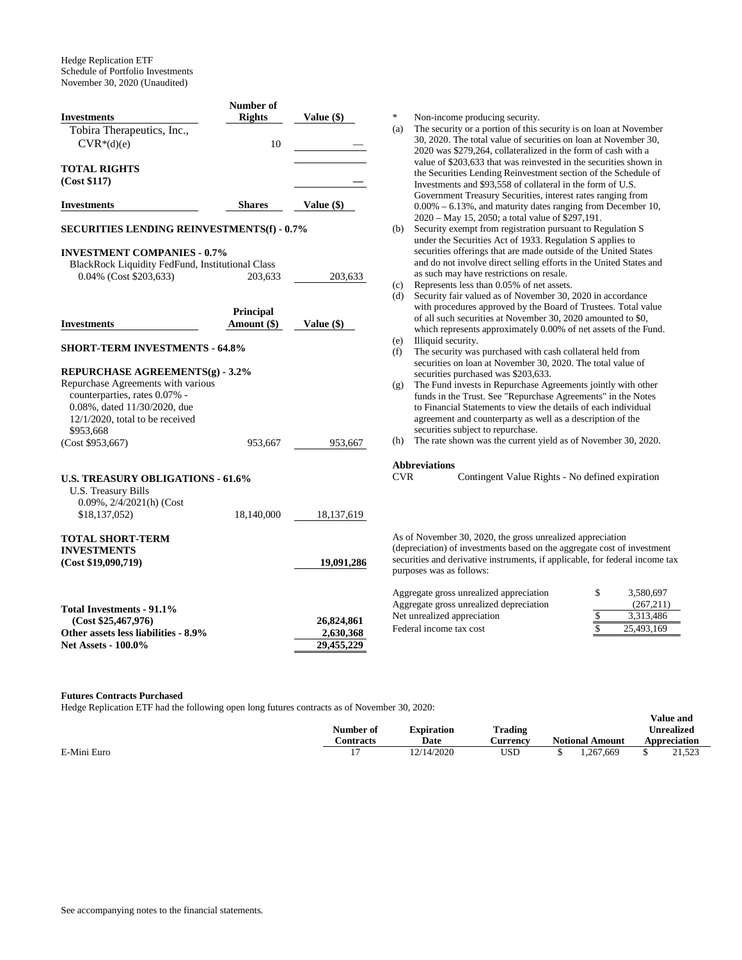| <b>Investments</b>                                                   |                  |                         |
|----------------------------------------------------------------------|------------------|-------------------------|
|                                                                      | <b>Rights</b>    | Value (\$)              |
| Tobira Therapeutics, Inc.,                                           |                  |                         |
| $CVR*(d)(e)$                                                         | 10               |                         |
|                                                                      |                  |                         |
| <b>TOTAL RIGHTS</b>                                                  |                  |                         |
| (Cost \$117)                                                         |                  |                         |
|                                                                      |                  |                         |
| <b>Investments</b>                                                   | <b>Shares</b>    | Value (\$)              |
| <b>SECURITIES LENDING REINVESTMENTS(f) - 0.7%</b>                    |                  |                         |
|                                                                      |                  |                         |
| <b>INVESTMENT COMPANIES - 0.7%</b>                                   |                  |                         |
| BlackRock Liquidity FedFund, Institutional Class                     |                  |                         |
| 0.04% (Cost \$203,633)                                               | 203,633          | 203,633                 |
|                                                                      |                  |                         |
|                                                                      |                  |                         |
|                                                                      | <b>Principal</b> |                         |
| <b>Investments</b>                                                   | Amount (\$)      | Value (\$)              |
|                                                                      |                  |                         |
| <b>SHORT-TERM INVESTMENTS - 64.8%</b>                                |                  |                         |
| REPURCHASE AGREEMENTS(g) - 3.2%                                      |                  |                         |
| Repurchase Agreements with various                                   |                  |                         |
| counterparties, rates 0.07% -                                        |                  |                         |
|                                                                      |                  |                         |
|                                                                      |                  |                         |
| 0.08%, dated 11/30/2020, due                                         |                  |                         |
| $12/1/2020$ , total to be received                                   |                  |                         |
| \$953,668                                                            |                  |                         |
|                                                                      | 953,667          | 953,667                 |
| (Cost \$953,667)                                                     |                  |                         |
| <b>U.S. TREASURY OBLIGATIONS - 61.6%</b>                             |                  |                         |
|                                                                      |                  |                         |
| U.S. Treasury Bills                                                  |                  |                         |
| $0.09\%$ , $2/4/2021$ (h) (Cost<br>\$18,137,052)                     | 18,140,000       |                         |
|                                                                      |                  | 18,137,619              |
|                                                                      |                  |                         |
|                                                                      |                  |                         |
|                                                                      |                  |                         |
|                                                                      |                  | 19,091,286              |
|                                                                      |                  |                         |
| <b>TOTAL SHORT-TERM</b><br><b>INVESTMENTS</b><br>(Cost \$19,090,719) |                  |                         |
| Total Investments - 91.1%                                            |                  |                         |
| (Cost \$25,467,976)                                                  |                  | 26,824,861              |
| Other assets less liabilities - 8.9%                                 |                  | 2,630,368<br>29,455,229 |

Non-income producing security.

- (a) The security or a portion of this security is on loan at November 30, 2020. The total value of securities on loan at November 30, 2020 was \$279,264, collateralized in the form of cash with a value of \$203,633 that was reinvested in the securities shown in the Securities Lending Reinvestment section of the Schedule of Investments and \$93,558 of collateral in the form of U.S. Government Treasury Securities, interest rates ranging from 0.00% – 6.13%, and maturity dates ranging from December 10, 2020 – May 15, 2050; a total value of \$297,191.
- (b) Security exempt from registration pursuant to Regulation S under the Securities Act of 1933. Regulation S applies to securities offerings that are made outside of the United States and do not involve direct selling efforts in the United States and as such may have restrictions on resale.
- Represents less than 0.05% of net assets.
- $\dot{d}$ ) Security fair valued as of November 30, 2020 in accordance with procedures approved by the Board of Trustees. Total value of all such securities at November 30, 2020 amounted to \$0, which represents approximately 0.00% of net assets of the Fund. (b) Illiquid security.
- 
- The security was purchased with cash collateral held from securities on loan at November 30, 2020. The total value of securities purchased was \$203,633.
- (g) The Fund invests in Repurchase Agreements jointly with other funds in the Trust. See "Repurchase Agreements" in the Notes to Financial Statements to view the details of each individual agreement and counterparty as well as a description of the securities subject to repurchase.
- (h) The rate shown was the current yield as of November 30, 2020.

# **Abbreviations**

Contingent Value Rights - No defined expiration

s of November 30, 2020, the gross unrealized appreciation lepreciation) of investments based on the aggregate cost of investment securities and derivative instruments, if applicable, for federal income tax purposes was as follows:

| Aggregate gross unrealized appreciation | S | 3.580.697  |
|-----------------------------------------|---|------------|
| Aggregate gross unrealized depreciation |   | (267.211)  |
| Net unrealized appreciation             |   | 3.313.486  |
| Federal income tax cost                 |   | 25,493,169 |

**Value and** 

#### **Futures Contracts Purchased**

Hedge Replication ETF had the following open long futures contracts as of November 30, 2020:

|             | Number of<br>`ontracts | Expiration<br>Date | <b>Trading</b><br>Aurrency | <b>Notional Amount</b> | Unrealized<br>Appreciation |
|-------------|------------------------|--------------------|----------------------------|------------------------|----------------------------|
| E-Mini Euro |                        | 12/14/2020         | <b>USD</b>                 | . 267.669              | 21,523                     |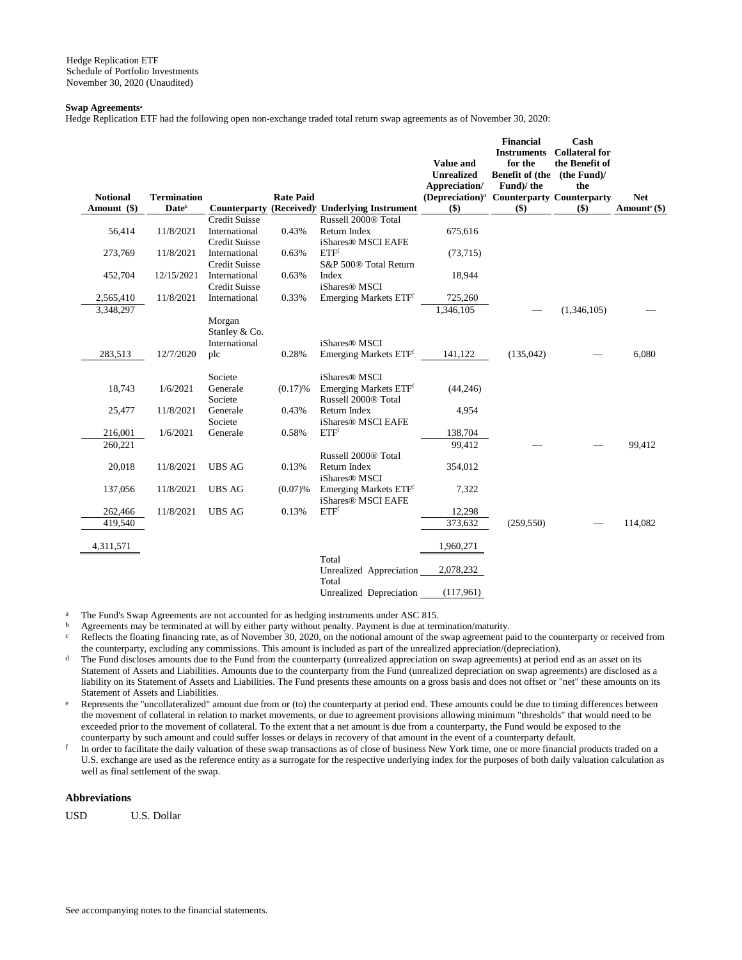#### **Swap Agreements<sup>a</sup>**

Hedge Replication ETF had the following open non-exchange traded total return swap agreements as of November 30, 2020:

| <b>Notional</b><br>Amount (\$) | <b>Termination</b><br>Date <sup>b</sup> | <b>Counterparty</b>                   | <b>Rate Paid</b> | (Received) <sup>c</sup> Underlying Instrument           | Value and<br><b>Unrealized</b><br>Appreciation/<br>(Depreciation) <sup>d</sup> Counterparty Counterparty<br>$($)$ | <b>Financial</b><br><b>Instruments</b><br>for the<br>Benefit of (the (the Fund)/<br>Fund)/ the<br>\$) | Cash<br><b>Collateral for</b><br>the Benefit of<br>the<br>$($)$ | <b>Net</b><br>Amount <sup>e</sup> (\$) |
|--------------------------------|-----------------------------------------|---------------------------------------|------------------|---------------------------------------------------------|-------------------------------------------------------------------------------------------------------------------|-------------------------------------------------------------------------------------------------------|-----------------------------------------------------------------|----------------------------------------|
|                                |                                         | <b>Credit Suisse</b>                  |                  | Russell 2000® Total                                     |                                                                                                                   |                                                                                                       |                                                                 |                                        |
| 56,414                         | 11/8/2021                               | International<br><b>Credit Suisse</b> | 0.43%            | Return Index<br>iShares <sup>®</sup> MSCI EAFE          | 675,616                                                                                                           |                                                                                                       |                                                                 |                                        |
| 273,769                        | 11/8/2021                               | International<br><b>Credit Suisse</b> | 0.63%            | ETF <sup>f</sup><br>S&P 500® Total Return               | (73,715)                                                                                                          |                                                                                                       |                                                                 |                                        |
| 452,704                        | 12/15/2021                              | International<br><b>Credit Suisse</b> | 0.63%            | Index<br>iShares <sup>®</sup> MSCI                      | 18,944                                                                                                            |                                                                                                       |                                                                 |                                        |
| 2,565,410                      | 11/8/2021                               | International                         | 0.33%            | Emerging Markets ETFf                                   | 725,260                                                                                                           |                                                                                                       |                                                                 |                                        |
| 3,348,297                      |                                         | Morgan<br>Stanley & Co.               |                  |                                                         | 1,346,105                                                                                                         |                                                                                                       | (1,346,105)                                                     |                                        |
|                                |                                         | International                         |                  | iShares <sup>®</sup> MSCI                               |                                                                                                                   |                                                                                                       |                                                                 |                                        |
| 283,513                        | 12/7/2020                               | plc                                   | 0.28%            | Emerging Markets ETF <sup>f</sup>                       | 141,122                                                                                                           | (135,042)                                                                                             |                                                                 | 6,080                                  |
|                                |                                         | Societe                               |                  | iShares <sup>®</sup> MSCI                               |                                                                                                                   |                                                                                                       |                                                                 |                                        |
| 18,743                         | 1/6/2021                                | Generale<br>Societe                   | (0.17)%          | Emerging Markets ETFf<br>Russell 2000® Total            | (44, 246)                                                                                                         |                                                                                                       |                                                                 |                                        |
| 25,477                         | 11/8/2021                               | Generale<br>Societe                   | 0.43%            | Return Index<br>iShares <sup>®</sup> MSCI EAFE          | 4,954                                                                                                             |                                                                                                       |                                                                 |                                        |
| 216,001                        | 1/6/2021                                | Generale                              | 0.58%            | ETF <sup>f</sup>                                        | 138,704                                                                                                           |                                                                                                       |                                                                 |                                        |
| 260,221                        |                                         |                                       |                  |                                                         | 99,412                                                                                                            |                                                                                                       |                                                                 | 99,412                                 |
|                                |                                         |                                       |                  | Russell 2000® Total                                     |                                                                                                                   |                                                                                                       |                                                                 |                                        |
| 20,018                         | 11/8/2021                               | <b>UBS AG</b>                         | 0.13%            | Return Index<br>iShares <sup>®</sup> MSCI               | 354,012                                                                                                           |                                                                                                       |                                                                 |                                        |
| 137,056                        | 11/8/2021                               | <b>UBS AG</b>                         | $(0.07)$ %       | Emerging Markets ETFf<br>iShares <sup>®</sup> MSCI EAFE | 7,322                                                                                                             |                                                                                                       |                                                                 |                                        |
| 262,466                        | 11/8/2021                               | <b>UBS AG</b>                         | 0.13%            | ETF <sup>f</sup>                                        | 12,298                                                                                                            |                                                                                                       |                                                                 |                                        |
| 419,540                        |                                         |                                       |                  |                                                         | 373,632                                                                                                           | (259, 550)                                                                                            |                                                                 | 114,082                                |
| 4,311,571                      |                                         |                                       |                  |                                                         | 1,960,271                                                                                                         |                                                                                                       |                                                                 |                                        |
|                                |                                         |                                       |                  | Total<br>Unrealized Appreciation<br>Total               | 2,078,232                                                                                                         |                                                                                                       |                                                                 |                                        |
|                                |                                         |                                       |                  | Unrealized Depreciation                                 | (117,961)                                                                                                         |                                                                                                       |                                                                 |                                        |

The Fund's Swap Agreements are not accounted for as hedging instruments under ASC 815.

b Agreements may be terminated at will by either party without penalty. Payment is due at termination/maturity.

Reflects the floating financing rate, as of November 30, 2020, on the notional amount of the swap agreement paid to the counterparty or received from the counterparty, excluding any commissions. This amount is included as part of the unrealized appreciation/(depreciation).

<sup>d</sup> The Fund discloses amounts due to the Fund from the counterparty (unrealized appreciation on swap agreements) at period end as an asset on its Statement of Assets and Liabilities. Amounts due to the counterparty from the Fund (unrealized depreciation on swap agreements) are disclosed as a liability on its Statement of Assets and Liabilities. The Fund presents these amounts on a gross basis and does not offset or "net" these amounts on its Statement of Assets and Liabilities.

e Represents the "uncollateralized" amount due from or (to) the counterparty at period end. These amounts could be due to timing differences between the movement of collateral in relation to market movements, or due to agreement provisions allowing minimum "thresholds" that would need to be exceeded prior to the movement of collateral. To the extent that a net amount is due from a counterparty, the Fund would be exposed to the counterparty by such amount and could suffer losses or delays in recovery of that amount in the event of a counterparty default.

f In order to facilitate the daily valuation of these swap transactions as of close of business New York time, one or more financial products traded on a U.S. exchange are used as the reference entity as a surrogate for the respective underlying index for the purposes of both daily valuation calculation as well as final settlement of the swap.

## **Abbreviations**

USD U.S. Dollar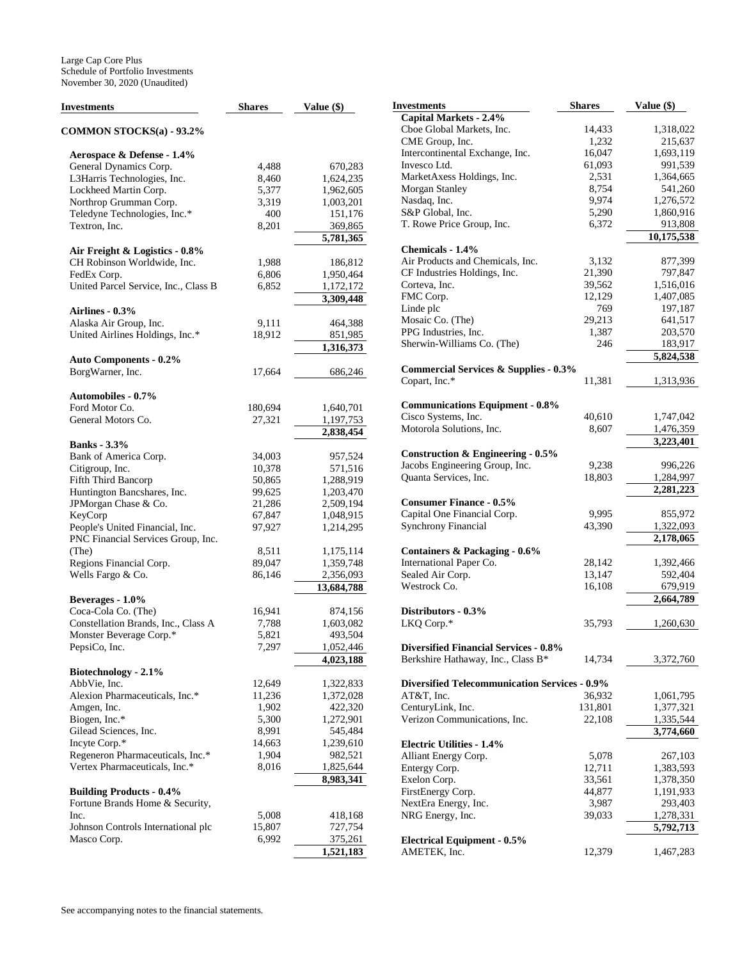| Investments                          | <b>Shares</b> | Value (\$)             | <b>Investments</b>                                   | <b>Shares</b> | Value $(\$)$ |
|--------------------------------------|---------------|------------------------|------------------------------------------------------|---------------|--------------|
|                                      |               |                        | Capital Markets - 2.4%                               |               |              |
| COMMON STOCKS(a) - 93.2%             |               |                        | Cboe Global Markets, Inc.                            | 14,433        | 1,318,022    |
|                                      |               |                        | CME Group, Inc.                                      | 1,232         | 215,637      |
| Aerospace & Defense - 1.4%           |               |                        | Intercontinental Exchange, Inc.                      | 16,047        | 1,693,119    |
| General Dynamics Corp.               | 4,488         | 670,283                | Invesco Ltd.                                         | 61,093        | 991,539      |
| L3Harris Technologies, Inc.          | 8,460         | 1,624,235              | MarketAxess Holdings, Inc.                           | 2,531         | 1,364,665    |
| Lockheed Martin Corp.                | 5,377         | 1,962,605              | Morgan Stanley                                       | 8,754         | 541,260      |
|                                      | 3,319         | 1,003,201              | Nasdaq, Inc.                                         | 9,974         | 1,276,572    |
| Northrop Grumman Corp.               | 400           |                        | S&P Global, Inc.                                     | 5,290         | 1,860,916    |
| Teledyne Technologies, Inc.*         |               | 151,176                | T. Rowe Price Group, Inc.                            | 6,372         |              |
| Textron, Inc.                        | 8,201         | 369,865                |                                                      |               | 913,808      |
|                                      |               | $\overline{5,781,365}$ |                                                      |               | 10,175,538   |
| Air Freight & Logistics - 0.8%       |               |                        | Chemicals - 1.4%                                     |               |              |
| CH Robinson Worldwide, Inc.          | 1,988         | 186,812                | Air Products and Chemicals, Inc.                     | 3,132         | 877,399      |
| FedEx Corp.                          | 6,806         | 1,950,464              | CF Industries Holdings, Inc.                         | 21,390        | 797,847      |
| United Parcel Service, Inc., Class B | 6,852         | 1,172,172              | Corteva, Inc.                                        | 39,562        | 1,516,016    |
|                                      |               | 3,309,448              | FMC Corp.                                            | 12,129        | 1,407,085    |
| Airlines - 0.3%                      |               |                        | Linde plc                                            | 769           | 197,187      |
| Alaska Air Group, Inc.               | 9,111         | 464,388                | Mosaic Co. (The)                                     | 29,213        | 641,517      |
| United Airlines Holdings, Inc.*      | 18,912        | 851,985                | PPG Industries, Inc.                                 | 1,387         | 203,570      |
|                                      |               |                        | Sherwin-Williams Co. (The)                           | 246           | 183,917      |
|                                      |               | 1,316,373              |                                                      |               | 5,824,538    |
| <b>Auto Components - 0.2%</b>        |               |                        |                                                      |               |              |
| BorgWarner, Inc.                     | 17,664        | 686,246                | <b>Commercial Services &amp; Supplies - 0.3%</b>     |               |              |
|                                      |               |                        | Copart, Inc.*                                        | 11,381        | 1,313,936    |
| <b>Automobiles - 0.7%</b>            |               |                        |                                                      |               |              |
| Ford Motor Co.                       | 180.694       | 1,640,701              | <b>Communications Equipment - 0.8%</b>               |               |              |
| General Motors Co.                   | 27,321        | 1,197,753              | Cisco Systems, Inc.                                  | 40,610        | 1,747,042    |
|                                      |               | 2,838,454              | Motorola Solutions, Inc.                             | 8,607         | 1,476,359    |
| <b>Banks</b> - 3.3%                  |               |                        |                                                      |               | 3,223,401    |
| Bank of America Corp.                | 34,003        | 957,524                | Construction & Engineering - 0.5%                    |               |              |
| Citigroup, Inc.                      | 10,378        | 571,516                | Jacobs Engineering Group, Inc.                       | 9,238         | 996,226      |
| Fifth Third Bancorp                  | 50,865        | 1,288,919              | Quanta Services, Inc.                                | 18,803        | 1,284,997    |
|                                      |               |                        |                                                      |               | 2,281,223    |
| Huntington Bancshares, Inc.          | 99,625        | 1,203,470              |                                                      |               |              |
| JPMorgan Chase & Co.                 | 21,286        | 2,509,194              | <b>Consumer Finance - 0.5%</b>                       |               |              |
| KeyCorp                              | 67,847        | 1,048,915              | Capital One Financial Corp.                          | 9,995         | 855,972      |
| People's United Financial, Inc.      | 97,927        | 1,214,295              | <b>Synchrony Financial</b>                           | 43,390        | 1,322,093    |
| PNC Financial Services Group, Inc.   |               |                        |                                                      |               | 2,178,065    |
| (The)                                | 8,511         | 1,175,114              | Containers & Packaging - 0.6%                        |               |              |
| Regions Financial Corp.              | 89,047        | 1,359,748              | International Paper Co.                              | 28,142        | 1,392,466    |
| Wells Fargo & Co.                    | 86,146        | 2,356,093              | Sealed Air Corp.                                     | 13,147        | 592,404      |
|                                      |               | 13,684,788             | Westrock Co.                                         | 16,108        | 679,919      |
| Beverages - 1.0%                     |               |                        |                                                      |               | 2,664,789    |
| Coca-Cola Co. (The)                  | 16,941        | 874,156                | Distributors - 0.3%                                  |               |              |
| Constellation Brands, Inc., Class A  | 7,788         | 1,603,082              | LKQ Corp.*                                           | 35,793        | 1,260,630    |
| Monster Beverage Corp.*              | 5,821         | 493,504                |                                                      |               |              |
| PepsiCo, Inc.                        | 7,297         | 1,052,446              | <b>Diversified Financial Services - 0.8%</b>         |               |              |
|                                      |               |                        |                                                      |               |              |
|                                      |               | 4,023,188              | Berkshire Hathaway, Inc., Class B*                   | 14,734        | 3,372,760    |
| Biotechnology - 2.1%                 |               |                        |                                                      |               |              |
| AbbVie, Inc.                         | 12,649        | 1,322,833              | <b>Diversified Telecommunication Services - 0.9%</b> |               |              |
| Alexion Pharmaceuticals, Inc.*       | 11,236        | 1,372,028              | AT&T, Inc.                                           | 36,932        | 1,061,795    |
| Amgen, Inc.                          | 1,902         | 422,320                | CenturyLink, Inc.                                    | 131,801       | 1,377,321    |
| Biogen, Inc.*                        | 5,300         | 1,272,901              | Verizon Communications, Inc.                         | 22,108        | 1,335,544    |
| Gilead Sciences, Inc.                | 8,991         | 545,484                |                                                      |               | 3,774,660    |
| Incyte Corp.*                        | 14,663        | 1,239,610              | <b>Electric Utilities - 1.4%</b>                     |               |              |
| Regeneron Pharmaceuticals, Inc.*     | 1,904         | 982,521                | Alliant Energy Corp.                                 | 5,078         | 267,103      |
| Vertex Pharmaceuticals, Inc.*        | 8,016         | 1,825,644              | Entergy Corp.                                        | 12,711        | 1,383,593    |
|                                      |               | 8,983,341              | Exelon Corp.                                         | 33,561        | 1,378,350    |
|                                      |               |                        |                                                      |               |              |
| <b>Building Products - 0.4%</b>      |               |                        | FirstEnergy Corp.                                    | 44,877        | 1,191,933    |
| Fortune Brands Home & Security,      |               |                        | NextEra Energy, Inc.                                 | 3,987         | 293,403      |
| Inc.                                 | 5,008         | 418,168                | NRG Energy, Inc.                                     | 39,033        | 1,278,331    |
| Johnson Controls International plc   | 15,807        | 727,754                |                                                      |               | 5,792,713    |
| Masco Corp.                          | 6,992         | 375,261                | <b>Electrical Equipment - 0.5%</b>                   |               |              |
|                                      |               | 1,521,183              | AMETEK, Inc.                                         | 12,379        | 1,467,283    |
|                                      |               |                        |                                                      |               |              |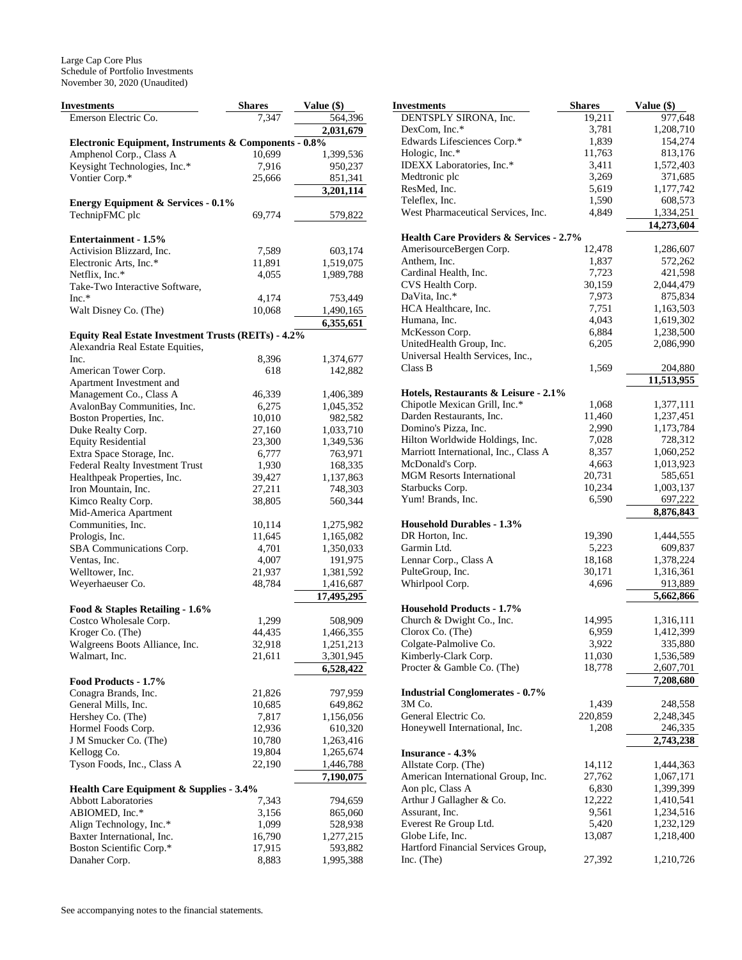Large Cap Core Plus Schedule of Portfolio Investments November 30, 2020 (Unaudited)

| <b>Investments</b>                                         | <b>Shares</b>   | Value (\$)           |
|------------------------------------------------------------|-----------------|----------------------|
| Emerson Electric Co.                                       | 7.347           | 564,396              |
|                                                            |                 | 2,031,679            |
| Electronic Equipment, Instruments & Components - 0.8%      |                 |                      |
| Amphenol Corp., Class A                                    | 10,699          | 1,399,536            |
| Keysight Technologies, Inc.*                               | 7,916           | 950,237              |
| Vontier Corp.*                                             | 25,666          | 851,341              |
|                                                            |                 | 3,201,114            |
| <b>Energy Equipment &amp; Services - 0.1%</b>              |                 |                      |
| TechnipFMC plc                                             | 69,774          | 579,822              |
|                                                            |                 |                      |
| Entertainment - 1.5%<br>Activision Blizzard, Inc.          | 7,589           |                      |
| Electronic Arts, Inc.*                                     | 11,891          | 603,174<br>1,519,075 |
| Netflix, Inc.*                                             | 4,055           | 1,989,788            |
| Take-Two Interactive Software,                             |                 |                      |
| $Inc.*$                                                    | 4,174           | 753,449              |
| Walt Disney Co. (The)                                      | 10,068          | 1,490,165            |
|                                                            |                 | 6,355,651            |
| <b>Equity Real Estate Investment Trusts (REITs) - 4.2%</b> |                 |                      |
| Alexandria Real Estate Equities,                           |                 |                      |
| Inc.                                                       | 8,396           | 1,374,677            |
| American Tower Corp.                                       | 618             | 142,882              |
| Apartment Investment and                                   |                 |                      |
| Management Co., Class A                                    | 46,339          | 1,406,389            |
| AvalonBay Communities, Inc.                                | 6,275           | 1,045,352            |
| Boston Properties, Inc.                                    | 10,010          | 982,582              |
| Duke Realty Corp.                                          | 27,160          | 1,033,710            |
| <b>Equity Residential</b>                                  | 23,300          | 1,349,536            |
| Extra Space Storage, Inc.                                  | 6,777           | 763,971              |
| Federal Realty Investment Trust                            | 1,930           | 168,335              |
| Healthpeak Properties, Inc.                                | 39,427          | 1,137,863            |
| Iron Mountain, Inc.                                        | 27,211          | 748,303              |
| Kimco Realty Corp.                                         | 38,805          | 560,344              |
| Mid-America Apartment<br>Communities, Inc.                 | 10,114          | 1,275,982            |
| Prologis, Inc.                                             | 11,645          | 1,165,082            |
| SBA Communications Corp.                                   | 4,701           | 1,350,033            |
| Ventas, Inc.                                               | 4,007           | 191,975              |
| Welltower, Inc.                                            | 21,937          | 1,381,592            |
| Weyerhaeuser Co.                                           | 48,784          | 1,416,687            |
|                                                            |                 | 17,495,295           |
| Food & Staples Retailing - 1.6%                            |                 |                      |
| Costco Wholesale Corp.                                     | 1,299           | 508,909              |
| Kroger Co. (The)                                           | 44,435          | 1,466,355            |
| Walgreens Boots Alliance, Inc.                             | 32,918          | 1,251,213            |
| Walmart, Inc.                                              | 21,611          | 3,301,945            |
|                                                            |                 | 6,528,422            |
| Food Products - 1.7%                                       |                 |                      |
| Conagra Brands, Inc.                                       | 21,826          | 797,959              |
| General Mills, Inc.<br>Hershey Co. (The)                   | 10,685          | 649,862              |
| Hormel Foods Corp.                                         | 7,817<br>12,936 | 1,156,056<br>610,320 |
| J M Smucker Co. (The)                                      | 10,780          | 1,263,416            |
| Kellogg Co.                                                | 19,804          | 1,265,674            |
| Tyson Foods, Inc., Class A                                 | 22,190          | 1,446,788            |
|                                                            |                 | 7,190,075            |
| Health Care Equipment & Supplies - 3.4%                    |                 |                      |
| <b>Abbott Laboratories</b>                                 | 7,343           | 794,659              |
| ABIOMED, Inc.*                                             | 3,156           | 865,060              |
| Align Technology, Inc.*                                    | 1,099           | 528,938              |
| Baxter International, Inc.                                 | 16,790          | 1,277,215            |
| Boston Scientific Corp.*                                   | 17,915          | 593,882              |
| Danaher Corp.                                              | 8,883           | 1,995,388            |

| Investments                                                           | <b>Shares</b>    | Value (\$)              |
|-----------------------------------------------------------------------|------------------|-------------------------|
| DENTSPLY SIRONA, Inc.                                                 | 19,211           | 977,648                 |
| DexCom, Inc.*                                                         | 3,781            | 1,208,710               |
| Edwards Lifesciences Corp.*                                           | 1,839            | 154,274                 |
| Hologic, Inc.*                                                        | 11,763           | 813,176                 |
| IDEXX Laboratories, Inc.*                                             | 3,411            | 1,572,403               |
| Medtronic plc                                                         | 3,269            | 371,685                 |
| ResMed, Inc.                                                          | 5,619            | 1,177,742               |
| Teleflex, Inc.                                                        | 1,590            | 608,573                 |
| West Pharmaceutical Services, Inc.                                    | 4,849            | 1,334,251<br>14,273,604 |
| Health Care Providers & Services - 2.7%                               |                  |                         |
| AmerisourceBergen Corp.                                               | 12,478           | 1,286,607               |
| Anthem, Inc.                                                          | 1,837            | 572,262                 |
| Cardinal Health, Inc.                                                 | 7,723            | 421,598                 |
| CVS Health Corp.                                                      | 30,159           | 2,044,479               |
| DaVita, Inc.*                                                         | 7,973            | 875,834                 |
| HCA Healthcare, Inc.                                                  | 7,751            | 1,163,503               |
| Humana, Inc.                                                          | 4,043            | 1,619,302               |
| McKesson Corp.                                                        | 6,884            | 1,238,500               |
| UnitedHealth Group, Inc.                                              | 6,205            | 2,086,990               |
| Universal Health Services, Inc.,                                      |                  |                         |
| Class B                                                               | 1,569            | 204,880                 |
|                                                                       |                  | 11.513.955              |
| Hotels, Restaurants & Leisure - 2.1%<br>Chipotle Mexican Grill, Inc.* | 1,068            | 1,377,111               |
| Darden Restaurants, Inc.                                              | 11,460           | 1,237,451               |
| Domino's Pizza, Inc.                                                  | 2,990            | 1,173,784               |
| Hilton Worldwide Holdings, Inc.                                       | 7,028            | 728,312                 |
| Marriott International, Inc., Class A                                 | 8,357            | 1,060,252               |
| McDonald's Corp.                                                      | 4,663            | 1,013,923               |
| <b>MGM Resorts International</b>                                      | 20,731           | 585,651                 |
| Starbucks Corp.                                                       | 10,234           | 1,003,137               |
| Yum! Brands, Inc.                                                     | 6,590            | 697,222                 |
|                                                                       |                  | 8,876,843               |
| <b>Household Durables - 1.3%</b>                                      |                  |                         |
| DR Horton, Inc.                                                       | 19,390           | 1,444,555               |
| Garmin Ltd.                                                           | 5,223            | 609,837                 |
| Lennar Corp., Class A                                                 | 18,168           | 1,378,224               |
| PulteGroup, Inc.                                                      | 30,171           | 1,316,361               |
| Whirlpool Corp.                                                       | 4,696            | 913,889                 |
| <b>Household Products - 1.7%</b>                                      |                  | 5,662,866               |
| Church & Dwight Co., Inc.                                             | 14,995           | 1,316,111               |
| Clorox Co. (The)                                                      | 6,959            | 1,412,399               |
| Colgate-Palmolive Co.                                                 | 3,922            | 335,880                 |
| Kimberly-Clark Corp.                                                  | 11,030           | 1,536,589               |
| Procter & Gamble Co. (The)                                            | 18,778           | 2,607,701               |
|                                                                       |                  | 7,208,680               |
| <b>Industrial Conglomerates - 0.7%</b>                                |                  |                         |
| 3M Co.                                                                | 1,439            | 248,558                 |
| General Electric Co.                                                  | 220,859          | 2,248,345               |
| Honeywell International, Inc.                                         | 1,208            | 246,335                 |
|                                                                       |                  | 2,743,238               |
| <b>Insurance - 4.3%</b>                                               |                  |                         |
| Allstate Corp. (The)<br>American International Group, Inc.            | 14,112<br>27,762 | 1,444,363<br>1,067,171  |
| Aon plc, Class A                                                      | 6,830            | 1,399,399               |
| Arthur J Gallagher & Co.                                              | 12,222           | 1,410,541               |
| Assurant, Inc.                                                        | 9,561            | 1,234,516               |
| Everest Re Group Ltd.                                                 | 5,420            | 1,232,129               |
| Globe Life, Inc.                                                      | 13,087           | 1,218,400               |
| Hartford Financial Services Group,                                    |                  |                         |
| Inc. (The)                                                            | 27,392           | 1,210,726               |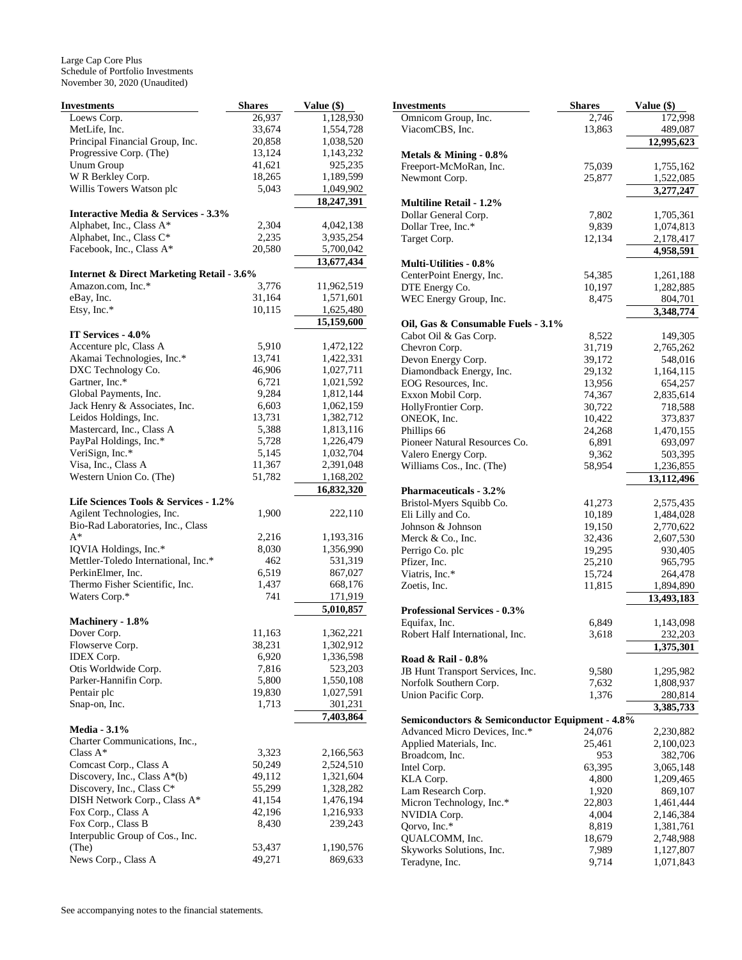Large Cap Core Plus Schedule of Portfolio Investments November 30, 2020 (Unaudited)

| Investments                                                               | <b>Shares</b> | Value (\$) |
|---------------------------------------------------------------------------|---------------|------------|
| Loews Corp.                                                               | 26,937        | 1,128,930  |
| MetLife, Inc.                                                             | 33,674        | 1,554,728  |
| Principal Financial Group, Inc.                                           | 20,858        | 1,038,520  |
| Progressive Corp. (The)                                                   | 13,124        | 1,143,232  |
| <b>Unum Group</b>                                                         | 41,621        | 925,235    |
| W R Berkley Corp.                                                         | 18,265        | 1,189,599  |
| Willis Towers Watson plc                                                  | 5,043         | 1,049,902  |
|                                                                           |               | 18,247,391 |
| <b>Interactive Media &amp; Services - 3.3%</b>                            |               |            |
| Alphabet, Inc., Class A*                                                  | 2,304         | 4,042,138  |
| Alphabet, Inc., Class C*                                                  | 2,235         | 3,935,254  |
| Facebook, Inc., Class A*                                                  | 20,580        | 5,700,042  |
|                                                                           |               | 13,677,434 |
| <b>Internet &amp; Direct Marketing Retail - 3.6%</b><br>Amazon.com, Inc.* | 3,776         | 11,962,519 |
| eBay, Inc.                                                                | 31,164        | 1,571,601  |
| Etsy, Inc.*                                                               | 10,115        | 1,625,480  |
|                                                                           |               | 15,159,600 |
| IT Services - 4.0%                                                        |               |            |
| Accenture plc, Class A                                                    | 5,910         | 1,472,122  |
| Akamai Technologies, Inc.*                                                | 13,741        | 1,422,331  |
| DXC Technology Co.                                                        | 46,906        | 1,027,711  |
| Gartner, Inc.*                                                            | 6,721         | 1,021,592  |
| Global Payments, Inc.                                                     | 9,284         | 1,812,144  |
| Jack Henry & Associates, Inc.                                             | 6,603         | 1,062,159  |
| Leidos Holdings, Inc.                                                     | 13,731        | 1,382,712  |
| Mastercard, Inc., Class A                                                 | 5,388         | 1,813,116  |
| PayPal Holdings, Inc.*                                                    | 5,728         | 1,226,479  |
| VeriSign, Inc.*                                                           | 5,145         | 1,032,704  |
| Visa, Inc., Class A                                                       | 11,367        | 2,391,048  |
| Western Union Co. (The)                                                   | 51,782        | 1,168,202  |
|                                                                           |               | 16,832,320 |
| Life Sciences Tools & Services - 1.2%                                     |               |            |
| Agilent Technologies, Inc.                                                | 1,900         | 222,110    |
| Bio-Rad Laboratories, Inc., Class                                         |               |            |
| $A^*$                                                                     | 2,216         | 1,193,316  |
| IQVIA Holdings, Inc.*                                                     | 8,030         | 1,356,990  |
| Mettler-Toledo International, Inc.*                                       | 462           | 531,319    |
| PerkinElmer, Inc.                                                         | 6,519         | 867,027    |
| Thermo Fisher Scientific, Inc.                                            | 1,437         | 668,176    |
| Waters Corp.*                                                             | 741           | 171,919    |
|                                                                           |               | 5,010,857  |
| Machinery - 1.8%                                                          |               |            |
| Dover Corp.                                                               | 11,163        | 1,362,221  |
| Flowserve Corp.                                                           | 38,231        | 1,302,912  |
| <b>IDEX Corp.</b>                                                         | 6,920         | 1,336,598  |
| Otis Worldwide Corp.                                                      | 7,816         | 523,203    |
| Parker-Hannifin Corp.                                                     | 5,800         | 1,550,108  |
| Pentair plc                                                               | 19,830        | 1,027,591  |
| Snap-on, Inc.                                                             | 1,713         | 301,231    |
|                                                                           |               | 7,403,864  |
| <b>Media - 3.1%</b><br>Charter Communications, Inc.,                      |               |            |
| Class $A^*$                                                               | 3,323         | 2,166,563  |
|                                                                           |               |            |
| Comcast Corp., Class A                                                    | 50,249        | 2,524,510  |
| Discovery, Inc., Class A*(b)                                              | 49,112        | 1,321,604  |
| Discovery, Inc., Class C*                                                 | 55,299        | 1,328,282  |
| DISH Network Corp., Class A*                                              | 41,154        | 1,476,194  |
| Fox Corp., Class A                                                        | 42,196        | 1,216,933  |
| Fox Corp., Class B                                                        | 8,430         | 239,243    |
| Interpublic Group of Cos., Inc.                                           |               |            |
| (The)                                                                     | 53,437        | 1,190,576  |
| News Corp., Class A                                                       | 49,271        | 869,633    |

| Investments                                     | <b>Shares</b> | Value (\$) |
|-------------------------------------------------|---------------|------------|
| Omnicom Group, Inc.                             | 2,746         | 172,998    |
| ViacomCBS, Inc.                                 | 13,863        | 489,087    |
|                                                 |               | 12,995,623 |
| Metals $\&$ Mining - 0.8%                       |               |            |
| Freeport-McMoRan, Inc.                          | 75,039        | 1,755,162  |
| Newmont Corp.                                   | 25,877        | 1,522,085  |
|                                                 |               | 3,277,247  |
| <b>Multiline Retail - 1.2%</b>                  |               |            |
| Dollar General Corp.                            | 7,802         | 1,705,361  |
| Dollar Tree, Inc.*                              | 9,839         | 1,074,813  |
| Target Corp.                                    | 12,134        | 2,178,417  |
|                                                 |               | 4,958,591  |
| <b>Multi-Utilities - 0.8%</b>                   |               |            |
| CenterPoint Energy, Inc.                        | 54,385        | 1,261,188  |
| DTE Energy Co.                                  | 10,197        | 1,282,885  |
| WEC Energy Group, Inc.                          | 8,475         | 804,701    |
|                                                 |               | 3,348,774  |
| Oil, Gas & Consumable Fuels - 3.1%              |               |            |
| Cabot Oil & Gas Corp.                           | 8,522         | 149,305    |
| Chevron Corp.                                   | 31,719        | 2,765,262  |
| Devon Energy Corp.                              | 39,172        | 548,016    |
| Diamondback Energy, Inc.                        | 29,132        | 1,164,115  |
| EOG Resources, Inc.                             | 13,956        | 654,257    |
| Exxon Mobil Corp.                               | 74,367        | 2,835,614  |
| HollyFrontier Corp.                             | 30,722        | 718,588    |
| ONEOK, Inc.                                     | 10,422        | 373,837    |
| Phillips 66                                     | 24,268        | 1,470,155  |
| Pioneer Natural Resources Co.                   | 6,891         | 693,097    |
| Valero Energy Corp.                             | 9,362         | 503,395    |
| Williams Cos., Inc. (The)                       | 58,954        | 1,236,855  |
|                                                 |               | 13,112,496 |
| <b>Pharmaceuticals - 3.2%</b>                   |               |            |
| Bristol-Myers Squibb Co.                        | 41,273        | 2,575,435  |
| Eli Lilly and Co.                               | 10,189        | 1,484,028  |
| Johnson & Johnson                               | 19,150        | 2,770,622  |
| Merck & Co., Inc.                               | 32,436        | 2,607,530  |
| Perrigo Co. plc                                 | 19,295        | 930,405    |
| Pfizer, Inc.                                    | 25,210        | 965,795    |
| Viatris, Inc.*                                  | 15,724        | 264,478    |
| Zoetis, Inc.                                    | 11,815        | 1,894,890  |
|                                                 |               | 13,493,183 |
| Professional Services - 0.3%                    |               |            |
| Equifax, Inc.                                   | 6,849         | 1,143,098  |
| Robert Half International, Inc.                 | 3,618         | 232,203    |
|                                                 |               | 1,375,301  |
| Road & Rail - 0.8%                              |               |            |
| JB Hunt Transport Services, Inc.                | 9,580         | 1,295,982  |
| Norfolk Southern Corp.                          | 7,632         | 1,808,937  |
| Union Pacific Corp.                             | 1,376         | 280,814    |
|                                                 |               | 3,385,733  |
| Semiconductors & Semiconductor Equipment - 4.8% |               |            |
| Advanced Micro Devices, Inc.*                   | 24,076        | 2,230,882  |
| Applied Materials, Inc.                         | 25,461        | 2,100,023  |
| Broadcom, Inc.                                  | 953           | 382,706    |
| Intel Corp.                                     | 63,395        | 3,065,148  |
| KLA Corp.                                       | 4,800         | 1,209,465  |
| Lam Research Corp.                              | 1,920         | 869,107    |
| Micron Technology, Inc.*                        | 22,803        | 1,461,444  |
| NVIDIA Corp.                                    | 4,004         | 2,146,384  |
| Qorvo, Inc.*                                    | 8,819         | 1,381,761  |
| QUALCOMM, Inc.                                  | 18,679        | 2,748,988  |
| Skyworks Solutions, Inc.                        | 7,989         | 1,127,807  |
| Teradyne, Inc.                                  | 9,714         | 1,071,843  |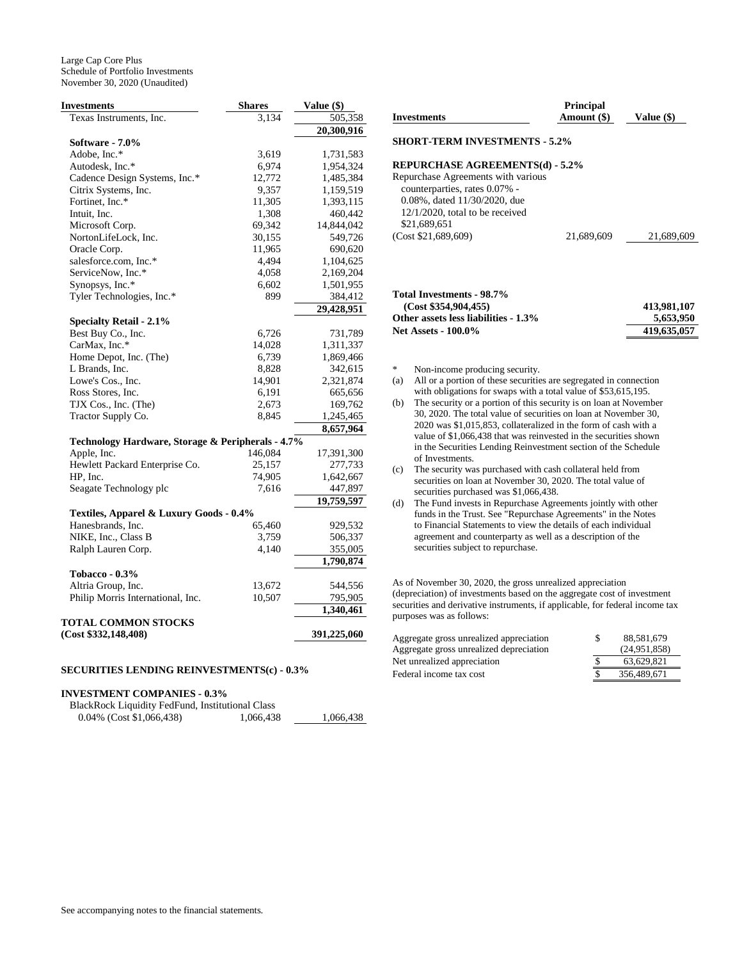Large Cap Core Plus Schedule of Portfolio Investments November 30, 2020 (Unaudited)

| <b>Investments</b>                                | <b>Shares</b> | Value (\$)  |
|---------------------------------------------------|---------------|-------------|
| Texas Instruments, Inc.                           | 3,134         | 505,358     |
|                                                   |               | 20,300,916  |
| Software - 7.0%                                   |               |             |
| Adobe, Inc.*                                      | 3,619         | 1,731,583   |
| Autodesk, Inc.*                                   | 6,974         | 1,954,324   |
| Cadence Design Systems, Inc.*                     | 12,772        | 1,485,384   |
| Citrix Systems, Inc.                              | 9,357         | 1,159,519   |
| Fortinet, Inc.*                                   | 11,305        | 1,393,115   |
| Intuit, Inc.                                      | 1,308         | 460,442     |
| Microsoft Corp.                                   | 69,342        | 14,844,042  |
| NortonLifeLock, Inc.                              | 30,155        | 549,726     |
| Oracle Corp.                                      | 11,965        | 690,620     |
| salesforce.com, Inc.*                             | 4,494         | 1,104,625   |
| ServiceNow, Inc.*                                 | 4,058         | 2,169,204   |
| Synopsys, Inc.*                                   | 6,602         | 1,501,955   |
| Tyler Technologies, Inc.*                         | 899           | 384,412     |
|                                                   |               | 29,428,951  |
| Specialty Retail - 2.1%                           |               |             |
| Best Buy Co., Inc.                                | 6,726         | 731,789     |
| CarMax, Inc.*                                     | 14,028        | 1,311,337   |
|                                                   |               | 1,869,466   |
| Home Depot, Inc. (The)                            | 6,739         |             |
| L Brands, Inc.                                    | 8,828         | 342,615     |
| Lowe's Cos., Inc.                                 | 14,901        | 2,321,874   |
| Ross Stores, Inc.                                 | 6,191         | 665,656     |
| TJX Cos., Inc. (The)                              | 2,673         | 169,762     |
| Tractor Supply Co.                                | 8,845         | 1,245,465   |
|                                                   |               | 8,657,964   |
| Technology Hardware, Storage & Peripherals - 4.7% |               |             |
| Apple, Inc.                                       | 146,084       | 17,391,300  |
| Hewlett Packard Enterprise Co.                    | 25,157        | 277,733     |
| HP, Inc.                                          | 74,905        | 1,642,667   |
| Seagate Technology plc                            | 7,616         | 447,897     |
|                                                   |               | 19,759,597  |
| Textiles, Apparel & Luxury Goods - 0.4%           |               |             |
| Hanesbrands, Inc.                                 | 65,460        | 929,532     |
| NIKE, Inc., Class B                               | 3,759         | 506,337     |
| Ralph Lauren Corp.                                | 4,140         | 355,005     |
|                                                   |               | 1,790,874   |
| Tobacco - $0.3\%$                                 |               |             |
| Altria Group, Inc.                                | 13,672        | 544,556     |
| Philip Morris International, Inc.                 | 10,507        | 795,905     |
|                                                   |               | 1,340,461   |
| TOTAL COMMON STOCKS                               |               |             |
| (Cost \$332,148,408)                              |               | 391,225,060 |
|                                                   |               |             |

## **SECURITIES LENDING REINVESTMENTS(c) - 0.3%**

## **INVESTMENT COMPANIES - 0.3%**

| BlackRock Liquidity FedFund, Institutional Class |           |
|--------------------------------------------------|-----------|
| $0.04\%$ (Cost \$1,066,438)                      | 1,066,438 |

1,066,438

|                                      | <b>Principal</b> |            |
|--------------------------------------|------------------|------------|
| Investments                          | Amount (\$)      | Value (\$) |
| <b>SHORT-TERM INVESTMENTS - 5.2%</b> |                  |            |
| REPURCHASE AGREEMENTS(d) - 5.2%      |                  |            |
| Repurchase Agreements with various   |                  |            |
| counterparties, rates 0.07% -        |                  |            |
| 0.08%, dated 11/30/2020, due         |                  |            |
| $12/1/2020$ , total to be received   |                  |            |

| Total Investments - 98.7%            |             |
|--------------------------------------|-------------|
| (Cost \$354.904.455)                 | 413.981.107 |
| Other assets less liabilities - 1.3% | 5.653.950   |

**Net Assets - 100.0% 419,635,057**

(Cost \$21,689,609) 21,689,609 21,689,609

Non-income producing security.

\$21,689,651

- (a) All or a portion of these securities are segregated in connection with obligations for swaps with a total value of \$53,615,195.
- (b) The security or a portion of this security is on loan at November 30, 2020. The total value of securities on loan at November 30, 2020 was \$1,015,853, collateralized in the form of cash with a value of \$1,066,438 that was reinvested in the securities shown in the Securities Lending Reinvestment section of the Schedule of Investments.
- (c) The security was purchased with cash collateral held from securities on loan at November 30, 2020. The total value of securities purchased was \$1,066,438.
- (d) The Fund invests in Repurchase Agreements jointly with other funds in the Trust. See "Repurchase Agreements" in the Notes to Financial Statements to view the details of each individual agreement and counterparty as well as a description of the securities subject to repurchase.

As of November 30, 2020, the gross unrealized appreciation (depreciation) of investments based on the aggregate cost of investment securities and derivative instruments, if applicable, for federal income tax purposes was as follows:

| Aggregate gross unrealized appreciation | S | 88.581.679   |
|-----------------------------------------|---|--------------|
| Aggregate gross unrealized depreciation |   | (24.951.858) |
| Net unrealized appreciation             |   | 63.629.821   |
| Federal income tax cost                 |   | 356,489,671  |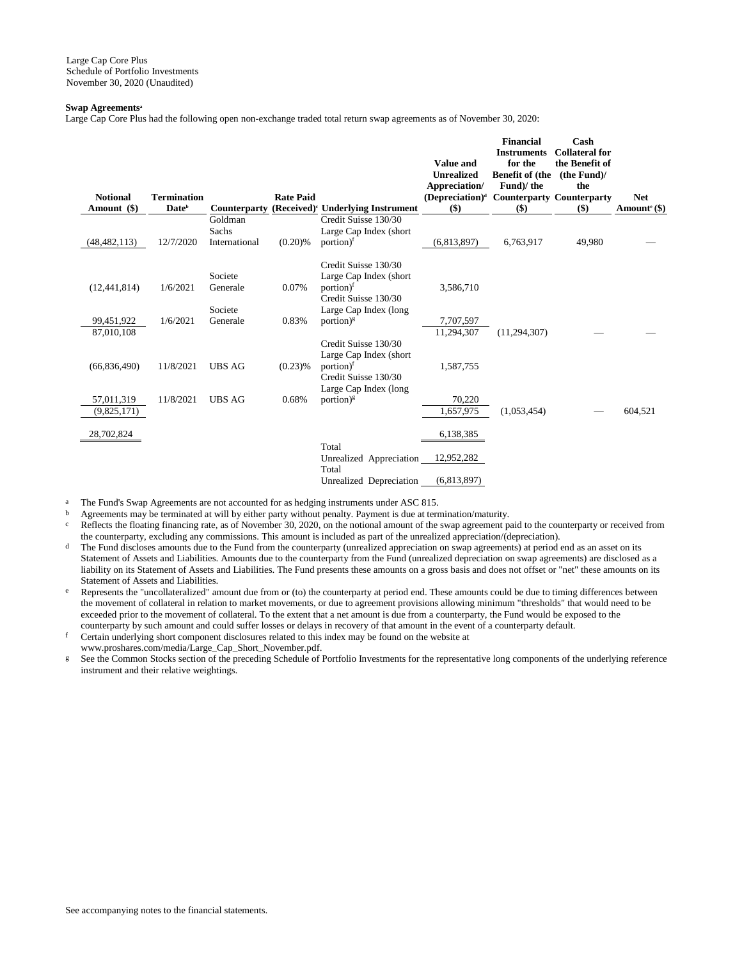## **Swap Agreements<sup>a</sup>**

Large Cap Core Plus had the following open non-exchange traded total return swap agreements as of November 30, 2020:

| <b>Notional</b> | <b>Termination</b> |                         | <b>Rate Paid</b> |                                                                                                                          | Value and<br><b>Unrealized</b><br>Appreciation/<br>$(Depreciation)^d$ | <b>Financial</b><br><b>Instruments</b><br>for the<br><b>Benefit of (the</b><br>Fund)/the<br><b>Counterparty Counterparty</b> | Cash<br><b>Collateral for</b><br>the Benefit of<br>(the Fund)<br>the | <b>Net</b>                 |
|-----------------|--------------------|-------------------------|------------------|--------------------------------------------------------------------------------------------------------------------------|-----------------------------------------------------------------------|------------------------------------------------------------------------------------------------------------------------------|----------------------------------------------------------------------|----------------------------|
| Amount (\$)     | Date <sup>b</sup>  | Counterparty<br>Goldman |                  | (Received) <sup><math>\cdot</math></sup> Underlying Instrument<br>Credit Suisse 130/30                                   | \$)                                                                   | $($)$                                                                                                                        | \$)                                                                  | Amount <sup>e</sup> $(\$)$ |
| (48, 482, 113)  | 12/7/2020          | Sachs<br>International  | $(0.20)$ %       | Large Cap Index (short<br>$portion)$ <sup>f</sup>                                                                        | (6,813,897)                                                           | 6,763,917                                                                                                                    | 49,980                                                               |                            |
| (12, 441, 814)  | 1/6/2021           | Societe<br>Generale     | 0.07%            | Credit Suisse 130/30<br>Large Cap Index (short)<br>portion) <sup>f</sup><br>Credit Suisse 130/30                         | 3,586,710                                                             |                                                                                                                              |                                                                      |                            |
| 99,451,922      | 1/6/2021           | Societe<br>Generale     | 0.83%            | Large Cap Index (long<br>portion) $\frac{1}{5}$                                                                          | 7,707,597                                                             |                                                                                                                              |                                                                      |                            |
| 87,010,108      |                    |                         |                  |                                                                                                                          | 11.294.307                                                            | (11, 294, 307)                                                                                                               |                                                                      |                            |
| (66, 836, 490)  | 11/8/2021          | <b>UBS AG</b>           | $(0.23)$ %       | Credit Suisse 130/30<br>Large Cap Index (short<br>portion) <sup>f</sup><br>Credit Suisse 130/30<br>Large Cap Index (long | 1,587,755                                                             |                                                                                                                              |                                                                      |                            |
| 57,011,319      | 11/8/2021          | <b>UBS AG</b>           | 0.68%            | portion) <sup><math>g</math></sup>                                                                                       | 70,220                                                                |                                                                                                                              |                                                                      |                            |
| (9,825,171)     |                    |                         |                  |                                                                                                                          | 1,657,975                                                             | (1,053,454)                                                                                                                  |                                                                      | 604,521                    |
| 28,702,824      |                    |                         |                  | Total                                                                                                                    | 6,138,385                                                             |                                                                                                                              |                                                                      |                            |
|                 |                    |                         |                  | Unrealized Appreciation<br>Total                                                                                         | 12,952,282                                                            |                                                                                                                              |                                                                      |                            |
|                 |                    |                         |                  | Unrealized Depreciation                                                                                                  | (6,813,897)                                                           |                                                                                                                              |                                                                      |                            |

<sup>a</sup> The Fund's Swap Agreements are not accounted for as hedging instruments under ASC 815.

b Agreements may be terminated at will by either party without penalty. Payment is due at termination/maturity.

Reflects the floating financing rate, as of November 30, 2020, on the notional amount of the swap agreement paid to the counterparty or received from the counterparty, excluding any commissions. This amount is included as part of the unrealized appreciation/(depreciation).

- The Fund discloses amounts due to the Fund from the counterparty (unrealized appreciation on swap agreements) at period end as an asset on its Statement of Assets and Liabilities. Amounts due to the counterparty from the Fund (unrealized depreciation on swap agreements) are disclosed as a liability on its Statement of Assets and Liabilities. The Fund presents these amounts on a gross basis and does not offset or "net" these amounts on its Statement of Assets and Liabilities.
- e Represents the "uncollateralized" amount due from or (to) the counterparty at period end. These amounts could be due to timing differences between the movement of collateral in relation to market movements, or due to agreement provisions allowing minimum "thresholds" that would need to be exceeded prior to the movement of collateral. To the extent that a net amount is due from a counterparty, the Fund would be exposed to the counterparty by such amount and could suffer losses or delays in recovery of that amount in the event of a counterparty default.

f Certain underlying short component disclosures related to this index may be found on the website at www.proshares.com/media/Large\_Cap\_Short\_November.pdf.

g See the Common Stocks section of the preceding Schedule of Portfolio Investments for the representative long components of the underlying reference instrument and their relative weightings.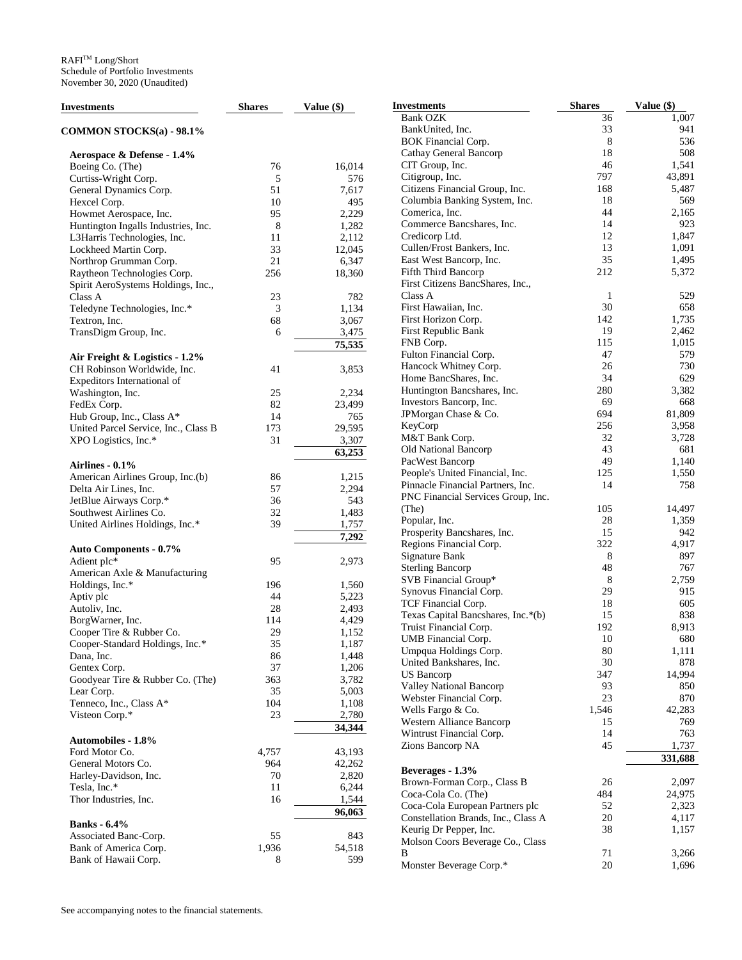| Investments                          | <b>Shares</b> | Value $(\$)$ | <b>Investments</b>                  | <b>Shares</b> | Value (\$) |
|--------------------------------------|---------------|--------------|-------------------------------------|---------------|------------|
|                                      |               |              | <b>Bank OZK</b>                     | 36            | 1,007      |
| COMMON STOCKS(a) - 98.1%             |               |              | BankUnited, Inc.                    | 33            | 941        |
|                                      |               |              | <b>BOK Financial Corp.</b>          | 8             | 536        |
| Aerospace & Defense - 1.4%           |               |              | Cathay General Bancorp              | 18            | 508        |
| Boeing Co. (The)                     | 76            | 16,014       | CIT Group, Inc.                     | 46            | 1,541      |
| Curtiss-Wright Corp.                 | 5             | 576          | Citigroup, Inc.                     | 797           | 43,891     |
|                                      | 51            |              | Citizens Financial Group, Inc.      | 168           | 5,487      |
| General Dynamics Corp.               |               | 7,617        |                                     | 18            | 569        |
| Hexcel Corp.                         | 10            | 495          | Columbia Banking System, Inc.       |               |            |
| Howmet Aerospace, Inc.               | 95            | 2,229        | Comerica, Inc.                      | 44            | 2,165      |
| Huntington Ingalls Industries, Inc.  | 8             | 1,282        | Commerce Bancshares, Inc.           | 14            | 923        |
| L3Harris Technologies, Inc.          | 11            | 2,112        | Credicorp Ltd.                      | 12            | 1,847      |
| Lockheed Martin Corp.                | 33            | 12,045       | Cullen/Frost Bankers, Inc.          | 13            | 1,091      |
| Northrop Grumman Corp.               | 21            | 6,347        | East West Bancorp, Inc.             | 35            | 1,495      |
| Raytheon Technologies Corp.          | 256           | 18,360       | Fifth Third Bancorp                 | 212           | 5,372      |
| Spirit AeroSystems Holdings, Inc.,   |               |              | First Citizens BancShares, Inc.,    |               |            |
| Class A                              | 23            | 782          | Class A                             | $\mathbf{1}$  | 529        |
| Teledyne Technologies, Inc.*         | 3             | 1,134        | First Hawaiian, Inc.                | 30            | 658        |
| Textron, Inc.                        | 68            | 3,067        | First Horizon Corp.                 | 142           | 1,735      |
| TransDigm Group, Inc.                | 6             | 3,475        | First Republic Bank                 | 19            | 2,462      |
|                                      |               | 75,535       | FNB Corp.                           | 115           | 1,015      |
|                                      |               |              | Fulton Financial Corp.              | 47            | 579        |
| Air Freight & Logistics - 1.2%       |               |              | Hancock Whitney Corp.               | 26            | 730        |
| CH Robinson Worldwide, Inc.          | 41            | 3,853        |                                     |               |            |
| Expeditors International of          |               |              | Home BancShares, Inc.               | 34            | 629        |
| Washington, Inc.                     | 25            | 2,234        | Huntington Bancshares, Inc.         | 280           | 3,382      |
| FedEx Corp.                          | 82            | 23,499       | Investors Bancorp, Inc.             | 69            | 668        |
| Hub Group, Inc., Class A*            | 14            | 765          | JPMorgan Chase & Co.                | 694           | 81,809     |
| United Parcel Service, Inc., Class B | 173           | 29,595       | KeyCorp                             | 256           | 3,958      |
| XPO Logistics, Inc.*                 | 31            | 3,307        | M&T Bank Corp.                      | 32            | 3,728      |
|                                      |               | 63,253       | Old National Bancorp                | 43            | 681        |
| Airlines - $0.1\%$                   |               |              | PacWest Bancorp                     | 49            | 1,140      |
|                                      |               |              | People's United Financial, Inc.     | 125           | 1,550      |
| American Airlines Group, Inc.(b)     | 86            | 1,215        | Pinnacle Financial Partners, Inc.   | 14            | 758        |
| Delta Air Lines, Inc.                | 57            | 2,294        | PNC Financial Services Group, Inc.  |               |            |
| JetBlue Airways Corp.*               | 36            | 543          | (The)                               | 105           | 14,497     |
| Southwest Airlines Co.               | 32            | 1,483        | Popular, Inc.                       | 28            | 1,359      |
| United Airlines Holdings, Inc.*      | 39            | 1,757        |                                     | 15            | 942        |
|                                      |               | 7,292        | Prosperity Bancshares, Inc.         |               |            |
| <b>Auto Components - 0.7%</b>        |               |              | Regions Financial Corp.             | 322           | 4,917      |
| Adient plc*                          | 95            | 2,973        | Signature Bank                      | 8             | 897        |
| American Axle & Manufacturing        |               |              | <b>Sterling Bancorp</b>             | 48            | 767        |
| Holdings, Inc.*                      | 196           | 1,560        | SVB Financial Group*                | 8             | 2,759      |
| Aptiv plc                            | 44            | 5,223        | Synovus Financial Corp.             | 29            | 915        |
| Autoliv, Inc.                        | 28            | 2,493        | TCF Financial Corp.                 | 18            | 605        |
| BorgWarner, Inc.                     | 114           | 4,429        | Texas Capital Bancshares, Inc.*(b)  | 15            | 838        |
| Cooper Tire & Rubber Co.             | 29            | 1,152        | Truist Financial Corp.              | 192           | 8,913      |
|                                      | 35            |              | UMB Financial Corp.                 | 10            | 680        |
| Cooper-Standard Holdings, Inc.*      |               | 1,187        | Umpqua Holdings Corp.               | 80            | 1,111      |
| Dana, Inc.                           | 86            | 1,448        | United Bankshares, Inc.             | 30            | 878        |
| Gentex Corp.                         | 37            | 1,206        | <b>US</b> Bancorp                   | 347           | 14,994     |
| Goodyear Tire & Rubber Co. (The)     | 363           | 3,782        | <b>Valley National Bancorp</b>      | 93            | 850        |
| Lear Corp.                           | 35            | 5,003        | Webster Financial Corp.             | 23            | 870        |
| Tenneco, Inc., Class A*              | 104           | 1,108        | Wells Fargo & Co.                   | 1,546         | 42,283     |
| Visteon Corp.*                       | 23            | 2,780        | Western Alliance Bancorp            | 15            | 769        |
|                                      |               | 34,344       |                                     | 14            | 763        |
| <b>Automobiles - 1.8%</b>            |               |              | Wintrust Financial Corp.            |               |            |
| Ford Motor Co.                       | 4,757         | 43,193       | Zions Bancorp NA                    | 45            | 1,737      |
| General Motors Co.                   | 964           | 42,262       |                                     |               | 331,688    |
| Harley-Davidson, Inc.                | 70            | 2,820        | Beverages - 1.3%                    |               |            |
| Tesla, Inc.*                         | 11            | 6,244        | Brown-Forman Corp., Class B         | 26            | 2,097      |
| Thor Industries, Inc.                | 16            | 1,544        | Coca-Cola Co. (The)                 | 484           | 24,975     |
|                                      |               |              | Coca-Cola European Partners plc     | 52            | 2,323      |
|                                      |               | 96,063       | Constellation Brands, Inc., Class A | 20            | 4,117      |
| <b>Banks</b> - 6.4%                  |               |              | Keurig Dr Pepper, Inc.              | 38            | 1,157      |
| Associated Banc-Corp.                | 55            | 843          | Molson Coors Beverage Co., Class    |               |            |
| Bank of America Corp.                | 1,936         | 54,518       | B                                   | 71            | 3,266      |
| Bank of Hawaii Corp.                 | 8             | 599          | Monster Beverage Corp.*             | $20\,$        | 1,696      |
|                                      |               |              |                                     |               |            |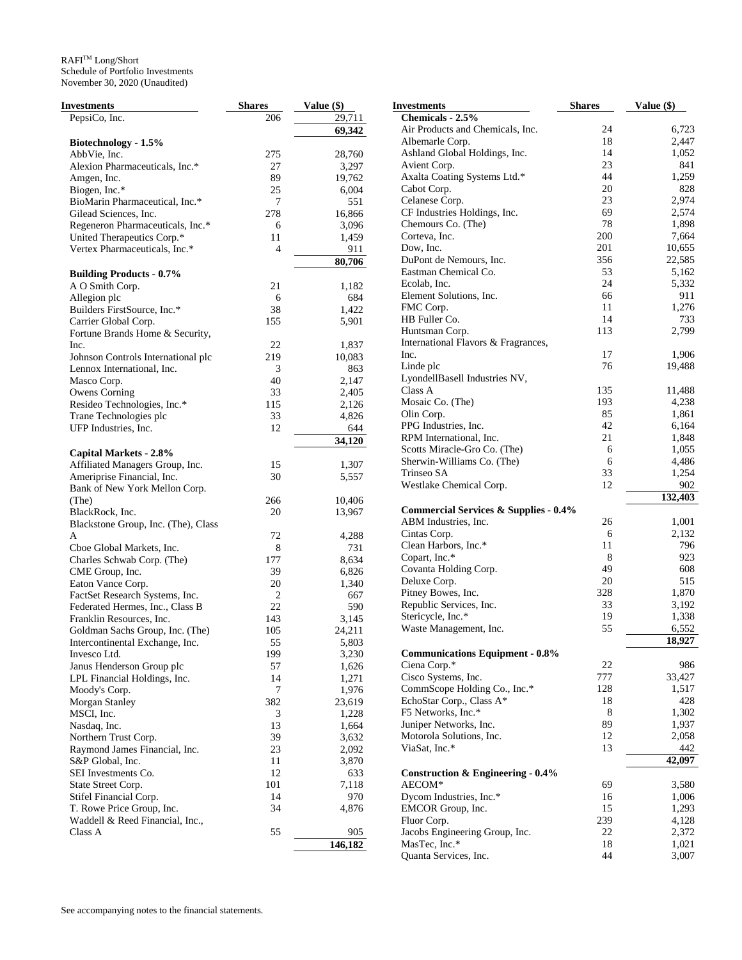| Investments                         | <b>Shares</b> | Value (\$) | <b>Investments</b>                               | <b>Shares</b> | Value (\$) |
|-------------------------------------|---------------|------------|--------------------------------------------------|---------------|------------|
| PepsiCo, Inc.                       | 206           | 29,711     | Chemicals - 2.5%                                 |               |            |
|                                     |               | 69,342     | Air Products and Chemicals, Inc.                 | 24            | 6,723      |
| Biotechnology - 1.5%                |               |            | Albemarle Corp.                                  | 18            | 2,447      |
| AbbVie, Inc.                        | 275           | 28,760     | Ashland Global Holdings, Inc.                    | 14            | 1,052      |
| Alexion Pharmaceuticals, Inc.*      | 27            | 3,297      | Avient Corp.                                     | 23            | 841        |
| Amgen, Inc.                         | 89            | 19,762     | Axalta Coating Systems Ltd.*                     | 44            | 1,259      |
| Biogen, Inc.*                       | 25            | 6,004      | Cabot Corp.                                      | 20            | 828        |
| BioMarin Pharmaceutical, Inc.*      | 7             | 551        | Celanese Corp.                                   | 23            | 2,974      |
| Gilead Sciences, Inc.               | 278           | 16,866     | CF Industries Holdings, Inc.                     | 69            | 2,574      |
| Regeneron Pharmaceuticals, Inc.*    | 6             | 3,096      | Chemours Co. (The)                               | 78            | 1,898      |
| United Therapeutics Corp.*          | 11            | 1,459      | Corteva, Inc.                                    | 200           | 7,664      |
| Vertex Pharmaceuticals, Inc.*       | 4             | 911        | Dow, Inc.                                        | 201           | 10,655     |
|                                     |               |            | DuPont de Nemours, Inc.                          | 356           | 22,585     |
|                                     |               | 80,706     | Eastman Chemical Co.                             | 53            | 5,162      |
| <b>Building Products - 0.7%</b>     |               |            | Ecolab, Inc.                                     | 24            | 5,332      |
| A O Smith Corp.                     | 21            | 1,182      |                                                  | 66            | 911        |
| Allegion plc                        | 6             | 684        | Element Solutions, Inc.                          | 11            | 1,276      |
| Builders FirstSource, Inc.*         | 38            | 1,422      | FMC Corp.                                        |               |            |
| Carrier Global Corp.                | 155           | 5,901      | HB Fuller Co.                                    | 14            | 733        |
| Fortune Brands Home & Security,     |               |            | Huntsman Corp.                                   | 113           | 2,799      |
| Inc.                                | 22            | 1,837      | International Flavors & Fragrances,              |               |            |
| Johnson Controls International plc  | 219           | 10,083     | Inc.                                             | 17            | 1,906      |
| Lennox International, Inc.          | 3             | 863        | Linde plc                                        | 76            | 19,488     |
| Masco Corp.                         | 40            | 2,147      | LyondellBasell Industries NV,                    |               |            |
| Owens Corning                       | 33            | 2,405      | Class A                                          | 135           | 11,488     |
| Resideo Technologies, Inc.*         | 115           | 2,126      | Mosaic Co. (The)                                 | 193           | 4,238      |
| Trane Technologies plc              | 33            | 4,826      | Olin Corp.                                       | 85            | 1,861      |
| UFP Industries, Inc.                | 12            | 644        | PPG Industries, Inc.                             | 42            | 6,164      |
|                                     |               | 34,120     | RPM International, Inc.                          | 21            | 1,848      |
| <b>Capital Markets - 2.8%</b>       |               |            | Scotts Miracle-Gro Co. (The)                     | 6             | 1,055      |
| Affiliated Managers Group, Inc.     | 15            | 1,307      | Sherwin-Williams Co. (The)                       | 6             | 4,486      |
| Ameriprise Financial, Inc.          | 30            | 5,557      | Trinseo SA                                       | 33            | 1,254      |
| Bank of New York Mellon Corp.       |               |            | Westlake Chemical Corp.                          | 12            | 902        |
| (The)                               | 266           | 10,406     |                                                  |               | 132,403    |
| BlackRock, Inc.                     | 20            | 13,967     | <b>Commercial Services &amp; Supplies - 0.4%</b> |               |            |
| Blackstone Group, Inc. (The), Class |               |            | ABM Industries, Inc.                             | 26            | 1,001      |
| A                                   | 72            | 4,288      | Cintas Corp.                                     | 6             | 2,132      |
| Cboe Global Markets, Inc.           | 8             | 731        | Clean Harbors, Inc.*                             | 11            | 796        |
| Charles Schwab Corp. (The)          | 177           | 8,634      | Copart, Inc.*                                    | 8             | 923        |
| CME Group, Inc.                     | 39            | 6,826      | Covanta Holding Corp.                            | 49            | 608        |
|                                     | 20            | 1,340      | Deluxe Corp.                                     | 20            | 515        |
| Eaton Vance Corp.                   |               |            | Pitney Bowes, Inc.                               | 328           | 1,870      |
| FactSet Research Systems, Inc.      | 2             | 667        | Republic Services, Inc.                          | 33            | 3,192      |
| Federated Hermes, Inc., Class B     | 22            | 590        | Stericycle, Inc.*                                | 19            | 1,338      |
| Franklin Resources, Inc.            | 143           | 3,145      | Waste Management, Inc.                           | 55            | 6,552      |
| Goldman Sachs Group, Inc. (The)     | 105           | 24,211     |                                                  |               |            |
| Intercontinental Exchange, Inc.     | 55            | 5,803      |                                                  |               | 18,927     |
| Invesco Ltd.                        | 199           | 3,230      | <b>Communications Equipment - 0.8%</b>           |               |            |
| Janus Henderson Group plc           | 57            | 1,626      | Ciena Corp.*                                     | 22            | 986        |
| LPL Financial Holdings, Inc.        | 14            | 1,271      | Cisco Systems, Inc.                              | 777           | 33,427     |
| Moody's Corp.                       | 7             | 1,976      | CommScope Holding Co., Inc.*                     | 128           | 1,517      |
| Morgan Stanley                      | 382           | 23,619     | EchoStar Corp., Class A*                         | 18            | 428        |
| MSCI, Inc.                          | 3             | 1,228      | F5 Networks, Inc.*                               | 8             | 1,302      |
| Nasdaq, Inc.                        | 13            | 1,664      | Juniper Networks, Inc.                           | 89            | 1,937      |
| Northern Trust Corp.                | 39            | 3,632      | Motorola Solutions, Inc.                         | 12            | 2,058      |
| Raymond James Financial, Inc.       | 23            | 2,092      | ViaSat, Inc.*                                    | 13            | 442        |
| S&P Global, Inc.                    | 11            | 3,870      |                                                  |               | 42,097     |
| SEI Investments Co.                 | 12            | 633        | Construction & Engineering - 0.4%                |               |            |
| State Street Corp.                  | 101           | 7,118      | AECOM*                                           | 69            | 3,580      |
| Stifel Financial Corp.              | 14            | 970        | Dycom Industries, Inc.*                          | 16            | 1,006      |
| T. Rowe Price Group, Inc.           | 34            | 4,876      | EMCOR Group, Inc.                                | 15            | 1,293      |
| Waddell & Reed Financial, Inc.,     |               |            | Fluor Corp.                                      | 239           | 4,128      |
| Class A                             | 55            | 905        | Jacobs Engineering Group, Inc.                   | 22            | 2,372      |
|                                     |               | 146,182    | MasTec, Inc.*                                    | 18            | 1,021      |
|                                     |               |            | Quanta Services, Inc.                            | 44            | 3,007      |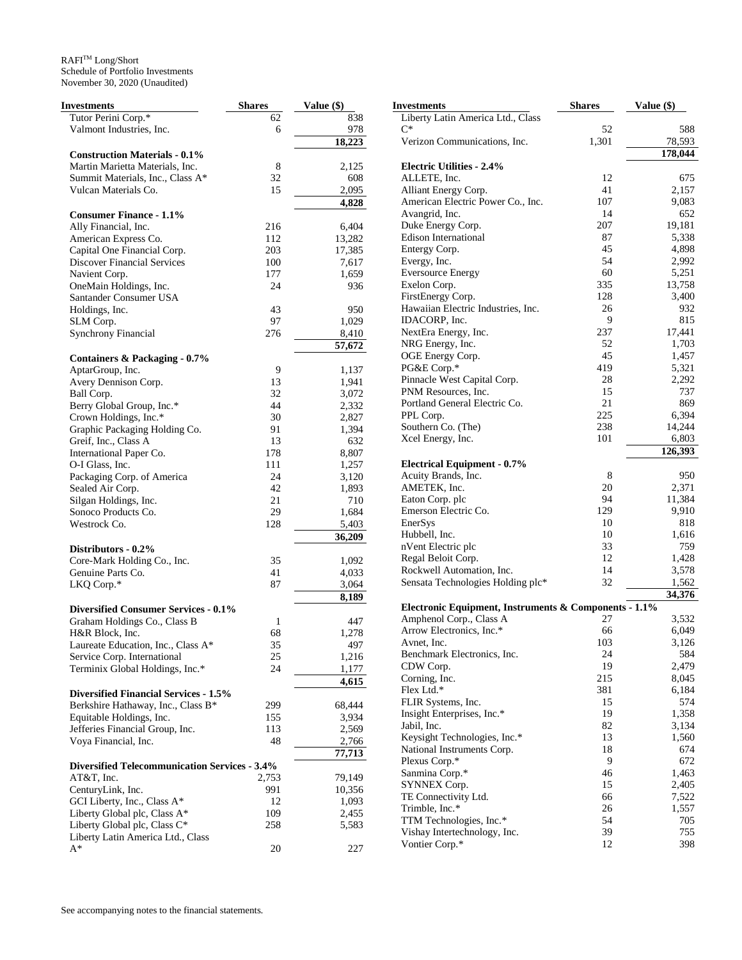| Investments                                          | <b>Shares</b> | Value (\$) | <b>Investments</b>                                    | <b>Shares</b> | Value (\$) |
|------------------------------------------------------|---------------|------------|-------------------------------------------------------|---------------|------------|
| Tutor Perini Corp.*                                  | 62            | 838        | Liberty Latin America Ltd., Class                     |               |            |
| Valmont Industries, Inc.                             | 6             | 978        | $C^*$                                                 | 52            | 588        |
|                                                      |               | 18,223     | Verizon Communications, Inc.                          | 1,301         | 78,593     |
| <b>Construction Materials - 0.1%</b>                 |               |            |                                                       |               | 178,044    |
| Martin Marietta Materials, Inc.                      | 8             | 2,125      | <b>Electric Utilities - 2.4%</b>                      |               |            |
| Summit Materials, Inc., Class A*                     | 32            | 608        | ALLETE, Inc.                                          | 12            | 675        |
| Vulcan Materials Co.                                 | 15            | 2,095      | Alliant Energy Corp.                                  | 41            | 2,157      |
|                                                      |               | 4,828      | American Electric Power Co., Inc.                     | 107           | 9,083      |
|                                                      |               |            |                                                       |               |            |
| <b>Consumer Finance - 1.1%</b>                       |               |            | Avangrid, Inc.                                        | 14            | 652        |
| Ally Financial, Inc.                                 | 216           | 6,404      | Duke Energy Corp.                                     | 207           | 19,181     |
| American Express Co.                                 | 112           | 13,282     | Edison International                                  | 87            | 5,338      |
| Capital One Financial Corp.                          | 203           | 17,385     | Entergy Corp.                                         | 45            | 4,898      |
| <b>Discover Financial Services</b>                   | 100           | 7,617      | Evergy, Inc.                                          | 54            | 2,992      |
| Navient Corp.                                        | 177           | 1,659      | <b>Eversource Energy</b>                              | 60            | 5,251      |
| OneMain Holdings, Inc.                               | 24            | 936        | Exelon Corp.                                          | 335           | 13,758     |
| Santander Consumer USA                               |               |            | FirstEnergy Corp.                                     | 128           | 3,400      |
| Holdings, Inc.                                       | 43            | 950        | Hawaiian Electric Industries, Inc.                    | 26            | 932        |
| SLM Corp.                                            | 97            | 1,029      | IDACORP, Inc.                                         | 9             | 815        |
| <b>Synchrony Financial</b>                           | 276           | 8,410      | NextEra Energy, Inc.                                  | 237           | 17,441     |
|                                                      |               | 57,672     | NRG Energy, Inc.                                      | 52            | 1,703      |
|                                                      |               |            | OGE Energy Corp.                                      | 45            | 1,457      |
| <b>Containers &amp; Packaging - 0.7%</b>             |               |            | PG&E Corp.*                                           | 419           | 5,321      |
| AptarGroup, Inc.                                     | 9             | 1,137      | Pinnacle West Capital Corp.                           | 28            | 2,292      |
| Avery Dennison Corp.                                 | 13            | 1,941      |                                                       |               |            |
| Ball Corp.                                           | 32            | 3,072      | PNM Resources, Inc.                                   | 15            | 737        |
| Berry Global Group, Inc.*                            | 44            | 2,332      | Portland General Electric Co.                         | 21            | 869        |
| Crown Holdings, Inc.*                                | 30            | 2,827      | PPL Corp.                                             | 225           | 6,394      |
| Graphic Packaging Holding Co.                        | 91            | 1,394      | Southern Co. (The)                                    | 238           | 14,244     |
| Greif, Inc., Class A                                 | 13            | 632        | Xcel Energy, Inc.                                     | 101           | 6,803      |
| International Paper Co.                              | 178           | 8,807      |                                                       |               | 126,393    |
| O-I Glass, Inc.                                      | 111           | 1,257      | <b>Electrical Equipment - 0.7%</b>                    |               |            |
| Packaging Corp. of America                           | 24            | 3,120      | Acuity Brands, Inc.                                   | 8             | 950        |
| Sealed Air Corp.                                     | 42            | 1,893      | AMETEK, Inc.                                          | 20            | 2,371      |
| Silgan Holdings, Inc.                                | 21            | 710        | Eaton Corp. plc                                       | 94            | 11,384     |
| Sonoco Products Co.                                  | 29            | 1,684      | Emerson Electric Co.                                  | 129           | 9,910      |
| Westrock Co.                                         | 128           | 5,403      | EnerSys                                               | 10            | 818        |
|                                                      |               | 36,209     | Hubbell, Inc.                                         | 10            | 1,616      |
|                                                      |               |            | nVent Electric plc                                    | 33            | 759        |
| Distributors - 0.2%                                  |               |            | Regal Beloit Corp.                                    | 12            | 1,428      |
| Core-Mark Holding Co., Inc.                          | 35            | 1,092      | Rockwell Automation, Inc.                             | 14            | 3,578      |
| Genuine Parts Co.                                    | 41            | 4,033      |                                                       |               |            |
| LKQ Corp.*                                           | 87            | 3,064      | Sensata Technologies Holding plc*                     | 32            | 1,562      |
|                                                      |               | 8,189      |                                                       |               | 34,376     |
| Diversified Consumer Services - 0.1%                 |               |            | Electronic Equipment, Instruments & Components - 1.1% |               |            |
| Graham Holdings Co., Class B                         | 1             | 447        | Amphenol Corp., Class A                               | 27            | 3,532      |
| H&R Block, Inc.                                      | 68            | 1,278      | Arrow Electronics, Inc.*                              | 66            | 6,049      |
| Laureate Education, Inc., Class A*                   | 35            | 497        | Avnet, Inc.                                           | 103           | 3,126      |
| Service Corp. International                          | 25            | 1,216      | Benchmark Electronics, Inc.                           | 24            | 584        |
| Terminix Global Holdings, Inc.*                      | 24            | 1,177      | CDW Corp.                                             | 19            | 2,479      |
|                                                      |               | 4,615      | Corning, Inc.                                         | 215           | 8,045      |
|                                                      |               |            | Flex Ltd.*                                            | 381           | 6,184      |
| <b>Diversified Financial Services - 1.5%</b>         |               |            | FLIR Systems, Inc.                                    | 15            | 574        |
| Berkshire Hathaway, Inc., Class B*                   | 299           | 68,444     | Insight Enterprises, Inc.*                            | 19            | 1,358      |
| Equitable Holdings, Inc.                             | 155           | 3,934      | Jabil, Inc.                                           | 82            | 3,134      |
| Jefferies Financial Group, Inc.                      | 113           | 2,569      |                                                       | 13            |            |
| Voya Financial, Inc.                                 | 48            | 2,766      | Keysight Technologies, Inc.*                          |               | 1,560      |
|                                                      |               | 77,713     | National Instruments Corp.                            | 18            | 674        |
| <b>Diversified Telecommunication Services - 3.4%</b> |               |            | Plexus Corp.*                                         | 9             | 672        |
| $AT&T$ , Inc.                                        | 2,753         | 79,149     | Sanmina Corp.*                                        | 46            | 1,463      |
| CenturyLink, Inc.                                    | 991           | 10,356     | SYNNEX Corp.                                          | 15            | 2,405      |
| GCI Liberty, Inc., Class A*                          | 12            | 1,093      | TE Connectivity Ltd.                                  | 66            | 7,522      |
| Liberty Global plc, Class A*                         | 109           | 2,455      | Trimble, Inc.*                                        | 26            | 1,557      |
| Liberty Global plc, Class C*                         | 258           | 5,583      | TTM Technologies, Inc.*                               | 54            | 705        |
| Liberty Latin America Ltd., Class                    |               |            | Vishay Intertechnology, Inc.                          | 39            | 755        |
| $\mathrm{A}^*$                                       | 20            | $227\,$    | Vontier Corp.*                                        | 12            | 398        |
|                                                      |               |            |                                                       |               |            |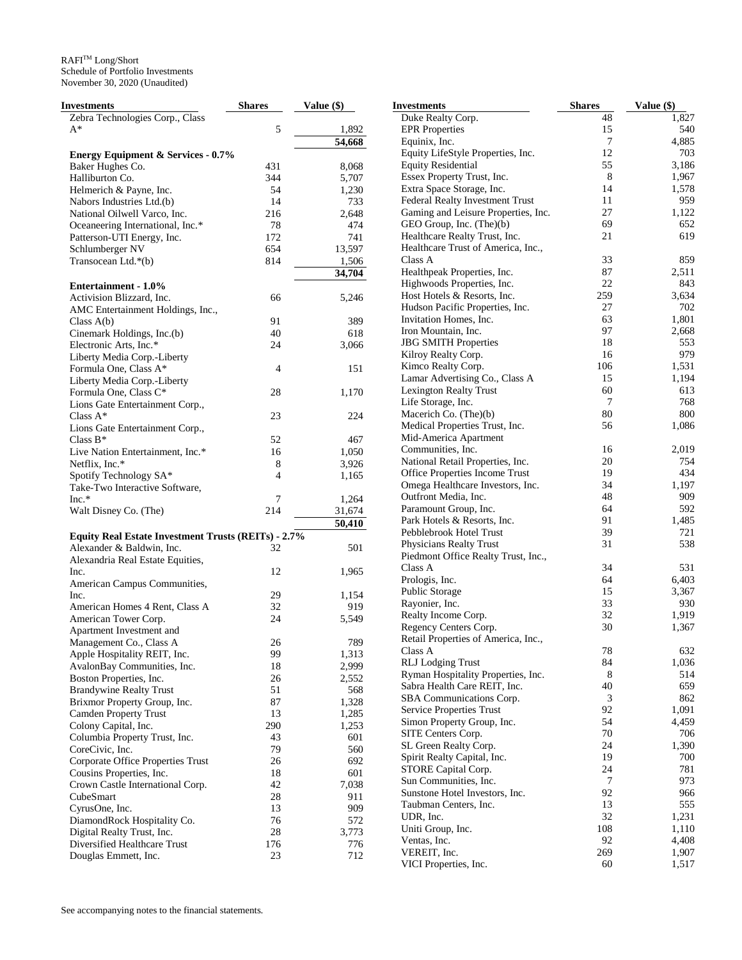| Investments                                                | <b>Shares</b> | Value (\$)         |
|------------------------------------------------------------|---------------|--------------------|
| Zebra Technologies Corp., Class                            |               |                    |
| A*                                                         | 5             | 1,892              |
|                                                            |               | $\frac{1}{54,668}$ |
| <b>Energy Equipment &amp; Services - 0.7%</b>              |               |                    |
| Baker Hughes Co.                                           | 431           | 8,068              |
| Halliburton Co.                                            | 344           | 5,707              |
| Helmerich & Payne, Inc.                                    | 54            | 1,230              |
| Nabors Industries Ltd.(b)                                  | 14            | 733                |
| National Oilwell Varco, Inc.                               | 216           | 2,648              |
| Oceaneering International, Inc.*                           | 78            | 474                |
| Patterson-UTI Energy, Inc.                                 | 172           | 741                |
| Schlumberger NV                                            | 654           | 13,597             |
| Transocean Ltd.*(b)                                        | 814           | 1,506              |
|                                                            |               | 34,704             |
| <b>Entertainment - 1.0%</b>                                |               |                    |
| Activision Blizzard, Inc.                                  | 66            | 5,246              |
| AMC Entertainment Holdings, Inc.,                          |               |                    |
| Class $A(b)$                                               | 91            | 389                |
| Cinemark Holdings, Inc.(b)                                 | 40            | 618                |
| Electronic Arts, Inc.*                                     | 24            | 3,066              |
| Liberty Media Corp.-Liberty                                |               |                    |
| Formula One, Class A*                                      | 4             | 151                |
| Liberty Media Corp.-Liberty                                |               |                    |
| Formula One, Class C*                                      | 28            | 1,170              |
| Lions Gate Entertainment Corp.,                            |               |                    |
| Class A*                                                   | 23            | 224                |
| Lions Gate Entertainment Corp.,                            |               |                    |
| Class $B^*$                                                | 52            | 467                |
| Live Nation Entertainment, Inc.*                           | 16            | 1,050              |
| Netflix, Inc.*                                             | 8             | 3,926              |
| Spotify Technology SA*                                     | 4             | 1,165              |
| Take-Two Interactive Software,                             |               |                    |
| $Inc.*$                                                    | 7             | 1,264              |
| Walt Disney Co. (The)                                      | 214           | 31,674             |
|                                                            |               | 50,410             |
| <b>Equity Real Estate Investment Trusts (REITs) - 2.7%</b> |               |                    |
| Alexander & Baldwin, Inc.                                  | 32            | 501                |
| Alexandria Real Estate Equities,                           |               |                    |
| Inc.                                                       | 12            | 1,965              |
| American Campus Communities,                               |               |                    |
| Inc.                                                       | 29            | 1,154              |
| American Homes 4 Rent, Class A                             | 32            | 919                |
| American Tower Corp.                                       | 24            | 5,549              |
| Apartment Investment and                                   |               |                    |
| Management Co., Class A                                    | 26            | 789                |
|                                                            | 99            | 1,313              |
| Apple Hospitality REIT, Inc.                               |               |                    |
| AvalonBay Communities, Inc.                                | 18            | 2,999              |
| Boston Properties, Inc.                                    | 26            | 2,552              |
| <b>Brandywine Realty Trust</b>                             | 51            | 568                |
| Brixmor Property Group, Inc.                               | 87            | 1,328              |
| <b>Camden Property Trust</b>                               | 13            | 1,285              |
| Colony Capital, Inc.                                       | 290           | 1,253              |
| Columbia Property Trust, Inc.                              | 43            | 601                |
| CoreCivic, Inc.                                            | 79            | 560                |
| Corporate Office Properties Trust                          | 26            | 692                |
| Cousins Properties, Inc.                                   | 18            | 601                |
| Crown Castle International Corp.                           | 42            | 7,038              |
| CubeSmart                                                  | 28            | 911                |
| CyrusOne, Inc.                                             | 13            | 909                |
| DiamondRock Hospitality Co.                                | 76            | 572                |
| Digital Realty Trust, Inc.                                 | 28            | 3,773              |
| Diversified Healthcare Trust                               | 176           | 776                |
| Douglas Emmett, Inc.                                       | 23            | 712                |

| Investments                                           | <b>Shares</b> | Value (\$)   |
|-------------------------------------------------------|---------------|--------------|
| Duke Realty Corp.                                     | 48            | 1,827        |
| <b>EPR</b> Properties                                 | 15            | 540          |
| Equinix, Inc.                                         | 7             | 4,885        |
| Equity LifeStyle Properties, Inc.                     | 12            | 703          |
| <b>Equity Residential</b>                             | 55            | 3,186        |
| Essex Property Trust, Inc.                            | 8             | 1,967        |
| Extra Space Storage, Inc.                             | 14            | 1,578        |
| Federal Realty Investment Trust                       | 11            | 959          |
| Gaming and Leisure Properties, Inc.                   | 27            | 1,122        |
| GEO Group, Inc. (The)(b)                              | 69            | 652          |
| Healthcare Realty Trust, Inc.                         | 21            | 619          |
| Healthcare Trust of America, Inc.,                    |               |              |
| Class A                                               | 33            | 859          |
| Healthpeak Properties, Inc.                           | 87            | 2,511        |
| Highwoods Properties, Inc.                            | 22            | 843          |
| Host Hotels & Resorts, Inc.                           | 259           | 3,634        |
| Hudson Pacific Properties, Inc.                       | 27            | 702          |
| Invitation Homes, Inc.                                | 63            | 1,801        |
| Iron Mountain, Inc.                                   | 97            | 2,668        |
| <b>JBG SMITH Properties</b>                           | 18            | 553          |
| Kilroy Realty Corp.                                   | 16            | 979          |
| Kimco Realty Corp.                                    | 106           | 1,531        |
| Lamar Advertising Co., Class A                        | 15            | 1,194        |
| <b>Lexington Realty Trust</b>                         | 60            | 613          |
| Life Storage, Inc.                                    | 7             | 768          |
| Macerich Co. (The)(b)                                 | 80            | 800          |
| Medical Properties Trust, Inc.                        | 56            | 1,086        |
| Mid-America Apartment                                 | 16            |              |
| Communities, Inc.<br>National Retail Properties, Inc. | 20            | 2,019<br>754 |
| Office Properties Income Trust                        | 19            | 434          |
| Omega Healthcare Investors, Inc.                      | 34            | 1,197        |
| Outfront Media, Inc.                                  | 48            | 909          |
| Paramount Group, Inc.                                 | 64            | 592          |
| Park Hotels & Resorts, Inc.                           | 91            | 1,485        |
| Pebblebrook Hotel Trust                               | 39            | 721          |
| Physicians Realty Trust                               | 31            | 538          |
| Piedmont Office Realty Trust, Inc.,                   |               |              |
| Class A                                               | 34            | 531          |
| Prologis, Inc.                                        | 64            | 6,403        |
| Public Storage                                        | 15            | 3,367        |
| Rayonier, Inc.                                        | 33            | 930          |
| Realty Income Corp.                                   | 32            | 1,919        |
| Regency Centers Corp.                                 | 30            | 1,367        |
| Retail Properties of America, Inc.,                   |               |              |
| Class A                                               | 78            | 632          |
| RLJ Lodging Trust                                     | 84            | 1,036        |
| Ryman Hospitality Properties, Inc.                    | 8             | 514          |
| Sabra Health Care REIT, Inc.                          | 40            | 659          |
| SBA Communications Corp.                              | 3             | 862          |
| Service Properties Trust                              | 92            | 1,091        |
| Simon Property Group, Inc.                            | 54            | 4,459        |
| SITE Centers Corp.                                    | 70            | 706          |
| SL Green Realty Corp.                                 | 24            | 1,390        |
| Spirit Realty Capital, Inc.                           | 19            | 700          |
| STORE Capital Corp.                                   | 24            | 781          |
| Sun Communities, Inc.                                 | 7             | 973          |
| Sunstone Hotel Investors, Inc.                        | 92            | 966          |
| Taubman Centers, Inc.                                 | 13            | 555          |
| UDR, Inc.                                             | 32            | 1,231        |
| Uniti Group, Inc.                                     | 108           | 1,110        |
| Ventas, Inc.                                          | 92            | 4,408        |
| VEREIT, Inc.                                          | 269           | 1,907        |
| VICI Properties, Inc.                                 | 60            | 1,517        |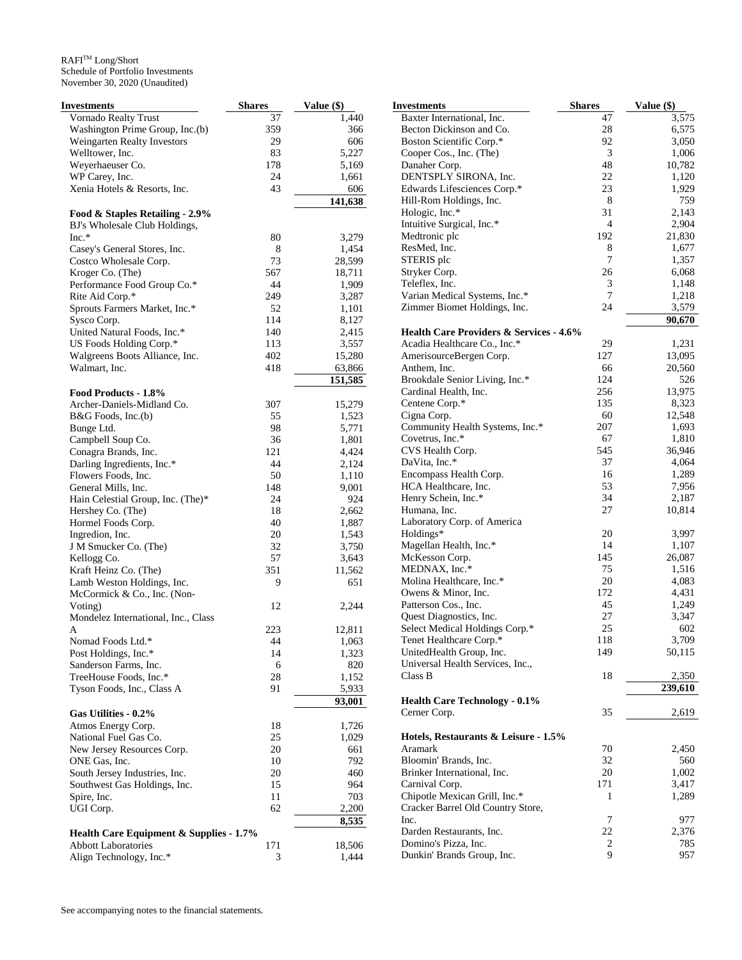| Investments                             | <b>Shares</b> | Value (\$) | <b>Investments</b>                                 | <b>Shares</b>  | Value (\$) |
|-----------------------------------------|---------------|------------|----------------------------------------------------|----------------|------------|
| Vornado Realty Trust                    | 37            | 1,440      | Baxter International, Inc.                         | 47             | 3,575      |
| Washington Prime Group, Inc.(b)         | 359           | 366        | Becton Dickinson and Co.                           | 28             | 6,575      |
| Weingarten Realty Investors             | 29            | 606        | Boston Scientific Corp.*                           | 92             | 3,050      |
| Welltower, Inc.                         | 83            | 5,227      | Cooper Cos., Inc. (The)                            | 3              | 1,006      |
| Weyerhaeuser Co.                        | 178           | 5,169      | Danaher Corp.                                      | 48             | 10,782     |
| WP Carey, Inc.                          | 24            | 1,661      | DENTSPLY SIRONA, Inc.                              | 22             | 1,120      |
| Xenia Hotels & Resorts, Inc.            | 43            | 606        | Edwards Lifesciences Corp.*                        | 23             | 1,929      |
|                                         |               | 141,638    | Hill-Rom Holdings, Inc.                            | 8              | 759        |
| Food & Staples Retailing - 2.9%         |               |            | Hologic, Inc.*                                     | 31             | 2,143      |
|                                         |               |            | Intuitive Surgical, Inc.*                          | $\overline{4}$ | 2,904      |
| BJ's Wholesale Club Holdings,           |               |            | Medtronic plc                                      | 192            | 21,830     |
| Inc.*                                   | 80            | 3,279      | ResMed, Inc.                                       | 8              | 1,677      |
| Casey's General Stores, Inc.            | 8             | 1,454      |                                                    |                |            |
| Costco Wholesale Corp.                  | 73            | 28,599     | STERIS plc                                         | 7              | 1,357      |
| Kroger Co. (The)                        | 567           | 18,711     | Stryker Corp.                                      | 26             | 6,068      |
| Performance Food Group Co.*             | 44            | 1,909      | Teleflex, Inc.                                     | 3              | 1,148      |
| Rite Aid Corp.*                         | 249           | 3,287      | Varian Medical Systems, Inc.*                      | 7              | 1,218      |
| Sprouts Farmers Market, Inc.*           | 52            | 1,101      | Zimmer Biomet Holdings, Inc.                       | 24             | 3,579      |
| Sysco Corp.                             | 114           | 8,127      |                                                    |                | 90,670     |
| United Natural Foods, Inc.*             | 140           | 2,415      | <b>Health Care Providers &amp; Services - 4.6%</b> |                |            |
| US Foods Holding Corp.*                 | 113           | 3,557      | Acadia Healthcare Co., Inc.*                       | 29             | 1,231      |
| Walgreens Boots Alliance, Inc.          | 402           | 15,280     | AmerisourceBergen Corp.                            | 127            | 13,095     |
| Walmart, Inc.                           | 418           | 63,866     | Anthem, Inc.                                       | 66             | 20,560     |
|                                         |               |            |                                                    | 124            | 526        |
|                                         |               | 151,585    | Brookdale Senior Living, Inc.*                     |                |            |
| Food Products - 1.8%                    |               |            | Cardinal Health, Inc.                              | 256            | 13,975     |
| Archer-Daniels-Midland Co.              | 307           | 15,279     | Centene Corp.*                                     | 135            | 8,323      |
| B&G Foods, Inc.(b)                      | 55            | 1,523      | Cigna Corp.                                        | 60             | 12,548     |
| Bunge Ltd.                              | 98            | 5,771      | Community Health Systems, Inc.*                    | 207            | 1,693      |
| Campbell Soup Co.                       | 36            | 1,801      | Covetrus, Inc.*                                    | 67             | 1,810      |
| Conagra Brands, Inc.                    | 121           | 4,424      | CVS Health Corp.                                   | 545            | 36,946     |
| Darling Ingredients, Inc.*              | 44            | 2,124      | DaVita, Inc.*                                      | 37             | 4,064      |
| Flowers Foods, Inc.                     | 50            | 1,110      | Encompass Health Corp.                             | 16             | 1,289      |
| General Mills, Inc.                     | 148           | 9,001      | HCA Healthcare, Inc.                               | 53             | 7,956      |
| Hain Celestial Group, Inc. (The)*       | 24            | 924        | Henry Schein, Inc.*                                | 34             | 2,187      |
|                                         | 18            | 2,662      | Humana, Inc.                                       | 27             | 10,814     |
| Hershey Co. (The)                       |               |            |                                                    |                |            |
| Hormel Foods Corp.                      | 40            | 1,887      | Laboratory Corp. of America                        | 20             |            |
| Ingredion, Inc.                         | 20            | 1,543      | Holdings*                                          |                | 3,997      |
| J M Smucker Co. (The)                   | 32            | 3,750      | Magellan Health, Inc.*                             | 14             | 1,107      |
| Kellogg Co.                             | 57            | 3,643      | McKesson Corp.                                     | 145            | 26,087     |
| Kraft Heinz Co. (The)                   | 351           | 11,562     | MEDNAX, Inc.*                                      | 75             | 1,516      |
| Lamb Weston Holdings, Inc.              | 9             | 651        | Molina Healthcare, Inc.*                           | 20             | 4,083      |
| McCormick & Co., Inc. (Non-             |               |            | Owens & Minor, Inc.                                | 172            | 4,431      |
| Voting)                                 | 12            | 2,244      | Patterson Cos., Inc.                               | 45             | 1,249      |
| Mondelez International, Inc., Class     |               |            | Quest Diagnostics, Inc.                            | $27\,$         | 3,347      |
| A                                       | 223           | 12,811     | Select Medical Holdings Corp.*                     | 25             | 602        |
| Nomad Foods Ltd.*                       | 44            | 1,063      | Tenet Healthcare Corp.*                            | 118            | 3,709      |
| Post Holdings, Inc.*                    | 14            | 1,323      | UnitedHealth Group, Inc.                           | 149            | 50,115     |
| Sanderson Farms, Inc.                   |               | 820        | Universal Health Services, Inc.,                   |                |            |
|                                         | 6             |            | Class B                                            | 18             | 2,350      |
| TreeHouse Foods, Inc.*                  | 28            | 1,152      |                                                    |                |            |
| Tyson Foods, Inc., Class A              | 91            | 5,933      |                                                    |                | 239,610    |
|                                         |               | 93,001     | <b>Health Care Technology - 0.1%</b>               |                |            |
| Gas Utilities - 0.2%                    |               |            | Cerner Corp.                                       | 35             | 2,619      |
| Atmos Energy Corp.                      | 18            | 1,726      |                                                    |                |            |
| National Fuel Gas Co.                   | 25            | 1,029      | Hotels, Restaurants & Leisure - 1.5%               |                |            |
| New Jersey Resources Corp.              | 20            | 661        | Aramark                                            | 70             | 2,450      |
| ONE Gas, Inc.                           | 10            | 792        | Bloomin' Brands, Inc.                              | 32             | 560        |
| South Jersey Industries, Inc.           | 20            | 460        | Brinker International, Inc.                        | 20             | 1,002      |
| Southwest Gas Holdings, Inc.            | 15            | 964        | Carnival Corp.                                     | 171            | 3,417      |
| Spire, Inc.                             | 11            | 703        | Chipotle Mexican Grill, Inc.*                      | 1              | 1,289      |
| UGI Corp.                               | 62            | 2,200      | Cracker Barrel Old Country Store,                  |                |            |
|                                         |               |            | Inc.                                               | 7              | 977        |
|                                         |               | 8,535      | Darden Restaurants, Inc.                           | $22\,$         |            |
| Health Care Equipment & Supplies - 1.7% |               |            |                                                    |                | 2,376      |
| <b>Abbott Laboratories</b>              | 171           | 18,506     | Domino's Pizza, Inc.                               | $\overline{c}$ | 785        |
| Align Technology, Inc.*                 | 3             | 1,444      | Dunkin' Brands Group, Inc.                         | 9              | 957        |
|                                         |               |            |                                                    |                |            |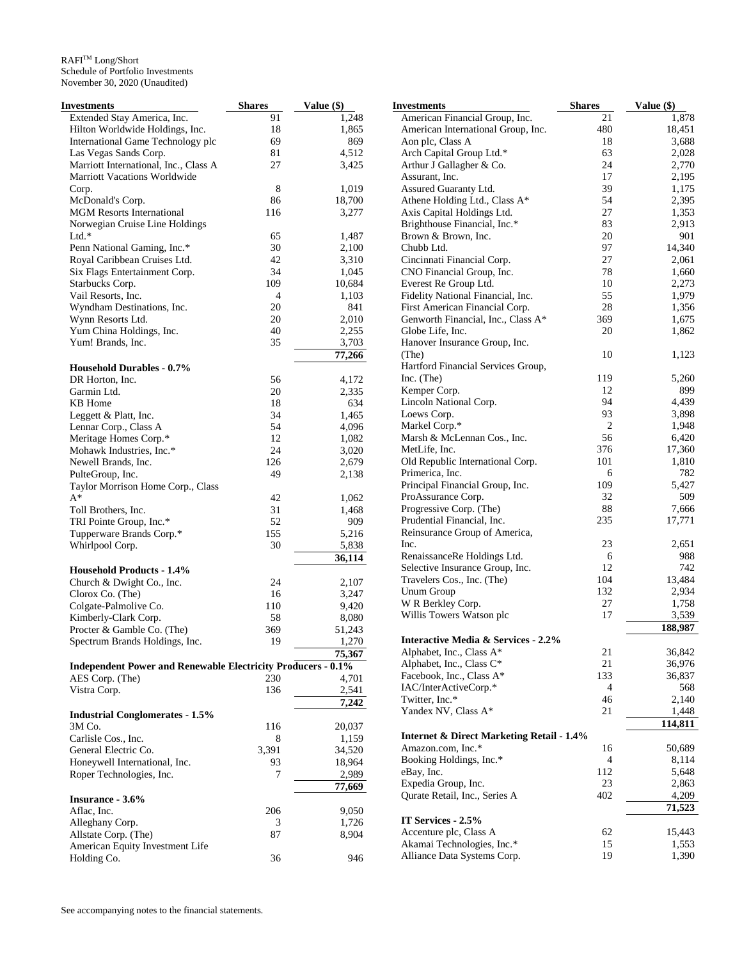| Investments                                                         | <b>Shares</b>  | Value (\$) | <b>Investments</b>                                   | <b>Shares</b>  | Value (\$) |
|---------------------------------------------------------------------|----------------|------------|------------------------------------------------------|----------------|------------|
| Extended Stay America, Inc.                                         | 91             | 1,248      | American Financial Group, Inc.                       | 21             | 1,878      |
| Hilton Worldwide Holdings, Inc.                                     | 18             | 1,865      | American International Group, Inc.                   | 480            | 18,451     |
| International Game Technology plc                                   | 69             | 869        | Aon plc, Class A                                     | 18             | 3,688      |
| Las Vegas Sands Corp.                                               | 81             | 4,512      | Arch Capital Group Ltd.*                             | 63             | 2,028      |
| Marriott International, Inc., Class A                               | 27             | 3,425      | Arthur J Gallagher & Co.                             | 24             | 2,770      |
| <b>Marriott Vacations Worldwide</b>                                 |                |            | Assurant, Inc.                                       | 17             | 2,195      |
| Corp.                                                               | 8              | 1,019      | Assured Guaranty Ltd.                                | 39             | 1,175      |
| McDonald's Corp.                                                    | 86             | 18,700     | Athene Holding Ltd., Class A*                        | 54             | 2,395      |
| <b>MGM Resorts International</b>                                    | 116            | 3,277      | Axis Capital Holdings Ltd.                           | 27             | 1,353      |
| Norwegian Cruise Line Holdings                                      |                |            | Brighthouse Financial, Inc.*                         | 83             | 2,913      |
|                                                                     |                |            | Brown & Brown, Inc.                                  |                | 901        |
| $Ltd.*$                                                             | 65             | 1,487      |                                                      | 20             |            |
| Penn National Gaming, Inc.*                                         | 30             | 2,100      | Chubb Ltd.                                           | 97             | 14,340     |
| Royal Caribbean Cruises Ltd.                                        | 42             | 3,310      | Cincinnati Financial Corp.                           | 27             | 2,061      |
| Six Flags Entertainment Corp.                                       | 34             | 1,045      | CNO Financial Group, Inc.                            | 78             | 1,660      |
| Starbucks Corp.                                                     | 109            | 10,684     | Everest Re Group Ltd.                                | 10             | 2,273      |
| Vail Resorts, Inc.                                                  | $\overline{4}$ | 1,103      | Fidelity National Financial, Inc.                    | 55             | 1,979      |
| Wyndham Destinations, Inc.                                          | 20             | 841        | First American Financial Corp.                       | $28\,$         | 1,356      |
| Wynn Resorts Ltd.                                                   | 20             | 2,010      | Genworth Financial, Inc., Class A*                   | 369            | 1,675      |
| Yum China Holdings, Inc.                                            | 40             | 2,255      | Globe Life, Inc.                                     | 20             | 1,862      |
| Yum! Brands, Inc.                                                   | 35             | 3,703      | Hanover Insurance Group, Inc.                        |                |            |
|                                                                     |                | 77,266     | (The)                                                | 10             | 1,123      |
| <b>Household Durables - 0.7%</b>                                    |                |            | Hartford Financial Services Group,                   |                |            |
|                                                                     |                |            | Inc. (The)                                           | 119            | 5,260      |
| DR Horton, Inc.                                                     | 56             | 4,172      | Kemper Corp.                                         | 12             | 899        |
| Garmin Ltd.                                                         | 20             | 2,335      |                                                      | 94             |            |
| <b>KB</b> Home                                                      | 18             | 634        | Lincoln National Corp.                               |                | 4,439      |
| Leggett & Platt, Inc.                                               | 34             | 1,465      | Loews Corp.                                          | 93             | 3,898      |
| Lennar Corp., Class A                                               | 54             | 4,096      | Markel Corp.*                                        | $\overline{2}$ | 1,948      |
| Meritage Homes Corp.*                                               | 12             | 1,082      | Marsh & McLennan Cos., Inc.                          | 56             | 6,420      |
| Mohawk Industries, Inc.*                                            | 24             | 3,020      | MetLife, Inc.                                        | 376            | 17,360     |
| Newell Brands, Inc.                                                 | 126            | 2,679      | Old Republic International Corp.                     | 101            | 1,810      |
| PulteGroup, Inc.                                                    | 49             | 2,138      | Primerica, Inc.                                      | 6              | 782        |
| Taylor Morrison Home Corp., Class                                   |                |            | Principal Financial Group, Inc.                      | 109            | 5,427      |
| $A^*$                                                               | 42             | 1,062      | ProAssurance Corp.                                   | 32             | 509        |
| Toll Brothers, Inc.                                                 | 31             | 1,468      | Progressive Corp. (The)                              | 88             | 7,666      |
| TRI Pointe Group, Inc.*                                             | 52             | 909        | Prudential Financial, Inc.                           | 235            | 17,771     |
| Tupperware Brands Corp.*                                            | 155            | 5,216      | Reinsurance Group of America,                        |                |            |
|                                                                     |                |            | Inc.                                                 | 23             | 2,651      |
| Whirlpool Corp.                                                     | 30             | 5,838      |                                                      | 6              | 988        |
|                                                                     |                | 36,114     | RenaissanceRe Holdings Ltd.                          |                |            |
| <b>Household Products - 1.4%</b>                                    |                |            | Selective Insurance Group, Inc.                      | 12             | 742        |
| Church & Dwight Co., Inc.                                           | 24             | 2,107      | Travelers Cos., Inc. (The)                           | 104            | 13,484     |
| Clorox Co. (The)                                                    | 16             | 3,247      | Unum Group                                           | 132            | 2,934      |
| Colgate-Palmolive Co.                                               | 110            | 9,420      | W R Berkley Corp.                                    | 27             | 1,758      |
| Kimberly-Clark Corp.                                                | 58             | 8,080      | Willis Towers Watson plc                             | 17             | 3,539      |
| Procter & Gamble Co. (The)                                          | 369            | 51,243     |                                                      |                | 188,987    |
| Spectrum Brands Holdings, Inc.                                      | 19             | 1,270      | <b>Interactive Media &amp; Services - 2.2%</b>       |                |            |
|                                                                     |                | 75,367     | Alphabet, Inc., Class A*                             | 21             | 36,842     |
| <b>Independent Power and Renewable Electricity Producers - 0.1%</b> |                |            | Alphabet, Inc., Class C*                             | 21             | 36,976     |
|                                                                     |                |            | Facebook, Inc., Class A*                             | 133            | 36,837     |
| AES Corp. (The)                                                     | 230            | 4,701      | IAC/InterActiveCorp.*                                | $\overline{4}$ | 568        |
| Vistra Corp.                                                        | 136            | 2,541      | Twitter, Inc.*                                       | 46             | 2,140      |
|                                                                     |                | 7,242      | Yandex NV, Class A*                                  | 21             | 1,448      |
| <b>Industrial Conglomerates - 1.5%</b>                              |                |            |                                                      |                |            |
| 3M Co.                                                              | 116            | 20,037     |                                                      |                | 114,811    |
| Carlisle Cos., Inc.                                                 | 8              | 1,159      | <b>Internet &amp; Direct Marketing Retail - 1.4%</b> |                |            |
| General Electric Co.                                                | 3,391          | 34,520     | Amazon.com, Inc.*                                    | 16             | 50,689     |
| Honeywell International, Inc.                                       | 93             | 18,964     | Booking Holdings, Inc.*                              | $\overline{4}$ | 8,114      |
| Roper Technologies, Inc.                                            | 7              | 2,989      | eBay, Inc.                                           | 112            | 5,648      |
|                                                                     |                | 77,669     | Expedia Group, Inc.                                  | 23             | 2,863      |
| Insurance - 3.6%                                                    |                |            | Qurate Retail, Inc., Series A                        | 402            | 4,209      |
| Aflac, Inc.                                                         | 206            | 9,050      |                                                      |                | 71,523     |
|                                                                     |                |            | IT Services - 2.5%                                   |                |            |
| Alleghany Corp.                                                     | 3              | 1,726      | Accenture plc, Class A                               | 62             | 15,443     |
| Allstate Corp. (The)                                                | 87             | 8,904      | Akamai Technologies, Inc.*                           | 15             | 1,553      |
| American Equity Investment Life                                     |                |            |                                                      |                |            |
| Holding Co.                                                         | 36             | 946        | Alliance Data Systems Corp.                          | 19             | 1,390      |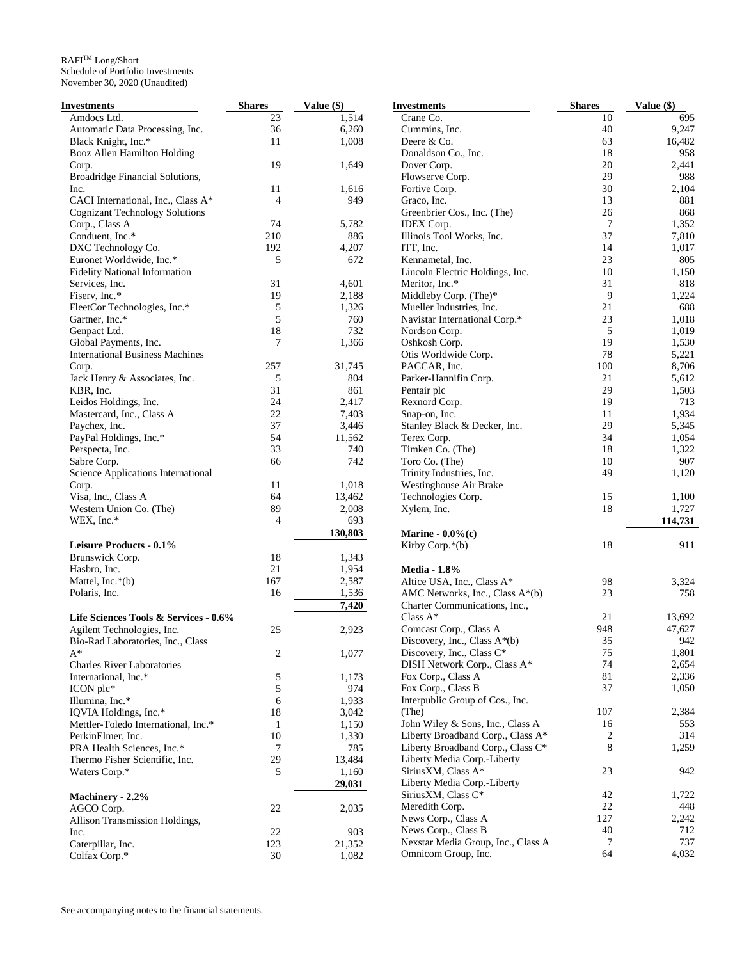| Investments                            | <b>Shares</b>  | Value (\$) | <b>Investments</b>                 | <b>Shares</b>   | Value (\$) |
|----------------------------------------|----------------|------------|------------------------------------|-----------------|------------|
| Amdocs Ltd.                            | 23             | 1,514      | Crane Co.                          | 10              | 695        |
| Automatic Data Processing, Inc.        | 36             | 6,260      | Cummins, Inc.                      | 40              | 9,247      |
| Black Knight, Inc.*                    | 11             | 1,008      | Deere & Co.                        | 63              | 16,482     |
| Booz Allen Hamilton Holding            |                |            | Donaldson Co., Inc.                | 18              | 958        |
| Corp.                                  | 19             | 1,649      | Dover Corp.                        | 20              | 2,441      |
| Broadridge Financial Solutions,        |                |            | Flowserve Corp.                    | 29              | 988        |
| Inc.                                   | 11             | 1,616      | Fortive Corp.                      | 30              | 2,104      |
| CACI International, Inc., Class A*     | $\overline{4}$ | 949        | Graco, Inc.                        | 13              | 881        |
| <b>Cognizant Technology Solutions</b>  |                |            | Greenbrier Cos., Inc. (The)        | 26              | 868        |
| Corp., Class A                         | 74             | 5,782      | IDEX Corp.                         | $7\phantom{.0}$ | 1,352      |
| Conduent, Inc.*                        | 210            | 886        | Illinois Tool Works, Inc.          | 37              | 7,810      |
| DXC Technology Co.                     | 192            | 4,207      | ITT, Inc.                          | 14              | 1,017      |
| Euronet Worldwide, Inc.*               | 5              | 672        | Kennametal, Inc.                   | 23              | 805        |
| <b>Fidelity National Information</b>   |                |            | Lincoln Electric Holdings, Inc.    | 10              | 1,150      |
| Services, Inc.                         | 31             | 4,601      | Meritor, Inc.*                     | 31              | 818        |
| Fiserv, Inc.*                          | 19             | 2,188      | Middleby Corp. (The)*              | 9               | 1,224      |
| FleetCor Technologies, Inc.*           | 5              | 1,326      | Mueller Industries, Inc.           | 21              | 688        |
| Gartner, Inc.*                         | 5              | 760        | Navistar International Corp.*      | 23              | 1,018      |
|                                        | 18             | 732        |                                    | 5               | 1,019      |
| Genpact Ltd.                           | 7              |            | Nordson Corp.                      | 19              |            |
| Global Payments, Inc.                  |                | 1,366      | Oshkosh Corp.                      |                 | 1,530      |
| <b>International Business Machines</b> |                |            | Otis Worldwide Corp.               | 78              | 5,221      |
| Corp.                                  | 257            | 31,745     | PACCAR, Inc.                       | 100             | 8,706      |
| Jack Henry & Associates, Inc.          | 5              | 804        | Parker-Hannifin Corp.              | 21              | 5,612      |
| KBR, Inc.                              | 31             | 861        | Pentair plc                        | 29              | 1,503      |
| Leidos Holdings, Inc.                  | 24             | 2,417      | Rexnord Corp.                      | 19              | 713        |
| Mastercard, Inc., Class A              | 22             | 7,403      | Snap-on, Inc.                      | 11              | 1,934      |
| Paychex, Inc.                          | 37             | 3,446      | Stanley Black & Decker, Inc.       | 29              | 5,345      |
| PayPal Holdings, Inc.*                 | 54             | 11,562     | Terex Corp.                        | 34              | 1,054      |
| Perspecta, Inc.                        | 33             | 740        | Timken Co. (The)                   | 18              | 1,322      |
| Sabre Corp.                            | 66             | 742        | Toro Co. (The)                     | 10              | 907        |
| Science Applications International     |                |            | Trinity Industries, Inc.           | 49              | 1,120      |
| Corp.                                  | 11             | 1,018      | Westinghouse Air Brake             |                 |            |
| Visa, Inc., Class A                    | 64             | 13,462     | Technologies Corp.                 | 15              | 1,100      |
| Western Union Co. (The)                | 89             | 2,008      | Xylem, Inc.                        | 18              | 1,727      |
| WEX, Inc.*                             | $\overline{4}$ | 693        |                                    |                 | 114,731    |
|                                        |                | 130,803    | Marine - $0.0\%$ (c)               |                 |            |
| Leisure Products - 0.1%                |                |            | Kirby Corp.*(b)                    | 18              | 911        |
| Brunswick Corp.                        | 18             | 1,343      |                                    |                 |            |
| Hasbro, Inc.                           | 21             | 1,954      | <b>Media - 1.8%</b>                |                 |            |
| Mattel, Inc. $*(b)$                    | 167            | 2,587      | Altice USA, Inc., Class A*         | 98              | 3,324      |
| Polaris, Inc.                          | 16             | 1,536      | AMC Networks, Inc., Class A*(b)    | 23              | 758        |
|                                        |                | 7,420      | Charter Communications, Inc.,      |                 |            |
| Life Sciences Tools & Services - 0.6%  |                |            | Class $A^*$                        | 21              | 13,692     |
| Agilent Technologies, Inc.             | 25             | 2,923      | Comcast Corp., Class A             | 948             | 47,627     |
| Bio-Rad Laboratories, Inc., Class      |                |            | Discovery, Inc., Class $A^*(b)$    | 35              | 942        |
| $A^*$                                  | $\overline{c}$ | 1,077      | Discovery, Inc., Class C*          | $75\,$          | 1,801      |
| <b>Charles River Laboratories</b>      |                |            | DISH Network Corp., Class A*       | 74              | 2,654      |
|                                        |                | 1,173      | Fox Corp., Class A                 | 81              | 2,336      |
| International, Inc.*                   | 5              |            |                                    | 37              | 1,050      |
| ICON plc*                              | $\sqrt{5}$     | 974        | Fox Corp., Class B                 |                 |            |
| Illumina, Inc.*                        | 6              | 1,933      | Interpublic Group of Cos., Inc.    | 107             |            |
| IQVIA Holdings, Inc.*                  | 18             | 3,042      | (The)                              |                 | 2,384      |
| Mettler-Toledo International, Inc.*    | $\mathbf{1}$   | 1,150      | John Wiley & Sons, Inc., Class A   | 16              | 553        |
| PerkinElmer, Inc.                      | $10\,$         | 1,330      | Liberty Broadband Corp., Class A*  | 2               | 314        |
| PRA Health Sciences, Inc.*             | 7              | 785        | Liberty Broadband Corp., Class C*  | 8               | 1,259      |
| Thermo Fisher Scientific, Inc.         | 29             | 13,484     | Liberty Media Corp.-Liberty        |                 |            |
| Waters Corp.*                          | 5              | 1,160      | SiriusXM, Class A*                 | 23              | 942        |
|                                        |                | 29,031     | Liberty Media Corp.-Liberty        |                 |            |
| Machinery - 2.2%                       |                |            | SiriusXM, Class C*                 | 42              | 1,722      |
| AGCO Corp.                             | 22             | 2,035      | Meredith Corp.                     | $22\,$          | 448        |
| Allison Transmission Holdings,         |                |            | News Corp., Class A                | 127             | 2,242      |
| Inc.                                   | 22             | 903        | News Corp., Class B                | 40              | 712        |
| Caterpillar, Inc.                      | 123            | 21,352     | Nexstar Media Group, Inc., Class A | 7               | 737        |
| Colfax Corp.*                          | 30             | 1,082      | Omnicom Group, Inc.                | 64              | 4,032      |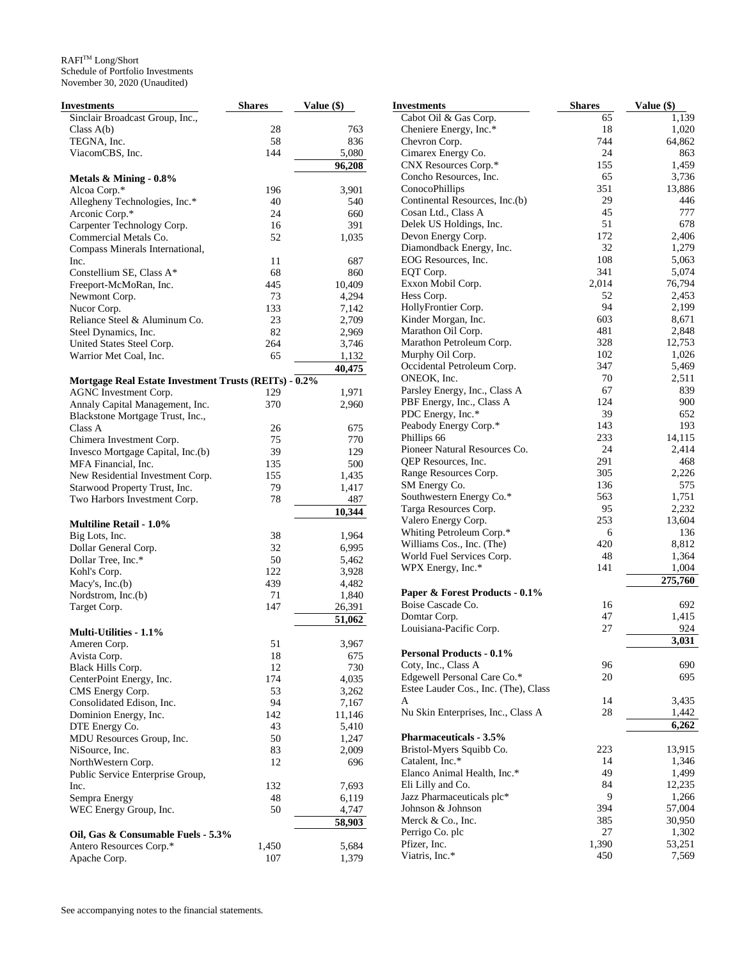| Investments                                                                    | <b>Shares</b> | Value (\$)     |
|--------------------------------------------------------------------------------|---------------|----------------|
| Sinclair Broadcast Group, Inc.,                                                |               |                |
| Class $A(b)$                                                                   | 28            | 763            |
| TEGNA, Inc.                                                                    | 58            | 836            |
| ViacomCBS, Inc.                                                                | 144           | 5,080          |
|                                                                                |               | 96,208         |
| Metals & Mining - 0.8%                                                         |               |                |
| Alcoa Corp.*                                                                   | 196           | 3,901          |
| Allegheny Technologies, Inc.*                                                  | 40            | 540            |
| Arconic Corp.*                                                                 | 24            | 660            |
| Carpenter Technology Corp.                                                     | 16            | 391            |
| Commercial Metals Co.                                                          | 52            | 1,035          |
| Compass Minerals International,                                                |               |                |
| Inc.                                                                           | 11            | 687            |
| Constellium SE, Class A*                                                       | 68            | 860            |
| Freeport-McMoRan, Inc.                                                         | 445           | 10,409         |
| Newmont Corp.                                                                  | 73            | 4,294          |
| Nucor Corp.                                                                    | 133           | 7,142          |
| Reliance Steel & Aluminum Co.                                                  | 23            | 2,709          |
| Steel Dynamics, Inc.                                                           | 82            | 2,969          |
| United States Steel Corp.                                                      | 264           | 3,746          |
| Warrior Met Coal, Inc.                                                         | 65            | 1,132          |
|                                                                                |               | 40,475         |
| Mortgage Real Estate Investment Trusts (REITs) - 0.2%<br>AGNC Investment Corp. | 129           | 1,971          |
| Annaly Capital Management, Inc.                                                | 370           | 2,960          |
| Blackstone Mortgage Trust, Inc.,                                               |               |                |
| Class A                                                                        | 26            | 675            |
| Chimera Investment Corp.                                                       | 75            | 770            |
| Invesco Mortgage Capital, Inc.(b)                                              | 39            | 129            |
| MFA Financial, Inc.                                                            | 135           | 500            |
| New Residential Investment Corp.                                               | 155           | 1,435          |
| Starwood Property Trust, Inc.                                                  | 79            | 1,417          |
| Two Harbors Investment Corp.                                                   | 78            | 487            |
|                                                                                |               | 10,344         |
| <b>Multiline Retail - 1.0%</b>                                                 |               |                |
| Big Lots, Inc.                                                                 | 38            | 1,964          |
| Dollar General Corp.                                                           | 32            | 6,995          |
| Dollar Tree, Inc.*                                                             | 50            | 5,462          |
| Kohl's Corp.                                                                   | 122           | 3,928          |
| Macy's, $Inc.(b)$                                                              | 439           | 4,482          |
| Nordstrom, Inc.(b)                                                             | 71            | 1,840          |
| Target Corp.                                                                   | 147           | 26,391         |
|                                                                                |               | 51,062         |
| Multi-Utilities - 1.1%                                                         |               |                |
| Ameren Corp.                                                                   | 51            | 3,967          |
| Avista Corp.                                                                   | 18            | 675            |
| Black Hills Corp.                                                              | 12            | 730            |
| CenterPoint Energy, Inc.                                                       | 174           | 4,035          |
| CMS Energy Corp.                                                               | 53            | 3,262          |
| Consolidated Edison, Inc.                                                      | 94            | 7,167          |
| Dominion Energy, Inc.                                                          | 142           | 11,146         |
| DTE Energy Co.                                                                 | 43            | 5,410          |
| MDU Resources Group, Inc.                                                      | 50            | 1,247          |
| NiSource, Inc.                                                                 | 83            | 2,009          |
| NorthWestern Corp.                                                             | 12            | 696            |
| Public Service Enterprise Group,                                               | 132           |                |
| Inc.                                                                           | 48            | 7,693          |
| Sempra Energy<br>WEC Energy Group, Inc.                                        | 50            | 6,119<br>4,747 |
|                                                                                |               | 58,903         |
| Oil, Gas & Consumable Fuels - 5.3%                                             |               |                |
| Antero Resources Corp.*                                                        | 1,450         | 5,684          |
| Apache Corp.                                                                   | 107           | 1,379          |
|                                                                                |               |                |

| Investments                                    | <b>Shares</b> | Value (\$) |
|------------------------------------------------|---------------|------------|
| Cabot Oil & Gas Corp.                          | 65            | 1,139      |
| Cheniere Energy, Inc.*                         | 18            | 1,020      |
| Chevron Corp.                                  | 744           | 64,862     |
| Cimarex Energy Co.                             | 24            | 863        |
| CNX Resources Corp.*                           | 155           | 1,459      |
| Concho Resources, Inc.                         | 65            | 3,736      |
| ConocoPhillips                                 | 351           | 13,886     |
| Continental Resources, Inc.(b)                 | 29            | 446        |
| Cosan Ltd., Class A                            | 45            | 777        |
| Delek US Holdings, Inc.                        | 51            | 678        |
| Devon Energy Corp.                             | 172           | 2,406      |
| Diamondback Energy, Inc.                       | 32            | 1,279      |
| EOG Resources, Inc.                            | 108           | 5,063      |
| EQT Corp.                                      | 341           | 5,074      |
| Exxon Mobil Corp.                              | 2,014         | 76,794     |
| Hess Corp.                                     | 52            | 2,453      |
| HollyFrontier Corp.                            | 94            | 2,199      |
| Kinder Morgan, Inc.                            | 603           | 8,671      |
| Marathon Oil Corp.                             | 481           | 2,848      |
| Marathon Petroleum Corp.                       | 328           | 12,753     |
| Murphy Oil Corp.                               | 102           | 1,026      |
| Occidental Petroleum Corp.<br>ONEOK, Inc.      | 347           | 5,469      |
|                                                | 70            | 2,511      |
| Parsley Energy, Inc., Class A                  | 67<br>124     | 839        |
| PBF Energy, Inc., Class A<br>PDC Energy, Inc.* | 39            | 900        |
| Peabody Energy Corp.*                          | 143           | 652<br>193 |
| Phillips 66                                    | 233           | 14,115     |
| Pioneer Natural Resources Co.                  | 24            | 2,414      |
| QEP Resources, Inc.                            | 291           | 468        |
| Range Resources Corp.                          | 305           | 2,226      |
| SM Energy Co.                                  | 136           | 575        |
| Southwestern Energy Co.*                       | 563           | 1,751      |
| Targa Resources Corp.                          | 95            | 2,232      |
| Valero Energy Corp.                            | 253           | 13,604     |
| Whiting Petroleum Corp.*                       | 6             | 136        |
| Williams Cos., Inc. (The)                      | 420           | 8,812      |
| World Fuel Services Corp.                      | 48            | 1,364      |
| WPX Energy, Inc.*                              | 141           | 1,004      |
|                                                |               | 275,760    |
| Paper & Forest Products - 0.1%                 |               |            |
| Boise Cascade Co.                              | 16            | 692        |
| Domtar Corp.                                   | 47            | 1,415      |
| Louisiana-Pacific Corp.                        | 27            | 924        |
|                                                |               | 3.031      |
| <b>Personal Products - 0.1%</b>                |               |            |
| Coty, Inc., Class A                            | 96            | 690        |
| Edgewell Personal Care Co.*                    | 20            | 695        |
| Estee Lauder Cos., Inc. (The), Class           |               |            |
| A                                              | 14            | 3,435      |
| Nu Skin Enterprises, Inc., Class A             | 28            | 1,442      |
|                                                |               | 6,262      |
| <b>Pharmaceuticals - 3.5%</b>                  |               |            |
| Bristol-Myers Squibb Co.                       | 223           | 13,915     |
| Catalent, Inc.*                                | 14            | 1,346      |
| Elanco Animal Health, Inc.*                    | 49            | 1,499      |
| Eli Lilly and Co.                              | 84            | 12,235     |
| Jazz Pharmaceuticals plc*                      | 9             | 1,266      |
| Johnson & Johnson                              | 394           | 57,004     |
| Merck & Co., Inc.                              | 385           | 30,950     |
| Perrigo Co. plc                                | 27            | 1,302      |
| Pfizer, Inc.                                   | 1,390         | 53,251     |
| Viatris, Inc.*                                 | 450           | 7,569      |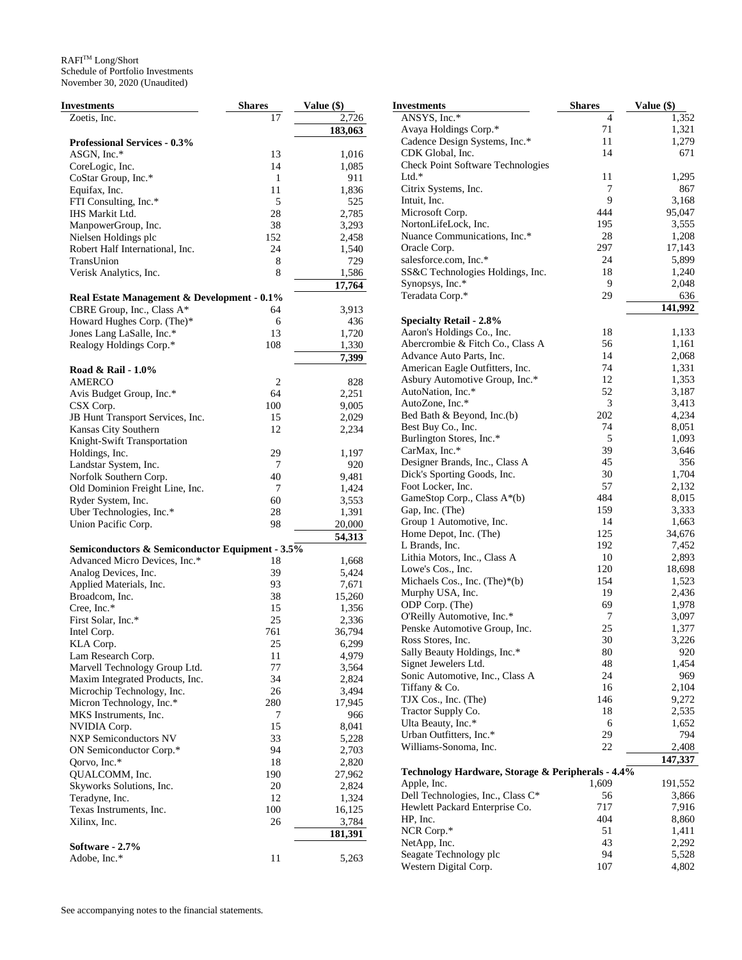| Investments                                     | <b>Shares</b> | <b>Value (\$)</b> |
|-------------------------------------------------|---------------|-------------------|
| Zoetis, Inc.                                    | 17            | 2,726             |
|                                                 |               | 183,063           |
| Professional Services - 0.3%                    |               |                   |
| ASGN, Inc.*                                     | 13            | 1,016             |
| CoreLogic, Inc.                                 | 14            | 1,085             |
| CoStar Group, Inc.*                             | 1             | 911               |
| Equifax, Inc.                                   | 11            | 1,836             |
| FTI Consulting, Inc.*                           | 5             | 525               |
| IHS Markit Ltd.                                 | 28            | 2,785             |
| ManpowerGroup, Inc.                             | 38            | 3,293             |
| Nielsen Holdings plc                            | 152           | 2,458             |
| Robert Half International, Inc.                 | 24            | 1,540             |
| TransUnion                                      | 8             | 729               |
| Verisk Analytics, Inc.                          | 8             | 1,586             |
|                                                 |               |                   |
|                                                 |               | 17,764            |
| Real Estate Management & Development - 0.1%     |               |                   |
| CBRE Group, Inc., Class A*                      | 64            | 3,913             |
| Howard Hughes Corp. (The)*                      | 6             | 436               |
| Jones Lang LaSalle, Inc.*                       | 13            | 1,720             |
| Realogy Holdings Corp.*                         | 108           | 1,330             |
|                                                 |               | 7,399             |
| Road & Rail - 1.0%                              |               |                   |
| <b>AMERCO</b>                                   | 2             | 828               |
| Avis Budget Group, Inc.*                        | 64            | 2,251             |
| CSX Corp.                                       | 100           | 9,005             |
| JB Hunt Transport Services, Inc.                | 15            | 2,029             |
| Kansas City Southern                            | 12            | 2,234             |
| Knight-Swift Transportation                     |               |                   |
| Holdings, Inc.                                  | 29            | 1,197             |
| Landstar System, Inc.                           | 7             | 920               |
| Norfolk Southern Corp.                          | 40            | 9,481             |
| Old Dominion Freight Line, Inc.                 | 7             | 1,424             |
| Ryder System, Inc.                              | 60            | 3,553             |
| Uber Technologies, Inc.*                        | 28            | 1,391             |
| Union Pacific Corp.                             | 98            | 20,000            |
|                                                 |               | 54,313            |
|                                                 |               |                   |
| Semiconductors & Semiconductor Equipment - 3.5% |               |                   |
| Advanced Micro Devices, Inc.*                   | 18            | 1,668             |
| Analog Devices, Inc.                            | 39            | 5,424             |
| Applied Materials, Inc.                         | 93            | 7,671             |
| Broadcom, Inc.                                  | 38            | 15,260            |
| Cree, Inc.*                                     | 15            | 1,356             |
| First Solar, Inc.*                              | 25            | 2,336             |
| Intel Corp.                                     | 761           | 36,794            |
| KLA Corp.                                       | 25            | 6,299             |
| Lam Research Corp.                              | 11            | 4,979             |
| Marvell Technology Group Ltd.                   | 77            | 3,564             |
| Maxim Integrated Products, Inc.                 | 34            | 2,824             |
| Microchip Technology, Inc.                      | 26            | 3,494             |
| Micron Technology, Inc.*                        | 280           | 17,945            |
| MKS Instruments, Inc.                           | 7             | 966               |
| NVIDIA Corp.                                    | 15            | 8,041             |
| <b>NXP Semiconductors NV</b>                    | 33            | 5,228             |
| ON Semiconductor Corp.*                         | 94            | 2,703             |
| Qorvo, Inc.*                                    | 18            | 2,820             |
| QUALCOMM, Inc.                                  | 190           | 27,962            |
| Skyworks Solutions, Inc.                        | 20            | 2,824             |
| Teradyne, Inc.                                  | 12            | 1,324             |
| Texas Instruments, Inc.                         | 100           | 16,125            |
|                                                 | 26            |                   |
| Xilinx, Inc.                                    |               | 3,784             |
|                                                 |               | 181,391           |
| Software - 2.7%                                 |               |                   |
| Adobe, Inc.*                                    | 11            | 5,263             |

| Investments                                       | Shares | Value (\$) |
|---------------------------------------------------|--------|------------|
| ANSYS, Inc.*                                      | 4      | 1,352      |
| Avaya Holdings Corp.*                             | 71     | 1,321      |
| Cadence Design Systems, Inc.*                     | 11     | 1,279      |
| CDK Global, Inc.                                  | 14     | 671        |
| <b>Check Point Software Technologies</b>          |        |            |
| Ltd.*                                             | 11     | 1,295      |
| Citrix Systems, Inc.                              | 7      | 867        |
| Intuit, Inc.                                      | 9      | 3,168      |
| Microsoft Corp.                                   | 444    | 95,047     |
| NortonLifeLock, Inc.                              | 195    | 3,555      |
| Nuance Communications, Inc.*                      | 28     | 1,208      |
| Oracle Corp.                                      | 297    | 17,143     |
| salesforce.com, Inc.*                             | 24     | 5,899      |
| SS&C Technologies Holdings, Inc.                  | 18     | 1,240      |
| Synopsys, Inc.*                                   | 9      | 2,048      |
| Teradata Corp.*                                   | 29     | 636        |
|                                                   |        | 141,992    |
| <b>Specialty Retail - 2.8%</b>                    |        |            |
| Aaron's Holdings Co., Inc.                        | 18     | 1,133      |
| Abercrombie & Fitch Co., Class A                  | 56     | 1,161      |
| Advance Auto Parts, Inc.                          | 14     | 2,068      |
| American Eagle Outfitters, Inc.                   | 74     | 1,331      |
| Asbury Automotive Group, Inc.*                    | 12     | 1,353      |
| AutoNation, Inc.*                                 | 52     | 3,187      |
| AutoZone, Inc.*                                   | 3      | 3,413      |
| Bed Bath & Beyond, Inc.(b)                        | 202    | 4,234      |
| Best Buy Co., Inc.                                | 74     | 8,051      |
| Burlington Stores, Inc.*                          | 5      | 1,093      |
| CarMax, Inc.*                                     | 39     | 3,646      |
| Designer Brands, Inc., Class A                    | 45     | 356        |
| Dick's Sporting Goods, Inc.                       | 30     | 1,704      |
| Foot Locker, Inc.                                 | 57     | 2,132      |
| GameStop Corp., Class A*(b)                       | 484    | 8,015      |
| Gap, Inc. (The)                                   | 159    | 3,333      |
| Group 1 Automotive, Inc.                          | 14     | 1,663      |
| Home Depot, Inc. (The)                            | 125    | 34,676     |
| L Brands, Inc.                                    | 192    | 7,452      |
| Lithia Motors, Inc., Class A                      | 10     | 2,893      |
| Lowe's Cos., Inc.                                 | 120    | 18,698     |
| Michaels Cos., Inc. $(Thei*)*(b)$                 | 154    | 1,523      |
| Murphy USA, Inc.                                  | 19     | 2,436      |
| ODP Corp. (The)                                   | 69     | 1,978      |
| O'Reilly Automotive, Inc.*                        | 7      | 3,097      |
| Penske Automotive Group, Inc.                     | 25     | 1,377      |
| Ross Stores, Inc.                                 | 30     | 3,226      |
| Sally Beauty Holdings, Inc.*                      | 80     | 920        |
| Signet Jewelers Ltd.                              | 48     | 1,454      |
| Sonic Automotive, Inc., Class A                   | 24     | 969        |
| Tiffany & Co.                                     | 16     | 2,104      |
| TJX Cos., Inc. (The)                              | 146    | 9,272      |
| Tractor Supply Co.                                | 18     | 2,535      |
| Ulta Beauty, Inc.*                                | 6      | 1,652      |
| Urban Outfitters, Inc.*                           | 29     | 794        |
| Williams-Sonoma, Inc.                             | 22     | 2,408      |
|                                                   |        | 147,337    |
| Technology Hardware, Storage & Peripherals - 4.4% |        |            |
| Apple, Inc.                                       | 1,609  | 191,552    |
| Dell Technologies, Inc., Class C*                 | 56     | 3,866      |
| Hewlett Packard Enterprise Co.                    | 717    | 7,916      |
| HP, Inc.                                          | 404    | 8,860      |
| NCR Corp.*                                        | 51     | 1,411      |
| NetApp, Inc.                                      | 43     | 2,292      |
| Seagate Technology plc                            | 94     | 5,528      |
| Western Digital Corp.                             | 107    | 4,802      |
|                                                   |        |            |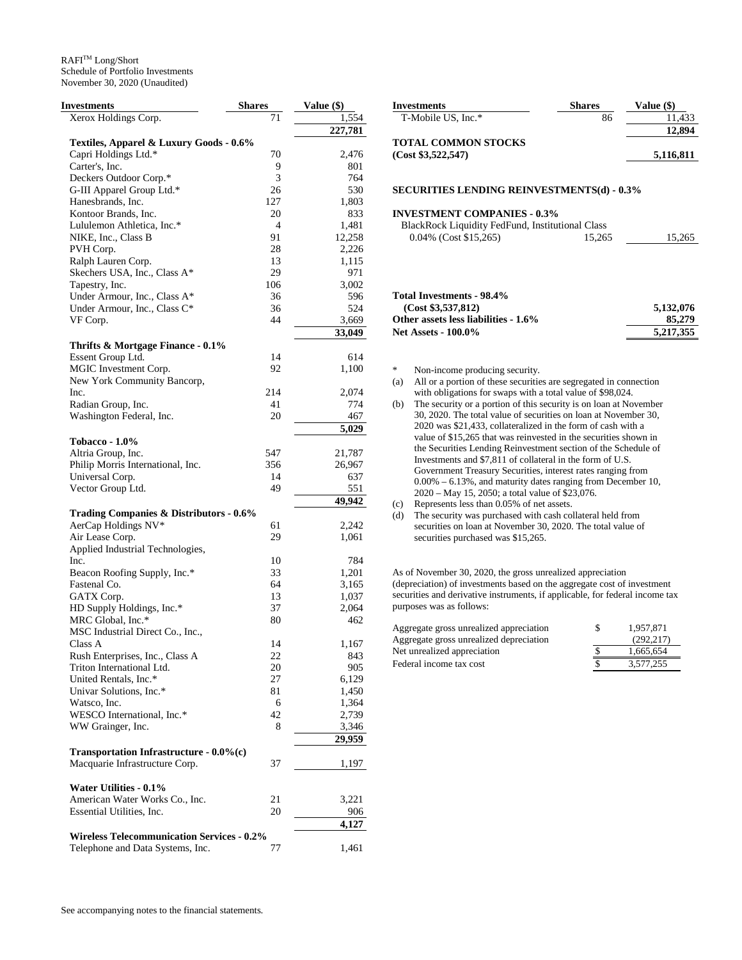## $\mathbb{R}\mathsf{A}\mathsf{F}\mathsf{I}^{\mathsf{TM}}$  Long/Short Schedule of Portfolio Investments November 30, 2020 (Unaudited)

| Investments                                       | <b>Shares</b> | Value (\$) |
|---------------------------------------------------|---------------|------------|
| Xerox Holdings Corp.                              | 71            | 1,554      |
|                                                   |               | 227,781    |
| Textiles, Apparel & Luxury Goods - 0.6%           |               |            |
| Capri Holdings Ltd.*                              | 70            | 2,476      |
| Carter's, Inc.                                    | 9             | 801        |
| Deckers Outdoor Corp.*                            | 3             | 764        |
| G-III Apparel Group Ltd.*                         | 26            | 530        |
| Hanesbrands, Inc.                                 | 127           | 1,803      |
| Kontoor Brands, Inc.                              | 20            | 833        |
| Lululemon Athletica, Inc.*                        | 4             | 1,481      |
| NIKE, Inc., Class B                               | 91            | 12,258     |
| PVH Corp.                                         | 28            | 2,226      |
| Ralph Lauren Corp.                                | 13            | 1,115      |
| Skechers USA, Inc., Class A*                      | 29            | 971        |
| Tapestry, Inc.                                    | 106           | 3,002      |
| Under Armour, Inc., Class A*                      | 36            | 596        |
| Under Armour, Inc., Class C*                      | 36            | 524        |
| VF Corp.                                          | 44            | 3,669      |
|                                                   |               | 33,049     |
| Thrifts & Mortgage Finance - 0.1%                 |               |            |
| Essent Group Ltd.                                 | 14            | 614        |
| MGIC Investment Corp.                             | 92            | 1,100      |
| New York Community Bancorp,                       |               |            |
| Inc.                                              | 214           | 2,074      |
| Radian Group, Inc.                                | 41            | 774        |
| Washington Federal, Inc.                          | 20            | 467        |
|                                                   |               | 5,029      |
| <b>Tobacco - 1.0%</b>                             |               |            |
| Altria Group, Inc.                                | 547           | 21,787     |
| Philip Morris International, Inc.                 | 356           | 26,967     |
| Universal Corp.                                   | 14            | 637        |
| Vector Group Ltd.                                 | 49            | 551        |
|                                                   |               | 49,942     |
| Trading Companies & Distributors - 0.6%           |               |            |
| AerCap Holdings NV*                               | 61            | 2,242      |
| Air Lease Corp.                                   | 29            | 1,061      |
| Applied Industrial Technologies,                  |               |            |
| Inc.                                              | 10            | 784        |
| Beacon Roofing Supply, Inc.*                      | 33            | 1,201      |
| Fastenal Co.                                      | 64            | 3,165      |
| GATX Corp.                                        | 13            | 1,037      |
| HD Supply Holdings, Inc.*                         | 37            | 2,064      |
| MRC Global, Inc.*                                 | 80            | 462        |
| MSC Industrial Direct Co., Inc.,                  |               |            |
| Class A                                           | 14            | 1,167      |
| Rush Enterprises, Inc., Class A                   | 22            | 843        |
| Triton International Ltd.                         | 20            | 905        |
| United Rentals, Inc.*                             | 27            | 6,129      |
| Univar Solutions, Inc.*                           | 81            | 1,450      |
| Watsco, Inc.                                      | 6             | 1,364      |
| WESCO International, Inc.*                        | 42            | 2,739      |
| WW Grainger, Inc.                                 | 8             | 3,346      |
|                                                   |               | 29,959     |
| Transportation Infrastructure - 0.0%(c)           |               |            |
| Macquarie Infrastructure Corp.                    | 37            | 1,197      |
|                                                   |               |            |
| Water Utilities - 0.1%                            |               |            |
| American Water Works Co., Inc.                    | 21            | 3,221      |
| Essential Utilities, Inc.                         | 20            | 906        |
|                                                   |               | 4,127      |
| <b>Wireless Telecommunication Services - 0.2%</b> |               |            |
| Telephone and Data Systems, Inc.                  | 77            | 1,461      |
|                                                   |               |            |

| <b>Investments</b>         | <b>Shares</b> | Value (\$) |
|----------------------------|---------------|------------|
| T-Mobile US, Inc.*         | 86            | 11.433     |
|                            |               | 12,894     |
| <b>TOTAL COMMON STOCKS</b> |               |            |
| (Cost \$3,522,547)         |               | 5,116,811  |

#### **SECURITIES LENDING REINVESTMENTS(d) - 0.3%**

## **INVESTMENT COMPANIES - 0.3%**

| BlackRock Liquidity FedFund, Institutional Class |        |        |
|--------------------------------------------------|--------|--------|
| $0.04\%$ (Cost \$15,265)                         | 15.265 | 15.265 |

## **Total Investments - 98.4%**

| (Cost \$3,537,812)                   | 5.132,076 |
|--------------------------------------|-----------|
| Other assets less liabilities - 1.6% | 85,279    |
| <b>Net Assets - 100.0%</b>           | 5.217.355 |

\* Non-income producing security.

- (a) All or a portion of these securities are segregated in connection with obligations for swaps with a total value of \$98,024.
- (b) The security or a portion of this security is on loan at November 30, 2020. The total value of securities on loan at November 30, 2020 was \$21,433, collateralized in the form of cash with a value of \$15,265 that was reinvested in the securities shown in the Securities Lending Reinvestment section of the Schedule of Investments and \$7,811 of collateral in the form of U.S. Government Treasury Securities, interest rates ranging from 0.00% – 6.13%, and maturity dates ranging from December 10, 2020 – May 15, 2050; a total value of \$23,076.
- (c) Represents less than 0.05% of net assets.
- (d) The security was purchased with cash collateral held from securities on loan at November 30, 2020. The total value of securities purchased was \$15,265.

As of November 30, 2020, the gross unrealized appreciation (depreciation) of investments based on the aggregate cost of investment securities and derivative instruments, if applicable, for federal income tax purposes was as follows:

| Aggregate gross unrealized appreciation | S | 1.957.871 |
|-----------------------------------------|---|-----------|
| Aggregate gross unrealized depreciation |   | (292.217) |
| Net unrealized appreciation             |   | 1.665.654 |
| Federal income tax cost                 |   | 3.577.255 |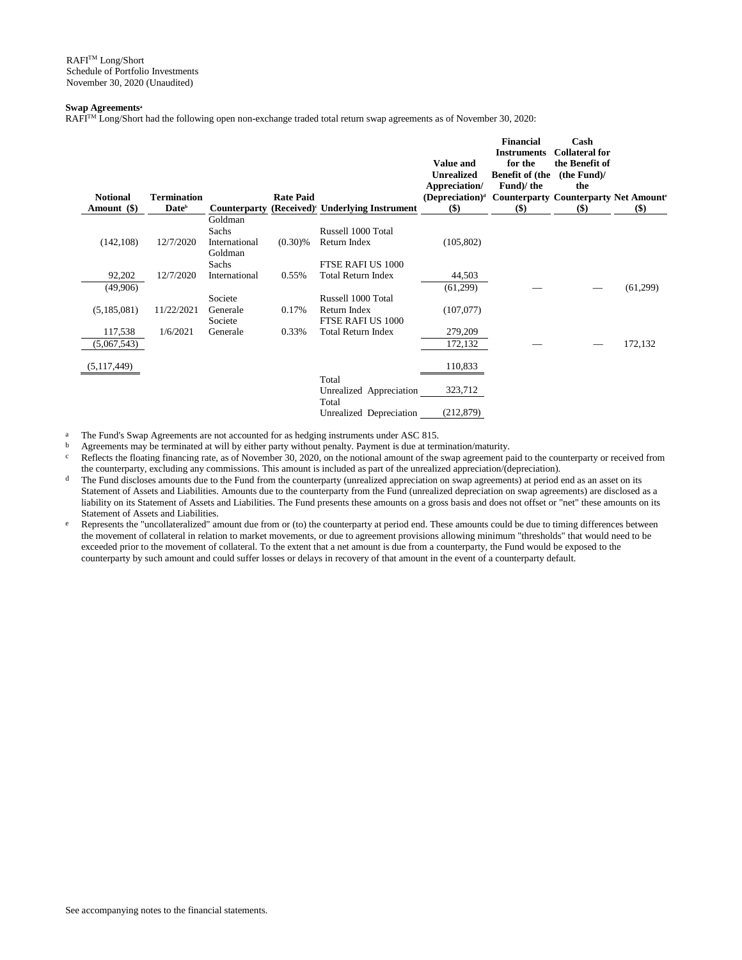## **Swap Agreements<sup>a</sup>**

RAFI<sup>TM</sup> Long/Short had the following open non-exchange traded total return swap agreements as of November 30, 2020:

| <b>Notional</b>        | <b>Termination</b> |                                                       | <b>Rate Paid</b> |                                                            | <b>Value and</b><br><b>Unrealized</b><br>Appreciation/<br>(Depreciation) <sup>d</sup> | <b>Financial</b><br><b>Instruments</b><br>for the<br><b>Benefit of (the</b><br>Fund)/ the<br><b>Counterparty Counterparty Net Amounts</b> | Cash<br><b>Collateral for</b><br>the Benefit of<br>(the Fund)/<br>the |          |
|------------------------|--------------------|-------------------------------------------------------|------------------|------------------------------------------------------------|---------------------------------------------------------------------------------------|-------------------------------------------------------------------------------------------------------------------------------------------|-----------------------------------------------------------------------|----------|
| Amount (\$)            | Date <sup>b</sup>  |                                                       |                  | Counterparty (Received) <sup>c</sup> Underlying Instrument | $($)$                                                                                 | \$)                                                                                                                                       | $($)$                                                                 | \$)      |
| (142, 108)             | 12/7/2020          | Goldman<br>Sachs<br>International<br>Goldman<br>Sachs | $(0.30)\%$       | Russell 1000 Total<br>Return Index<br>FTSE RAFI US 1000    | (105, 802)                                                                            |                                                                                                                                           |                                                                       |          |
| 92,202<br>(49,906)     | 12/7/2020          | International<br>Societe                              | 0.55%            | <b>Total Return Index</b><br>Russell 1000 Total            | 44,503<br>(61,299)                                                                    |                                                                                                                                           |                                                                       | (61,299) |
| (5,185,081)            | 11/22/2021         | Generale<br>Societe                                   | 0.17%            | Return Index<br>FTSE RAFI US 1000                          | (107,077)                                                                             |                                                                                                                                           |                                                                       |          |
| 117,538<br>(5,067,543) | 1/6/2021           | Generale                                              | 0.33%            | <b>Total Return Index</b>                                  | 279,209<br>172,132                                                                    |                                                                                                                                           |                                                                       | 172,132  |
| (5, 117, 449)          |                    |                                                       |                  |                                                            | 110,833                                                                               |                                                                                                                                           |                                                                       |          |
|                        |                    |                                                       |                  | Total<br>Unrealized Appreciation<br>Total                  | 323,712                                                                               |                                                                                                                                           |                                                                       |          |
|                        |                    |                                                       |                  | Unrealized Depreciation                                    | (212, 879)                                                                            |                                                                                                                                           |                                                                       |          |

<sup>a</sup> The Fund's Swap Agreements are not accounted for as hedging instruments under ASC 815.

b Agreements may be terminated at will by either party without penalty. Payment is due at termination/maturity.<br>
Reflects the floating financing rate, as of November 30, 2020, on the notional amount of the swap agreement

Reflects the floating financing rate, as of November 30, 2020, on the notional amount of the swap agreement paid to the counterparty or received from the counterparty, excluding any commissions. This amount is included as part of the unrealized appreciation/(depreciation).

- d The Fund discloses amounts due to the Fund from the counterparty (unrealized appreciation on swap agreements) at period end as an asset on its Statement of Assets and Liabilities. Amounts due to the counterparty from the Fund (unrealized depreciation on swap agreements) are disclosed as a liability on its Statement of Assets and Liabilities. The Fund presents these amounts on a gross basis and does not offset or "net" these amounts on its Statement of Assets and Liabilities.
- e Represents the "uncollateralized" amount due from or (to) the counterparty at period end. These amounts could be due to timing differences between the movement of collateral in relation to market movements, or due to agreement provisions allowing minimum "thresholds" that would need to be exceeded prior to the movement of collateral. To the extent that a net amount is due from a counterparty, the Fund would be exposed to the counterparty by such amount and could suffer losses or delays in recovery of that amount in the event of a counterparty default.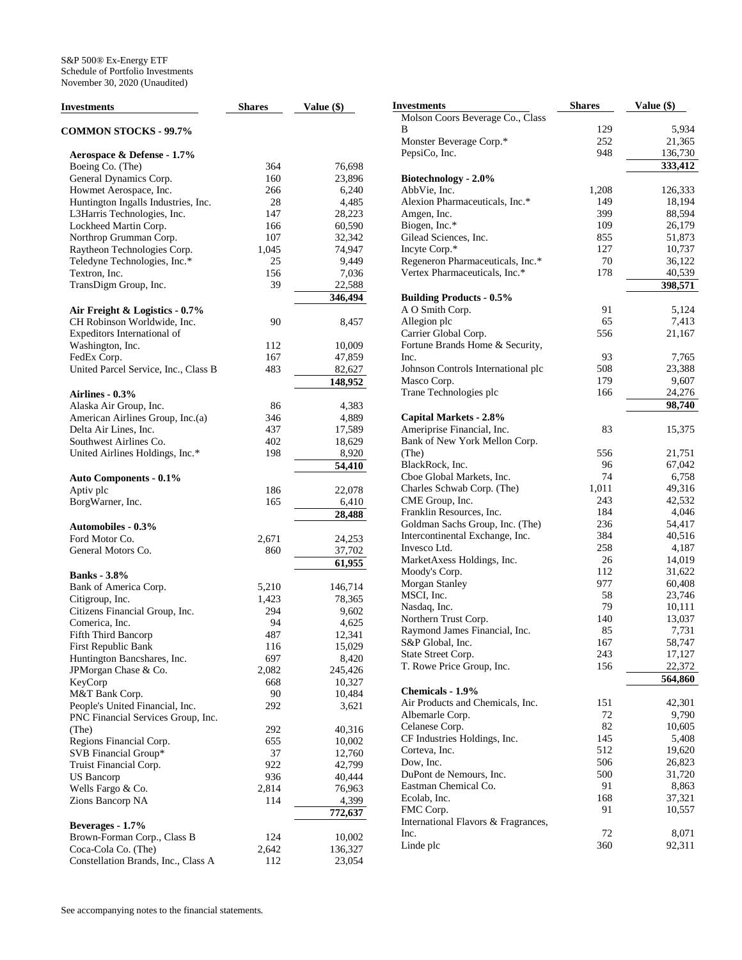| <b>Investments</b>                         | <b>Shares</b> | Value (\$) |
|--------------------------------------------|---------------|------------|
| <b>COMMON STOCKS - 99.7%</b>               |               |            |
| Aerospace & Defense - 1.7%                 |               |            |
| Boeing Co. (The)                           | 364           | 76,698     |
| General Dynamics Corp.                     | 160           | 23,896     |
| Howmet Aerospace, Inc.                     | 266           | 6,240      |
| Huntington Ingalls Industries, Inc.        | 28            | 4,485      |
| L3Harris Technologies, Inc.                | 147           | 28,223     |
| Lockheed Martin Corp.                      | 166           | 60,590     |
| Northrop Grumman Corp.                     | 107           | 32,342     |
| Raytheon Technologies Corp.                | 1,045         | 74,947     |
| Teledyne Technologies, Inc.*               | 25            | 9,449      |
| Textron, Inc.                              | 156           | 7,036      |
| TransDigm Group, Inc.                      | 39            | 22,588     |
|                                            |               | 346,494    |
| Air Freight & Logistics - 0.7%             |               |            |
| CH Robinson Worldwide, Inc.                | 90            | 8,457      |
| Expeditors International of                |               |            |
| Washington, Inc.                           | 112           | 10,009     |
| FedEx Corp.                                | 167           | 47,859     |
| United Parcel Service, Inc., Class B       | 483           | 82,627     |
|                                            |               | 148,952    |
| Airlines - 0.3%                            |               |            |
| Alaska Air Group, Inc.                     | 86            | 4,383      |
| American Airlines Group, Inc.(a)           | 346           | 4,889      |
| Delta Air Lines, Inc.                      | 437           | 17,589     |
| Southwest Airlines Co.                     | 402           | 18,629     |
| United Airlines Holdings, Inc.*            | 198           | 8,920      |
|                                            |               | 54,410     |
| <b>Auto Components - 0.1%</b><br>Aptiv plc | 186           | 22,078     |
| BorgWarner, Inc.                           | 165           | 6,410      |
|                                            |               | 28,488     |
| <b>Automobiles - 0.3%</b>                  |               |            |
| Ford Motor Co.                             | 2,671         | 24,253     |
| General Motors Co.                         | 860           | 37,702     |
|                                            |               | 61,955     |
| <b>Banks</b> - 3.8%                        |               |            |
| Bank of America Corp.                      | 5,210         | 146,714    |
| Citigroup, Inc.                            | 1,423         | 78,365     |
| Citizens Financial Group, Inc.             | 294           | 9,602      |
| Comerica, Inc.                             | 94            | 4,625      |
| <b>Fifth Third Bancorp</b>                 | 487           | 12,341     |
| First Republic Bank                        | 116           | 15,029     |
| Huntington Bancshares, Inc.                | 697           | 8,420      |
| JPMorgan Chase & Co.                       | 2,082         | 245,426    |
| KeyCorp                                    | 668           | 10,327     |
| M&T Bank Corp.                             | 90            | 10,484     |
| People's United Financial, Inc.            | 292           | 3,621      |
| PNC Financial Services Group, Inc.         |               |            |
| (The)                                      | 292           | 40,316     |
| Regions Financial Corp.                    | 655           | 10,002     |
| SVB Financial Group*                       | 37            | 12,760     |
| Truist Financial Corp.                     | 922           | 42,799     |
| US Bancorp                                 | 936           | 40,444     |
| Wells Fargo & Co.                          | 2,814         | 76,963     |
| Zions Bancorp NA                           | 114           | 4,399      |
|                                            |               | 772,637    |
| Beverages - 1.7%                           |               |            |
| Brown-Forman Corp., Class B                | 124           | 10,002     |
| Coca-Cola Co. (The)                        | 2,642         | 136,327    |
| Constellation Brands, Inc., Class A        | 112           | 23,054     |

| Investments                                             | <b>Shares</b> | Value (\$)      |
|---------------------------------------------------------|---------------|-----------------|
| Molson Coors Beverage Co., Class                        |               |                 |
| В                                                       | 129           | 5,934           |
| Monster Beverage Corp.*                                 | 252           | 21,365          |
| PepsiCo, Inc.                                           | 948           | 136,730         |
|                                                         |               | 333,412         |
| Biotechnology - 2.0%                                    |               |                 |
| AbbVie, Inc.                                            | 1,208         | 126,333         |
| Alexion Pharmaceuticals, Inc.*                          | 149           | 18,194          |
| Amgen, Inc.                                             | 399           | 88,594          |
| Biogen, Inc.*                                           | 109           | 26,179          |
| Gilead Sciences, Inc.                                   | 855           | 51,873          |
| Incyte Corp.*                                           | 127           | 10,737          |
| Regeneron Pharmaceuticals, Inc.*                        | 70            | 36,122          |
| Vertex Pharmaceuticals, Inc.*                           | 178           | 40,539          |
|                                                         |               | 398,571         |
| <b>Building Products - 0.5%</b>                         |               |                 |
| A O Smith Corp.                                         | 91            | 5,124           |
| Allegion plc                                            | 65<br>556     | 7,413           |
| Carrier Global Corp.<br>Fortune Brands Home & Security, |               | 21,167          |
| Inc.                                                    | 93            | 7,765           |
| Johnson Controls International plc                      | 508           | 23,388          |
| Masco Corp.                                             | 179           | 9,607           |
| Trane Technologies plc                                  | 166           | 24,276          |
|                                                         |               | 98,740          |
| Capital Markets - 2.8%                                  |               |                 |
| Ameriprise Financial, Inc.                              | 83            | 15,375          |
| Bank of New York Mellon Corp.                           |               |                 |
| (The)                                                   | 556           | 21,751          |
| BlackRock, Inc.                                         | 96            | 67,042          |
| Cboe Global Markets, Inc.                               | 74            | 6,758           |
| Charles Schwab Corp. (The)                              | 1,011         | 49,316          |
| CME Group, Inc.                                         | 243           | 42,532          |
| Franklin Resources, Inc.                                | 184           | 4,046           |
| Goldman Sachs Group, Inc. (The)                         | 236           | 54,417          |
| Intercontinental Exchange, Inc.                         | 384           | 40,516          |
| Invesco Ltd.                                            | 258           | 4,187           |
| MarketAxess Holdings, Inc.                              | 26            | 14,019          |
| Moody's Corp.                                           | 112           | 31,622          |
| Morgan Stanley                                          | 977           | 60,408          |
| MSCI, Inc.                                              | 58            | 23,746          |
| Nasdaq, Inc.                                            | 79            | 10,111          |
| Northern Trust Corp.                                    | 140           | 13,037          |
| Raymond James Financial, Inc.                           | 85            | 7,731           |
| S&P Global, Inc.                                        | 167           | 58,747          |
| State Street Corp.                                      | 243           | 17,127          |
| T. Rowe Price Group, Inc.                               | 156           | 22,372          |
|                                                         |               | 564,860         |
| Chemicals - 1.9%                                        |               |                 |
| Air Products and Chemicals, Inc.                        | 151           | 42,301          |
| Albemarle Corp.<br>Celanese Corp.                       | 72<br>82      | 9,790<br>10,605 |
| CF Industries Holdings, Inc.                            | 145           | 5,408           |
| Corteva, Inc.                                           | 512           | 19,620          |
| Dow, Inc.                                               | 506           | 26,823          |
| DuPont de Nemours, Inc.                                 | 500           | 31,720          |
| Eastman Chemical Co.                                    | 91            | 8,863           |
| Ecolab, Inc.                                            | 168           | 37,321          |
| FMC Corp.                                               | 91            | 10,557          |
| International Flavors & Fragrances,                     |               |                 |
| Inc.                                                    | 72            | 8,071           |
| Linde plc                                               | 360           | 92,311          |
|                                                         |               |                 |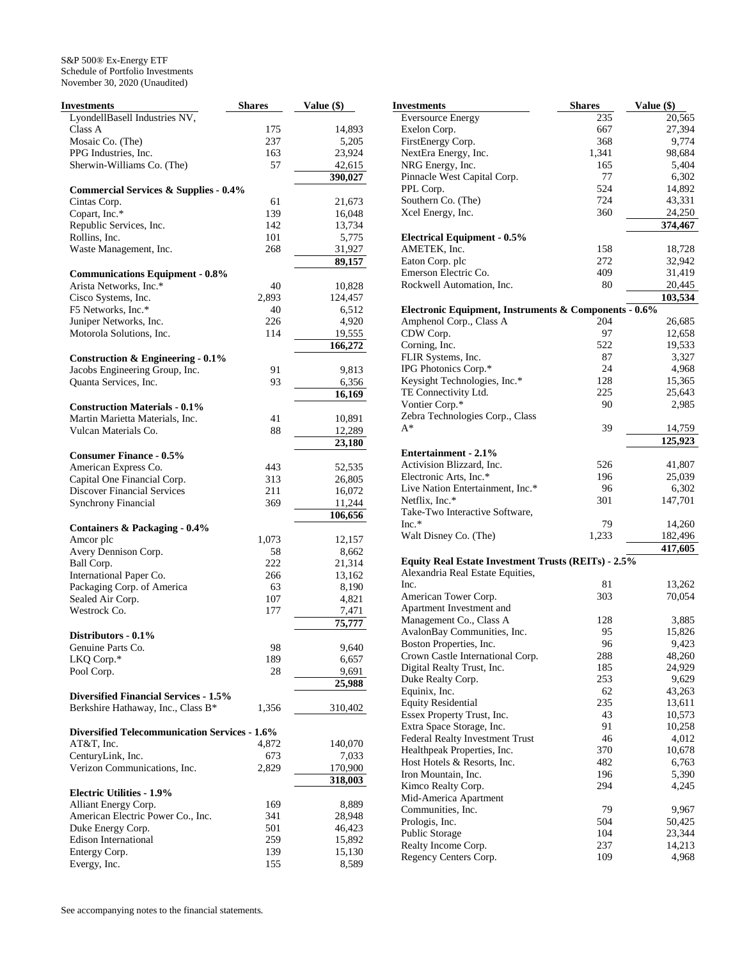| <b>Investments</b>                                                                 | <b>Shares</b> | Value (\$) |
|------------------------------------------------------------------------------------|---------------|------------|
| LyondellBasell Industries NV,                                                      |               |            |
| Class A                                                                            | 175           | 14,893     |
| Mosaic Co. (The)                                                                   | 237           | 5,205      |
| PPG Industries, Inc.                                                               | 163           | 23,924     |
| Sherwin-Williams Co. (The)                                                         | 57            | 42,615     |
|                                                                                    |               | 390,027    |
| <b>Commercial Services &amp; Supplies - 0.4%</b>                                   |               |            |
| Cintas Corp.                                                                       | 61            | 21,673     |
| Copart, Inc.*                                                                      | 139           | 16,048     |
| Republic Services, Inc.                                                            | 142           | 13,734     |
| Rollins, Inc.                                                                      | 101           | 5,775      |
| Waste Management, Inc.                                                             | 268           | 31,927     |
|                                                                                    |               | 89,157     |
| <b>Communications Equipment - 0.8%</b>                                             |               |            |
| Arista Networks, Inc.*                                                             | 40            | 10,828     |
| Cisco Systems, Inc.                                                                | 2,893         | 124,457    |
| F5 Networks, Inc.*                                                                 | 40            | 6,512      |
| Juniper Networks, Inc.                                                             | 226           | 4,920      |
| Motorola Solutions, Inc.                                                           | 114           | 19,555     |
|                                                                                    |               | 166,272    |
| <b>Construction &amp; Engineering - 0.1%</b>                                       |               |            |
| Jacobs Engineering Group, Inc.                                                     | 91            | 9,813      |
| Quanta Services, Inc.                                                              | 93            | 6,356      |
|                                                                                    |               | 16,169     |
| <b>Construction Materials - 0.1%</b>                                               |               |            |
| Martin Marietta Materials, Inc.                                                    | 41            | 10,891     |
| Vulcan Materials Co.                                                               | 88            | 12,289     |
|                                                                                    |               | 23,180     |
| <b>Consumer Finance - 0.5%</b>                                                     |               |            |
| American Express Co.                                                               | 443           | 52,535     |
| Capital One Financial Corp.                                                        | 313           | 26,805     |
| <b>Discover Financial Services</b>                                                 | 211           | 16,072     |
| <b>Synchrony Financial</b>                                                         | 369           | 11,244     |
|                                                                                    |               | 106,656    |
| Containers & Packaging - 0.4%                                                      |               |            |
| Amcor plc                                                                          | 1,073         | 12,157     |
| Avery Dennison Corp.                                                               | 58            | 8,662      |
| Ball Corp.                                                                         | 222           | 21,314     |
| International Paper Co.                                                            | 266           | 13,162     |
| Packaging Corp. of America                                                         | 63            | 8,190      |
| Sealed Air Corp.                                                                   | 107           | 4,821      |
| Westrock Co.                                                                       | 177           | 7,471      |
|                                                                                    |               | 75,777     |
| Distributors - 0.1%                                                                |               |            |
| Genuine Parts Co.                                                                  | 98            | 9,640      |
| LKQ Corp.*                                                                         | 189           | 6,657      |
| Pool Corp.                                                                         | 28            | 9,691      |
|                                                                                    |               | 25,988     |
| <b>Diversified Financial Services - 1.5%</b><br>Berkshire Hathaway, Inc., Class B* |               |            |
|                                                                                    | 1,356         | 310,402    |
| <b>Diversified Telecommunication Services - 1.6%</b>                               |               |            |
| AT&T, Inc.                                                                         | 4,872         | 140,070    |
| CenturyLink, Inc.                                                                  | 673           | 7,033      |
| Verizon Communications, Inc.                                                       | 2,829         | 170,900    |
|                                                                                    |               | 318,003    |
| <b>Electric Utilities - 1.9%</b>                                                   |               |            |
| Alliant Energy Corp.                                                               | 169           | 8,889      |
| American Electric Power Co., Inc.                                                  | 341           | 28,948     |
| Duke Energy Corp.                                                                  | 501           | 46,423     |
| <b>Edison International</b>                                                        | 259           | 15,892     |
| Entergy Corp.                                                                      | 139           | 15,130     |
| Evergy, Inc.                                                                       | 155           | 8,589      |
|                                                                                    |               |            |

| Investments                                           | Shares | Value (\$) |
|-------------------------------------------------------|--------|------------|
| <b>Eversource Energy</b>                              | 235    | 20,565     |
| Exelon Corp.                                          | 667    | 27,394     |
| FirstEnergy Corp.                                     | 368    | 9,774      |
| NextEra Energy, Inc.                                  | 1,341  | 98,684     |
| NRG Energy, Inc.                                      | 165    | 5,404      |
| Pinnacle West Capital Corp.                           | 77     | 6,302      |
| PPL Corp.                                             | 524    | 14,892     |
| Southern Co. (The)                                    | 724    | 43,331     |
| Xcel Energy, Inc.                                     | 360    | 24,250     |
|                                                       |        | 374,467    |
| <b>Electrical Equipment - 0.5%</b>                    |        |            |
| AMETEK, Inc.                                          | 158    | 18,728     |
| Eaton Corp. plc                                       | 272    | 32,942     |
| Emerson Electric Co.                                  | 409    | 31,419     |
| Rockwell Automation, Inc.                             | 80     | 20,445     |
|                                                       |        | 103,534    |
| Electronic Equipment, Instruments & Components - 0.6% |        |            |
| Amphenol Corp., Class A                               | 204    | 26,685     |
| CDW Corp.                                             | 97     | 12,658     |
| Corning, Inc.                                         | 522    | 19,533     |
| FLIR Systems, Inc.                                    | 87     | 3,327      |
| IPG Photonics Corp.*                                  | 24     | 4,968      |
| Keysight Technologies, Inc.*                          | 128    | 15,365     |
| TE Connectivity Ltd.                                  | 225    | 25,643     |
| Vontier Corp.*                                        | 90     | 2,985      |
| Zebra Technologies Corp., Class                       |        |            |
| A*                                                    | 39     | 14,759     |
|                                                       |        | 125,923    |
| <b>Entertainment - 2.1%</b>                           |        |            |
| Activision Blizzard, Inc.                             | 526    | 41,807     |
| Electronic Arts, Inc.*                                | 196    | 25,039     |
| Live Nation Entertainment, Inc.*                      | 96     | 6,302      |
| Netflix, Inc.*                                        | 301    | 147,701    |
| Take-Two Interactive Software,                        |        |            |
| $Inc.*$                                               | 79     | 14,260     |
| Walt Disney Co. (The)                                 | 1,233  | 182,496    |
|                                                       |        | 417,605    |
| Equity Real Estate Investment Trusts (REITs) - 2.5%   |        |            |
| Alexandria Real Estate Equities,                      |        |            |
| Inc.                                                  | 81     | 13,262     |
| American Tower Corp.                                  | 303    | 70,054     |
| Apartment Investment and                              |        |            |
| Management Co., Class A                               | 128    | 3,885      |
| AvalonBay Communities, Inc.                           | 95     | 15,826     |
| Boston Properties, Inc.                               | 96     | 9,423      |
| Crown Castle International Corp.                      | 288    | 48,260     |
| Digital Realty Trust, Inc.                            | 185    | 24,929     |
| Duke Realty Corp.                                     | 253    | 9,629      |
| Equinix, Inc.                                         | 62     | 43,263     |
| <b>Equity Residential</b>                             | 235    | 13,611     |
| Essex Property Trust, Inc.                            | 43     | 10,573     |
| Extra Space Storage, Inc.                             | 91     | 10,258     |
| Federal Realty Investment Trust                       | 46     | 4,012      |
|                                                       |        |            |
| Healthpeak Properties, Inc.                           | 370    | 10,678     |
| Host Hotels & Resorts, Inc.                           | 482    | 6,763      |
| Iron Mountain, Inc.                                   | 196    | 5,390      |
| Kimco Realty Corp.                                    | 294    | 4,245      |
| Mid-America Apartment                                 |        |            |
| Communities, Inc.                                     | 79     | 9,967      |
| Prologis, Inc.                                        | 504    | 50,425     |
| Public Storage                                        | 104    | 23,344     |
| Realty Income Corp.                                   | 237    | 14,213     |
| Regency Centers Corp.                                 | 109    | 4,968      |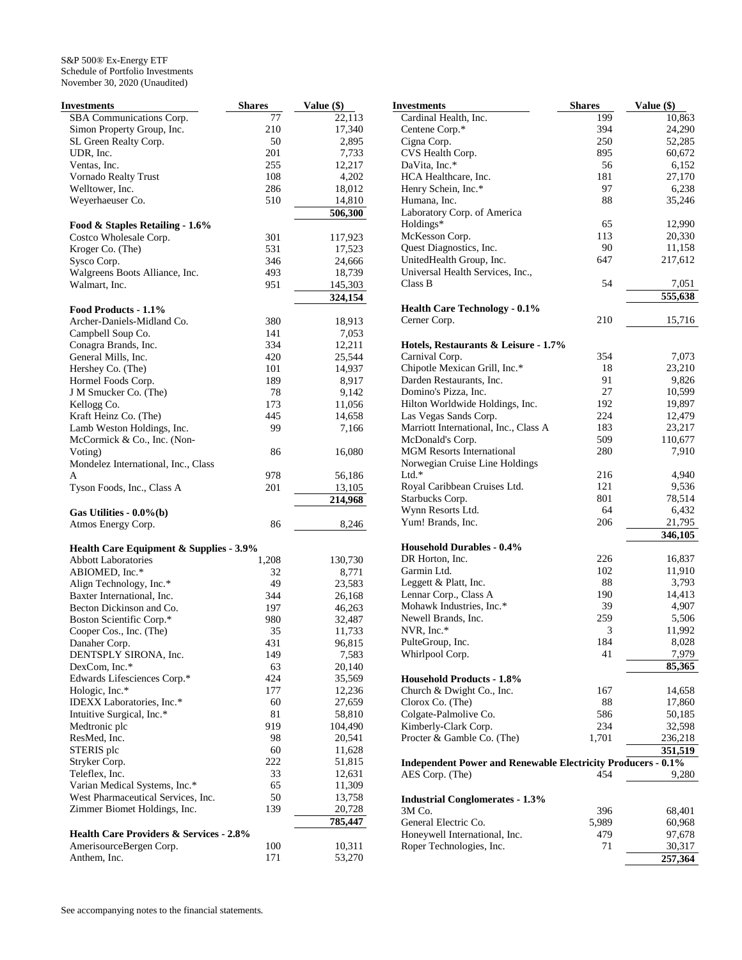| Investments                                        | <b>Shares</b> | Value (\$) |
|----------------------------------------------------|---------------|------------|
| SBA Communications Corp.                           | 77            | 22,113     |
| Simon Property Group, Inc.                         | 210           | 17,340     |
| SL Green Realty Corp.                              | 50            | 2,895      |
| UDR, Inc.                                          | 201           | 7,733      |
| Ventas, Inc.                                       | 255           | 12,217     |
| Vornado Realty Trust                               | 108           | 4,202      |
| Welltower, Inc.                                    | 286           | 18,012     |
| Weyerhaeuser Co.                                   | 510           | 14,810     |
|                                                    |               | 506,300    |
| Food & Staples Retailing - 1.6%                    |               |            |
| Costco Wholesale Corp.                             | 301           | 117,923    |
| Kroger Co. (The)                                   | 531           | 17,523     |
| Sysco Corp.                                        | 346           | 24,666     |
| Walgreens Boots Alliance, Inc.                     | 493           | 18,739     |
| Walmart, Inc.                                      | 951           | 145,303    |
|                                                    |               | 324,154    |
| Food Products - 1.1%                               |               |            |
| Archer-Daniels-Midland Co.                         | 380           | 18,913     |
| Campbell Soup Co.                                  | 141           | 7,053      |
| Conagra Brands, Inc.                               | 334           | 12,211     |
| General Mills, Inc.                                | 420           | 25,544     |
| Hershey Co. (The)                                  | 101           | 14,937     |
| Hormel Foods Corp.                                 | 189           | 8,917      |
| J M Smucker Co. (The)                              | 78            | 9,142      |
| Kellogg Co.                                        | 173           | 11,056     |
| Kraft Heinz Co. (The)                              | 445           | 14,658     |
| Lamb Weston Holdings, Inc.                         | 99            | 7,166      |
| McCormick & Co., Inc. (Non-                        |               |            |
| Voting)                                            | 86            | 16,080     |
|                                                    |               |            |
| Mondelez International, Inc., Class<br>A           |               |            |
|                                                    | 978<br>201    | 56,186     |
| Tyson Foods, Inc., Class A                         |               | 13,105     |
| Gas Utilities - 0.0%(b)                            |               | 214,968    |
| Atmos Energy Corp.                                 | 86            | 8,246      |
|                                                    |               |            |
| Health Care Equipment & Supplies - 3.9%            |               |            |
| <b>Abbott Laboratories</b>                         | 1,208         | 130,730    |
| ABIOMED, Inc.*                                     | 32            | 8,771      |
| Align Technology, Inc.*                            | 49            | 23,583     |
| Baxter International, Inc.                         | 344           | 26,168     |
| Becton Dickinson and Co.                           | 197           | 46,263     |
| Boston Scientific Corp.*                           | 980           | 32,487     |
| Cooper Cos., Inc. (The)                            | 35            | 11,733     |
| Danaher Corp.                                      | 431           | 96,815     |
| DENTSPLY SIRONA, Inc.                              | 149           | 7,583      |
| DexCom, Inc.*                                      | 63            | 20,140     |
| Edwards Lifesciences Corp.*                        | 424           | 35,569     |
| Hologic, Inc.*                                     | 177           | 12,236     |
| IDEXX Laboratories, Inc.*                          | 60            | 27,659     |
| Intuitive Surgical, Inc.*                          | 81            | 58,810     |
| Medtronic plc                                      | 919           | 104,490    |
| ResMed, Inc.                                       | 98            | 20,541     |
| STERIS plc                                         | 60            | 11,628     |
| Stryker Corp.                                      | 222           | 51,815     |
|                                                    |               |            |
| Teleflex, Inc.                                     | 33            | 12,631     |
| Varian Medical Systems, Inc.*                      | 65            | 11,309     |
| West Pharmaceutical Services, Inc.                 | 50            | 13,758     |
| Zimmer Biomet Holdings, Inc.                       | 139           | 20,728     |
|                                                    |               | 785,447    |
| <b>Health Care Providers &amp; Services - 2.8%</b> |               |            |
| AmerisourceBergen Corp.                            | 100           | 10,311     |
| Anthem, Inc.                                       | 171           | 53,270     |

| Investments                                                         | <b>Shares</b> | Value (\$)      |
|---------------------------------------------------------------------|---------------|-----------------|
| Cardinal Health, Inc.                                               | 199           | 10,863          |
| Centene Corp.*                                                      | 394           | 24,290          |
| Cigna Corp.                                                         | 250           | 52,285          |
| CVS Health Corp.                                                    | 895           | 60,672          |
| DaVita, Inc.*                                                       | 56            | 6,152           |
| HCA Healthcare, Inc.                                                | 181           | 27,170          |
| Henry Schein, Inc.*                                                 | 97            | 6,238           |
| Humana, Inc.                                                        | 88            | 35,246          |
| Laboratory Corp. of America                                         |               |                 |
| Holdings*                                                           | 65            | 12,990          |
| McKesson Corp.                                                      | 113           | 20,330          |
| Quest Diagnostics, Inc.                                             | 90            | 11,158          |
| UnitedHealth Group, Inc.                                            | 647           | 217,612         |
| Universal Health Services, Inc.,                                    |               |                 |
| Class B                                                             | 54            | 7,051           |
|                                                                     |               | 555,638         |
| <b>Health Care Technology - 0.1%</b>                                |               |                 |
| Cerner Corp.                                                        | 210           | 15,716          |
|                                                                     |               |                 |
| Hotels, Restaurants & Leisure - 1.7%                                |               |                 |
| Carnival Corp.                                                      | 354           | 7,073           |
| Chipotle Mexican Grill, Inc.*                                       | 18            | 23,210          |
| Darden Restaurants, Inc.                                            | 91            | 9,826           |
| Domino's Pizza, Inc.                                                | 27            | 10,599          |
| Hilton Worldwide Holdings, Inc.                                     | 192           | 19,897          |
| Las Vegas Sands Corp.                                               | 224           | 12,479          |
| Marriott International, Inc., Class A                               | 183           | 23,217          |
| McDonald's Corp.                                                    | 509           | 110,677         |
| <b>MGM Resorts International</b>                                    | 280           | 7,910           |
| Norwegian Cruise Line Holdings                                      |               |                 |
| $Ltd.*$                                                             | 216           | 4,940           |
| Royal Caribbean Cruises Ltd.                                        | 121           | 9,536           |
| Starbucks Corp.                                                     | 801           | 78,514          |
| Wynn Resorts Ltd.                                                   | 64            | 6,432           |
| Yum! Brands, Inc.                                                   | 206           | 21,795          |
|                                                                     |               | 346,105         |
| <b>Household Durables - 0.4%</b><br>DR Horton, Inc.                 | 226           |                 |
| Garmin Ltd.                                                         | 102           | 16,837          |
| Leggett & Platt, Inc.                                               | 88            | 11,910<br>3,793 |
| Lennar Corp., Class A                                               | 190           | 14,413          |
| Mohawk Industries, Inc.*                                            | 39            | 4,907           |
| Newell Brands, Inc.                                                 | 259           | 5,506           |
| NVR, Inc.*                                                          | 3             | 11,992          |
| PulteGroup, Inc.                                                    | 184           | 8,028           |
| Whirlpool Corp.                                                     | 41            | 7,979           |
|                                                                     |               | 85,365          |
| <b>Household Products - 1.8%</b>                                    |               |                 |
| Church & Dwight Co., Inc.                                           | 167           | 14,658          |
| Clorox Co. (The)                                                    | 88            | 17,860          |
| Colgate-Palmolive Co.                                               | 586           | 50,185          |
| Kimberly-Clark Corp.                                                | 234           | 32,598          |
| Procter & Gamble Co. (The)                                          | 1,701         | 236,218         |
|                                                                     |               | 351,519         |
| <b>Independent Power and Renewable Electricity Producers - 0.1%</b> |               |                 |
| AES Corp. (The)                                                     | 454           | 9,280           |
|                                                                     |               |                 |
| <b>Industrial Conglomerates - 1.3%</b>                              |               |                 |
| 3M Co.                                                              | 396           | 68,401          |
| General Electric Co.                                                | 5,989         | 60,968          |
| Honeywell International, Inc.                                       | 479           | 97,678          |
| Roper Technologies, Inc.                                            | 71            | 30,317          |
|                                                                     |               | 257,364         |
|                                                                     |               |                 |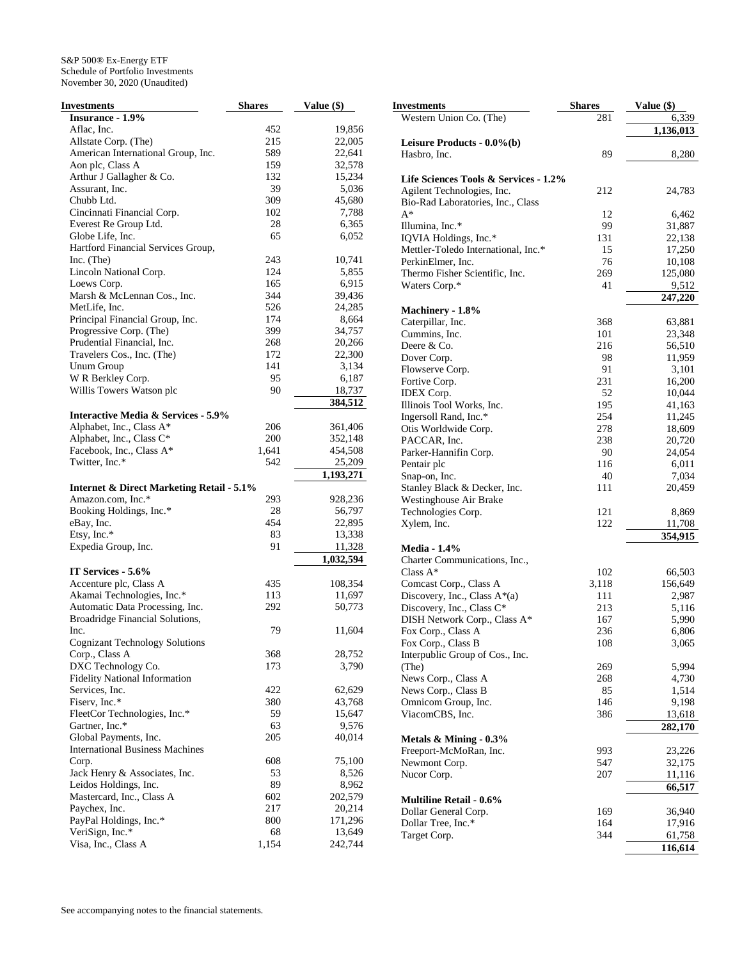| <b>Investments</b>                                   | <b>Shares</b> | Value (\$) |
|------------------------------------------------------|---------------|------------|
| Insurance - 1.9%                                     |               |            |
| Aflac, Inc.                                          | 452           | 19,856     |
| Allstate Corp. (The)                                 | 215           | 22,005     |
| American International Group, Inc.                   | 589           | 22,641     |
| Aon plc, Class A                                     | 159           | 32,578     |
| Arthur J Gallagher & Co.                             | 132           | 15,234     |
| Assurant, Inc.                                       | 39            | 5,036      |
| Chubb Ltd.                                           | 309           | 45,680     |
| Cincinnati Financial Corp.                           | 102           | 7,788      |
| Everest Re Group Ltd.                                | 28            | 6,365      |
| Globe Life, Inc.                                     | 65            | 6,052      |
| Hartford Financial Services Group,                   |               |            |
| Inc. $(The)$                                         | 243           | 10,741     |
| Lincoln National Corp.                               | 124           | 5,855      |
| Loews Corp.                                          | 165           | 6,915      |
| Marsh & McLennan Cos., Inc.                          | 344           | 39,436     |
| MetLife, Inc.                                        | 526           | 24,285     |
| Principal Financial Group, Inc.                      | 174           | 8,664      |
| Progressive Corp. (The)                              | 399           | 34,757     |
| Prudential Financial, Inc.                           | 268           | 20,266     |
| Travelers Cos., Inc. (The)                           | 172           | 22,300     |
| Unum Group                                           | 141           | 3,134      |
| W R Berkley Corp.                                    | 95            | 6,187      |
| Willis Towers Watson plc                             | 90            | 18,737     |
|                                                      |               | 384,512    |
| <b>Interactive Media &amp; Services - 5.9%</b>       |               |            |
| Alphabet, Inc., Class A*                             | 206           | 361,406    |
| Alphabet, Inc., Class C*                             | 200           | 352,148    |
| Facebook, Inc., Class A*                             | 1,641         | 454,508    |
| Twitter, Inc.*                                       | 542           | 25,209     |
|                                                      |               | 1,193,271  |
| <b>Internet &amp; Direct Marketing Retail - 5.1%</b> |               |            |
| Amazon.com, Inc.*                                    | 293           | 928,236    |
| Booking Holdings, Inc.*                              | 28            | 56,797     |
| eBay, Inc.                                           | 454           | 22,895     |
| Etsy, Inc.*                                          | 83            | 13,338     |
| Expedia Group, Inc.                                  | 91            | 11,328     |
|                                                      |               | 1,032,594  |
| IT Services - 5.6%                                   |               |            |
| Accenture plc, Class A                               | 435           | 108,354    |
| Akamai Technologies, Inc.*                           | 113           | 11,697     |
| Automatic Data Processing, Inc.                      | 292           | 50,773     |
| Broadridge Financial Solutions,                      |               |            |
| Inc.                                                 | 79            | 11,604     |
| <b>Cognizant Technology Solutions</b>                |               |            |
| Corp., Class A                                       | 368           | 28,752     |
| DXC Technology Co.                                   | 173           | 3,790      |
| <b>Fidelity National Information</b>                 |               |            |
| Services, Inc.                                       | 422           | 62,629     |
| Fiserv, Inc.*                                        | 380           | 43,768     |
| FleetCor Technologies, Inc.*                         | 59            | 15,647     |
| Gartner, Inc.*                                       | 63            | 9,576      |
| Global Payments, Inc.                                | 205           | 40,014     |
| <b>International Business Machines</b>               |               |            |
| Corp.                                                | 608           | 75,100     |
| Jack Henry & Associates, Inc.                        | 53            | 8,526      |
| Leidos Holdings, Inc.                                | 89            | 8,962      |
| Mastercard, Inc., Class A                            | 602           | 202,579    |
| Paychex, Inc.                                        | 217           | 20,214     |
| PayPal Holdings, Inc.*                               | 800           | 171,296    |
| VeriSign, Inc.*                                      | 68            | 13,649     |
| Visa, Inc., Class A                                  | 1,154         | 242,744    |

| <b>Investments</b>                    | <b>Shares</b> | Value (\$) |
|---------------------------------------|---------------|------------|
| Western Union Co. (The)               | 281           | 6,339      |
|                                       |               | 1,136,013  |
| Leisure Products - $0.0\%$ (b)        |               |            |
| Hasbro, Inc.                          | 89            | 8,280      |
|                                       |               |            |
| Life Sciences Tools & Services - 1.2% |               |            |
| Agilent Technologies, Inc.            | 212           | 24,783     |
| Bio-Rad Laboratories, Inc., Class     |               |            |
| $A^*$                                 | 12            | 6,462      |
| Illumina, Inc.*                       | 99            | 31,887     |
| IQVIA Holdings, Inc.*                 | 131           | 22,138     |
| Mettler-Toledo International, Inc.*   | 15            | 17,250     |
| PerkinElmer, Inc.                     | 76            | 10,108     |
| Thermo Fisher Scientific, Inc.        | 269           | 125,080    |
| Waters Corp.*                         | 41            | 9,512      |
|                                       |               | 247,220    |
|                                       |               |            |
| Machinery - 1.8%                      |               |            |
| Caterpillar, Inc.<br>Cummins, Inc.    | 368           | 63,881     |
|                                       | 101           | 23,348     |
| Deere & Co.                           | 216           | 56,510     |
| Dover Corp.                           | 98            | 11,959     |
| Flowserve Corp.                       | 91            | 3,101      |
| Fortive Corp.                         | 231           | 16,200     |
| <b>IDEX Corp.</b>                     | 52            | 10,044     |
| Illinois Tool Works, Inc.             | 195           | 41,163     |
| Ingersoll Rand, Inc.*                 | 254           | 11,245     |
| Otis Worldwide Corp.                  | 278           | 18,609     |
| PACCAR, Inc.                          | 238           | 20,720     |
| Parker-Hannifin Corp.                 | 90            | 24,054     |
| Pentair plc                           | 116           | 6,011      |
| Snap-on, Inc.                         | 40            | 7,034      |
| Stanley Black & Decker, Inc.          | 111           | 20,459     |
| Westinghouse Air Brake                |               |            |
| Technologies Corp.                    | 121           | 8,869      |
| Xylem, Inc.                           | 122           | 11,708     |
|                                       |               | 354,915    |
| <b>Media - 1.4%</b>                   |               |            |
| Charter Communications, Inc.,         |               |            |
| Class $A^*$                           | 102           | 66,503     |
| Comcast Corp., Class A                | 3,118         | 156,649    |
| Discovery, Inc., Class A*(a)          | 111           | 2,987      |
| Discovery, Inc., Class C*             | 213           | 5,116      |
| DISH Network Corp., Class A*          | 167           | 5,990      |
| Fox Corp., Class A                    | 236           | 6,806      |
| Fox Corp., Class B                    | 108           | 3,065      |
| Interpublic Group of Cos., Inc.       |               |            |
| (The)                                 | 269           | 5,994      |
| News Corp., Class A                   | 268           | 4,730      |
| News Corp., Class B                   | 85            | 1,514      |
| Omnicom Group, Inc.                   | 146           | 9,198      |
| ViacomCBS, Inc.                       | 386           | 13,618     |
|                                       |               |            |
|                                       |               | 282,170    |
| Metals & Mining - 0.3%                |               |            |
| Freeport-McMoRan, Inc.                | 993           | 23,226     |
| Newmont Corp.                         | 547           | 32,175     |
| Nucor Corp.                           | 207           | 11,116     |
|                                       |               | 66,517     |
| <b>Multiline Retail - 0.6%</b>        |               |            |
| Dollar General Corp.                  | 169           | 36,940     |
| Dollar Tree, Inc.*                    | 164           | 17,916     |
| Target Corp.                          | 344           | 61,758     |
|                                       |               | 116,614    |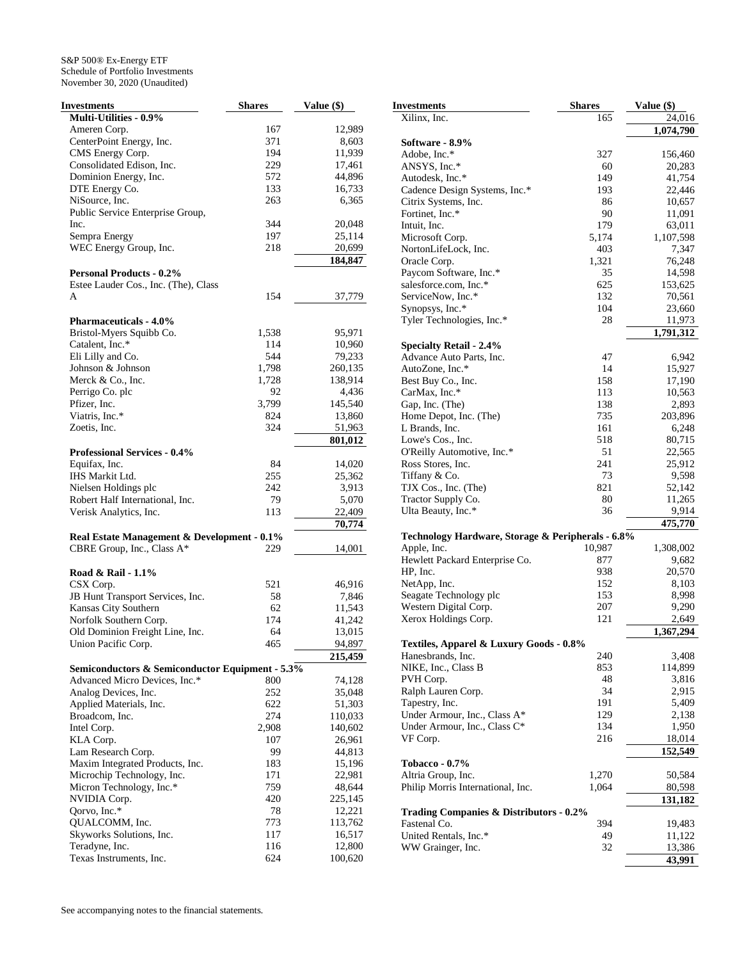| Investments                                     | <b>Shares</b> | Value (\$) |
|-------------------------------------------------|---------------|------------|
| Multi-Utilities - 0.9%                          |               |            |
| Ameren Corp.                                    | 167           | 12,989     |
| CenterPoint Energy, Inc.                        | 371           | 8,603      |
| CMS Energy Corp.                                | 194           | 11,939     |
| Consolidated Edison, Inc.                       | 229           | 17,461     |
| Dominion Energy, Inc.                           | 572           | 44,896     |
| DTE Energy Co.                                  | 133           | 16,733     |
| NiSource, Inc.                                  | 263           | 6,365      |
| Public Service Enterprise Group,                |               |            |
| Inc.                                            | 344           | 20,048     |
| Sempra Energy                                   | 197           | 25,114     |
| WEC Energy Group, Inc.                          | 218           | 20,699     |
|                                                 |               | 184,847    |
| <b>Personal Products - 0.2%</b>                 |               |            |
| Estee Lauder Cos., Inc. (The), Class            |               |            |
| A                                               | 154           | 37,779     |
|                                                 |               |            |
| <b>Pharmaceuticals - 4.0%</b>                   |               |            |
| Bristol-Myers Squibb Co.                        | 1,538         | 95,971     |
| Catalent, Inc.*                                 | 114           | 10,960     |
| Eli Lilly and Co.                               | 544           | 79,233     |
| Johnson & Johnson                               | 1,798         | 260,135    |
| Merck & Co., Inc.                               | 1,728         | 138,914    |
| Perrigo Co. plc                                 | 92            | 4,436      |
| Pfizer, Inc.                                    | 3,799         | 145,540    |
| Viatris, Inc.*                                  | 824           | 13,860     |
| Zoetis, Inc.                                    | 324           | 51,963     |
|                                                 |               |            |
|                                                 |               | 801,012    |
| <b>Professional Services - 0.4%</b>             |               |            |
| Equifax, Inc.                                   | 84            | 14,020     |
| IHS Markit Ltd.                                 | 255           | 25,362     |
| Nielsen Holdings plc                            | 242           | 3,913      |
| Robert Half International, Inc.                 | 79            | 5,070      |
| Verisk Analytics, Inc.                          | 113           | 22,409     |
|                                                 |               | 70,774     |
| Real Estate Management & Development - 0.1%     |               |            |
| CBRE Group, Inc., Class A*                      | 229           | 14,001     |
|                                                 |               |            |
| Road & Rail - 1.1%                              |               |            |
| CSX Corp.                                       | 521           | 46,916     |
| JB Hunt Transport Services, Inc.                | 58            | 7,846      |
| Kansas City Southern                            | 62            | 11,543     |
| Norfolk Southern Corp.                          | 174           | 41,242     |
| Old Dominion Freight Line, Inc.                 | 64            | 13,015     |
| Union Pacific Corp.                             | 465           | 94,897     |
|                                                 |               | 215,459    |
| Semiconductors & Semiconductor Equipment - 5.3% |               |            |
| Advanced Micro Devices, Inc.*                   | 800           | 74,128     |
| Analog Devices, Inc.                            | 252           | 35,048     |
| Applied Materials, Inc.                         | 622           | 51,303     |
| Broadcom, Inc.                                  | 274           | 110,033    |
| Intel Corp.                                     | 2,908         | 140,602    |
| KLA Corp.                                       | 107           | 26,961     |
| Lam Research Corp.                              | 99            | 44,813     |
| Maxim Integrated Products, Inc.                 | 183           | 15,196     |
| Microchip Technology, Inc.                      | 171           | 22,981     |
| Micron Technology, Inc.*                        | 759           | 48,644     |
| NVIDIA Corp.                                    | 420           | 225,145    |
| Qorvo, Inc.*                                    | 78            | 12,221     |
| QUALCOMM, Inc.                                  | 773           | 113,762    |
| Skyworks Solutions, Inc.                        | 117           | 16,517     |
| Teradyne, Inc.                                  | 116           | 12,800     |
| Texas Instruments, Inc.                         | 624           | 100,620    |

| Investments                                       | <b>Shares</b> | Value (\$)      |
|---------------------------------------------------|---------------|-----------------|
| Xilinx, Inc.                                      | 165           | 24,016          |
|                                                   |               | 1,074,790       |
| Software - 8.9%                                   |               |                 |
| Adobe, Inc.*                                      | 327           | 156,460         |
| ANSYS, Inc.*                                      | 60            | 20,283          |
| Autodesk, Inc.*                                   | 149           | 41,754          |
| Cadence Design Systems, Inc.*                     | 193           | 22,446          |
| Citrix Systems, Inc.                              | 86            | 10,657          |
| Fortinet, Inc.*                                   | 90            | 11,091          |
| Intuit, Inc.                                      | 179           | 63,011          |
| Microsoft Corp.<br>NortonLifeLock, Inc.           | 5,174<br>403  | 1,107,598       |
| Oracle Corp.                                      | 1,321         | 7,347<br>76,248 |
| Paycom Software, Inc.*                            | 35            | 14,598          |
| salesforce.com, Inc.*                             | 625           | 153,625         |
| ServiceNow, Inc.*                                 | 132           | 70,561          |
| Synopsys, Inc.*                                   | 104           | 23,660          |
| Tyler Technologies, Inc.*                         | 28            | 11,973          |
|                                                   |               | 1,791,312       |
| <b>Specialty Retail - 2.4%</b>                    |               |                 |
| Advance Auto Parts, Inc.                          | 47            | 6,942           |
| AutoZone, Inc.*                                   | 14            | 15,927          |
| Best Buy Co., Inc.                                | 158           | 17,190          |
| CarMax, Inc.*                                     | 113           | 10,563          |
| Gap, Inc. (The)                                   | 138           | 2,893           |
| Home Depot, Inc. (The)                            | 735           | 203,896         |
| L Brands, Inc.                                    | 161           | 6,248           |
| Lowe's Cos., Inc.                                 | 518           | 80,715          |
| O'Reilly Automotive, Inc.*                        | 51            | 22,565          |
| Ross Stores, Inc.                                 | 241           | 25,912          |
| Tiffany & Co.                                     | 73            | 9,598           |
| TJX Cos., Inc. (The)                              | 821           | 52,142          |
| Tractor Supply Co.                                | 80            | 11,265          |
| Ulta Beauty, Inc.*                                | 36            | 9,914           |
|                                                   |               | 475,770         |
| Technology Hardware, Storage & Peripherals - 6.8% |               |                 |
| Apple, Inc.                                       | 10,987        | 1,308,002       |
| Hewlett Packard Enterprise Co.                    | 877           | 9,682           |
| HP, Inc.                                          | 938           | 20,570          |
| NetApp, Inc.<br>Seagate Technology plc            | 152<br>153    | 8,103<br>8,998  |
| Western Digital Corp.                             | 207           | 9,290           |
| Xerox Holdings Corp.                              | 121           | 2,649           |
|                                                   |               | 1,367,294       |
| Textiles, Apparel & Luxury Goods - 0.8%           |               |                 |
| Hanesbrands, Inc.                                 | 240           | 3,408           |
| NIKE, Inc., Class B                               | 853           | 114,899         |
| PVH Corp.                                         | 48            | 3,816           |
| Ralph Lauren Corp.                                | 34            | 2,915           |
| Tapestry, Inc.                                    | 191           | 5,409           |
| Under Armour, Inc., Class A*                      | 129           | 2,138           |
| Under Armour, Inc., Class C*                      | 134           | 1,950           |
| VF Corp.                                          | 216           | 18,014          |
|                                                   |               | 152,549         |
| <b>Tobacco - 0.7%</b>                             |               |                 |
| Altria Group, Inc.                                | 1,270         | 50,584          |
| Philip Morris International, Inc.                 | 1,064         | 80,598          |
|                                                   |               | 131,182         |
| Trading Companies & Distributors - 0.2%           |               |                 |
| Fastenal Co.                                      | 394           | 19,483          |
| United Rentals, Inc.*                             | 49            | 11,122          |
| WW Grainger, Inc.                                 | 32            | 13,386          |
|                                                   |               | 43,991          |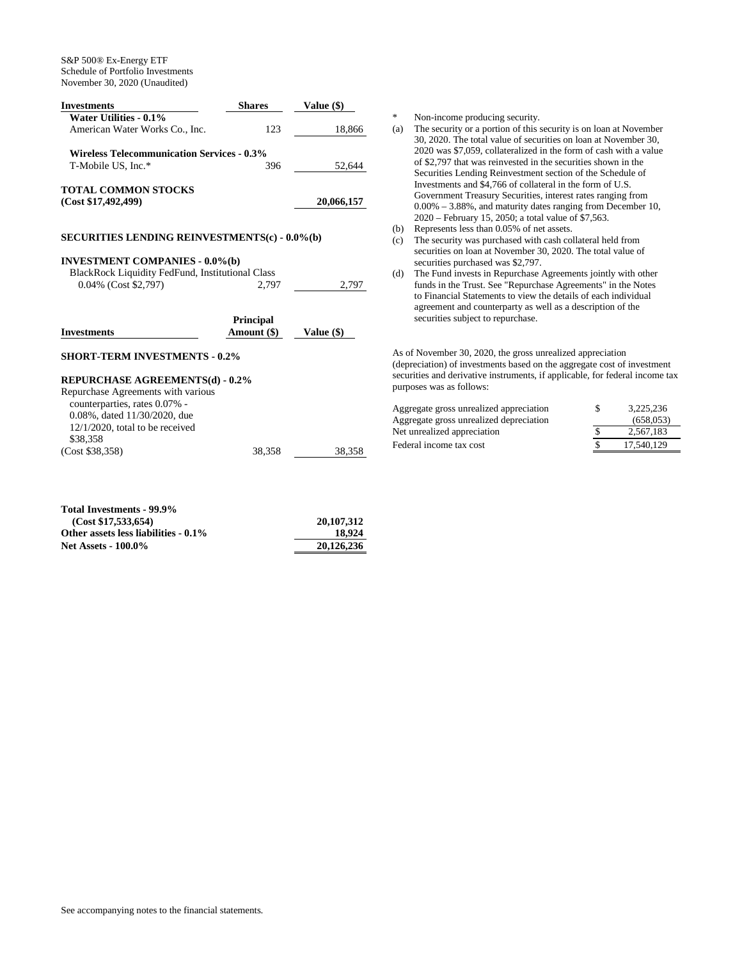| <b>Shares</b>                                     | Value (\$) |
|---------------------------------------------------|------------|
|                                                   |            |
| 123                                               | 18,866     |
| <b>Wireless Telecommunication Services - 0.3%</b> |            |
| 396                                               | 52.644     |
|                                                   |            |
|                                                   | 20,066,157 |
|                                                   |            |

## **SECURITIES LENDING REINVESTMENTS(c) - 0.0%(b)**

## **INVESTMENT COMPANIES - 0.0%(b)**

| BlackRock Liquidity FedFund, Institutional Class |       |       |
|--------------------------------------------------|-------|-------|
| $0.04\%$ (Cost \$2,797)                          | 2.797 | 2.797 |

| <b>Investments</b>                     | <b>Principal</b><br>Amount (\$) | Value $(\$)$ |
|----------------------------------------|---------------------------------|--------------|
| <b>SHORT-TERM INVESTMENTS - 0.2%</b>   |                                 |              |
| <b>REPURCHASE AGREEMENTS(d) - 0.2%</b> |                                 |              |
| Repurchase Agreements with various     |                                 |              |
| counterparties rates $0.07\%$ .        |                                 |              |

| counterparties, rates 0.07% -       |        |        |
|-------------------------------------|--------|--------|
| $0.08\%$ , dated $11/30/2020$ , due |        |        |
| $12/1/2020$ , total to be received  |        |        |
| \$38,358                            |        |        |
| (Cost \$38,358)                     | 38.358 | 38.358 |

| Total Investments - 99.9%            |            |
|--------------------------------------|------------|
| (Cost \$17,533,654)                  | 20,107,312 |
| Other assets less liabilities - 0.1% | 18.924     |
| <b>Net Assets - 100.0%</b>           | 20,126,236 |

\* Non-income producing security.

- (a) The security or a portion of this security is on loan at November 30, 2020. The total value of securities on loan at November 30, 2020 was \$7,059, collateralized in the form of cash with a value of \$2,797 that was reinvested in the securities shown in the Securities Lending Reinvestment section of the Schedule of Investments and \$4,766 of collateral in the form of U.S. Government Treasury Securities, interest rates ranging from 0.00% – 3.88%, and maturity dates ranging from December 10, 2020 – February 15, 2050; a total value of \$7,563.
- (b) Represents less than 0.05% of net assets.
- (c) The security was purchased with cash collateral held from securities on loan at November 30, 2020. The total value of securities purchased was \$2,797.
- (d) The Fund invests in Repurchase Agreements jointly with other funds in the Trust. See "Repurchase Agreements" in the Notes to Financial Statements to view the details of each individual agreement and counterparty as well as a description of the securities subject to repurchase.

As of November 30, 2020, the gross unrealized appreciation (depreciation) of investments based on the aggregate cost of investment securities and derivative instruments, if applicable, for federal income tax purposes was as follows:

| Aggregate gross unrealized appreciation | 3.225.236  |
|-----------------------------------------|------------|
| Aggregate gross unrealized depreciation | (658.053)  |
| Net unrealized appreciation             | 2.567.183  |
| Federal income tax cost                 | 17.540.129 |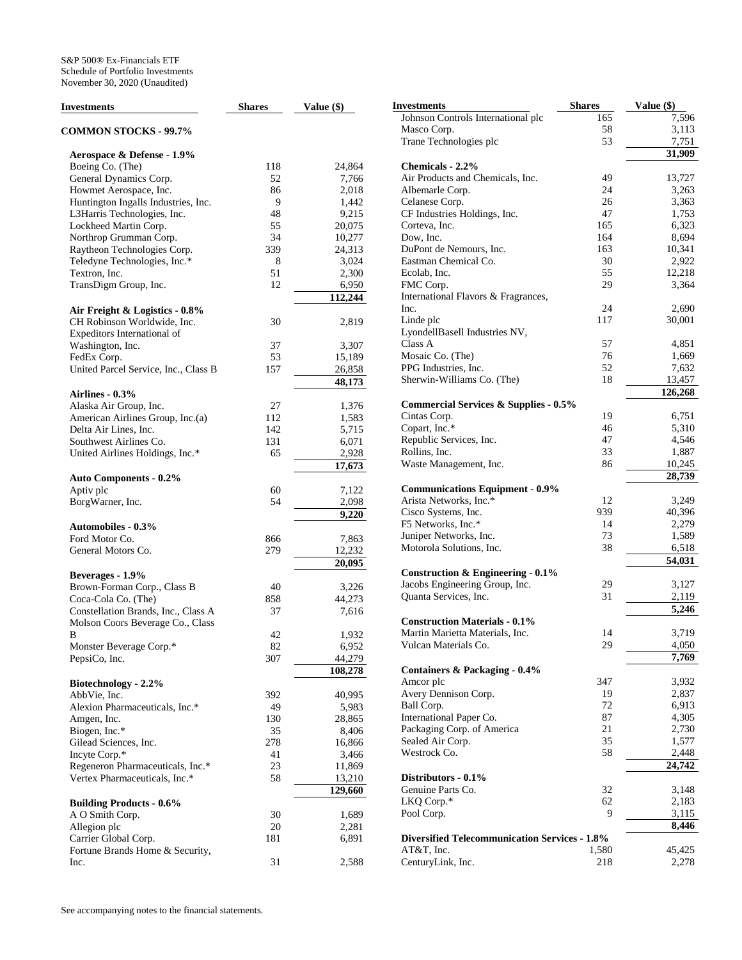| Investments                          | <b>Shares</b> | Value $(\$)$ | <b>Investments</b>                                   | <b>Shares</b> | Value (\$) |
|--------------------------------------|---------------|--------------|------------------------------------------------------|---------------|------------|
|                                      |               |              | Johnson Controls International plc                   | 165           | 7,596      |
| <b>COMMON STOCKS - 99.7%</b>         |               |              | Masco Corp.                                          | 58            | 3,113      |
|                                      |               |              | Trane Technologies plc                               | 53            | 7,751      |
| Aerospace & Defense - 1.9%           |               |              |                                                      |               | 31,909     |
| Boeing Co. (The)                     | 118           | 24,864       | Chemicals - 2.2%                                     |               |            |
| General Dynamics Corp.               | 52            | 7,766        | Air Products and Chemicals, Inc.                     | 49            | 13,727     |
| Howmet Aerospace, Inc.               | 86            | 2,018        | Albemarle Corp.                                      | 24            | 3,263      |
| Huntington Ingalls Industries, Inc.  | 9             | 1,442        | Celanese Corp.                                       | 26            | 3,363      |
|                                      | 48            |              |                                                      | 47            |            |
| L3Harris Technologies, Inc.          |               | 9,215        | CF Industries Holdings, Inc.                         |               | 1,753      |
| Lockheed Martin Corp.                | 55            | 20,075       | Corteva, Inc.                                        | 165           | 6,323      |
| Northrop Grumman Corp.               | 34            | 10,277       | Dow, Inc.                                            | 164           | 8,694      |
| Raytheon Technologies Corp.          | 339           | 24,313       | DuPont de Nemours, Inc.                              | 163           | 10,341     |
| Teledyne Technologies, Inc.*         | 8             | 3,024        | Eastman Chemical Co.                                 | 30            | 2,922      |
| Textron, Inc.                        | 51            | 2,300        | Ecolab, Inc.                                         | 55            | 12,218     |
| TransDigm Group, Inc.                | 12            | 6,950        | FMC Corp.                                            | 29            | 3,364      |
|                                      |               | 112,244      | International Flavors & Fragrances,                  |               |            |
| Air Freight & Logistics - 0.8%       |               |              | Inc.                                                 | 24            | 2,690      |
| CH Robinson Worldwide, Inc.          | 30            | 2,819        | Linde plc                                            | 117           | 30,001     |
| Expeditors International of          |               |              | LyondellBasell Industries NV,                        |               |            |
| Washington, Inc.                     | 37            | 3,307        | Class A                                              | 57            | 4,851      |
|                                      |               |              | Mosaic Co. (The)                                     | 76            | 1,669      |
| FedEx Corp.                          | 53            | 15,189       |                                                      | 52            |            |
| United Parcel Service, Inc., Class B | 157           | 26,858       | PPG Industries, Inc.                                 |               | 7,632      |
|                                      |               | 48,173       | Sherwin-Williams Co. (The)                           | 18            | 13,457     |
| Airlines - 0.3%                      |               |              |                                                      |               | 126,268    |
| Alaska Air Group, Inc.               | 27            | 1,376        | <b>Commercial Services &amp; Supplies - 0.5%</b>     |               |            |
| American Airlines Group, Inc.(a)     | 112           | 1,583        | Cintas Corp.                                         | 19            | 6,751      |
| Delta Air Lines, Inc.                | 142           | 5,715        | Copart, Inc.*                                        | 46            | 5,310      |
| Southwest Airlines Co.               | 131           | 6,071        | Republic Services, Inc.                              | 47            | 4.546      |
| United Airlines Holdings, Inc.*      | 65            | 2,928        | Rollins, Inc.                                        | 33            | 1,887      |
|                                      |               | 17,673       | Waste Management, Inc.                               | 86            | 10,245     |
|                                      |               |              |                                                      |               | 28,739     |
| <b>Auto Components - 0.2%</b>        |               |              | <b>Communications Equipment - 0.9%</b>               |               |            |
| Aptiv plc                            | 60            | 7,122        | Arista Networks, Inc.*                               | 12            | 3,249      |
| BorgWarner, Inc.                     | 54            | 2,098        |                                                      |               |            |
|                                      |               | 9,220        | Cisco Systems, Inc.                                  | 939           | 40,396     |
| <b>Automobiles - 0.3%</b>            |               |              | F5 Networks, Inc.*                                   | 14            | 2,279      |
| Ford Motor Co.                       | 866           | 7,863        | Juniper Networks, Inc.                               | 73            | 1,589      |
| General Motors Co.                   | 279           | 12,232       | Motorola Solutions, Inc.                             | 38            | 6,518      |
|                                      |               | 20,095       |                                                      |               | 54,031     |
| Beverages - 1.9%                     |               |              | <b>Construction &amp; Engineering - 0.1%</b>         |               |            |
| Brown-Forman Corp., Class B          | 40            | 3,226        | Jacobs Engineering Group, Inc.                       | 29            | 3,127      |
| Coca-Cola Co. (The)                  | 858           | 44,273       | Quanta Services, Inc.                                | 31            | 2,119      |
| Constellation Brands, Inc., Class A  | 37            | 7,616        |                                                      |               | 5,246      |
|                                      |               |              | <b>Construction Materials - 0.1%</b>                 |               |            |
| Molson Coors Beverage Co., Class     |               |              | Martin Marietta Materials, Inc.                      | 14            | 3,719      |
| В                                    | 42            | 1,932        | Vulcan Materials Co.                                 | 29            | 4,050      |
| Monster Beverage Corp.*              | 82            | 6,952        |                                                      |               | 7,769      |
| PepsiCo, Inc.                        | 307           | 44,279       |                                                      |               |            |
|                                      |               | 108,278      | Containers & Packaging - 0.4%                        |               |            |
| Biotechnology - 2.2%                 |               |              | Amcor plc                                            | 347           | 3,932      |
| AbbVie, Inc.                         | 392           | 40,995       | Avery Dennison Corp.                                 | 19            | 2,837      |
| Alexion Pharmaceuticals, Inc.*       | 49            | 5,983        | Ball Corp.                                           | 72            | 6,913      |
| Amgen, Inc.                          | 130           | 28,865       | International Paper Co.                              | 87            | 4,305      |
| Biogen, Inc.*                        | 35            | 8,406        | Packaging Corp. of America                           | 21            | 2,730      |
| Gilead Sciences, Inc.                | 278           | 16,866       | Sealed Air Corp.                                     | 35            | 1,577      |
| Incyte Corp.*                        | 41            | 3,466        | Westrock Co.                                         | 58            | 2,448      |
| Regeneron Pharmaceuticals, Inc.*     | 23            | 11,869       |                                                      |               | 24,742     |
| Vertex Pharmaceuticals, Inc.*        | 58            | 13,210       | Distributors - 0.1%                                  |               |            |
|                                      |               |              | Genuine Parts Co.                                    | 32            | 3,148      |
|                                      |               | 129,660      |                                                      |               |            |
| <b>Building Products - 0.6%</b>      |               |              | LKQ Corp.*                                           | 62            | 2,183      |
| A O Smith Corp.                      | 30            | 1,689        | Pool Corp.                                           | 9             | 3,115      |
| Allegion plc                         | 20            | 2,281        |                                                      |               | 8,446      |
| Carrier Global Corp.                 | 181           | 6,891        | <b>Diversified Telecommunication Services - 1.8%</b> |               |            |
| Fortune Brands Home & Security,      |               |              | AT&T, Inc.                                           | 1,580         | 45,425     |
| Inc.                                 | 31            | 2,588        | CenturyLink, Inc.                                    | 218           | 2,278      |
|                                      |               |              |                                                      |               |            |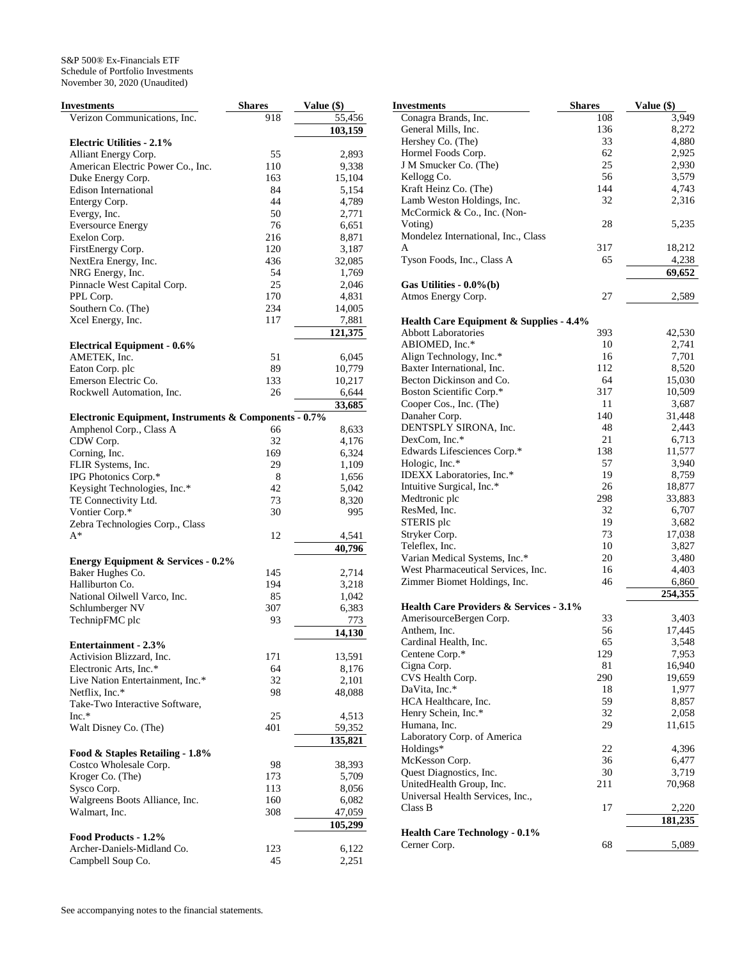| Investments                                           | <b>Shares</b> | Value (\$) |
|-------------------------------------------------------|---------------|------------|
| Verizon Communications, Inc.                          | 918           | 55,456     |
|                                                       |               | 103,159    |
| <b>Electric Utilities - 2.1%</b>                      |               |            |
| Alliant Energy Corp.                                  | 55            | 2,893      |
| American Electric Power Co., Inc.                     | 110           | 9,338      |
| Duke Energy Corp.                                     | 163           | 15,104     |
| <b>Edison International</b>                           | 84            | 5,154      |
| Entergy Corp.                                         | 44            | 4,789      |
| Evergy, Inc.                                          | 50            | 2,771      |
| <b>Eversource Energy</b>                              | 76            | 6,651      |
| Exelon Corp.                                          | 216           | 8,871      |
| FirstEnergy Corp.                                     | 120           | 3,187      |
| NextEra Energy, Inc.                                  | 436           | 32,085     |
| NRG Energy, Inc.                                      | 54            | 1,769      |
| Pinnacle West Capital Corp.                           | 25            | 2,046      |
| PPL Corp.                                             | 170           | 4,831      |
| Southern Co. (The)                                    | 234           | 14,005     |
| Xcel Energy, Inc.                                     | 117           | 7,881      |
|                                                       |               | 121,375    |
| <b>Electrical Equipment - 0.6%</b>                    |               |            |
| AMETEK, Inc.                                          | 51            | 6,045      |
| Eaton Corp. plc                                       | 89            | 10,779     |
| Emerson Electric Co.                                  | 133           | 10,217     |
| Rockwell Automation, Inc.                             | 26            | 6,644      |
|                                                       |               | 33,685     |
| Electronic Equipment, Instruments & Components - 0.7% |               |            |
| Amphenol Corp., Class A                               | 66            | 8,633      |
| CDW Corp.                                             | 32            | 4,176      |
| Corning, Inc.                                         | 169           | 6,324      |
| FLIR Systems, Inc.                                    | 29            | 1,109      |
| IPG Photonics Corp.*                                  | 8             | 1,656      |
| Keysight Technologies, Inc.*                          | 42            | 5,042      |
| TE Connectivity Ltd.                                  | 73            | 8,320      |
| Vontier Corp.*                                        | 30            | 995        |
| Zebra Technologies Corp., Class                       |               |            |
| A*                                                    | 12            | 4,541      |
|                                                       |               | 40,796     |
| <b>Energy Equipment &amp; Services - 0.2%</b>         |               |            |
| Baker Hughes Co.                                      | 145           | 2,714      |
| Halliburton Co.                                       | 194           | 3,218      |
| National Oilwell Varco, Inc.                          | 85            | 1,042      |
| Schlumberger NV                                       | 307           | 6,383      |
| TechnipFMC plc                                        | 93            | 773        |
|                                                       |               | 14,130     |
| <b>Entertainment - 2.3%</b>                           |               |            |
| Activision Blizzard, Inc.                             | 171           | 13,591     |
| Electronic Arts, Inc.*                                | 64            | 8,176      |
| Live Nation Entertainment, Inc.*                      | 32            | 2,101      |
| Netflix, Inc.*                                        | 98            | 48,088     |
| Take-Two Interactive Software,                        |               |            |
| $Inc.*$                                               | 25            | 4,513      |
| Walt Disney Co. (The)                                 | 401           | 59,352     |
|                                                       |               | 135,821    |
| Food & Staples Retailing - 1.8%                       |               |            |
| Costco Wholesale Corp.                                | 98            | 38,393     |
| Kroger Co. (The)                                      | 173           | 5,709      |
| Sysco Corp.                                           | 113           | 8,056      |
| Walgreens Boots Alliance, Inc.                        | 160           | 6,082      |
| Walmart, Inc.                                         | 308           | 47,059     |
|                                                       |               | 105,299    |
| Food Products - 1.2%                                  |               |            |
| Archer-Daniels-Midland Co.                            | 123           | 6,122      |
| Campbell Soup Co.                                     | 45            | 2,251      |

| Investments                                          | <b>Shares</b> | Value (\$)      |
|------------------------------------------------------|---------------|-----------------|
| Conagra Brands, Inc.                                 | 108           | 3,949           |
| General Mills, Inc.                                  | 136           | 8,272           |
| Hershey Co. (The)                                    | 33            | 4,880           |
| Hormel Foods Corp.                                   | 62            | 2,925           |
| J M Smucker Co. (The)                                | 25            | 2,930           |
| Kellogg Co.                                          | 56            | 3,579           |
| Kraft Heinz Co. (The)                                | 144           | 4,743           |
| Lamb Weston Holdings, Inc.                           | 32            | 2,316           |
| McCormick & Co., Inc. (Non-                          |               |                 |
| Voting)                                              | 28            | 5,235           |
| Mondelez International, Inc., Class                  |               |                 |
| A                                                    | 317           | 18,212          |
| Tyson Foods, Inc., Class A                           | 65            | 4,238           |
| Gas Utilities - $0.0\%$ (b)                          |               | 69,652          |
| Atmos Energy Corp.                                   | 27            | 2,589           |
|                                                      |               |                 |
| <b>Health Care Equipment &amp; Supplies - 4.4%</b>   |               |                 |
| <b>Abbott Laboratories</b>                           | 393           | 42,530          |
| ABIOMED, Inc.*                                       | 10            | 2,741           |
| Align Technology, Inc.*                              | 16            | 7,701           |
| Baxter International, Inc.                           | 112           | 8,520           |
| Becton Dickinson and Co.                             | 64            | 15,030          |
| Boston Scientific Corp.*                             | 317           | 10,509          |
| Cooper Cos., Inc. (The)                              | 11            | 3,687           |
| Danaher Corp.                                        | 140           | 31,448          |
| DENTSPLY SIRONA, Inc.                                | 48            | 2,443           |
| DexCom, Inc.*                                        | 21            | 6,713           |
| Edwards Lifesciences Corp.*                          | 138           | 11,577          |
| Hologic, Inc.*<br>IDEXX Laboratories, Inc.*          | 57<br>19      | 3,940           |
|                                                      | 26            | 8,759<br>18,877 |
| Intuitive Surgical, Inc.*<br>Medtronic plc           | 298           |                 |
| ResMed, Inc.                                         | 32            | 33,883<br>6,707 |
| STERIS plc                                           | 19            | 3,682           |
| Stryker Corp.                                        | 73            | 17,038          |
| Teleflex, Inc.                                       | 10            | 3,827           |
| Varian Medical Systems, Inc.*                        | 20            | 3,480           |
| West Pharmaceutical Services, Inc.                   | 16            | 4,403           |
| Zimmer Biomet Holdings, Inc.                         | 46            | 6,860           |
|                                                      |               | 254,355         |
| <b>Health Care Providers &amp; Services - 3.1%</b>   |               |                 |
| AmerisourceBergen Corp.                              | 33            | 3,403           |
| Anthem, Inc.                                         | 56            | 17,445          |
| Cardinal Health, Inc.                                | 65            | 3,548           |
| Centene Corp.*                                       | 129           | 7,953           |
| Cigna Corp.                                          | 81            | 16,940          |
| CVS Health Corp.                                     | 290           | 19,659          |
| DaVita, Inc.*                                        | 18            | 1,977           |
| HCA Healthcare, Inc.                                 | 59            | 8,857           |
| Henry Schein, Inc.*                                  | 32            | 2,058           |
| Humana, Inc.                                         | 29            | 11,615          |
| Laboratory Corp. of America                          |               |                 |
| Holdings*                                            | 22            | 4,396           |
| McKesson Corp.                                       | 36            | 6,477           |
| Quest Diagnostics, Inc.                              | 30            | 3,719           |
| UnitedHealth Group, Inc.                             | 211           | 70,968          |
| Universal Health Services, Inc.,                     |               |                 |
| Class B                                              | 17            | 2,220           |
|                                                      |               | 181,235         |
| <b>Health Care Technology - 0.1%</b><br>Cerner Corp. | 68            | 5,089           |
|                                                      |               |                 |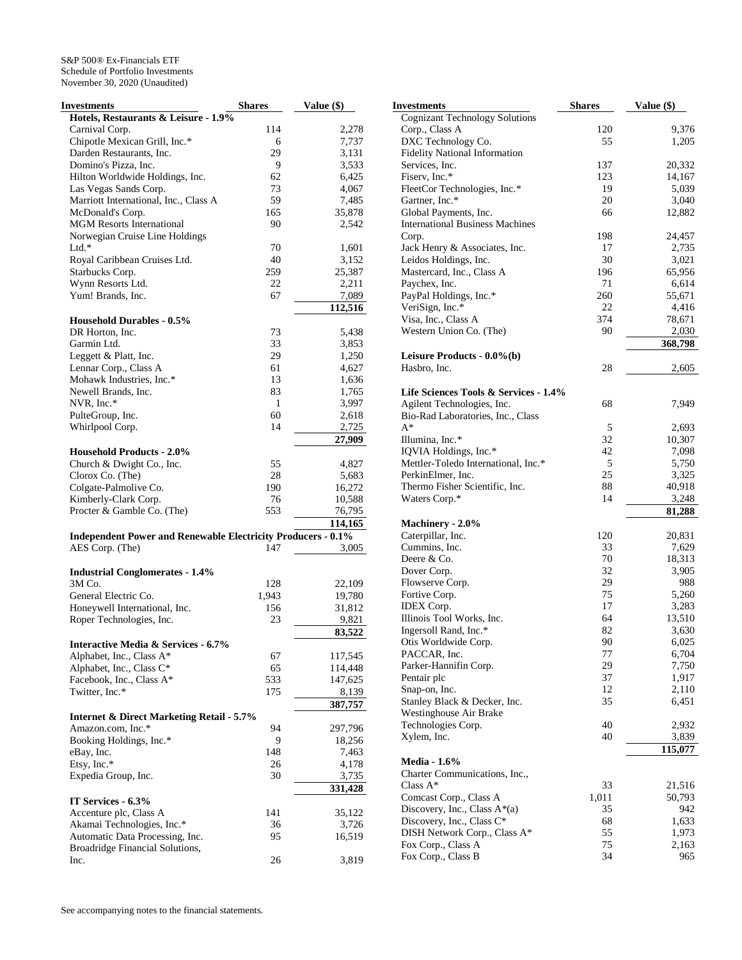| <b>Investments</b>                                                  | <b>Shares</b> | Value (\$)       |
|---------------------------------------------------------------------|---------------|------------------|
| Hotels, Restaurants & Leisure - 1.9%                                |               |                  |
| Carnival Corp.                                                      | 114           | 2,278            |
| Chipotle Mexican Grill, Inc.*                                       | 6             | 7,737            |
| Darden Restaurants, Inc.                                            | 29            | 3,131            |
| Domino's Pizza, Inc.                                                | 9             | 3,533            |
| Hilton Worldwide Holdings, Inc.                                     | 62            | 6,425            |
| Las Vegas Sands Corp.                                               | 73            | 4,067            |
| Marriott International, Inc., Class A                               | 59            | 7,485            |
| McDonald's Corp.                                                    | 165           | 35,878           |
| <b>MGM Resorts International</b>                                    | 90            | 2,542            |
| Norwegian Cruise Line Holdings                                      |               |                  |
| $Ltd.*$                                                             | 70            | 1,601            |
| Royal Caribbean Cruises Ltd.                                        | 40            | 3,152            |
| Starbucks Corp.                                                     | 259           | 25,387           |
| Wynn Resorts Ltd.                                                   | 22            | 2,211            |
| Yum! Brands, Inc.                                                   | 67            | 7,089            |
|                                                                     |               | 112,516          |
| <b>Household Durables - 0.5%</b>                                    |               |                  |
| DR Horton, Inc.                                                     | 73            | 5,438            |
| Garmin Ltd.                                                         | 33            | 3,853            |
| Leggett & Platt, Inc.                                               | 29            | 1,250            |
| Lennar Corp., Class A                                               | 61            | 4,627            |
| Mohawk Industries, Inc.*                                            | 13            | 1,636            |
| Newell Brands, Inc.                                                 | 83            | 1,765            |
| NVR, Inc.*                                                          | 1             | 3,997            |
| PulteGroup, Inc.                                                    | 60            | 2,618            |
| Whirlpool Corp.                                                     | 14            | 2,725            |
|                                                                     |               | 27,909           |
| <b>Household Products - 2.0%</b>                                    |               |                  |
| Church & Dwight Co., Inc.                                           | 55            | 4,827            |
| Clorox Co. (The)                                                    | 28            | 5,683            |
| Colgate-Palmolive Co.                                               | 190           | 16,272           |
| Kimberly-Clark Corp.                                                | 76            | 10,588           |
| Procter & Gamble Co. (The)                                          | 553           | 76,795           |
|                                                                     |               | 114,165          |
| <b>Independent Power and Renewable Electricity Producers - 0.1%</b> |               |                  |
| AES Corp. (The)                                                     | 147           | 3,005            |
|                                                                     |               |                  |
| <b>Industrial Conglomerates - 1.4%</b>                              |               |                  |
| 3M Co.                                                              | 128           | 22,109           |
| General Electric Co.                                                | 1,943         | 19,780           |
| Honeywell International, Inc.                                       | 156           | 31,812           |
| Roper Technologies, Inc.                                            | 23            | 9,821            |
|                                                                     |               | 83,522           |
| <b>Interactive Media &amp; Services - 6.7%</b>                      |               |                  |
| Alphabet, Inc., Class A*                                            | 67            | 117,545          |
| Alphabet, Inc., Class C*                                            | 65            | 114,448          |
| Facebook, Inc., Class A*                                            | 533           | 147,625          |
| Twitter, Inc.*                                                      | 175           | 8.139            |
|                                                                     |               | 387,757          |
| <b>Internet &amp; Direct Marketing Retail - 5.7%</b>                |               |                  |
| Amazon.com, Inc.*                                                   | 94            | 297,796          |
| Booking Holdings, Inc.*                                             | 9             | 18,256           |
| eBay, Inc.                                                          | 148           | 7,463            |
| Etsy, Inc.*                                                         | 26            | 4,178            |
| Expedia Group, Inc.                                                 | 30            |                  |
|                                                                     |               | 3,735<br>331,428 |
| IT Services - 6.3%                                                  |               |                  |
|                                                                     |               |                  |
| Accenture plc, Class A                                              | 141           | 35,122           |
| Akamai Technologies, Inc.*                                          | 36            | 3,726            |
| Automatic Data Processing, Inc.                                     | 95            | 16,519           |
| Broadridge Financial Solutions,                                     | 26            |                  |
| Inc.                                                                |               | 3,819            |

| Investments                                  | <b>Shares</b> | Value (\$)      |
|----------------------------------------------|---------------|-----------------|
| <b>Cognizant Technology Solutions</b>        |               |                 |
| Corp., Class A                               | 120           | 9,376           |
| DXC Technology Co.                           | 55            | 1,205           |
| <b>Fidelity National Information</b>         |               |                 |
| Services, Inc.                               | 137           | 20,332          |
| Fiserv, Inc.*                                | 123           | 14,167          |
| FleetCor Technologies, Inc.*                 | 19            | 5,039           |
| Gartner, Inc.*                               | 20            | 3,040           |
| Global Payments, Inc.                        | 66            | 12,882          |
| <b>International Business Machines</b>       |               |                 |
| Corp.<br>Jack Henry & Associates, Inc.       | 198<br>17     | 24,457<br>2,735 |
| Leidos Holdings, Inc.                        | 30            | 3,021           |
| Mastercard, Inc., Class A                    | 196           | 65,956          |
| Paychex, Inc.                                | 71            | 6,614           |
| PayPal Holdings, Inc.*                       | 260           | 55,671          |
| VeriSign, Inc.*                              | 22            | 4,416           |
| Visa, Inc., Class A                          | 374           | 78,671          |
| Western Union Co. (The)                      | 90            | 2,030           |
|                                              |               | 368,798         |
| Leisure Products - 0.0%(b)                   |               |                 |
| Hasbro, Inc.                                 | 28            | 2,605           |
|                                              |               |                 |
| Life Sciences Tools & Services - 1.4%        |               |                 |
| Agilent Technologies, Inc.                   | 68            | 7,949           |
| Bio-Rad Laboratories, Inc., Class            |               |                 |
| $A^*$                                        | 5             | 2,693           |
| Illumina, Inc.*                              | 32            | 10,307          |
| IQVIA Holdings, Inc.*                        | 42            | 7,098           |
| Mettler-Toledo International, Inc.*          | 5             | 5,750           |
| PerkinElmer, Inc.                            | 25            | 3,325           |
| Thermo Fisher Scientific, Inc.               | 88            | 40,918          |
| Waters Corp.*                                | 14            | 3,248           |
|                                              |               | 81,288          |
| Machinery - 2.0%<br>Caterpillar, Inc.        | 120           | 20,831          |
| Cummins, Inc.                                | 33            | 7,629           |
| Deere & Co.                                  | 70            | 18,313          |
| Dover Corp.                                  | 32            | 3,905           |
| Flowserve Corp.                              | 29            | 988             |
| Fortive Corp.                                | 75            | 5,260           |
| <b>IDEX</b> Corp.                            | 17            | 3,283           |
| Illinois Tool Works, Inc.                    | 64            | 13,510          |
| Ingersoll Rand, Inc.*                        | 82            | 3,630           |
| Otis Worldwide Corp.                         | 90            | 6,025           |
| PACCAR, Inc.                                 | 77            | 6,704           |
| Parker-Hannifin Corp.                        | 29            | 7,750           |
| Pentair plc                                  | 37            | 1,917           |
| Snap-on, Inc.                                | 12            | 2,110           |
| Stanley Black & Decker, Inc.                 | 35            | 6,451           |
| Westinghouse Air Brake                       |               |                 |
| Technologies Corp.                           | 40            | 2,932           |
| Xylem, Inc.                                  | 40            | 3,839           |
|                                              |               | 115,077         |
| <b>Media - 1.6%</b>                          |               |                 |
| Charter Communications, Inc.,<br>Class $A^*$ | 33            | 21,516          |
| Comcast Corp., Class A                       | 1,011         | 50,793          |
| Discovery, Inc., Class $A^*(a)$              | 35            | 942             |
| Discovery, Inc., Class C*                    | 68            | 1,633           |
| DISH Network Corp., Class A*                 | 55            | 1,973           |
| Fox Corp., Class A                           | 75            | 2,163           |
| Fox Corp., Class B                           | 34            | 965             |
|                                              |               |                 |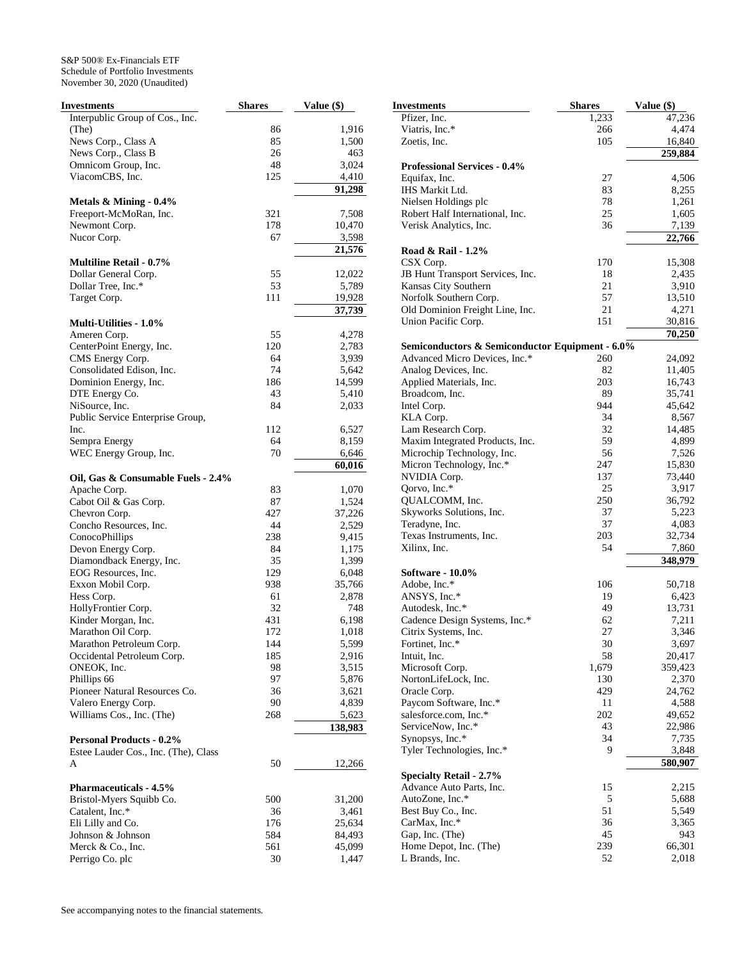| Investments                                | <b>Shares</b> | Value (\$)      |
|--------------------------------------------|---------------|-----------------|
| Interpublic Group of Cos., Inc.            |               |                 |
| (The)                                      | 86            | 1,916           |
| News Corp., Class A                        | 85            | 1,500           |
| News Corp., Class B                        | 26            | 463             |
| Omnicom Group, Inc.                        | 48            | 3,024           |
| ViacomCBS, Inc.                            | 125           | 4,410           |
|                                            |               | 91,298          |
| Metals $&$ Mining - 0.4%                   |               |                 |
| Freeport-McMoRan, Inc.                     | 321           | 7,508           |
| Newmont Corp.                              | 178           | 10,470          |
| Nucor Corp.                                | 67            | 3,598           |
|                                            |               | 21,576          |
| <b>Multiline Retail - 0.7%</b>             |               |                 |
| Dollar General Corp.<br>Dollar Tree, Inc.* | 55<br>53      | 12,022          |
| Target Corp.                               | 111           | 5,789<br>19,928 |
|                                            |               |                 |
| <b>Multi-Utilities - 1.0%</b>              |               | 37,739          |
| Ameren Corp.                               | 55            | 4,278           |
| CenterPoint Energy, Inc.                   | 120           | 2,783           |
| CMS Energy Corp.                           | 64            | 3,939           |
| Consolidated Edison, Inc.                  | 74            | 5,642           |
| Dominion Energy, Inc.                      | 186           | 14,599          |
| DTE Energy Co.                             | 43            | 5,410           |
| NiSource, Inc.                             | 84            | 2,033           |
| Public Service Enterprise Group,           |               |                 |
| Inc.                                       | 112           | 6,527           |
| Sempra Energy                              | 64            | 8,159           |
| WEC Energy Group, Inc.                     | 70            | 6,646           |
|                                            |               | 60,016          |
| Oil, Gas & Consumable Fuels - 2.4%         |               |                 |
| Apache Corp.                               | 83            | 1,070           |
| Cabot Oil & Gas Corp.                      | 87            | 1,524           |
| Chevron Corp.                              | 427           | 37,226          |
| Concho Resources, Inc.                     | 44            | 2,529           |
| ConocoPhillips                             | 238           | 9,415           |
| Devon Energy Corp.                         | 84            | 1,175           |
| Diamondback Energy, Inc.                   | 35            | 1,399           |
| EOG Resources, Inc.                        | 129           | 6,048           |
| Exxon Mobil Corp.                          | 938           | 35,766          |
| Hess Corp.<br>HollyFrontier Corp.          | 61<br>32      | 2,878           |
| Kinder Morgan, Inc.                        | 431           | 748<br>6,198    |
| Marathon Oil Corp.                         | 172           | 1,018           |
| Marathon Petroleum Corp.                   | 144           | 5,599           |
| Occidental Petroleum Corp.                 | 185           | 2,916           |
| ONEOK, Inc.                                | 98            | 3,515           |
| Phillips 66                                | 97            | 5,876           |
| Pioneer Natural Resources Co.              | 36            | 3,621           |
| Valero Energy Corp.                        | 90            | 4,839           |
| Williams Cos., Inc. (The)                  | 268           | 5,623           |
|                                            |               | 138,983         |
| <b>Personal Products - 0.2%</b>            |               |                 |
| Estee Lauder Cos., Inc. (The), Class       |               |                 |
| A                                          | 50            | 12,266          |
|                                            |               |                 |
| <b>Pharmaceuticals - 4.5%</b>              |               |                 |
| Bristol-Myers Squibb Co.                   | 500           | 31,200          |
| Catalent, Inc.*                            | 36            | 3,461           |
| Eli Lilly and Co.                          | 176           | 25,634          |
| Johnson & Johnson                          | 584           | 84,493          |
| Merck & Co., Inc.                          | 561           | 45,099          |
| Perrigo Co. plc                            | 30            | 1,447           |

| Investments                                     | <b>Shares</b> | Value (\$) |
|-------------------------------------------------|---------------|------------|
| Pfizer, Inc.                                    | 1,233         | 47,236     |
| Viatris, Inc.*                                  | 266           | 4,474      |
| Zoetis, Inc.                                    | 105           | 16,840     |
|                                                 |               | 259,884    |
| <b>Professional Services - 0.4%</b>             |               |            |
| Equifax, Inc.                                   | 27            | 4,506      |
| IHS Markit Ltd.                                 | 83            | 8,255      |
| Nielsen Holdings plc                            | 78            | 1,261      |
| Robert Half International, Inc.                 | 25            | 1,605      |
| Verisk Analytics, Inc.                          | 36            | 7,139      |
|                                                 |               | 22,766     |
| Road & Rail - 1.2%                              |               |            |
| CSX Corp.                                       | 170           | 15,308     |
| JB Hunt Transport Services, Inc.                | 18            | 2,435      |
| Kansas City Southern                            | 21            | 3,910      |
| Norfolk Southern Corp.                          | 57            | 13,510     |
| Old Dominion Freight Line, Inc.                 | 21            | 4,271      |
| Union Pacific Corp.                             | 151           | 30,816     |
|                                                 |               | 70,250     |
| Semiconductors & Semiconductor Equipment - 6.0% |               |            |
| Advanced Micro Devices, Inc.*                   | 260           | 24,092     |
| Analog Devices, Inc.                            | 82            | 11,405     |
| Applied Materials, Inc.                         | 203           | 16,743     |
| Broadcom, Inc.                                  | 89            | 35,741     |
| Intel Corp.                                     | 944           | 45,642     |
| KLA Corp.                                       | 34            | 8,567      |
| Lam Research Corp.                              | 32            | 14,485     |
| Maxim Integrated Products, Inc.                 | 59            | 4,899      |
| Microchip Technology, Inc.                      | 56            | 7,526      |
| Micron Technology, Inc.*                        | 247           | 15,830     |
| NVIDIA Corp.                                    | 137           | 73,440     |
| Qorvo, Inc.*                                    | 25            | 3,917      |
| QUALCOMM, Inc.                                  | 250           | 36,792     |
| Skyworks Solutions, Inc.                        | 37            | 5,223      |
| Teradyne, Inc.                                  | 37            | 4,083      |
| Texas Instruments, Inc.                         | 203           | 32,734     |
| Xilinx, Inc.                                    | 54            | 7,860      |
|                                                 |               | 348,979    |
| Software - 10.0%                                |               |            |
| Adobe, Inc.*                                    | 106           | 50,718     |
| ANSYS, Inc.*                                    | 19            | 6,423      |
| Autodesk, Inc.*                                 | 49            | 13,731     |
| Cadence Design Systems, Inc.*                   | 62            | 7,211      |
| Citrix Systems, Inc.                            | 27            | 3,346      |
| Fortinet, Inc.*                                 | 30            | 3,697      |
| Intuit, Inc.                                    | 58            | 20,417     |
| Microsoft Corp.                                 | 1,679         | 359,423    |
| NortonLifeLock, Inc.                            | 130           | 2,370      |
| Oracle Corp.                                    | 429           | 24,762     |
| Paycom Software, Inc.*                          | 11            | 4,588      |
| salesforce.com, Inc.*                           | 202           | 49,652     |
| ServiceNow, Inc.*                               | 43            | 22,986     |
| Synopsys, Inc.*                                 | 34            | 7,735      |
| Tyler Technologies, Inc.*                       | 9             | 3,848      |
|                                                 |               | 580,907    |
| <b>Specialty Retail - 2.7%</b>                  |               |            |
| Advance Auto Parts, Inc.                        | 15            | 2,215      |
| AutoZone, Inc.*                                 | 5             | 5,688      |
| Best Buy Co., Inc.                              | 51            | 5,549      |
| CarMax, Inc.*                                   | 36            | 3,365      |
| Gap, Inc. (The)                                 | 45            | 943        |
| Home Depot, Inc. (The)                          | 239           | 66,301     |
| L Brands, Inc.                                  | 52            | 2,018      |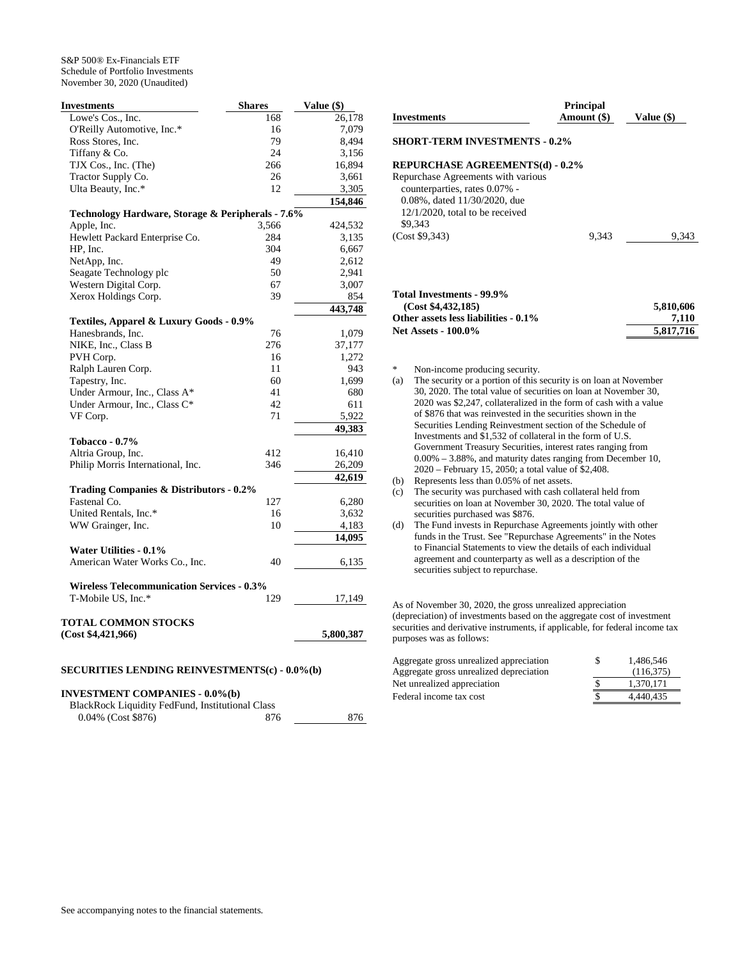| Investments                                       | <b>Shares</b> | Value (\$) |
|---------------------------------------------------|---------------|------------|
| Lowe's Cos., Inc.                                 | 168           | 26,178     |
| O'Reilly Automotive, Inc.*                        | 16            | 7,079      |
| Ross Stores, Inc.                                 | 79            | 8,494      |
| Tiffany & Co.                                     | 24            | 3,156      |
| TJX Cos., Inc. (The)                              | 266           | 16,894     |
| Tractor Supply Co.                                | 26            | 3,661      |
| Ulta Beauty, Inc.*                                | 12            | 3,305      |
|                                                   |               | 154,846    |
| Technology Hardware, Storage & Peripherals - 7.6% |               |            |
| Apple, Inc.                                       | 3,566         | 424,532    |
| Hewlett Packard Enterprise Co.                    | 284           | 3,135      |
| HP, Inc.                                          | 304           | 6,667      |
| NetApp, Inc.                                      | 49            | 2,612      |
| Seagate Technology plc                            | 50            | 2,941      |
| Western Digital Corp.                             | 67            | 3,007      |
| Xerox Holdings Corp.                              | 39            | 854        |
|                                                   |               | 443,748    |
| Textiles, Apparel & Luxury Goods - 0.9%           |               |            |
| Hanesbrands, Inc.                                 | 76            | 1,079      |
| NIKE, Inc., Class B                               | 276           | 37,177     |
| PVH Corp.                                         | 16            | 1,272      |
| Ralph Lauren Corp.                                | 11            | 943        |
| Tapestry, Inc.                                    | 60            | 1,699      |
| Under Armour, Inc., Class A*                      | 41            | 680        |
| Under Armour, Inc., Class C*                      | 42            | 611        |
| VF Corp.                                          | 71            | 5,922      |
|                                                   |               |            |
|                                                   |               | 49,383     |
| <b>Tobacco - 0.7%</b>                             | 412           |            |
| Altria Group, Inc.                                |               | 16,410     |
| Philip Morris International, Inc.                 | 346           | 26,209     |
|                                                   |               | 42,619     |
| Trading Companies & Distributors - 0.2%           |               |            |
| Fastenal Co.                                      | 127           | 6,280      |
| United Rentals, Inc.*                             | 16            | 3,632      |
| WW Grainger, Inc.                                 | 10            | 4,183      |
|                                                   |               | 14,095     |
| Water Utilities - 0.1%                            |               |            |
| American Water Works Co., Inc.                    | 40            | 6,135      |
|                                                   |               |            |
| <b>Wireless Telecommunication Services - 0.3%</b> |               |            |
| T-Mobile US, Inc.*                                | 129           | 17,149     |
|                                                   |               |            |
| TOTAL COMMON STOCKS<br>(Cost \$4,421,966)         |               |            |
|                                                   |               | 5,800,387  |
|                                                   |               |            |

## **SECURITIES LENDING REINVESTMENTS(c) - 0.0%(b)**

## **INVESTMENT COMPANIES - 0.0%(b)**

| BlackRock Liquidity FedFund, Institutional Class |      |     |
|--------------------------------------------------|------|-----|
| $0.04\%$ (Cost \$876)                            | -876 | 876 |

| <b>Investments</b>                                                                                                                                          | <b>Principal</b><br>Amount (\$) | Value (\$) |
|-------------------------------------------------------------------------------------------------------------------------------------------------------------|---------------------------------|------------|
| <b>SHORT-TERM INVESTMENTS - 0.2%</b>                                                                                                                        |                                 |            |
| <b>REPURCHASE AGREEMENTS(d) - 0.2%</b>                                                                                                                      |                                 |            |
| Repurchase Agreements with various<br>counterparties, rates 0.07% -<br>$0.08\%$ , dated $11/30/2020$ , due<br>$12/1/2020$ , total to be received<br>\$9,343 |                                 |            |
| (Cost \$9,343)                                                                                                                                              | 9.343                           | 9.343      |
|                                                                                                                                                             |                                 |            |

## **Total Investments - 99.9% (Cost \$4,432,185) 5,810,606** Other assets less liabilities -  $0.1\%$  7,110 Net Assets - 100.0% 5,817,716

Non-income producing security.

(a) The security or a portion of this security is on loan at November 30, 2020. The total value of securities on loan at November 30, 2020 was \$2,247, collateralized in the form of cash with a value of \$876 that was reinvested in the securities shown in the Securities Lending Reinvestment section of the Schedule of Investments and \$1,532 of collateral in the form of U.S. Government Treasury Securities, interest rates ranging from 0.00% – 3.88%, and maturity dates ranging from December 10, 2020 – February 15, 2050; a total value of \$2,408. (b) Represents less than 0.05% of net assets. (c) The security was purchased with cash collateral held from

securities on loan at November 30, 2020. The total value of securities purchased was \$876.

(d) The Fund invests in Repurchase Agreements jointly with other funds in the Trust. See "Repurchase Agreements" in the Notes to Financial Statements to view the details of each individual agreement and counterparty as well as a description of the securities subject to repurchase.

As of November 30, 2020, the gross unrealized appreciation (depreciation) of investments based on the aggregate cost of investment securities and derivative instruments, if applicable, for federal income tax purposes was as follows:

| Aggregate gross unrealized appreciation | S | 1.486.546 |
|-----------------------------------------|---|-----------|
| Aggregate gross unrealized depreciation |   | (116.375) |
| Net unrealized appreciation             |   | 1.370.171 |
| Federal income tax cost                 |   | 4.440.435 |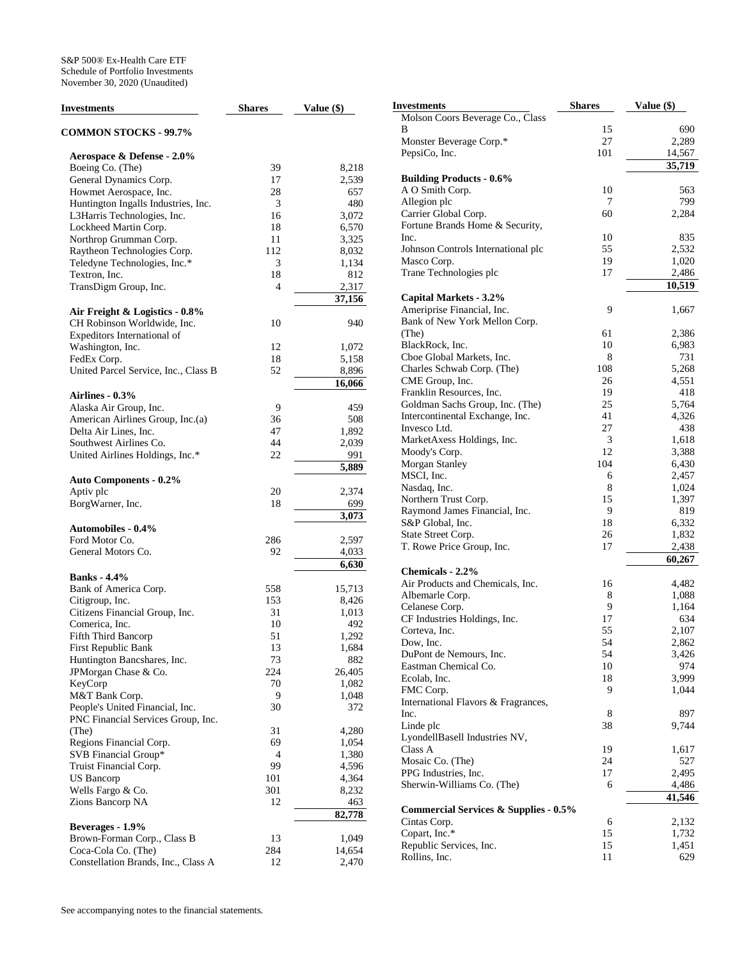| <b>Investments</b>                   | <b>Shares</b> | Value (\$) |
|--------------------------------------|---------------|------------|
| <b>COMMON STOCKS - 99.7%</b>         |               |            |
| Aerospace & Defense - 2.0%           |               |            |
| Boeing Co. (The)                     | 39            | 8,218      |
| General Dynamics Corp.               | 17            | 2,539      |
| Howmet Aerospace, Inc.               | 28            | 657        |
| Huntington Ingalls Industries, Inc.  | 3             | 480        |
| L3Harris Technologies, Inc.          | 16            | 3,072      |
| Lockheed Martin Corp.                | 18            | 6,570      |
| Northrop Grumman Corp.               | 11            | 3,325      |
| Raytheon Technologies Corp.          | 112           | 8,032      |
| Teledyne Technologies, Inc.*         | 3             | 1,134      |
| Textron, Inc.                        | 18            | 812        |
| TransDigm Group, Inc.                | 4             | 2,317      |
|                                      |               | 37,156     |
| Air Freight & Logistics - 0.8%       |               |            |
| CH Robinson Worldwide, Inc.          | 10            | 940        |
| Expeditors International of          |               |            |
| Washington, Inc.                     | 12            | 1,072      |
| FedEx Corp.                          | 18            | 5,158      |
| United Parcel Service, Inc., Class B | 52            | 8,896      |
|                                      |               | 16,066     |
| <b>Airlines - 0.3%</b>               |               |            |
| Alaska Air Group, Inc.               | 9             | 459        |
| American Airlines Group, Inc.(a)     | 36            | 508        |
| Delta Air Lines, Inc.                | 47            | 1,892      |
| Southwest Airlines Co.               | 44            | 2,039      |
| United Airlines Holdings, Inc.*      | 22            | 991        |
|                                      |               | 5,889      |
|                                      |               |            |
| <b>Auto Components - 0.2%</b>        |               |            |
| Aptiv plc                            | 20<br>18      | 2,374      |
| BorgWarner, Inc.                     |               | 699        |
|                                      |               | 3,073      |
| <b>Automobiles - 0.4%</b>            |               |            |
| Ford Motor Co.                       | 286           | 2,597      |
| General Motors Co.                   | 92            | 4,033      |
|                                      |               | 6,630      |
| <b>Banks</b> - 4.4%                  |               |            |
| Bank of America Corp.                | 558           | 15,713     |
| Citigroup, Inc.                      | 153           | 8,426      |
| Citizens Financial Group, Inc.       | 31            | 1,013      |
| Comerica, Inc.                       | 10            | 492        |
| <b>Fifth Third Bancorp</b>           | 51            | 1,292      |
| First Republic Bank                  | 13            | 1,684      |
| Huntington Bancshares, Inc.          | 73            | 882        |
| JPMorgan Chase & Co.                 | 224           | 26,405     |
| KeyCorp                              | 70            | 1,082      |
| M&T Bank Corp.                       | 9             | 1,048      |
| People's United Financial, Inc.      | 30            | 372        |
| PNC Financial Services Group, Inc.   |               |            |
| (The)                                | 31            | 4,280      |
| Regions Financial Corp.              | 69            | 1,054      |
| SVB Financial Group*                 | 4             | 1,380      |
| Truist Financial Corp.               | 99            | 4,596      |
| US Bancorp                           | 101           | 4,364      |
| Wells Fargo & Co.                    | 301           | 8,232      |
| Zions Bancorp NA                     | 12            | 463        |
|                                      |               | 82,778     |
| Beverages - 1.9%                     |               |            |
| Brown-Forman Corp., Class B          | 13            | 1,049      |
| Coca-Cola Co. (The)                  | 284           | 14,654     |
| Constellation Brands, Inc., Class A  | 12            | 2,470      |

| <b>Investments</b>                                   | <b>Shares</b> | Value (\$)     |
|------------------------------------------------------|---------------|----------------|
| Molson Coors Beverage Co., Class                     |               |                |
| В                                                    | 15            | 690            |
| Monster Beverage Corp.*                              | 27            | 2,289          |
| PepsiCo, Inc.                                        | 101           | 14,567         |
|                                                      |               | 35,719         |
| <b>Building Products - 0.6%</b>                      |               |                |
| A O Smith Corp.                                      | 10            | 563            |
| Allegion plc                                         | 7             | 799            |
| Carrier Global Corp.                                 | 60            | 2,284          |
| Fortune Brands Home & Security,<br>Inc.              | 10            | 835            |
|                                                      | 55            | 2,532          |
| Johnson Controls International plc<br>Masco Corp.    | 19            | 1,020          |
| Trane Technologies plc                               | 17            | 2,486          |
|                                                      |               | 10,519         |
| Capital Markets - 3.2%                               |               |                |
| Ameriprise Financial, Inc.                           | 9             | 1,667          |
| Bank of New York Mellon Corp.                        |               |                |
| (The)                                                | 61            | 2,386          |
| BlackRock, Inc.                                      | 10            | 6,983          |
| Cboe Global Markets, Inc.                            | 8             | 731            |
| Charles Schwab Corp. (The)                           | 108           | 5,268          |
| CME Group, Inc.                                      | 26            | 4,551          |
| Franklin Resources, Inc.                             | 19            | 418            |
| Goldman Sachs Group, Inc. (The)                      | 25            | 5,764          |
| Intercontinental Exchange, Inc.                      | 41            | 4,326          |
| Invesco Ltd.                                         | 27            | 438            |
| MarketAxess Holdings, Inc.                           | 3             | 1,618          |
| Moody's Corp.                                        | 12            | 3,388          |
| <b>Morgan Stanley</b>                                | 104           | 6,430          |
| MSCI, Inc.                                           | 6             | 2,457          |
| Nasdaq, Inc.                                         | 8             | 1,024          |
| Northern Trust Corp.                                 | 15            | 1,397          |
| Raymond James Financial, Inc.                        | 9             | 819            |
| S&P Global, Inc.                                     | 18            | 6,332          |
| State Street Corp.                                   | 26            | 1,832          |
| T. Rowe Price Group, Inc.                            | 17            | 2,438          |
|                                                      |               | 60,267         |
| Chemicals - 2.2%<br>Air Products and Chemicals, Inc. |               |                |
| Albemarle Corp.                                      | 16<br>8       | 4,482          |
| Celanese Corp.                                       | 9             | 1,088<br>1,164 |
| CF Industries Holdings, Inc.                         | 17            | 634            |
| Corteva, Inc.                                        | 55            | 2,107          |
| Dow, Inc.                                            | 54            | 2,862          |
| DuPont de Nemours, Inc.                              | 54            | 3,426          |
| Eastman Chemical Co.                                 | 10            | 974            |
| Ecolab, Inc.                                         | 18            | 3,999          |
| FMC Corp.                                            | 9             | 1,044          |
| International Flavors & Fragrances,                  |               |                |
| Inc.                                                 | 8             | 897            |
| Linde plc                                            | 38            | 9,744          |
| LyondellBasell Industries NV,                        |               |                |
| Class A                                              | 19            | 1,617          |
| Mosaic Co. (The)                                     | 24            | 527            |
| PPG Industries, Inc.                                 | 17            | 2,495          |
| Sherwin-Williams Co. (The)                           | 6             | 4,486          |
|                                                      |               | 41,546         |
| <b>Commercial Services &amp; Supplies - 0.5%</b>     |               |                |
| Cintas Corp.                                         | 6             | 2,132          |
| Copart, Inc.*                                        | 15            | 1,732          |
| Republic Services, Inc.                              | 15            | 1,451          |
| Rollins, Inc.                                        | 11            | 629            |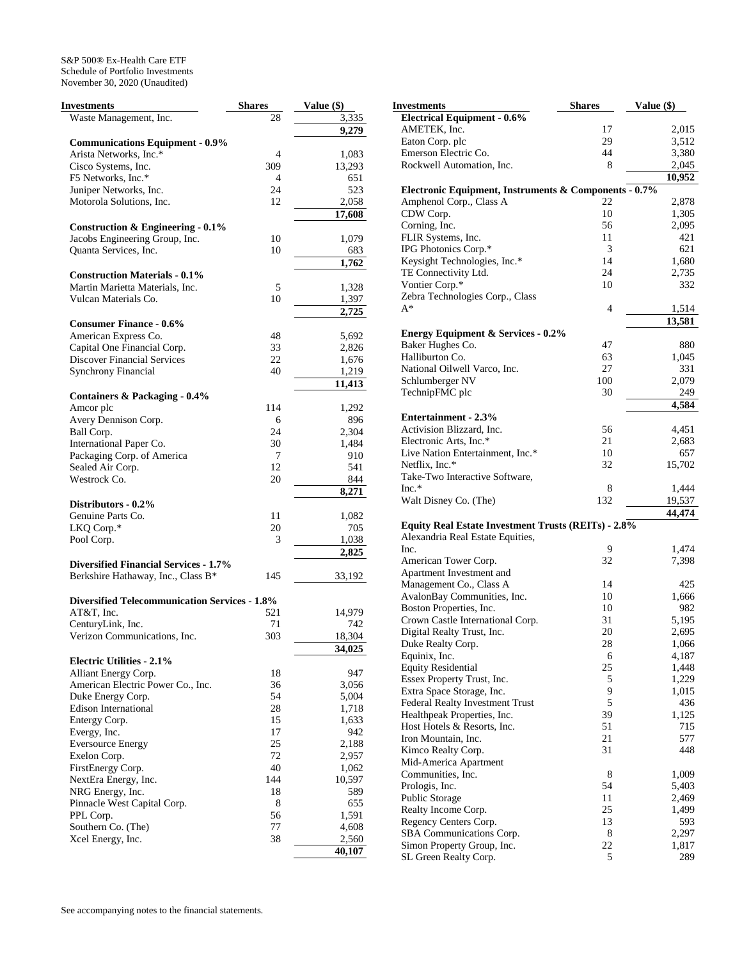| 3,335<br>Waste Management, Inc.<br>28<br>9,279<br><b>Communications Equipment - 0.9%</b><br>Arista Networks, Inc.*<br>1,083<br>4<br>309<br>13,293<br>Cisco Systems, Inc.<br>F5 Networks, Inc.*<br>4<br>651<br>Juniper Networks, Inc.<br>24<br>523<br>Motorola Solutions, Inc.<br>12<br>2,058<br>17,608<br>Construction & Engineering $-0.1\%$<br>Jacobs Engineering Group, Inc.<br>10<br>1,079<br>Quanta Services, Inc.<br>10<br>683<br>1,762<br><b>Construction Materials - 0.1%</b><br>Martin Marietta Materials, Inc.<br>5<br>1,328<br>Vulcan Materials Co.<br>10<br>1,397<br>2,725<br><b>Consumer Finance - 0.6%</b><br>American Express Co.<br>48<br>5,692<br>Capital One Financial Corp.<br>33<br>2,826<br>Discover Financial Services<br>22<br>1,676<br><b>Synchrony Financial</b><br>40<br>1,219<br>11,413<br><b>Containers &amp; Packaging - 0.4%</b><br>Amcor plc<br>114<br>1,292<br>Avery Dennison Corp.<br>896<br>6<br>Ball Corp.<br>24<br>2,304<br>International Paper Co.<br>30<br>1,484<br>Packaging Corp. of America<br>910<br>7<br>Sealed Air Corp.<br>12<br>541<br>Westrock Co.<br>20<br>844<br>8,271<br>Distributors - 0.2%<br>Genuine Parts Co.<br>11<br>1,082<br>LKQ Corp.*<br>20<br>705<br>Pool Corp.<br>3<br>1,038<br>2,825<br><b>Diversified Financial Services - 1.7%</b><br>Berkshire Hathaway, Inc., Class B*<br>145<br>33,192<br><b>Diversified Telecommunication Services - 1.8%</b><br>AT&T, Inc.<br>521<br>14,979<br>CenturyLink, Inc.<br>71<br>742<br>Verizon Communications, Inc.<br>303<br>18,304<br>34,025<br><b>Electric Utilities - 2.1%</b><br>18<br>Alliant Energy Corp.<br>947<br>American Electric Power Co., Inc.<br>36<br>3,056<br>54<br>5,004<br>Duke Energy Corp.<br>28<br>Edison International<br>1,718<br>15<br>1,633<br>Entergy Corp.<br>17<br>Evergy, Inc.<br>942<br>25<br>2,188<br><b>Eversource Energy</b><br>72<br>2,957<br>Exelon Corp.<br>40<br>FirstEnergy Corp.<br>1,062<br>144<br>10,597<br>NextEra Energy, Inc.<br>18<br>589<br>NRG Energy, Inc.<br>8<br>655<br>Pinnacle West Capital Corp.<br>56<br>PPL Corp.<br>1,591<br>77<br>Southern Co. (The)<br>4,608<br>38<br>2,560<br>Xcel Energy, Inc.<br>40,107 | <b>Investments</b> | <b>Shares</b> | Value (\$) |
|----------------------------------------------------------------------------------------------------------------------------------------------------------------------------------------------------------------------------------------------------------------------------------------------------------------------------------------------------------------------------------------------------------------------------------------------------------------------------------------------------------------------------------------------------------------------------------------------------------------------------------------------------------------------------------------------------------------------------------------------------------------------------------------------------------------------------------------------------------------------------------------------------------------------------------------------------------------------------------------------------------------------------------------------------------------------------------------------------------------------------------------------------------------------------------------------------------------------------------------------------------------------------------------------------------------------------------------------------------------------------------------------------------------------------------------------------------------------------------------------------------------------------------------------------------------------------------------------------------------------------------------------------------------------------------------------------------------------------------------------------------------------------------------------------------------------------------------------------------------------------------------------------------------------------------------------------------------------------------------------------------------------------------------------------------------------------------------------------------------------------------------------------------------------|--------------------|---------------|------------|
|                                                                                                                                                                                                                                                                                                                                                                                                                                                                                                                                                                                                                                                                                                                                                                                                                                                                                                                                                                                                                                                                                                                                                                                                                                                                                                                                                                                                                                                                                                                                                                                                                                                                                                                                                                                                                                                                                                                                                                                                                                                                                                                                                                      |                    |               |            |
|                                                                                                                                                                                                                                                                                                                                                                                                                                                                                                                                                                                                                                                                                                                                                                                                                                                                                                                                                                                                                                                                                                                                                                                                                                                                                                                                                                                                                                                                                                                                                                                                                                                                                                                                                                                                                                                                                                                                                                                                                                                                                                                                                                      |                    |               |            |
|                                                                                                                                                                                                                                                                                                                                                                                                                                                                                                                                                                                                                                                                                                                                                                                                                                                                                                                                                                                                                                                                                                                                                                                                                                                                                                                                                                                                                                                                                                                                                                                                                                                                                                                                                                                                                                                                                                                                                                                                                                                                                                                                                                      |                    |               |            |
|                                                                                                                                                                                                                                                                                                                                                                                                                                                                                                                                                                                                                                                                                                                                                                                                                                                                                                                                                                                                                                                                                                                                                                                                                                                                                                                                                                                                                                                                                                                                                                                                                                                                                                                                                                                                                                                                                                                                                                                                                                                                                                                                                                      |                    |               |            |
|                                                                                                                                                                                                                                                                                                                                                                                                                                                                                                                                                                                                                                                                                                                                                                                                                                                                                                                                                                                                                                                                                                                                                                                                                                                                                                                                                                                                                                                                                                                                                                                                                                                                                                                                                                                                                                                                                                                                                                                                                                                                                                                                                                      |                    |               |            |
|                                                                                                                                                                                                                                                                                                                                                                                                                                                                                                                                                                                                                                                                                                                                                                                                                                                                                                                                                                                                                                                                                                                                                                                                                                                                                                                                                                                                                                                                                                                                                                                                                                                                                                                                                                                                                                                                                                                                                                                                                                                                                                                                                                      |                    |               |            |
|                                                                                                                                                                                                                                                                                                                                                                                                                                                                                                                                                                                                                                                                                                                                                                                                                                                                                                                                                                                                                                                                                                                                                                                                                                                                                                                                                                                                                                                                                                                                                                                                                                                                                                                                                                                                                                                                                                                                                                                                                                                                                                                                                                      |                    |               |            |
|                                                                                                                                                                                                                                                                                                                                                                                                                                                                                                                                                                                                                                                                                                                                                                                                                                                                                                                                                                                                                                                                                                                                                                                                                                                                                                                                                                                                                                                                                                                                                                                                                                                                                                                                                                                                                                                                                                                                                                                                                                                                                                                                                                      |                    |               |            |
|                                                                                                                                                                                                                                                                                                                                                                                                                                                                                                                                                                                                                                                                                                                                                                                                                                                                                                                                                                                                                                                                                                                                                                                                                                                                                                                                                                                                                                                                                                                                                                                                                                                                                                                                                                                                                                                                                                                                                                                                                                                                                                                                                                      |                    |               |            |
|                                                                                                                                                                                                                                                                                                                                                                                                                                                                                                                                                                                                                                                                                                                                                                                                                                                                                                                                                                                                                                                                                                                                                                                                                                                                                                                                                                                                                                                                                                                                                                                                                                                                                                                                                                                                                                                                                                                                                                                                                                                                                                                                                                      |                    |               |            |
|                                                                                                                                                                                                                                                                                                                                                                                                                                                                                                                                                                                                                                                                                                                                                                                                                                                                                                                                                                                                                                                                                                                                                                                                                                                                                                                                                                                                                                                                                                                                                                                                                                                                                                                                                                                                                                                                                                                                                                                                                                                                                                                                                                      |                    |               |            |
|                                                                                                                                                                                                                                                                                                                                                                                                                                                                                                                                                                                                                                                                                                                                                                                                                                                                                                                                                                                                                                                                                                                                                                                                                                                                                                                                                                                                                                                                                                                                                                                                                                                                                                                                                                                                                                                                                                                                                                                                                                                                                                                                                                      |                    |               |            |
|                                                                                                                                                                                                                                                                                                                                                                                                                                                                                                                                                                                                                                                                                                                                                                                                                                                                                                                                                                                                                                                                                                                                                                                                                                                                                                                                                                                                                                                                                                                                                                                                                                                                                                                                                                                                                                                                                                                                                                                                                                                                                                                                                                      |                    |               |            |
|                                                                                                                                                                                                                                                                                                                                                                                                                                                                                                                                                                                                                                                                                                                                                                                                                                                                                                                                                                                                                                                                                                                                                                                                                                                                                                                                                                                                                                                                                                                                                                                                                                                                                                                                                                                                                                                                                                                                                                                                                                                                                                                                                                      |                    |               |            |
|                                                                                                                                                                                                                                                                                                                                                                                                                                                                                                                                                                                                                                                                                                                                                                                                                                                                                                                                                                                                                                                                                                                                                                                                                                                                                                                                                                                                                                                                                                                                                                                                                                                                                                                                                                                                                                                                                                                                                                                                                                                                                                                                                                      |                    |               |            |
|                                                                                                                                                                                                                                                                                                                                                                                                                                                                                                                                                                                                                                                                                                                                                                                                                                                                                                                                                                                                                                                                                                                                                                                                                                                                                                                                                                                                                                                                                                                                                                                                                                                                                                                                                                                                                                                                                                                                                                                                                                                                                                                                                                      |                    |               |            |
|                                                                                                                                                                                                                                                                                                                                                                                                                                                                                                                                                                                                                                                                                                                                                                                                                                                                                                                                                                                                                                                                                                                                                                                                                                                                                                                                                                                                                                                                                                                                                                                                                                                                                                                                                                                                                                                                                                                                                                                                                                                                                                                                                                      |                    |               |            |
|                                                                                                                                                                                                                                                                                                                                                                                                                                                                                                                                                                                                                                                                                                                                                                                                                                                                                                                                                                                                                                                                                                                                                                                                                                                                                                                                                                                                                                                                                                                                                                                                                                                                                                                                                                                                                                                                                                                                                                                                                                                                                                                                                                      |                    |               |            |
|                                                                                                                                                                                                                                                                                                                                                                                                                                                                                                                                                                                                                                                                                                                                                                                                                                                                                                                                                                                                                                                                                                                                                                                                                                                                                                                                                                                                                                                                                                                                                                                                                                                                                                                                                                                                                                                                                                                                                                                                                                                                                                                                                                      |                    |               |            |
|                                                                                                                                                                                                                                                                                                                                                                                                                                                                                                                                                                                                                                                                                                                                                                                                                                                                                                                                                                                                                                                                                                                                                                                                                                                                                                                                                                                                                                                                                                                                                                                                                                                                                                                                                                                                                                                                                                                                                                                                                                                                                                                                                                      |                    |               |            |
|                                                                                                                                                                                                                                                                                                                                                                                                                                                                                                                                                                                                                                                                                                                                                                                                                                                                                                                                                                                                                                                                                                                                                                                                                                                                                                                                                                                                                                                                                                                                                                                                                                                                                                                                                                                                                                                                                                                                                                                                                                                                                                                                                                      |                    |               |            |
|                                                                                                                                                                                                                                                                                                                                                                                                                                                                                                                                                                                                                                                                                                                                                                                                                                                                                                                                                                                                                                                                                                                                                                                                                                                                                                                                                                                                                                                                                                                                                                                                                                                                                                                                                                                                                                                                                                                                                                                                                                                                                                                                                                      |                    |               |            |
|                                                                                                                                                                                                                                                                                                                                                                                                                                                                                                                                                                                                                                                                                                                                                                                                                                                                                                                                                                                                                                                                                                                                                                                                                                                                                                                                                                                                                                                                                                                                                                                                                                                                                                                                                                                                                                                                                                                                                                                                                                                                                                                                                                      |                    |               |            |
|                                                                                                                                                                                                                                                                                                                                                                                                                                                                                                                                                                                                                                                                                                                                                                                                                                                                                                                                                                                                                                                                                                                                                                                                                                                                                                                                                                                                                                                                                                                                                                                                                                                                                                                                                                                                                                                                                                                                                                                                                                                                                                                                                                      |                    |               |            |
|                                                                                                                                                                                                                                                                                                                                                                                                                                                                                                                                                                                                                                                                                                                                                                                                                                                                                                                                                                                                                                                                                                                                                                                                                                                                                                                                                                                                                                                                                                                                                                                                                                                                                                                                                                                                                                                                                                                                                                                                                                                                                                                                                                      |                    |               |            |
|                                                                                                                                                                                                                                                                                                                                                                                                                                                                                                                                                                                                                                                                                                                                                                                                                                                                                                                                                                                                                                                                                                                                                                                                                                                                                                                                                                                                                                                                                                                                                                                                                                                                                                                                                                                                                                                                                                                                                                                                                                                                                                                                                                      |                    |               |            |
|                                                                                                                                                                                                                                                                                                                                                                                                                                                                                                                                                                                                                                                                                                                                                                                                                                                                                                                                                                                                                                                                                                                                                                                                                                                                                                                                                                                                                                                                                                                                                                                                                                                                                                                                                                                                                                                                                                                                                                                                                                                                                                                                                                      |                    |               |            |
|                                                                                                                                                                                                                                                                                                                                                                                                                                                                                                                                                                                                                                                                                                                                                                                                                                                                                                                                                                                                                                                                                                                                                                                                                                                                                                                                                                                                                                                                                                                                                                                                                                                                                                                                                                                                                                                                                                                                                                                                                                                                                                                                                                      |                    |               |            |
|                                                                                                                                                                                                                                                                                                                                                                                                                                                                                                                                                                                                                                                                                                                                                                                                                                                                                                                                                                                                                                                                                                                                                                                                                                                                                                                                                                                                                                                                                                                                                                                                                                                                                                                                                                                                                                                                                                                                                                                                                                                                                                                                                                      |                    |               |            |
|                                                                                                                                                                                                                                                                                                                                                                                                                                                                                                                                                                                                                                                                                                                                                                                                                                                                                                                                                                                                                                                                                                                                                                                                                                                                                                                                                                                                                                                                                                                                                                                                                                                                                                                                                                                                                                                                                                                                                                                                                                                                                                                                                                      |                    |               |            |
|                                                                                                                                                                                                                                                                                                                                                                                                                                                                                                                                                                                                                                                                                                                                                                                                                                                                                                                                                                                                                                                                                                                                                                                                                                                                                                                                                                                                                                                                                                                                                                                                                                                                                                                                                                                                                                                                                                                                                                                                                                                                                                                                                                      |                    |               |            |
|                                                                                                                                                                                                                                                                                                                                                                                                                                                                                                                                                                                                                                                                                                                                                                                                                                                                                                                                                                                                                                                                                                                                                                                                                                                                                                                                                                                                                                                                                                                                                                                                                                                                                                                                                                                                                                                                                                                                                                                                                                                                                                                                                                      |                    |               |            |
|                                                                                                                                                                                                                                                                                                                                                                                                                                                                                                                                                                                                                                                                                                                                                                                                                                                                                                                                                                                                                                                                                                                                                                                                                                                                                                                                                                                                                                                                                                                                                                                                                                                                                                                                                                                                                                                                                                                                                                                                                                                                                                                                                                      |                    |               |            |
|                                                                                                                                                                                                                                                                                                                                                                                                                                                                                                                                                                                                                                                                                                                                                                                                                                                                                                                                                                                                                                                                                                                                                                                                                                                                                                                                                                                                                                                                                                                                                                                                                                                                                                                                                                                                                                                                                                                                                                                                                                                                                                                                                                      |                    |               |            |
|                                                                                                                                                                                                                                                                                                                                                                                                                                                                                                                                                                                                                                                                                                                                                                                                                                                                                                                                                                                                                                                                                                                                                                                                                                                                                                                                                                                                                                                                                                                                                                                                                                                                                                                                                                                                                                                                                                                                                                                                                                                                                                                                                                      |                    |               |            |
|                                                                                                                                                                                                                                                                                                                                                                                                                                                                                                                                                                                                                                                                                                                                                                                                                                                                                                                                                                                                                                                                                                                                                                                                                                                                                                                                                                                                                                                                                                                                                                                                                                                                                                                                                                                                                                                                                                                                                                                                                                                                                                                                                                      |                    |               |            |
|                                                                                                                                                                                                                                                                                                                                                                                                                                                                                                                                                                                                                                                                                                                                                                                                                                                                                                                                                                                                                                                                                                                                                                                                                                                                                                                                                                                                                                                                                                                                                                                                                                                                                                                                                                                                                                                                                                                                                                                                                                                                                                                                                                      |                    |               |            |
|                                                                                                                                                                                                                                                                                                                                                                                                                                                                                                                                                                                                                                                                                                                                                                                                                                                                                                                                                                                                                                                                                                                                                                                                                                                                                                                                                                                                                                                                                                                                                                                                                                                                                                                                                                                                                                                                                                                                                                                                                                                                                                                                                                      |                    |               |            |
|                                                                                                                                                                                                                                                                                                                                                                                                                                                                                                                                                                                                                                                                                                                                                                                                                                                                                                                                                                                                                                                                                                                                                                                                                                                                                                                                                                                                                                                                                                                                                                                                                                                                                                                                                                                                                                                                                                                                                                                                                                                                                                                                                                      |                    |               |            |
|                                                                                                                                                                                                                                                                                                                                                                                                                                                                                                                                                                                                                                                                                                                                                                                                                                                                                                                                                                                                                                                                                                                                                                                                                                                                                                                                                                                                                                                                                                                                                                                                                                                                                                                                                                                                                                                                                                                                                                                                                                                                                                                                                                      |                    |               |            |
|                                                                                                                                                                                                                                                                                                                                                                                                                                                                                                                                                                                                                                                                                                                                                                                                                                                                                                                                                                                                                                                                                                                                                                                                                                                                                                                                                                                                                                                                                                                                                                                                                                                                                                                                                                                                                                                                                                                                                                                                                                                                                                                                                                      |                    |               |            |
|                                                                                                                                                                                                                                                                                                                                                                                                                                                                                                                                                                                                                                                                                                                                                                                                                                                                                                                                                                                                                                                                                                                                                                                                                                                                                                                                                                                                                                                                                                                                                                                                                                                                                                                                                                                                                                                                                                                                                                                                                                                                                                                                                                      |                    |               |            |
|                                                                                                                                                                                                                                                                                                                                                                                                                                                                                                                                                                                                                                                                                                                                                                                                                                                                                                                                                                                                                                                                                                                                                                                                                                                                                                                                                                                                                                                                                                                                                                                                                                                                                                                                                                                                                                                                                                                                                                                                                                                                                                                                                                      |                    |               |            |
|                                                                                                                                                                                                                                                                                                                                                                                                                                                                                                                                                                                                                                                                                                                                                                                                                                                                                                                                                                                                                                                                                                                                                                                                                                                                                                                                                                                                                                                                                                                                                                                                                                                                                                                                                                                                                                                                                                                                                                                                                                                                                                                                                                      |                    |               |            |
|                                                                                                                                                                                                                                                                                                                                                                                                                                                                                                                                                                                                                                                                                                                                                                                                                                                                                                                                                                                                                                                                                                                                                                                                                                                                                                                                                                                                                                                                                                                                                                                                                                                                                                                                                                                                                                                                                                                                                                                                                                                                                                                                                                      |                    |               |            |
|                                                                                                                                                                                                                                                                                                                                                                                                                                                                                                                                                                                                                                                                                                                                                                                                                                                                                                                                                                                                                                                                                                                                                                                                                                                                                                                                                                                                                                                                                                                                                                                                                                                                                                                                                                                                                                                                                                                                                                                                                                                                                                                                                                      |                    |               |            |
|                                                                                                                                                                                                                                                                                                                                                                                                                                                                                                                                                                                                                                                                                                                                                                                                                                                                                                                                                                                                                                                                                                                                                                                                                                                                                                                                                                                                                                                                                                                                                                                                                                                                                                                                                                                                                                                                                                                                                                                                                                                                                                                                                                      |                    |               |            |
|                                                                                                                                                                                                                                                                                                                                                                                                                                                                                                                                                                                                                                                                                                                                                                                                                                                                                                                                                                                                                                                                                                                                                                                                                                                                                                                                                                                                                                                                                                                                                                                                                                                                                                                                                                                                                                                                                                                                                                                                                                                                                                                                                                      |                    |               |            |
|                                                                                                                                                                                                                                                                                                                                                                                                                                                                                                                                                                                                                                                                                                                                                                                                                                                                                                                                                                                                                                                                                                                                                                                                                                                                                                                                                                                                                                                                                                                                                                                                                                                                                                                                                                                                                                                                                                                                                                                                                                                                                                                                                                      |                    |               |            |
|                                                                                                                                                                                                                                                                                                                                                                                                                                                                                                                                                                                                                                                                                                                                                                                                                                                                                                                                                                                                                                                                                                                                                                                                                                                                                                                                                                                                                                                                                                                                                                                                                                                                                                                                                                                                                                                                                                                                                                                                                                                                                                                                                                      |                    |               |            |
|                                                                                                                                                                                                                                                                                                                                                                                                                                                                                                                                                                                                                                                                                                                                                                                                                                                                                                                                                                                                                                                                                                                                                                                                                                                                                                                                                                                                                                                                                                                                                                                                                                                                                                                                                                                                                                                                                                                                                                                                                                                                                                                                                                      |                    |               |            |
|                                                                                                                                                                                                                                                                                                                                                                                                                                                                                                                                                                                                                                                                                                                                                                                                                                                                                                                                                                                                                                                                                                                                                                                                                                                                                                                                                                                                                                                                                                                                                                                                                                                                                                                                                                                                                                                                                                                                                                                                                                                                                                                                                                      |                    |               |            |
|                                                                                                                                                                                                                                                                                                                                                                                                                                                                                                                                                                                                                                                                                                                                                                                                                                                                                                                                                                                                                                                                                                                                                                                                                                                                                                                                                                                                                                                                                                                                                                                                                                                                                                                                                                                                                                                                                                                                                                                                                                                                                                                                                                      |                    |               |            |
|                                                                                                                                                                                                                                                                                                                                                                                                                                                                                                                                                                                                                                                                                                                                                                                                                                                                                                                                                                                                                                                                                                                                                                                                                                                                                                                                                                                                                                                                                                                                                                                                                                                                                                                                                                                                                                                                                                                                                                                                                                                                                                                                                                      |                    |               |            |
|                                                                                                                                                                                                                                                                                                                                                                                                                                                                                                                                                                                                                                                                                                                                                                                                                                                                                                                                                                                                                                                                                                                                                                                                                                                                                                                                                                                                                                                                                                                                                                                                                                                                                                                                                                                                                                                                                                                                                                                                                                                                                                                                                                      |                    |               |            |
|                                                                                                                                                                                                                                                                                                                                                                                                                                                                                                                                                                                                                                                                                                                                                                                                                                                                                                                                                                                                                                                                                                                                                                                                                                                                                                                                                                                                                                                                                                                                                                                                                                                                                                                                                                                                                                                                                                                                                                                                                                                                                                                                                                      |                    |               |            |
|                                                                                                                                                                                                                                                                                                                                                                                                                                                                                                                                                                                                                                                                                                                                                                                                                                                                                                                                                                                                                                                                                                                                                                                                                                                                                                                                                                                                                                                                                                                                                                                                                                                                                                                                                                                                                                                                                                                                                                                                                                                                                                                                                                      |                    |               |            |
|                                                                                                                                                                                                                                                                                                                                                                                                                                                                                                                                                                                                                                                                                                                                                                                                                                                                                                                                                                                                                                                                                                                                                                                                                                                                                                                                                                                                                                                                                                                                                                                                                                                                                                                                                                                                                                                                                                                                                                                                                                                                                                                                                                      |                    |               |            |
|                                                                                                                                                                                                                                                                                                                                                                                                                                                                                                                                                                                                                                                                                                                                                                                                                                                                                                                                                                                                                                                                                                                                                                                                                                                                                                                                                                                                                                                                                                                                                                                                                                                                                                                                                                                                                                                                                                                                                                                                                                                                                                                                                                      |                    |               |            |
|                                                                                                                                                                                                                                                                                                                                                                                                                                                                                                                                                                                                                                                                                                                                                                                                                                                                                                                                                                                                                                                                                                                                                                                                                                                                                                                                                                                                                                                                                                                                                                                                                                                                                                                                                                                                                                                                                                                                                                                                                                                                                                                                                                      |                    |               |            |

| Investments                                                                             | <b>Shares</b> | Value (\$) |
|-----------------------------------------------------------------------------------------|---------------|------------|
| <b>Electrical Equipment - 0.6%</b>                                                      |               |            |
| AMETEK, Inc.                                                                            | 17            | 2,015      |
| Eaton Corp. plc                                                                         | 29            | 3,512      |
| Emerson Electric Co.                                                                    | 44            | 3,380      |
| Rockwell Automation, Inc.                                                               | 8             | 2,045      |
|                                                                                         |               | 10,952     |
| Electronic Equipment, Instruments & Components - 0.7%                                   |               |            |
| Amphenol Corp., Class A                                                                 | 22            | 2,878      |
| CDW Corp.                                                                               | 10            | 1,305      |
| Corning, Inc.                                                                           | 56            | 2,095      |
| FLIR Systems, Inc.                                                                      | 11            | 421        |
| IPG Photonics Corp.*                                                                    | 3             | 621        |
| Keysight Technologies, Inc.*                                                            | 14            | 1,680      |
| TE Connectivity Ltd.                                                                    | 24            | 2,735      |
| Vontier Corp.*                                                                          | 10            | 332        |
| Zebra Technologies Corp., Class                                                         |               |            |
| $A^*$                                                                                   | 4             | 1,514      |
|                                                                                         |               | 13,581     |
| <b>Energy Equipment &amp; Services - 0.2%</b>                                           |               |            |
| Baker Hughes Co.                                                                        | 47            | 880        |
| Halliburton Co.                                                                         | 63            | 1,045      |
| National Oilwell Varco, Inc.                                                            | 27            | 331        |
| Schlumberger NV                                                                         | 100           | 2,079      |
| TechnipFMC plc                                                                          | 30            | 249        |
|                                                                                         |               | 4,584      |
| Entertainment - 2.3%                                                                    |               |            |
| Activision Blizzard, Inc.                                                               | 56            | 4,451      |
| Electronic Arts, Inc.*                                                                  | 21            | 2,683      |
| Live Nation Entertainment, Inc.*                                                        | 10            | 657        |
| Netflix, Inc.*                                                                          | 32            | 15,702     |
| Take-Two Interactive Software,                                                          |               |            |
| $Inc.*$                                                                                 | 8             | 1,444      |
| Walt Disney Co. (The)                                                                   | 132           | 19,537     |
|                                                                                         |               | 44,474     |
| Equity Real Estate Investment Trusts (REITs) - 2.8%<br>Alexandria Real Estate Equities, |               |            |
| Inc.                                                                                    | 9             | 1,474      |
| American Tower Corp.                                                                    | 32            | 7,398      |
| Apartment Investment and                                                                |               |            |
| Management Co., Class A                                                                 | 14            | 425        |
| AvalonBay Communities, Inc.                                                             | 10            | 1,666      |
| Boston Properties, Inc.                                                                 | 10            | 982        |
| Crown Castle International Corp.                                                        | 31            | 5,195      |
| Digital Realty Trust, Inc.                                                              | 20            | 2,695      |
| Duke Realty Corp.                                                                       | 28            | 1,066      |
| Equinix, Inc.                                                                           | 6             | 4,187      |
| <b>Equity Residential</b>                                                               | 25            | 1,448      |
| Essex Property Trust, Inc.                                                              | 5             | 1,229      |
| Extra Space Storage, Inc.                                                               | 9             | 1,015      |
| Federal Realty Investment Trust                                                         | 5             | 436        |
| Healthpeak Properties, Inc.                                                             | 39            | 1,125      |
| Host Hotels & Resorts, Inc.                                                             | 51            | 715        |
| Iron Mountain, Inc.                                                                     | 21            | 577        |
| Kimco Realty Corp.                                                                      | 31            | 448        |
| Mid-America Apartment                                                                   |               |            |
| Communities, Inc.                                                                       | 8             | 1,009      |
| Prologis, Inc.                                                                          | 54            | 5,403      |
| Public Storage                                                                          | 11            | 2,469      |
| Realty Income Corp.                                                                     | 25            | 1,499      |
| Regency Centers Corp.                                                                   | 13            | 593        |
| SBA Communications Corp.                                                                | 8             | 2,297      |
| Simon Property Group, Inc.                                                              | 22            | 1,817      |
| SL Green Realty Corp.                                                                   | 5             | 289        |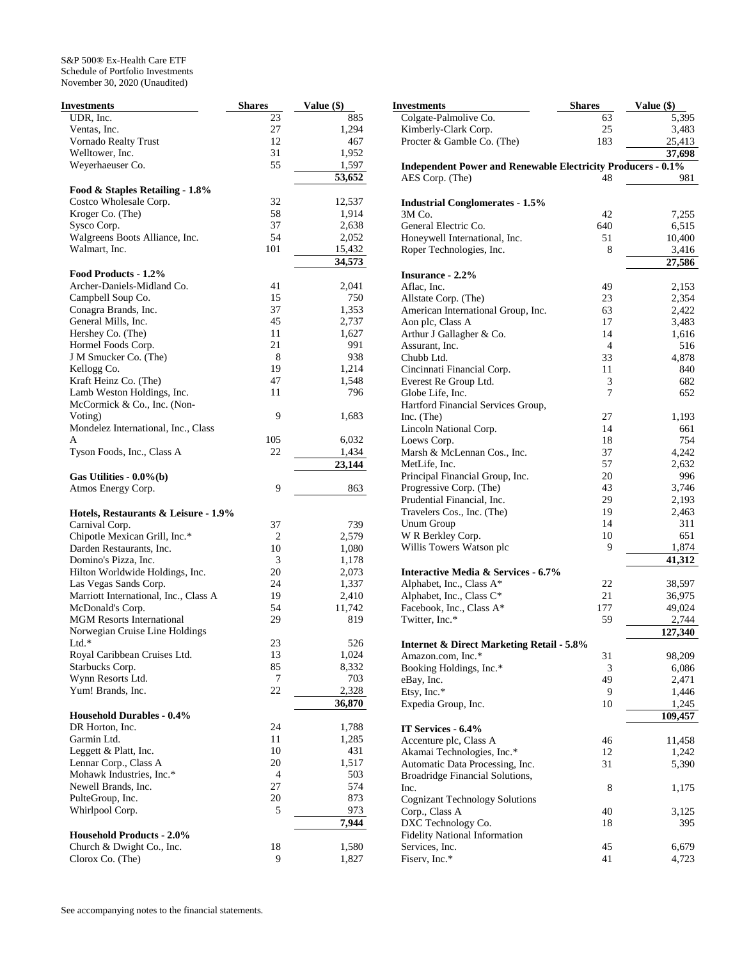| <b>Investments</b>                                        | <b>Shares</b> | Value (\$)   | <b>Investmen</b>       |
|-----------------------------------------------------------|---------------|--------------|------------------------|
| UDR, Inc.                                                 | 23            | 885          | Colgate-l              |
| Ventas, Inc.                                              | 27            | 1,294        | Kimberly               |
| Vornado Realty Trust                                      | 12            | 467          | Procter &              |
| Welltower, Inc.                                           | 31            | 1,952        |                        |
| Weyerhaeuser Co.                                          | 55            | 1,597        | Indepen                |
|                                                           |               | 53,652       | AES Cor                |
| Food & Staples Retailing - 1.8%                           |               |              |                        |
| Costco Wholesale Corp.                                    | 32            | 12,537       | Industria              |
| Kroger Co. (The)                                          | 58            | 1,914        | 3M Co.                 |
| Sysco Corp.                                               | 37            | 2,638        | General I              |
| Walgreens Boots Alliance, Inc.                            | 54            | 2,052        | Honeywe                |
| Walmart, Inc.                                             | 101           | 15,432       | Roper Te               |
| Food Products - 1.2%                                      |               | 34,573       | <b>Insurano</b>        |
| Archer-Daniels-Midland Co.                                | 41            | 2,041        | Aflac, In              |
| Campbell Soup Co.                                         | 15            | 750          | Allstate 0             |
| Conagra Brands, Inc.                                      | 37            | 1,353        | American               |
| General Mills, Inc.                                       | 45            | 2,737        | Aon plc,               |
| Hershey Co. (The)                                         | 11            | 1,627        | Arthur J               |
| Hormel Foods Corp.                                        | 21            | 991          | Assurant               |
| J M Smucker Co. (The)                                     | 8             | 938          | Chubb Lt               |
| Kellogg Co.                                               | 19            | 1,214        | Cincinna               |
| Kraft Heinz Co. (The)                                     | 47            | 1,548        | Everest F              |
| Lamb Weston Holdings, Inc.                                | 11            | 796          | Globe Li               |
| McCormick & Co., Inc. (Non-                               |               |              | Hartford               |
| Voting)                                                   | 9             | 1,683        |                        |
| Mondelez International, Inc., Class                       |               |              | Inc. (The<br>Lincoln I |
| A                                                         | 105           | 6,032        | Loews C                |
| Tyson Foods, Inc., Class A                                | 22            | 1,434        | Marsh &                |
|                                                           |               | 23,144       | MetLife,               |
|                                                           |               |              | Principal              |
| Gas Utilities - $0.0\%$ (b)                               | 9             |              | Progressi              |
| Atmos Energy Corp.                                        |               | 863          | Prudentia              |
|                                                           |               |              | Travelers              |
| Hotels, Restaurants & Leisure - 1.9%                      | 37            |              | Unum Gi                |
| Carnival Corp.                                            | 2             | 739<br>2,579 | W R Ber                |
| Chipotle Mexican Grill, Inc.*<br>Darden Restaurants, Inc. | 10            | 1,080        | Willis To              |
| Domino's Pizza, Inc.                                      | 3             | 1,178        |                        |
| Hilton Worldwide Holdings, Inc.                           | 20            | 2,073        | Interacti              |
| Las Vegas Sands Corp.                                     | 24            | 1,337        | Alphabet               |
| Marriott International, Inc., Class A                     | 19            | 2,410        | Alphabet               |
| McDonald's Corp.                                          | 54            | 11,742       | Facebool               |
| <b>MGM</b> Resorts International                          | 29            | 819          | Twitter, 1             |
| Norwegian Cruise Line Holdings                            |               |              |                        |
| $Ltd.*$                                                   | 23            | 526          | Internet               |
| Royal Caribbean Cruises Ltd.                              | 13            | 1,024        | Amazon.                |
| Starbucks Corp.                                           | 85            | 8,332        | <b>Booking</b>         |
| Wynn Resorts Ltd.                                         | $\tau$        | 703          | eBay, Inc              |
| Yum! Brands, Inc.                                         | 22            | 2,328        | Etsy, Inc.             |
|                                                           |               | 36,870       | Expedia                |
| <b>Household Durables - 0.4%</b>                          |               |              |                        |
| DR Horton, Inc.                                           | 24            | 1,788        | <b>IT Servi</b>        |
| Garmin Ltd.                                               | 11            | 1,285        | Accentur               |
| Leggett & Platt, Inc.                                     | 10            | 431          | Akamai "               |
| Lennar Corp., Class A                                     | 20            | 1,517        | Automati               |
| Mohawk Industries, Inc.*                                  | 4             | 503          | <b>Broadrid</b>        |
| Newell Brands, Inc.                                       | 27            | 574          | Inc.                   |
| PulteGroup, Inc.                                          | 20            | 873          | Cognizar               |
| Whirlpool Corp.                                           | 5             | 973          | Corp., Cl              |
|                                                           |               | 7,944        | DXC Teo                |
| <b>Household Products - 2.0%</b>                          |               |              | Fidelity N             |
| Church & Dwight Co., Inc.                                 | 18            | 1,580        | Services,              |
| Clorox Co. (The)                                          | 9             | 1,827        | Fiserv, Ir             |

| Investments                                                         | <b>Shares</b>  | Value (\$) |
|---------------------------------------------------------------------|----------------|------------|
| Colgate-Palmolive Co.                                               | 63             | 5,395      |
| Kimberly-Clark Corp.                                                | 25             | 3,483      |
| Procter & Gamble Co. (The)                                          | 183            | 25,413     |
|                                                                     |                | 37,698     |
| <b>Independent Power and Renewable Electricity Producers - 0.1%</b> |                |            |
| AES Corp. (The)                                                     | 48             | 981        |
|                                                                     |                |            |
| <b>Industrial Conglomerates - 1.5%</b>                              |                |            |
| 3M Co.                                                              | 42             | 7,255      |
| General Electric Co.                                                | 640            |            |
|                                                                     | 51             | 6,515      |
| Honeywell International, Inc.                                       |                | 10,400     |
| Roper Technologies, Inc.                                            | 8              | 3,416      |
|                                                                     |                | 27,586     |
| <b>Insurance - 2.2%</b>                                             |                |            |
| Aflac, Inc.                                                         | 49             | 2,153      |
| Allstate Corp. (The)                                                | 23             | 2,354      |
| American International Group, Inc.                                  | 63             | 2,422      |
| Aon plc, Class A                                                    | 17             | 3,483      |
| Arthur J Gallagher & Co.                                            | 14             | 1,616      |
| Assurant, Inc.                                                      | $\overline{4}$ | 516        |
| Chubb Ltd.                                                          | 33             | 4,878      |
| Cincinnati Financial Corp.                                          | 11             | 840        |
| Everest Re Group Ltd.                                               | 3              | 682        |
| Globe Life, Inc.                                                    | 7              | 652        |
| Hartford Financial Services Group,                                  |                |            |
| Inc. (The)                                                          | 27             | 1,193      |
| Lincoln National Corp.                                              | 14             | 661        |
| Loews Corp.                                                         | 18             | 754        |
| Marsh & McLennan Cos., Inc.                                         | 37             | 4,242      |
| MetLife, Inc.                                                       | 57             | 2,632      |
| Principal Financial Group, Inc.                                     | 20             | 996        |
| Progressive Corp. (The)                                             | 43             | 3,746      |
| Prudential Financial, Inc.                                          | 29             | 2,193      |
| Travelers Cos., Inc. (The)                                          | 19             | 2,463      |
| Unum Group                                                          | 14             | 311        |
| W R Berkley Corp.                                                   | 10             | 651        |
| Willis Towers Watson plc                                            | 9              | 1,874      |
|                                                                     |                | 41,312     |
| Interactive Media & Services - 6.7%                                 |                |            |
| Alphabet, Inc., Class A*                                            | 22             | 38,597     |
| Alphabet, Inc., Class C*                                            | 21             | 36,975     |
| Facebook, Inc., Class A*                                            | 177            | 49,024     |
| Twitter, Inc.*                                                      | 59             | 2,744      |
|                                                                     |                | 127,340    |
| <b>Internet &amp; Direct Marketing Retail - 5.8%</b>                |                |            |
| Amazon.com, Inc.*                                                   | 31             | 98,209     |
| Booking Holdings, Inc.*                                             | 3              | 6,086      |
| eBay, Inc.                                                          | 49             | 2,471      |
| Etsy, Inc.*                                                         | 9              | 1,446      |
| Expedia Group, Inc.                                                 | 10             | 1,245      |
|                                                                     |                | 109,457    |
| IT Services - 6.4%                                                  |                |            |
| Accenture plc, Class A                                              | 46             | 11,458     |
|                                                                     |                |            |
| Akamai Technologies, Inc.*                                          | 12             | 1,242      |
| Automatic Data Processing, Inc.                                     | 31             | 5,390      |
| Broadridge Financial Solutions,                                     |                |            |
| Inc.                                                                | 8              | 1,175      |
| <b>Cognizant Technology Solutions</b>                               |                |            |
| Corp., Class A                                                      | 40             | 3,125      |
| DXC Technology Co.                                                  | 18             | 395        |
| <b>Fidelity National Information</b>                                |                |            |
| Services, Inc.                                                      | 45             | 6,679      |
| Fiserv, Inc.*                                                       | 41             | 4,723      |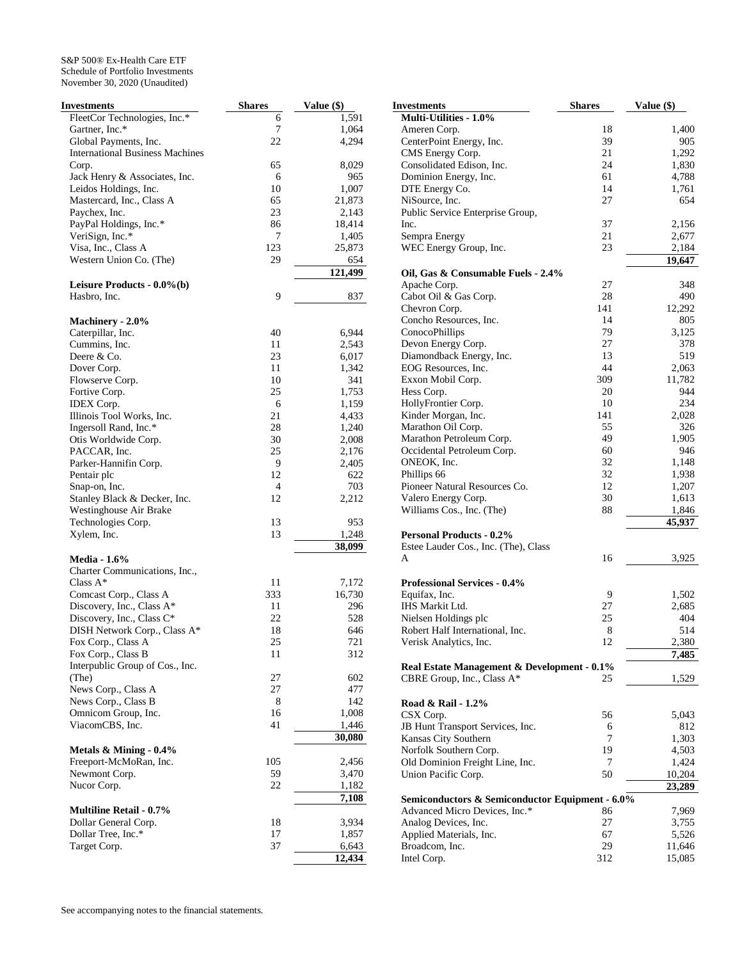| Investments                             | <b>Shares</b> | Value (\$)      |
|-----------------------------------------|---------------|-----------------|
| FleetCor Technologies, Inc.*            | 6             | 1,591           |
| Gartner, Inc.*                          | 7             | 1,064           |
| Global Payments, Inc.                   | 22            | 4,294           |
| <b>International Business Machines</b>  |               |                 |
| Corp.                                   | 65            | 8,029           |
| Jack Henry & Associates, Inc.           | 6             | 965             |
| Leidos Holdings, Inc.                   | 10            | 1,007           |
| Mastercard, Inc., Class A               | 65            | 21,873          |
| Paychex, Inc.                           | 23            | 2,143           |
| PayPal Holdings, Inc.*                  | 86            | 18,414          |
| VeriSign, Inc.*                         | 7             | 1,405           |
| Visa, Inc., Class A                     | 123           | 25,873          |
| Western Union Co. (The)                 | 29            | 654             |
| Leisure Products - 0.0%(b)              |               | 121,499         |
| Hasbro, Inc.                            | 9             | 837             |
|                                         |               |                 |
| Machinery - 2.0%                        |               |                 |
| Caterpillar, Inc.                       | 40            | 6,944           |
| Cummins, Inc.                           | 11            | 2,543           |
| Deere & Co.                             | 23            | 6,017           |
| Dover Corp.                             | 11            | 1,342           |
| Flowserve Corp.                         | 10            | 341             |
| Fortive Corp.                           | 25            | 1,753           |
| <b>IDEX</b> Corp.                       | 6             | 1,159           |
| Illinois Tool Works, Inc.               | 21            | 4,433           |
| Ingersoll Rand, Inc.*                   | 28            | 1,240           |
| Otis Worldwide Corp.                    | 30            | 2,008           |
| PACCAR, Inc.                            | 25            | 2,176           |
| Parker-Hannifin Corp.                   | 9             | 2,405           |
| Pentair plc                             | 12            | 622             |
| Snap-on, Inc.                           | 4             | 703             |
| Stanley Black & Decker, Inc.            | 12            | 2,212           |
| Westinghouse Air Brake                  |               |                 |
| Technologies Corp.                      | 13            | 953             |
| Xylem, Inc.                             | 13            | 1,248<br>38,099 |
| <b>Media - 1.6%</b>                     |               |                 |
| Charter Communications, Inc.,           |               |                 |
| Class $A^*$                             | 11            | 7,172           |
| Comcast Corp., Class A                  | 333           | 16,730          |
| Discovery, Inc., Class A*               | 11            | 296             |
| Discovery, Inc., Class C*               | 22            | 528             |
| DISH Network Corp., Class A*            | 18            | 646             |
| Fox Corp., Class A                      | 25            | 721             |
| Fox Corp., Class B                      | 11            | 312             |
| Interpublic Group of Cos., Inc.         |               |                 |
| (The)                                   | 27            | 602             |
| News Corp., Class A                     | 27            | 477             |
| News Corp., Class B                     | 8             | 142             |
| Omnicom Group, Inc.                     | 16            | 1,008           |
| ViacomCBS, Inc.                         | 41            | 1,446           |
|                                         |               | 30,080          |
| Metals $&$ Mining - $0.4\%$             | 105           | 2,456           |
| Freeport-McMoRan, Inc.<br>Newmont Corp. | 59            | 3,470           |
| Nucor Corp.                             | 22            | 1,182           |
|                                         |               | 7,108           |
| <b>Multiline Retail - 0.7%</b>          |               |                 |
| Dollar General Corp.                    | 18            | 3,934           |
| Dollar Tree, Inc.*                      | 17            | 1,857           |
| Target Corp.                            | 37            | 6,643           |
|                                         |               | 12,434          |

| Investments                                            | <b>Shares</b> | Value (\$)      |
|--------------------------------------------------------|---------------|-----------------|
| Multi-Utilities - 1.0%                                 |               |                 |
| Ameren Corp.                                           | 18            | 1,400           |
| CenterPoint Energy, Inc.                               | 39            | 905             |
| CMS Energy Corp.                                       | 21            | 1,292           |
| Consolidated Edison, Inc.                              | 24            | 1,830           |
| Dominion Energy, Inc.                                  | 61            | 4,788           |
| DTE Energy Co.                                         | 14            | 1,761           |
| NiSource, Inc.                                         | 27            | 654             |
| Public Service Enterprise Group,                       |               |                 |
| Inc.                                                   | 37            | 2,156           |
| Sempra Energy                                          | 21            | 2,677           |
| WEC Energy Group, Inc.                                 | 23            | 2,184           |
| Oil, Gas & Consumable Fuels - 2.4%                     |               | 19,647          |
| Apache Corp.                                           | 27            | 348             |
| Cabot Oil & Gas Corp.                                  | 28            | 490             |
| Chevron Corp.                                          | 141           | 12,292          |
| Concho Resources, Inc.                                 | 14            | 805             |
| ConocoPhillips                                         | 79            | 3,125           |
| Devon Energy Corp.                                     | 27            | 378             |
| Diamondback Energy, Inc.                               | 13            | 519             |
| EOG Resources, Inc.                                    | 44            | 2,063           |
| Exxon Mobil Corp.                                      | 309           | 11,782          |
| Hess Corp.                                             | 20            | 944             |
| HollyFrontier Corp.                                    | 10            | 234             |
| Kinder Morgan, Inc.                                    | 141           | 2,028           |
| Marathon Oil Corp.                                     | 55            | 326             |
| Marathon Petroleum Corp.                               | 49            | 1,905           |
| Occidental Petroleum Corp.                             | 60            | 946             |
| ONEOK, Inc.                                            | 32            | 1,148           |
| Phillips 66                                            | 32            | 1,938           |
| Pioneer Natural Resources Co.                          | 12            | 1,207           |
| Valero Energy Corp.                                    | 30            | 1,613           |
| Williams Cos., Inc. (The)                              | 88            | 1,846           |
| <b>Personal Products - 0.2%</b>                        |               | 45,937          |
| Estee Lauder Cos., Inc. (The), Class                   |               |                 |
| A                                                      | 16            | 3,925           |
|                                                        |               |                 |
| <b>Professional Services - 0.4%</b>                    |               |                 |
| Equifax, Inc.                                          | 9             | 1,502           |
| IHS Markit Ltd.                                        | 27            | 2,685           |
| Nielsen Holdings plc                                   | 25            | 404             |
| Robert Half International, Inc.                        | 8             | 514             |
| Verisk Analytics, Inc.                                 | 12            | 2,380           |
| Real Estate Management & Development - 0.1%            |               | 7,485           |
| CBRE Group, Inc., Class A*                             | 25            | 1,529           |
|                                                        |               |                 |
| Road & Rail - 1.2%                                     |               |                 |
| CSX Corp.                                              | 56            | 5,043           |
| JB Hunt Transport Services, Inc.                       | 6             | 812             |
| Kansas City Southern                                   | 7             | 1,303           |
| Norfolk Southern Corp.                                 | 19<br>7       | 4,503           |
| Old Dominion Freight Line, Inc.<br>Union Pacific Corp. | 50            | 1,424<br>10,204 |
|                                                        |               | 23,289          |
| Semiconductors & Semiconductor Equipment - 6.0%        |               |                 |
| Advanced Micro Devices, Inc.*                          | 86            | 7,969           |
| Analog Devices, Inc.                                   | 27            | 3,755           |
| Applied Materials, Inc.                                | 67            | 5,526           |
| Broadcom, Inc.                                         | 29            | 11,646          |
| Intel Corp.                                            | 312           | 15,085          |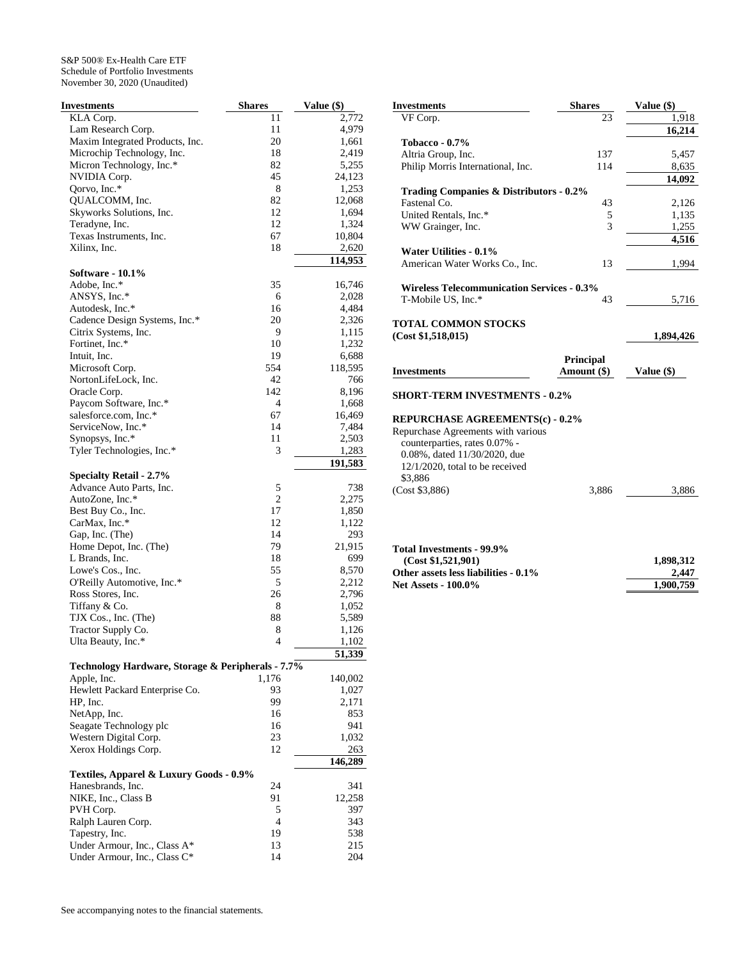| <b>Investments</b>                                | <b>Shares</b>  | Value (\$)      |
|---------------------------------------------------|----------------|-----------------|
| KLA Corp.                                         | 11             | 2,772           |
| Lam Research Corp.                                | 11             | 4,979           |
| Maxim Integrated Products, Inc.                   | 20             | 1,661           |
| Microchip Technology, Inc.                        | 18             | 2,419           |
| Micron Technology, Inc.*                          | 82             | 5,255           |
| NVIDIA Corp.                                      | 45             | 24,123          |
| Qorvo, Inc.*                                      | 8              | 1,253           |
| QUALCOMM, Inc.                                    | 82             | 12,068          |
| Skyworks Solutions, Inc.                          | 12             | 1,694           |
| Teradyne, Inc.                                    | 12             | 1,324           |
| Texas Instruments, Inc.                           | 67             | 10,804          |
| Xilinx, Inc.                                      | 18             | 2,620           |
| Software - 10.1%                                  |                | 114,953         |
| Adobe, Inc.*                                      | 35             | 16,746          |
| ANSYS, Inc.*                                      | 6              | 2,028           |
| Autodesk, Inc.*                                   | 16             | 4,484           |
| Cadence Design Systems, Inc.*                     | 20             | 2,326           |
| Citrix Systems, Inc.                              | 9              | 1,115           |
| Fortinet, Inc.*                                   | 10             | 1,232           |
| Intuit, Inc.                                      | 19             | 6,688           |
| Microsoft Corp.                                   | 554            | 118,595         |
| NortonLifeLock, Inc.                              | 42             | 766             |
| Oracle Corp.                                      | 142            | 8,196           |
| Paycom Software, Inc.*                            | 4              | 1,668           |
| salesforce.com, Inc.*                             | 67             | 16,469          |
| ServiceNow, Inc.*                                 | 14             | 7,484           |
| Synopsys, Inc.*                                   | 11             | 2,503           |
| Tyler Technologies, Inc.*                         | 3              | 1,283           |
|                                                   |                | 191,583         |
| <b>Specialty Retail - 2.7%</b>                    |                |                 |
| Advance Auto Parts, Inc.                          | 5              | 738             |
| AutoZone, Inc.*                                   | $\overline{2}$ | 2,275           |
| Best Buy Co., Inc.                                | 17             | 1,850           |
| CarMax, Inc.*                                     | 12             | 1,122           |
| Gap, Inc. (The)                                   | 14             | 293             |
| Home Depot, Inc. (The)                            | 79             | 21,915          |
| L Brands, Inc.                                    | 18             | 699             |
| Lowe's Cos., Inc.                                 | 55             | 8,570           |
| O'Reilly Automotive, Inc.*                        | 5              | 2,212           |
| Ross Stores, Inc.                                 | 26             | 2,796           |
| Tiffany & Co.                                     | 8              | 1,052           |
| TJX Cos., Inc. (The)                              | 88             | 5,589           |
| Tractor Supply Co.                                | 8              | 1,126           |
| Ulta Beauty, Inc.*                                | 4              | 1,102<br>51,339 |
| Technology Hardware, Storage & Peripherals - 7.7% |                |                 |
| Apple, Inc.                                       | 1,176          | 140,002         |
| Hewlett Packard Enterprise Co.                    | 93             | 1,027           |
| HP, Inc.                                          | 99             | 2,171           |
| NetApp, Inc.                                      | 16             | 853             |
| Seagate Technology plc                            | 16             | 941             |
| Western Digital Corp.                             | 23             | 1,032           |
| Xerox Holdings Corp.                              | 12             | 263             |
|                                                   |                | 146,289         |
| Textiles, Apparel & Luxury Goods - 0.9%           |                |                 |
| Hanesbrands, Inc.                                 | 24             | 341             |
| NIKE, Inc., Class B                               | 91             | 12,258          |
| PVH Corp.                                         | 5              | 397             |
| Ralph Lauren Corp.                                | 4              | 343             |
| Tapestry, Inc.                                    | 19             | 538             |
| Under Armour, Inc., Class A*                      | 13             | 215             |
| Under Armour, Inc., Class C*                      | 14             | 204             |

| <b>Investments</b>                                                                                                                                           | <b>Shares</b> | Value (\$)         |
|--------------------------------------------------------------------------------------------------------------------------------------------------------------|---------------|--------------------|
| VF Corp.                                                                                                                                                     | 23            | 1,918              |
|                                                                                                                                                              |               | 16,214             |
| <b>Tobacco - 0.7%</b>                                                                                                                                        |               |                    |
| Altria Group, Inc.                                                                                                                                           | 137           | 5,457              |
| Philip Morris International, Inc.                                                                                                                            | 114           | 8,635<br>14,092    |
| Trading Companies & Distributors - 0.2%                                                                                                                      |               |                    |
| Fastenal Co.                                                                                                                                                 | 43            | 2,126              |
| United Rentals, Inc.*                                                                                                                                        | 5             | 1,135              |
| WW Grainger, Inc.                                                                                                                                            | 3             | 1,255              |
|                                                                                                                                                              |               | 4,516              |
| Water Utilities - 0.1%                                                                                                                                       |               |                    |
| American Water Works Co., Inc.                                                                                                                               | 13            | 1,994              |
|                                                                                                                                                              |               |                    |
| <b>Wireless Telecommunication Services - 0.3%</b>                                                                                                            |               |                    |
| T-Mobile US, Inc.*                                                                                                                                           | 43            | 5,716              |
|                                                                                                                                                              |               |                    |
| <b>TOTAL COMMON STOCKS</b>                                                                                                                                   |               |                    |
| (Cost \$1,518,015)                                                                                                                                           |               | 1,894,426          |
|                                                                                                                                                              | Principal     |                    |
|                                                                                                                                                              |               |                    |
|                                                                                                                                                              |               |                    |
|                                                                                                                                                              | Amount (\$)   | Value (\$)         |
|                                                                                                                                                              |               |                    |
|                                                                                                                                                              |               |                    |
|                                                                                                                                                              |               |                    |
|                                                                                                                                                              |               |                    |
| counterparties, rates 0.07% -                                                                                                                                |               |                    |
| 0.08%, dated 11/30/2020, due                                                                                                                                 |               |                    |
| 12/1/2020, total to be received<br>\$3,886                                                                                                                   |               |                    |
|                                                                                                                                                              | 3,886         | 3,886              |
| <b>Investments</b><br><b>SHORT-TERM INVESTMENTS - 0.2%</b><br><b>REPURCHASE AGREEMENTS(c) - 0.2%</b><br>Repurchase Agreements with various<br>(Cost \$3,886) |               |                    |
|                                                                                                                                                              |               |                    |
| (Cost \$1,521,901)                                                                                                                                           |               | 1,898,312          |
| Total Investments - 99.9%<br>Other assets less liabilities - 0.1%<br><b>Net Assets - 100.0%</b>                                                              |               | 2.447<br>1,900,759 |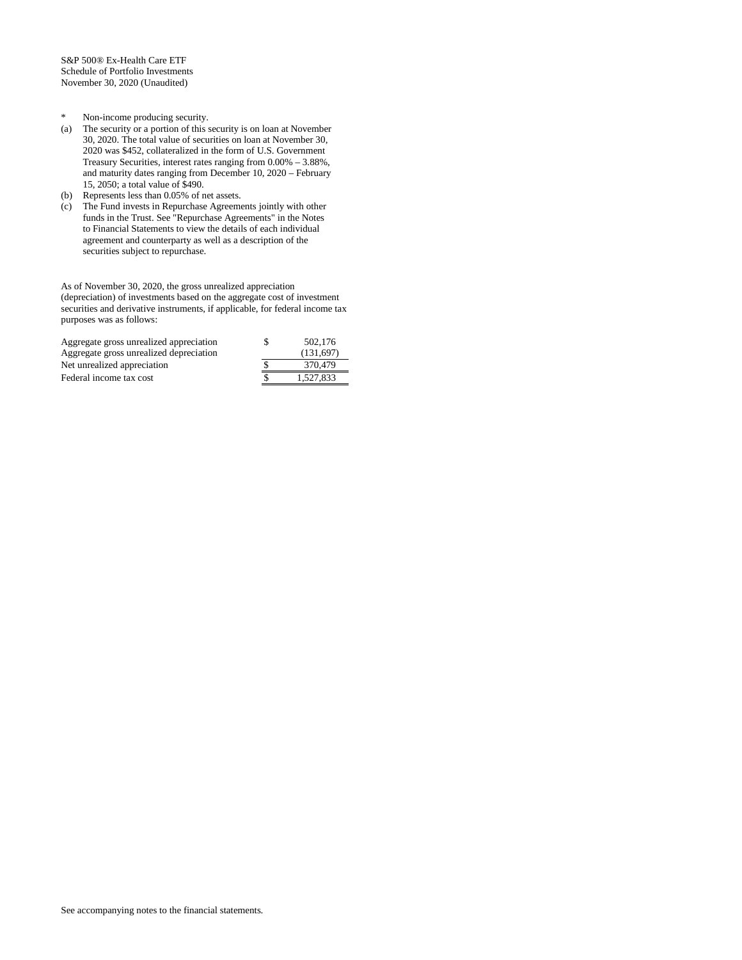- \* Non-income producing security.
- (a) The security or a portion of this security is on loan at November 30, 2020. The total value of securities on loan at November 30, 2020 was \$452, collateralized in the form of U.S. Government Treasury Securities, interest rates ranging from 0.00% – 3.88%, and maturity dates ranging from December 10, 2020 – February 15, 2050; a total value of \$490.
- (b) Represents less than 0.05% of net assets.
- (c) The Fund invests in Repurchase Agreements jointly with other funds in the Trust. See "Repurchase Agreements" in the Notes to Financial Statements to view the details of each individual agreement and counterparty as well as a description of the securities subject to repurchase.

As of November 30, 2020, the gross unrealized appreciation (depreciation) of investments based on the aggregate cost of investment securities and derivative instruments, if applicable, for federal income tax purposes was as follows:

| Aggregate gross unrealized appreciation | 502,176   |
|-----------------------------------------|-----------|
| Aggregate gross unrealized depreciation | (131.697) |
| Net unrealized appreciation             | 370,479   |
| Federal income tax cost                 | 1.527.833 |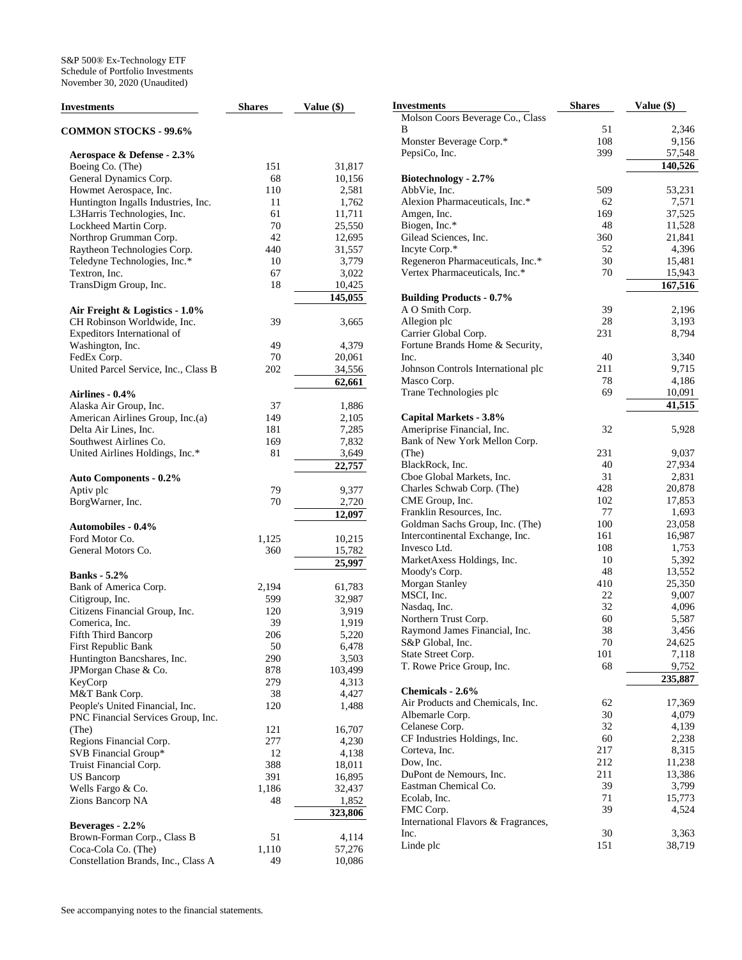| <b>Investments</b>                                    | <b>Shares</b> | Value (\$)      | <b>Invest</b> |
|-------------------------------------------------------|---------------|-----------------|---------------|
| <b>COMMON STOCKS - 99.6%</b>                          |               |                 | Mol:<br>В     |
|                                                       |               |                 | Mon           |
| Aerospace & Defense - 2.3%                            |               |                 | Peps          |
| Boeing Co. (The)                                      | 151           | 31,817          |               |
| General Dynamics Corp.                                | 68            | 10,156          | Biot          |
| Howmet Aerospace, Inc.                                | 110           | 2,581           | Abb           |
| Huntington Ingalls Industries, Inc.                   | 11            | 1,762           | Alex          |
| L3Harris Technologies, Inc.                           | 61<br>70      | 11,711          | Amg           |
| Lockheed Martin Corp.                                 |               | 25,550          | Biog          |
| Northrop Grumman Corp.<br>Raytheon Technologies Corp. | 42<br>440     | 12,695          | Gile          |
|                                                       |               | 31,557          | Incy<br>Rege  |
| Teledyne Technologies, Inc.*<br>Textron, Inc.         | 10<br>67      | 3,779           |               |
| TransDigm Group, Inc.                                 | 18            | 3,022<br>10,425 | Vert          |
|                                                       |               | 145,055         |               |
|                                                       |               |                 | Buil<br>ΑO    |
| Air Freight & Logistics - 1.0%                        |               |                 | Alle          |
| CH Robinson Worldwide, Inc.                           | 39            | 3,665           |               |
| Expeditors International of                           | 49            |                 | Carr<br>Fort  |
| Washington, Inc.<br>FedEx Corp.                       | 70            | 4,379<br>20,061 | Inc.          |
| United Parcel Service, Inc., Class B                  | 202           | 34,556          | John          |
|                                                       |               |                 | Mas           |
|                                                       |               | 62,661          | Tran          |
| Airlines - 0.4%                                       |               |                 |               |
| Alaska Air Group, Inc.                                | 37            | 1,886           |               |
| American Airlines Group, Inc.(a)                      | 149           | 2,105<br>7,285  | Cap           |
| Delta Air Lines, Inc.<br>Southwest Airlines Co.       | 181           |                 | Ame           |
|                                                       | 169           | 7,832           | Banl<br>(The  |
| United Airlines Holdings, Inc.*                       | 81            | 3,649           | Blac          |
|                                                       |               | 22,757          | Cbo           |
| <b>Auto Components - 0.2%</b>                         |               |                 | Chai          |
| Aptiv plc                                             | 79            | 9,377           | CMI           |
| BorgWarner, Inc.                                      | 70            | 2,720           | Fran          |
|                                                       |               | 12,097          | Gold          |
| <b>Automobiles - 0.4%</b>                             |               |                 | Inter         |
| Ford Motor Co.                                        | 1,125         | 10,215          | Inve          |
| General Motors Co.                                    | 360           | 15,782          | Marl          |
|                                                       |               | 25,997          | Moo           |
| <b>Banks</b> - 5.2%                                   |               |                 | Mor           |
| Bank of America Corp.                                 | 2,194         | 61,783          | <b>MSC</b>    |
| Citigroup, Inc.                                       | 599           | 32,987          | Naso          |
| Citizens Financial Group, Inc.                        | 120           | 3,919           | Nort          |
| Comerica, Inc.                                        | 39            | 1,919           | Rayı          |
| <b>Fifth Third Bancorp</b>                            | 206           | 5,220           | S&P           |
| First Republic Bank                                   | 50            | 6,478           | State         |
| Huntington Bancshares, Inc.                           | 290           | 3,503           | T. R          |
| JPMorgan Chase & Co.                                  | 878           | 103,499         |               |
| KeyCorp                                               | 279           | 4,313           |               |
| M&T Bank Corp.                                        | 38            | 4,427           | Che           |
| People's United Financial, Inc.                       | 120           | 1,488           | Air l<br>Albe |
| PNC Financial Services Group, Inc.                    |               |                 | Cela          |
| (The)                                                 | 121           | 16,707          | CF I          |
| Regions Financial Corp.                               | 277           | 4,230           | Cort          |
| SVB Financial Group*                                  | 12            | 4,138           |               |
| Truist Financial Corp.                                | 388           | 18,011          | Dow           |
| US Bancorp                                            | 391           | 16,895          | DuP           |
| Wells Fargo & Co.                                     | 1,186         | 32,437          | East          |
| Zions Bancorp NA                                      | 48            | 1,852           | Ecol          |
|                                                       |               | 323,806         | <b>FMC</b>    |
| Beverages - 2.2%                                      |               |                 | Inter         |
| Brown-Forman Corp., Class B                           | 51            | 4,114           | Inc.          |
| Coca-Cola Co. (The)                                   | 1,110         | 57,276          | Lind          |
| Constellation Brands, Inc., Class A                   | 49            | 10,086          |               |

| Investments                                    | <b>Shares</b> | Value (\$)      |
|------------------------------------------------|---------------|-----------------|
| Molson Coors Beverage Co., Class               |               |                 |
| В                                              | 51            | 2,346           |
| Monster Beverage Corp.*                        | 108           | 9,156           |
| PepsiCo, Inc.                                  | 399           | 57,548          |
|                                                |               | 140,526         |
| Biotechnology - 2.7%                           |               |                 |
| AbbVie, Inc.                                   | 509           | 53,231          |
| Alexion Pharmaceuticals, Inc.*<br>Amgen, Inc.  | 62<br>169     | 7,571<br>37,525 |
| Biogen, Inc.*                                  | 48            | 11,528          |
| Gilead Sciences, Inc.                          | 360           | 21,841          |
| Incyte Corp.*                                  | 52            | 4,396           |
| Regeneron Pharmaceuticals, Inc.*               | 30            | 15,481          |
| Vertex Pharmaceuticals, Inc.*                  | 70            | 15,943          |
|                                                |               | 167,516         |
| <b>Building Products - 0.7%</b>                |               |                 |
| A O Smith Corp.                                | 39            | 2,196           |
| Allegion plc                                   | 28            | 3,193           |
| Carrier Global Corp.                           | 231           | 8,794           |
| Fortune Brands Home & Security,                |               |                 |
| Inc.                                           | 40            | 3,340           |
| Johnson Controls International plc             | 211<br>78     | 9,715<br>4,186  |
| Masco Corp.<br>Trane Technologies plc          | 69            | 10,091          |
|                                                |               | 41,515          |
| Capital Markets - 3.8%                         |               |                 |
| Ameriprise Financial, Inc.                     | 32            | 5,928           |
| Bank of New York Mellon Corp.                  |               |                 |
| (The)                                          | 231           | 9,037           |
| BlackRock, Inc.                                | 40            | 27,934          |
| Cboe Global Markets, Inc.                      | 31            | 2,831           |
| Charles Schwab Corp. (The)                     | 428           | 20,878          |
| CME Group, Inc.                                | 102           | 17,853          |
| Franklin Resources, Inc.                       | 77            | 1,693           |
| Goldman Sachs Group, Inc. (The)                | 100           | 23,058          |
| Intercontinental Exchange, Inc.                | 161           | 16,987          |
| Invesco Ltd.                                   | 108           | 1,753           |
| MarketAxess Holdings, Inc.<br>Moody's Corp.    | 10<br>48      | 5,392<br>13,552 |
| Morgan Stanley                                 | 410           | 25,350          |
| MSCI, Inc.                                     | 22            | 9,007           |
| Nasdaq, Inc.                                   | 32            | 4,096           |
| Northern Trust Corp.                           | 60            | 5,587           |
| Raymond James Financial, Inc.                  | 38            | 3,456           |
| S&P Global, Inc.                               | 70            | 24,625          |
| State Street Corp.                             | 101           | 7,118           |
| T. Rowe Price Group, Inc.                      | 68            | 9,752           |
|                                                |               | 235,887         |
| Chemicals - 2.6%                               |               |                 |
| Air Products and Chemicals, Inc.               | 62            | 17,369          |
| Albemarle Corp.                                | 30            | 4,079           |
| Celanese Corp.<br>CF Industries Holdings, Inc. | 32<br>60      | 4,139           |
| Corteva, Inc.                                  | 217           | 2,238<br>8,315  |
| Dow, Inc.                                      | 212           | 11,238          |
| DuPont de Nemours, Inc.                        | 211           | 13,386          |
| Eastman Chemical Co.                           | 39            | 3,799           |
| Ecolab, Inc.                                   | 71            | 15,773          |
| FMC Corp.                                      | 39            | 4,524           |
| International Flavors & Fragrances,            |               |                 |
| Inc.                                           | 30            | 3,363           |
| Linde plc                                      | 151           | 38,719          |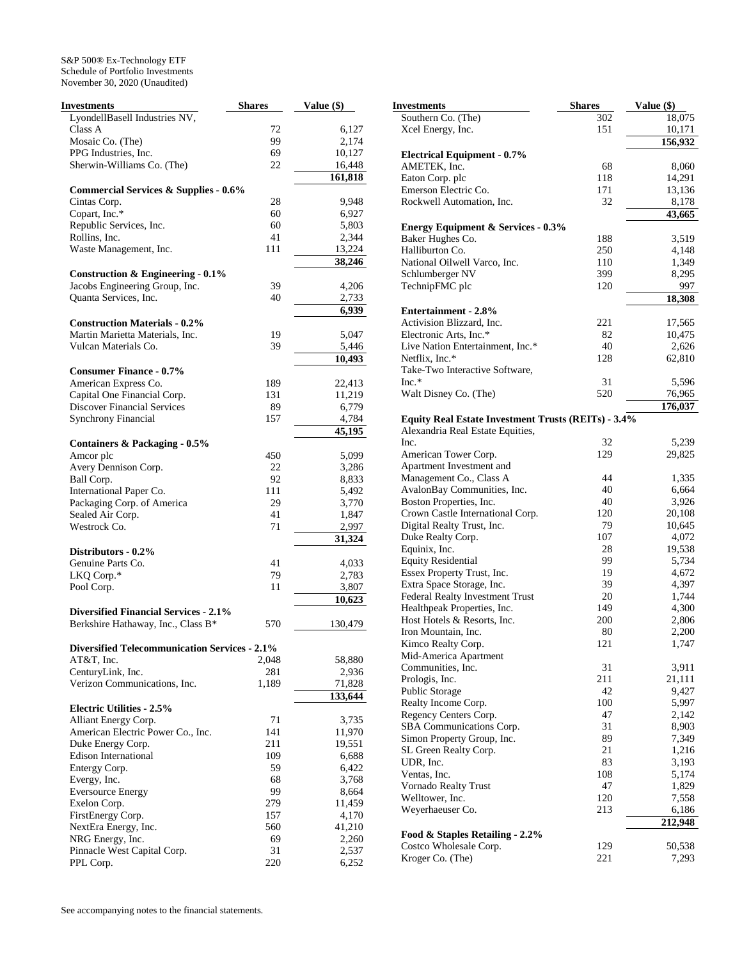| <b>Investments</b>                                   | <b>Shares</b> | Value (\$) |
|------------------------------------------------------|---------------|------------|
| LyondellBasell Industries NV,                        |               |            |
| Class A                                              | 72            | 6,127      |
| Mosaic Co. (The)                                     | 99            | 2,174      |
| PPG Industries, Inc.                                 | 69            | 10,127     |
| Sherwin-Williams Co. (The)                           | 22            | 16,448     |
|                                                      |               | 161,818    |
| <b>Commercial Services &amp; Supplies - 0.6%</b>     |               |            |
| Cintas Corp.                                         | 28            | 9,948      |
| Copart, Inc.*                                        | 60            | 6,927      |
| Republic Services, Inc.                              | 60            | 5,803      |
| Rollins, Inc.                                        | 41            | 2,344      |
| Waste Management, Inc.                               | 111           | 13,224     |
| <b>Construction &amp; Engineering - 0.1%</b>         |               | 38,246     |
| Jacobs Engineering Group, Inc.                       | 39            | 4,206      |
| Quanta Services, Inc.                                | 40            | 2,733      |
|                                                      |               | 6,939      |
| <b>Construction Materials - 0.2%</b>                 |               |            |
| Martin Marietta Materials, Inc.                      | 19            | 5,047      |
| Vulcan Materials Co.                                 | 39            | 5,446      |
|                                                      |               | 10,493     |
| <b>Consumer Finance - 0.7%</b>                       |               |            |
| American Express Co.                                 | 189           | 22,413     |
| Capital One Financial Corp.                          | 131           | 11,219     |
| <b>Discover Financial Services</b>                   | 89            | 6,779      |
| <b>Synchrony Financial</b>                           | 157           | 4,784      |
|                                                      |               | 45,195     |
| Containers & Packaging - 0.5%                        |               |            |
| Amcor plc                                            | 450           | 5,099      |
| Avery Dennison Corp.                                 | 22            | 3,286      |
| Ball Corp.                                           | 92            | 8,833      |
| International Paper Co.                              | 111           | 5,492      |
| Packaging Corp. of America                           | 29            | 3,770      |
| Sealed Air Corp.                                     | 41            | 1,847      |
| Westrock Co.                                         | 71            | 2,997      |
|                                                      |               | 31,324     |
| Distributors - 0.2%                                  |               |            |
| Genuine Parts Co.                                    | 41            | 4,033      |
| LKQ Corp.*                                           | 79            | 2,783      |
| Pool Corp.                                           | 11            | 3,807      |
| <b>Diversified Financial Services - 2.1%</b>         |               | 10,623     |
| Berkshire Hathaway, Inc., Class B*                   | 570           | 130,479    |
|                                                      |               |            |
| <b>Diversified Telecommunication Services - 2.1%</b> |               |            |
| AT&T, Inc.                                           | 2,048         | 58,880     |
| CenturyLink, Inc.                                    | 281           | 2,936      |
| Verizon Communications, Inc.                         | 1,189         | 71,828     |
| <b>Electric Utilities - 2.5%</b>                     |               | 133,644    |
| Alliant Energy Corp.                                 | 71            | 3,735      |
| American Electric Power Co., Inc.                    | 141           | 11,970     |
| Duke Energy Corp.                                    | 211           | 19,551     |
| <b>Edison International</b>                          | 109           | 6,688      |
| Entergy Corp.                                        | 59            | 6,422      |
| Evergy, Inc.                                         | 68            | 3,768      |
| <b>Eversource Energy</b>                             | 99            | 8,664      |
| Exelon Corp.                                         | 279           | 11,459     |
| FirstEnergy Corp.                                    | 157           | 4,170      |
| NextEra Energy, Inc.                                 | 560           | 41,210     |
| NRG Energy, Inc.                                     | 69            | 2,260      |
| Pinnacle West Capital Corp.                          | 31            | 2,537      |
| PPL Corp.                                            | 220           | 6,252      |
|                                                      |               |            |

| Investments                                              | <b>Shares</b> | Value (\$)       |
|----------------------------------------------------------|---------------|------------------|
| Southern Co. (The)                                       | 302           | 18,075           |
| Xcel Energy, Inc.                                        | 151           | 10,171           |
|                                                          |               | 156,932          |
| <b>Electrical Equipment - 0.7%</b>                       |               |                  |
| AMETEK, Inc.                                             | 68            | 8,060            |
| Eaton Corp. plc                                          | 118           | 14,291           |
| Emerson Electric Co.                                     | 171           | 13,136           |
| Rockwell Automation, Inc.                                | 32            | 8,178            |
|                                                          |               | 43,665           |
| <b>Energy Equipment &amp; Services - 0.3%</b>            |               |                  |
| Baker Hughes Co.                                         | 188           | 3,519            |
| Halliburton Co.                                          | 250           | 4,148            |
| National Oilwell Varco, Inc.                             | 110           | 1,349            |
| Schlumberger NV                                          | 399           | 8,295            |
| TechnipFMC plc                                           | 120           | 997              |
|                                                          |               | 18,308           |
| <b>Entertainment - 2.8%</b><br>Activision Blizzard, Inc. |               |                  |
| Electronic Arts, Inc.*                                   | 221<br>82     | 17,565<br>10,475 |
| Live Nation Entertainment, Inc.*                         | 40            | 2,626            |
| Netflix, Inc.*                                           | 128           | 62,810           |
| Take-Two Interactive Software,                           |               |                  |
| Inc.*                                                    | 31            | 5,596            |
| Walt Disney Co. (The)                                    | 520           | 76,965           |
|                                                          |               | 176,037          |
| Equity Real Estate Investment Trusts (REITs) - 3.4%      |               |                  |
| Alexandria Real Estate Equities,                         |               |                  |
| Inc.                                                     | 32            | 5,239            |
| American Tower Corp.                                     | 129           | 29,825           |
| Apartment Investment and                                 |               |                  |
| Management Co., Class A                                  | 44            | 1,335            |
| AvalonBay Communities, Inc.                              | 40            | 6,664            |
| Boston Properties, Inc.                                  | 40            | 3,926            |
| Crown Castle International Corp.                         | 120           | 20,108           |
| Digital Realty Trust, Inc.                               | 79            | 10,645           |
| Duke Realty Corp.                                        | 107           | 4,072            |
| Equinix, Inc.                                            | 28            | 19,538           |
| <b>Equity Residential</b>                                | 99            | 5,734            |
| Essex Property Trust, Inc.                               | 19            | 4,672            |
| Extra Space Storage, Inc.                                | 39            | 4,397            |
| Federal Realty Investment Trust                          | 20            | 1,744            |
| Healthpeak Properties, Inc.                              | 149           | 4,300            |
| Host Hotels & Resorts, Inc.                              | 200           | 2,806            |
| Iron Mountain, Inc.                                      | 80            | 2,200            |
| Kimco Realty Corp.<br>Mid-America Apartment              | 121           | 1,747            |
| Communities, Inc.                                        | 31            | 3,911            |
| Prologis, Inc.                                           | 211           | 21,111           |
| Public Storage                                           | 42            | 9,427            |
| Realty Income Corp.                                      | 100           | 5,997            |
| Regency Centers Corp.                                    | 47            | 2,142            |
| SBA Communications Corp.                                 | 31            | 8,903            |
| Simon Property Group, Inc.                               | 89            | 7,349            |
| SL Green Realty Corp.                                    | 21            | 1,216            |
| UDR, Inc.                                                | 83            | 3,193            |
| Ventas, Inc.                                             | 108           | 5,174            |
| Vornado Realty Trust                                     | 47            | 1,829            |
| Welltower, Inc.                                          | 120           | 7,558            |
| Weyerhaeuser Co.                                         | 213           | 6,186            |
|                                                          |               | 212,948          |
| Food & Staples Retailing - 2.2%                          |               |                  |
| Costco Wholesale Corp.                                   | 129           | 50,538           |
| Kroger Co. (The)                                         | 221           | 7,293            |
|                                                          |               |                  |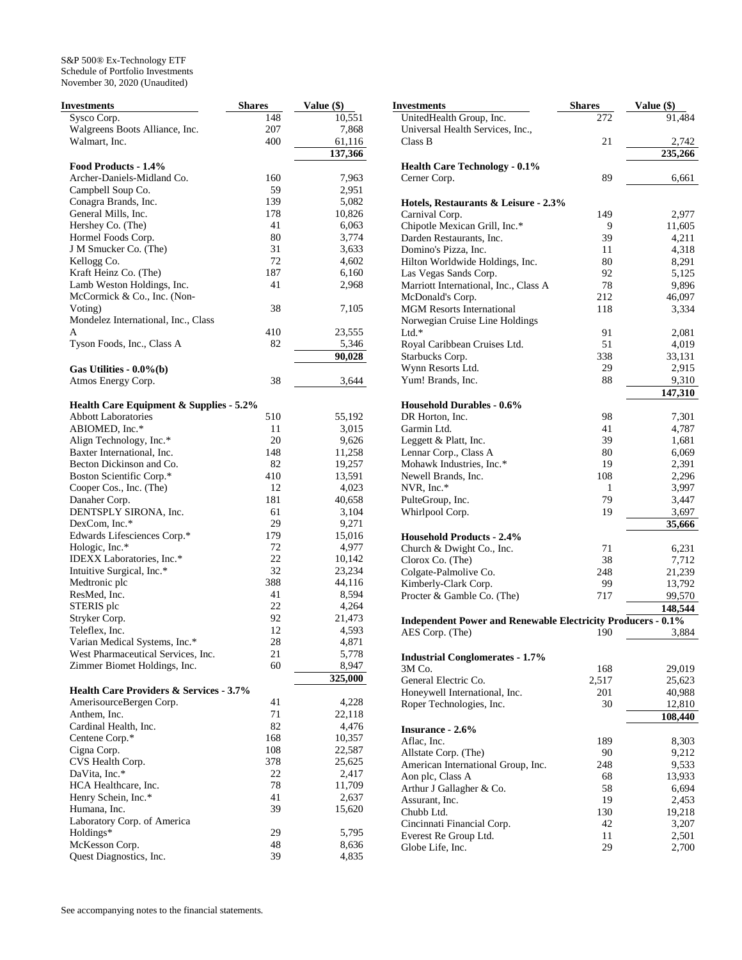| Investments                             | <b>Shares</b> | Value (\$) |
|-----------------------------------------|---------------|------------|
| Sysco Corp.                             | 148           | 10,551     |
| Walgreens Boots Alliance, Inc.          | 207           | 7,868      |
| Walmart, Inc.                           | 400           | 61,116     |
|                                         |               | 137,366    |
| Food Products - 1.4%                    |               |            |
| Archer-Daniels-Midland Co.              | 160           | 7,963      |
|                                         | 59            |            |
| Campbell Soup Co.                       |               | 2,951      |
| Conagra Brands, Inc.                    | 139           | 5,082      |
| General Mills, Inc.                     | 178           | 10,826     |
| Hershey Co. (The)                       | 41            | 6,063      |
| Hormel Foods Corp.                      | 80            | 3,774      |
| J M Smucker Co. (The)                   | 31            | 3,633      |
| Kellogg Co.                             | 72            | 4,602      |
| Kraft Heinz Co. (The)                   | 187           | 6,160      |
| Lamb Weston Holdings, Inc.              | 41            | 2,968      |
| McCormick & Co., Inc. (Non-             |               |            |
| Voting)                                 | 38            | 7,105      |
| Mondelez International, Inc., Class     |               |            |
| A                                       | 410           | 23,555     |
| Tyson Foods, Inc., Class A              | 82            | 5,346      |
|                                         |               |            |
|                                         |               | 90,028     |
| Gas Utilities - $0.0\%$ (b)             |               |            |
| Atmos Energy Corp.                      | 38            | 3,644      |
|                                         |               |            |
| Health Care Equipment & Supplies - 5.2% |               |            |
| <b>Abbott Laboratories</b>              | 510           | 55,192     |
| ABIOMED, Inc.*                          | 11            | 3,015      |
| Align Technology, Inc.*                 | 20            | 9,626      |
| Baxter International, Inc.              | 148           | 11,258     |
| Becton Dickinson and Co.                | 82            | 19,257     |
| Boston Scientific Corp.*                | 410           | 13,591     |
| Cooper Cos., Inc. (The)                 | 12            | 4,023      |
| Danaher Corp.                           | 181           | 40,658     |
|                                         |               |            |
| DENTSPLY SIRONA, Inc.                   | 61            | 3,104      |
| DexCom, Inc.*                           | 29            | 9,271      |
| Edwards Lifesciences Corp.*             | 179           | 15,016     |
| Hologic, Inc.*                          | 72            | 4,977      |
| IDEXX Laboratories, Inc.*               | 22            | 10,142     |
| Intuitive Surgical, Inc.*               | 32            | 23,234     |
| Medtronic plc                           | 388           | 44,116     |
| ResMed, Inc.                            | 41            | 8,594      |
| STERIS plc                              | 22            | 4,264      |
| Stryker Corp.                           | 92            | 21,473     |
| Teleflex, Inc.                          | 12            | 4,593      |
| Varian Medical Systems, Inc.*           | 28            | 4,871      |
| West Pharmaceutical Services, Inc.      | 21            | 5,778      |
| Zimmer Biomet Holdings, Inc.            | 60            | 8,947      |
|                                         |               |            |
|                                         |               | 325,000    |
| Health Care Providers & Services - 3.7% |               |            |
| AmerisourceBergen Corp.                 | 41            | 4,228      |
| Anthem, Inc.                            | 71            | 22,118     |
| Cardinal Health, Inc.                   | 82            | 4,476      |
| Centene Corp.*                          | 168           | 10,357     |
| Cigna Corp.                             | 108           | 22,587     |
| CVS Health Corp.                        | 378           | 25,625     |
| DaVita, Inc.*                           | 22            | 2,417      |
| HCA Healthcare, Inc.                    | 78            | 11,709     |
| Henry Schein, Inc.*                     | 41            | 2,637      |
| Humana, Inc.                            | 39            | 15,620     |
| Laboratory Corp. of America             |               |            |
| Holdings*                               | 29            | 5,795      |
| McKesson Corp.                          | 48            |            |
|                                         |               | 8,636      |
| Quest Diagnostics, Inc.                 | 39            | 4,835      |

| Investments                                                         | <b>Shares</b> | Value (\$)        |
|---------------------------------------------------------------------|---------------|-------------------|
| UnitedHealth Group, Inc.                                            | 272           | 91,484            |
| Universal Health Services, Inc.,<br>Class B                         | 21            | 2,742             |
|                                                                     |               | 235,266           |
| <b>Health Care Technology - 0.1%</b>                                |               |                   |
| Cerner Corp.                                                        | 89            | 6,661             |
| Hotels, Restaurants & Leisure - 2.3%                                |               |                   |
| Carnival Corp.                                                      | 149           | 2,977             |
| Chipotle Mexican Grill, Inc.*                                       | 9             | 11,605            |
| Darden Restaurants, Inc.<br>Domino's Pizza, Inc.                    | 39<br>11      | 4,211<br>4,318    |
| Hilton Worldwide Holdings, Inc.                                     | 80            | 8,291             |
| Las Vegas Sands Corp.                                               | 92            | 5,125             |
| Marriott International, Inc., Class A                               | 78            | 9,896             |
| McDonald's Corp.                                                    | 212           | 46,097            |
| <b>MGM Resorts International</b><br>Norwegian Cruise Line Holdings  | 118           | 3,334             |
| $Ltd.*$                                                             | 91            | 2,081             |
| Royal Caribbean Cruises Ltd.                                        | 51            | 4,019             |
| Starbucks Corp.                                                     | 338           | 33,131            |
| Wynn Resorts Ltd.<br>Yum! Brands, Inc.                              | 29<br>88      | 2,915             |
|                                                                     |               | 9,310<br>147,310  |
| <b>Household Durables - 0.6%</b>                                    |               |                   |
| DR Horton, Inc.                                                     | 98            | 7,301             |
| Garmin Ltd.                                                         | 41            | 4,787             |
| Leggett & Platt, Inc.                                               | 39<br>80      | 1,681             |
| Lennar Corp., Class A<br>Mohawk Industries, Inc.*                   | 19            | 6,069<br>2,391    |
| Newell Brands, Inc.                                                 | 108           | 2,296             |
| NVR, Inc.*                                                          | 1             | 3,997             |
| PulteGroup, Inc.                                                    | 79            | 3,447             |
| Whirlpool Corp.                                                     | 19            | 3,697<br>35,666   |
| <b>Household Products - 2.4%</b>                                    |               |                   |
| Church & Dwight Co., Inc.                                           | 71            | 6,231             |
| Clorox Co. (The)                                                    | 38            | 7,712             |
| Colgate-Palmolive Co.<br>Kimberly-Clark Corp.                       | 248<br>99     | 21,239<br>13,792  |
| Procter & Gamble Co. (The)                                          | 717           | 99,570            |
|                                                                     |               | 148,544           |
| <b>Independent Power and Renewable Electricity Producers - 0.1%</b> |               |                   |
| AES Corp. (The)                                                     | 190           | 3,884             |
| <b>Industrial Conglomerates - 1.7%</b>                              |               |                   |
| 3M Co.                                                              | 168           | 29,019            |
| General Electric Co.                                                | 2,517         | 25,623            |
| Honeywell International, Inc.                                       | 201           | 40,988            |
| Roper Technologies, Inc.                                            | 30            | 12,810<br>108,440 |
| <b>Insurance - 2.6%</b>                                             |               |                   |
| Aflac, Inc.                                                         | 189           | 8,303             |
| Allstate Corp. (The)                                                | 90            | 9,212             |
| American International Group, Inc.                                  | 248           | 9,533             |
| Aon plc, Class A<br>Arthur J Gallagher & Co.                        | 68<br>58      | 13,933<br>6,694   |
| Assurant, Inc.                                                      | 19            | 2,453             |
| Chubb Ltd.                                                          | 130           | 19,218            |
| Cincinnati Financial Corp.                                          | 42            | 3,207             |
| Everest Re Group Ltd.<br>Globe Life, Inc.                           | 11<br>29      | 2,501<br>2,700    |
|                                                                     |               |                   |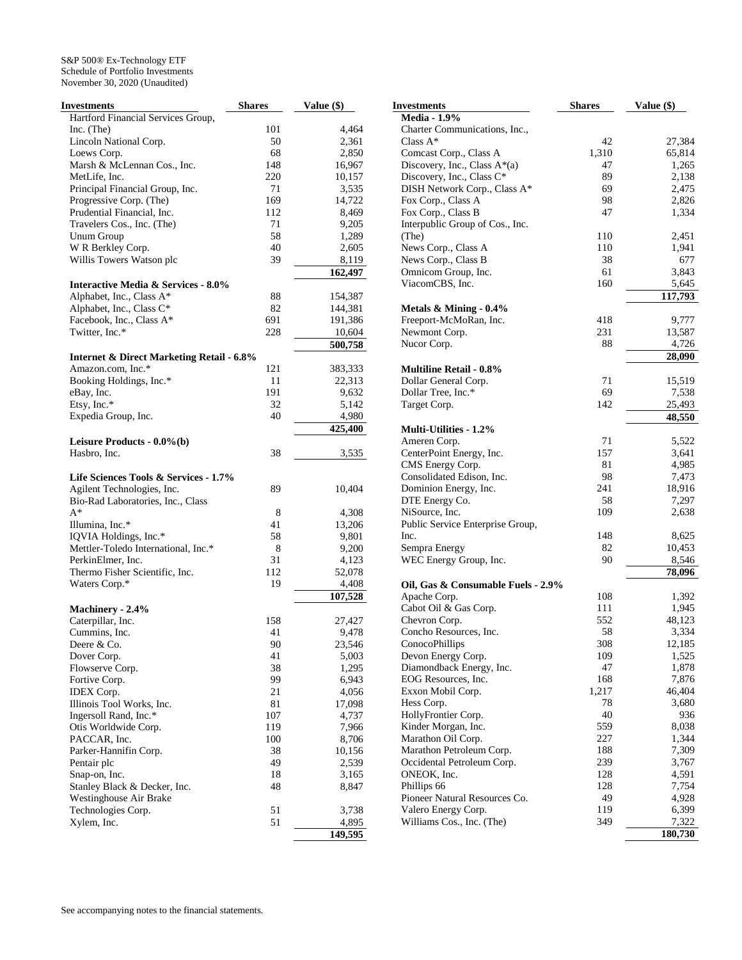| Investments                                          | <b>Shares</b> | Value (\$) |
|------------------------------------------------------|---------------|------------|
| Hartford Financial Services Group,                   |               |            |
| Inc. (The)                                           | 101           | 4,464      |
| Lincoln National Corp.                               | 50            | 2,361      |
| Loews Corp.                                          | 68            | 2,850      |
| Marsh & McLennan Cos., Inc.                          | 148           | 16,967     |
| MetLife, Inc.                                        | 220           | 10,157     |
| Principal Financial Group, Inc.                      | 71            | 3,535      |
| Progressive Corp. (The)                              | 169           | 14,722     |
| Prudential Financial, Inc.                           | 112           | 8,469      |
| Travelers Cos., Inc. (The)                           | 71            | 9,205      |
| <b>Unum Group</b>                                    | 58            | 1,289      |
| W R Berkley Corp.                                    | 40            | 2,605      |
| Willis Towers Watson plc                             | 39            | 8,119      |
|                                                      |               | 162,497    |
| Interactive Media & Services - 8.0%                  |               |            |
| Alphabet, Inc., Class A*                             | 88            | 154,387    |
| Alphabet, Inc., Class C*                             | 82            | 144,381    |
| Facebook, Inc., Class A*                             | 691           | 191,386    |
| Twitter, Inc.*                                       | 228           | 10,604     |
|                                                      |               | 500,758    |
| <b>Internet &amp; Direct Marketing Retail - 6.8%</b> |               |            |
| Amazon.com, Inc.*                                    | 121           | 383,333    |
| Booking Holdings, Inc.*                              | 11            | 22,313     |
| eBay, Inc.                                           | 191           | 9,632      |
| Etsy, Inc.*                                          | 32            | 5,142      |
| Expedia Group, Inc.                                  | 40            | 4,980      |
|                                                      |               | 425,400    |
| Leisure Products - 0.0%(b)                           |               |            |
| Hasbro, Inc.                                         | 38            | 3,535      |
|                                                      |               |            |
| Life Sciences Tools & Services - 1.7%                |               |            |
| Agilent Technologies, Inc.                           | 89            | 10,404     |
| Bio-Rad Laboratories, Inc., Class                    |               |            |
| $A^*$                                                | 8             | 4,308      |
| Illumina, Inc.*                                      | 41            | 13,206     |
| IQVIA Holdings, Inc.*                                | 58            | 9,801      |
| Mettler-Toledo International, Inc.*                  | 8             | 9,200      |
| PerkinElmer, Inc.                                    | 31            | 4,123      |
| Thermo Fisher Scientific, Inc.                       | 112           | 52,078     |
| Waters Corp.*                                        | 19            | 4,408      |
|                                                      |               | 107,528    |
| Machinery - 2.4%                                     |               |            |
| Caterpillar, Inc.                                    | 158           | 27,427     |
| Cummins, Inc.                                        | 41            | 9,478      |
| Deere & Co.                                          | 90            | 23,546     |
| Dover Corp.                                          | 41            | 5,003      |
| Flowserve Corp.                                      | 38            | 1,295      |
| Fortive Corp.                                        | 99            | 6,943      |
| <b>IDEX</b> Corp.                                    | 21            | 4,056      |
| Illinois Tool Works, Inc.                            | 81            | 17,098     |
| Ingersoll Rand, Inc.*                                | 107           | 4,737      |
| Otis Worldwide Corp.                                 | 119           | 7,966      |
| PACCAR, Inc.                                         | 100           | 8,706      |
| Parker-Hannifin Corp.                                | 38            | 10,156     |
| Pentair plc                                          | 49            | 2,539      |
| Snap-on, Inc.                                        | 18            | 3,165      |
| Stanley Black & Decker, Inc.                         | 48            | 8,847      |
| Westinghouse Air Brake                               |               |            |
| Technologies Corp.                                   | 51            | 3,738      |
| Xylem, Inc.                                          | 51            | 4,895      |
|                                                      |               | 149,595    |

| <b>Investments</b>                                        | <b>Shares</b> | Value (\$)      |
|-----------------------------------------------------------|---------------|-----------------|
| <b>Media - 1.9%</b>                                       |               |                 |
| Charter Communications, Inc.,                             |               |                 |
| Class $A^*$                                               | 42            | 27,384          |
| Comcast Corp., Class A                                    | 1,310         | 65,814          |
| Discovery, Inc., Class A*(a)<br>Discovery, Inc., Class C* | 47<br>89      | 1,265<br>2,138  |
| DISH Network Corp., Class A*                              | 69            | 2,475           |
| Fox Corp., Class A                                        | 98            | 2,826           |
| Fox Corp., Class B                                        | 47            | 1,334           |
| Interpublic Group of Cos., Inc.                           |               |                 |
| (The)                                                     | 110           | 2,451           |
| News Corp., Class A                                       | 110           | 1,941           |
| News Corp., Class B                                       | 38            | 677             |
| Omnicom Group, Inc.                                       | 61            | 3,843           |
| ViacomCBS, Inc.                                           | 160           | 5,645           |
|                                                           |               | 117,793         |
| Metals $&$ Mining - 0.4%                                  |               |                 |
| Freeport-McMoRan, Inc.                                    | 418           | 9,777           |
| Newmont Corp.                                             | 231           | 13,587          |
| Nucor Corp.                                               | 88            | 4,726           |
|                                                           |               | 28,090          |
| <b>Multiline Retail - 0.8%</b>                            |               |                 |
| Dollar General Corp.                                      | 71            | 15,519          |
| Dollar Tree, Inc.*                                        | 69            | 7,538           |
| Target Corp.                                              | 142           | 25,493          |
|                                                           |               | 48,550          |
| Multi-Utilities - 1.2%                                    |               |                 |
| Ameren Corp.                                              | 71            | 5,522           |
| CenterPoint Energy, Inc.                                  | 157           | 3,641           |
| CMS Energy Corp.                                          | 81            | 4,985           |
| Consolidated Edison, Inc.                                 | 98            | 7,473           |
| Dominion Energy, Inc.                                     | 241           | 18,916          |
| DTE Energy Co.                                            | 58            | 7,297           |
| NiSource, Inc.                                            | 109           | 2,638           |
| Public Service Enterprise Group,                          |               |                 |
| Inc.<br>Sempra Energy                                     | 148<br>82     | 8,625<br>10,453 |
| WEC Energy Group, Inc.                                    | 90            | 8,546           |
|                                                           |               | 78,096          |
| Oil, Gas & Consumable Fuels - 2.9%                        |               |                 |
| Apache Corp.                                              | 108           | 1,392           |
| Cabot Oil & Gas Corp.                                     | 111           | 1,945           |
| Chevron Corp.                                             | 552           | 48,123          |
| Concho Resources, Inc.                                    | 58            | 3,334           |
| ConocoPhillips                                            | 308           | 12,185          |
| Devon Energy Corp.                                        | 109           | 1,525           |
| Diamondback Energy, Inc.                                  | 47            | 1,878           |
| EOG Resources, Inc.                                       | 168           | 7,876           |
| Exxon Mobil Corp.                                         | 1,217         | 46,404          |
| Hess Corp.                                                | 78            | 3,680           |
| HollyFrontier Corp.                                       | 40            | 936             |
| Kinder Morgan, Inc.                                       | 559           | 8,038           |
| Marathon Oil Corp.                                        | 227           | 1,344           |
| Marathon Petroleum Corp.                                  | 188           | 7,309           |
| Occidental Petroleum Corp.                                | 239           | 3,767           |
| ONEOK, Inc.                                               | 128           | 4,591           |
| Phillips 66                                               | 128           | 7,754           |
| Pioneer Natural Resources Co.                             | 49            | 4,928           |
| Valero Energy Corp.                                       | 119           | 6,399           |
| Williams Cos., Inc. (The)                                 | 349           | 7,322           |
|                                                           |               | 180,730         |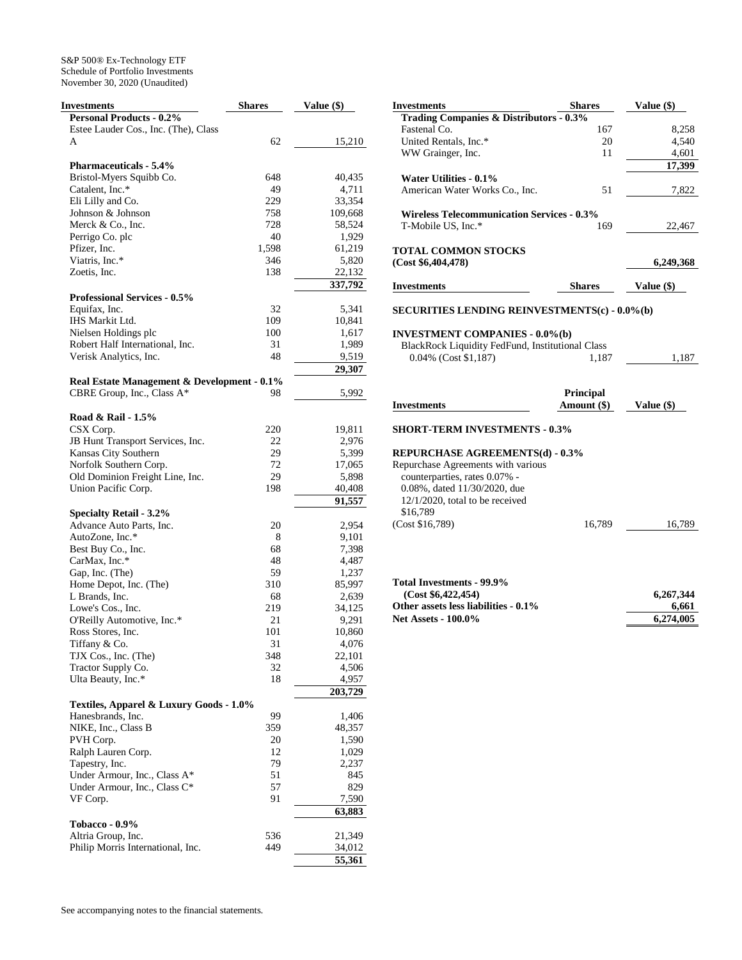| Investments                                 | <b>Shares</b> | Value (\$) |
|---------------------------------------------|---------------|------------|
| <b>Personal Products - 0.2%</b>             |               |            |
| Estee Lauder Cos., Inc. (The), Class        |               |            |
| A                                           | 62            | 15,210     |
|                                             |               |            |
| <b>Pharmaceuticals - 5.4%</b>               |               |            |
| Bristol-Myers Squibb Co.                    | 648           | 40,435     |
| Catalent, Inc.*                             | 49            | 4,711      |
| Eli Lilly and Co.                           | 229           | 33,354     |
| Johnson & Johnson                           | 758           | 109,668    |
| Merck & Co., Inc.                           | 728           | 58,524     |
| Perrigo Co. plc                             | 40            | 1,929      |
| Pfizer, Inc.                                | 1,598         | 61,219     |
| Viatris, Inc.*                              | 346           | 5,820      |
| Zoetis, Inc.                                | 138           | 22,132     |
|                                             |               | 337,792    |
| <b>Professional Services - 0.5%</b>         |               |            |
| Equifax, Inc.                               | 32            | 5,341      |
| IHS Markit Ltd.                             | 109           | 10,841     |
| Nielsen Holdings plc                        | 100           | 1,617      |
| Robert Half International, Inc.             | 31            | 1,989      |
| Verisk Analytics, Inc.                      | 48            | 9,519      |
|                                             |               | 29,307     |
| Real Estate Management & Development - 0.1% |               |            |
| CBRE Group, Inc., Class A*                  | 98            | 5,992      |
|                                             |               |            |
| Road & Rail - 1.5%                          |               |            |
| CSX Corp.                                   | 220           | 19,811     |
| JB Hunt Transport Services, Inc.            | 22            | 2,976      |
| Kansas City Southern                        | 29            | 5,399      |
| Norfolk Southern Corp.                      | 72            | 17,065     |
| Old Dominion Freight Line, Inc.             | 29            | 5,898      |
| Union Pacific Corp.                         | 198           | 40,408     |
|                                             |               | 91,557     |
| <b>Specialty Retail - 3.2%</b>              |               |            |
| Advance Auto Parts, Inc.                    | 20            | 2,954      |
| AutoZone, Inc.*                             | 8             | 9,101      |
| Best Buy Co., Inc.                          | 68            | 7,398      |
| CarMax, Inc.*                               | 48            | 4,487      |
| Gap, Inc. (The)                             | 59            | 1,237      |
| Home Depot, Inc. (The)                      | 310           | 85,997     |
| L Brands, Inc.                              | 68            | 2,639      |
| Lowe's Cos., Inc.                           | 219           | 34,125     |
| O'Reilly Automotive, Inc.*                  | 21            | 9,291      |
| Ross Stores, Inc.                           | 101           | 10,860     |
| Tiffany & Co.                               | 31            | 4,076      |
| TJX Cos., Inc. (The)                        | 348           | 22,101     |
| Tractor Supply Co.                          | 32            | 4,506      |
| Ulta Beauty, Inc.*                          | 18            | 4,957      |
|                                             |               | 203,729    |
| Textiles, Apparel & Luxury Goods - 1.0%     |               |            |
| Hanesbrands, Inc.                           | 99            | 1,406      |
| NIKE, Inc., Class B                         | 359           | 48,357     |
| PVH Corp.                                   | 20            | 1,590      |
| Ralph Lauren Corp.                          | 12            | 1,029      |
| Tapestry, Inc.                              | 79            | 2,237      |
| Under Armour, Inc., Class A*                | 51            | 845        |
| Under Armour, Inc., Class C*                | 57            | 829        |
| VF Corp.                                    | 91            | 7,590      |
|                                             |               | 63,883     |
| Tobacco - 0.9%                              |               |            |
| Altria Group, Inc.                          | 536           | 21,349     |
| Philip Morris International, Inc.           | 449           | 34,012     |
|                                             |               | 55,361     |

| Shares                                             | Value (\$)                                                                                                                                                                                                                                                                                                                            |
|----------------------------------------------------|---------------------------------------------------------------------------------------------------------------------------------------------------------------------------------------------------------------------------------------------------------------------------------------------------------------------------------------|
| <b>Trading Companies &amp; Distributors - 0.3%</b> |                                                                                                                                                                                                                                                                                                                                       |
| 167                                                | 8,258                                                                                                                                                                                                                                                                                                                                 |
| 20                                                 | 4,540                                                                                                                                                                                                                                                                                                                                 |
| 11                                                 | 4,601                                                                                                                                                                                                                                                                                                                                 |
|                                                    | 17,399                                                                                                                                                                                                                                                                                                                                |
|                                                    |                                                                                                                                                                                                                                                                                                                                       |
|                                                    |                                                                                                                                                                                                                                                                                                                                       |
|                                                    | 7,822                                                                                                                                                                                                                                                                                                                                 |
| 169                                                | 22,467                                                                                                                                                                                                                                                                                                                                |
|                                                    | 6,249,368                                                                                                                                                                                                                                                                                                                             |
| <b>Shares</b>                                      | Value (\$)                                                                                                                                                                                                                                                                                                                            |
|                                                    |                                                                                                                                                                                                                                                                                                                                       |
|                                                    |                                                                                                                                                                                                                                                                                                                                       |
|                                                    |                                                                                                                                                                                                                                                                                                                                       |
|                                                    |                                                                                                                                                                                                                                                                                                                                       |
|                                                    |                                                                                                                                                                                                                                                                                                                                       |
|                                                    | 1,187                                                                                                                                                                                                                                                                                                                                 |
|                                                    |                                                                                                                                                                                                                                                                                                                                       |
|                                                    |                                                                                                                                                                                                                                                                                                                                       |
|                                                    |                                                                                                                                                                                                                                                                                                                                       |
|                                                    | Value (\$)                                                                                                                                                                                                                                                                                                                            |
|                                                    |                                                                                                                                                                                                                                                                                                                                       |
|                                                    |                                                                                                                                                                                                                                                                                                                                       |
|                                                    |                                                                                                                                                                                                                                                                                                                                       |
|                                                    |                                                                                                                                                                                                                                                                                                                                       |
| 16,789                                             | 16,789                                                                                                                                                                                                                                                                                                                                |
|                                                    |                                                                                                                                                                                                                                                                                                                                       |
|                                                    |                                                                                                                                                                                                                                                                                                                                       |
|                                                    | 6,267,344                                                                                                                                                                                                                                                                                                                             |
|                                                    |                                                                                                                                                                                                                                                                                                                                       |
|                                                    | 6,661                                                                                                                                                                                                                                                                                                                                 |
|                                                    | 6,274,005                                                                                                                                                                                                                                                                                                                             |
|                                                    | 51<br><b>Wireless Telecommunication Services - 0.3%</b><br><b>SECURITIES LENDING REINVESTMENTS(c) - 0.0%(b)</b><br><b>INVESTMENT COMPANIES - 0.0%(b)</b><br><b>BlackRock Liquidity FedFund, Institutional Class</b><br>1,187<br>Principal<br>Amount $(\$)$<br><b>SHORT-TERM INVESTMENTS - 0.3%</b><br>REPURCHASE AGREEMENTS(d) - 0.3% |